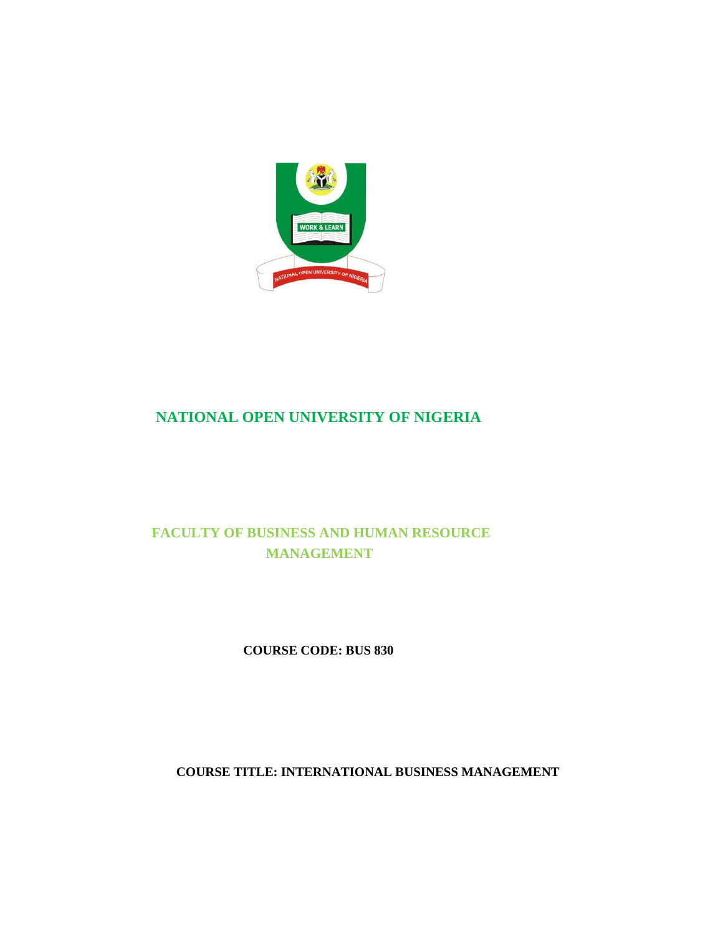

# **NATIONAL OPEN UNIVERSITY OF NIGERIA**

# **FACULTY OF BUSINESS AND HUMAN RESOURCE MANAGEMENT**

# **COURSE CODE: BUS 830**

#### **COURSE TITLE: INTERNATIONAL BUSINESS MANAGEMENT**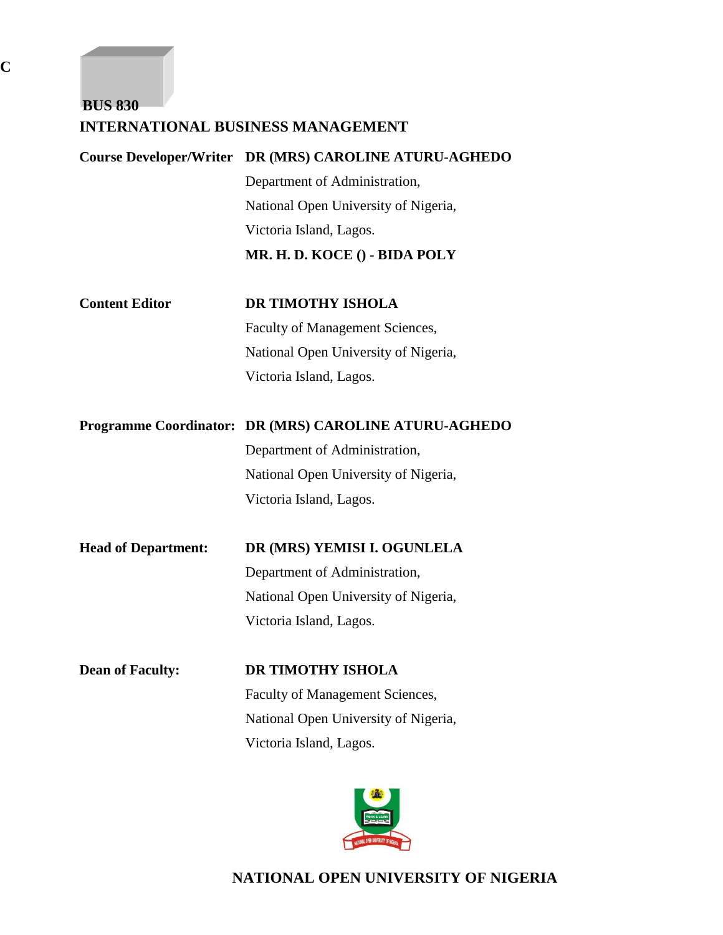# **BUS 830 INTERNATIONAL BUSINESS MANAGEMENT**

|                            | Course Developer/Writer DR (MRS) CAROLINE ATURU-AGHEDO |  |  |
|----------------------------|--------------------------------------------------------|--|--|
|                            | Department of Administration,                          |  |  |
|                            | National Open University of Nigeria,                   |  |  |
|                            | Victoria Island, Lagos.                                |  |  |
|                            | MR. H. D. KOCE () - BIDA POLY                          |  |  |
|                            |                                                        |  |  |
| <b>Content Editor</b>      | DR TIMOTHY ISHOLA                                      |  |  |
|                            | Faculty of Management Sciences,                        |  |  |
|                            | National Open University of Nigeria,                   |  |  |
|                            | Victoria Island, Lagos.                                |  |  |
|                            |                                                        |  |  |
|                            | Programme Coordinator: DR (MRS) CAROLINE ATURU-AGHEDO  |  |  |
|                            | Department of Administration,                          |  |  |
|                            | National Open University of Nigeria,                   |  |  |
|                            | Victoria Island, Lagos.                                |  |  |
|                            |                                                        |  |  |
| <b>Head of Department:</b> | DR (MRS) YEMISI I. OGUNLELA                            |  |  |
|                            | Department of Administration,                          |  |  |
|                            | National Open University of Nigeria,                   |  |  |
|                            | Victoria Island, Lagos.                                |  |  |
|                            |                                                        |  |  |
| <b>Dean of Faculty:</b>    | DR TIMOTHY ISHOLA                                      |  |  |
|                            | Faculty of Management Sciences,                        |  |  |
|                            | National Open University of Nigeria,                   |  |  |
|                            | Victoria Island, Lagos.                                |  |  |



# **NATIONAL OPEN UNIVERSITY OF NIGERIA**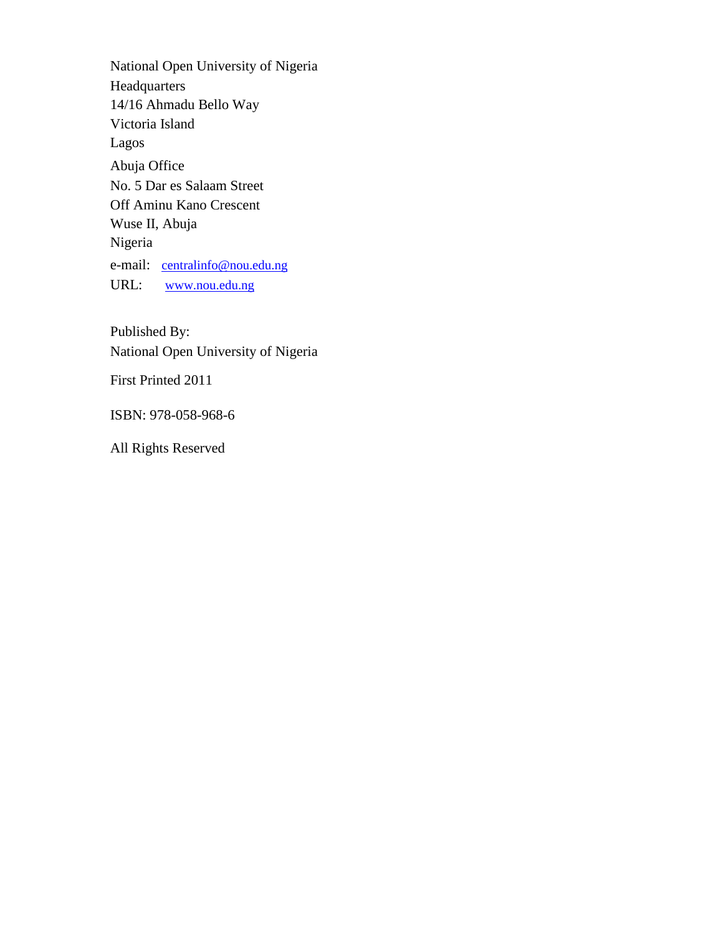National Open University of Nigeria Headquarters 14/16 Ahmadu Bello Way Victoria Island Lagos Abuja Office No. 5 Dar es Salaam Street Off Aminu Kano Crescent Wuse II, Abuja Nigeria e-mail: centralinfo@nou.edu.ng [URL:](mailto:centralinfo@nou.edu.ng) [www.nou.edu.ng](mailto:centralinfo@nou.edu.ng)

Published By: National Open University of Nigeria

First Printed 2011

ISBN: 978-058-968-6

All Rights Reserved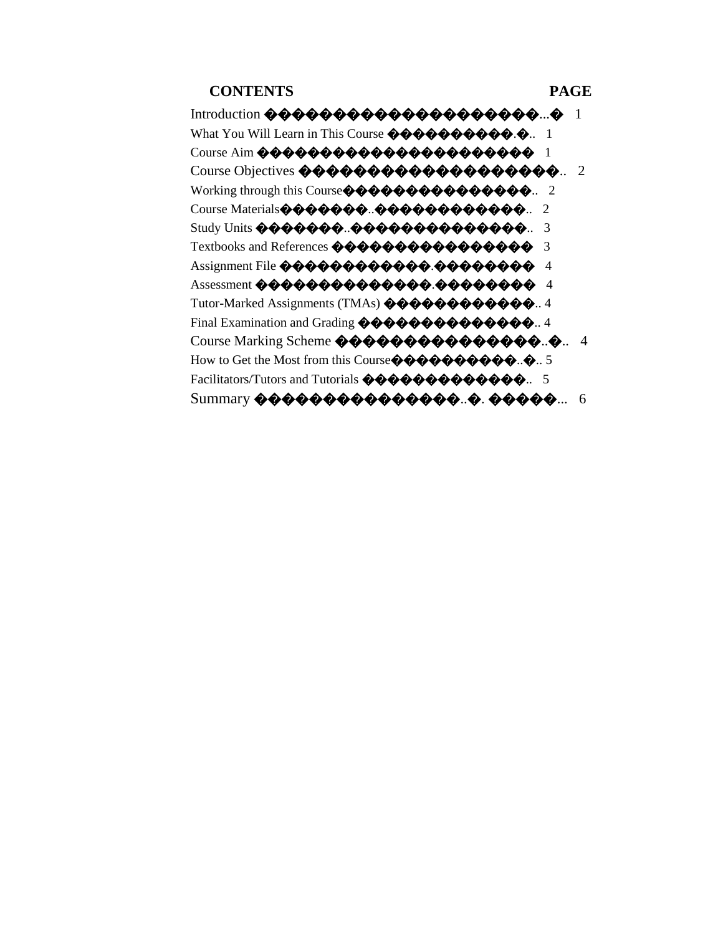#### **CONTENTS**

**PAGE** 

Introduction  $\langle \langle \phi \rangle \langle \phi \rangle$   $\langle \phi \rangle$   $\langle \phi \rangle$   $\langle \phi \rangle$   $\langle \phi \rangle$   $\langle \phi \rangle$   $\langle \phi \rangle$   $\langle \phi \rangle$   $\langle \phi \rangle$   $\langle \phi \rangle$   $\langle \phi \rangle$ What You Will Learn in This Course  $\Diamond \Diamond \Diamond \Diamond \Diamond \Diamond \Diamond \Diamond \Diamond \Diamond$ . Course Objectives �������������������� Working through this Course����������������� Textbooks and References ���������������� Assignment File ������������ \$^@ Assessment ����������������������� Tutor-Marked Assignments (TMAs) ������������. 4 Final Examination and Grading ��������������� Course Marking Scheme ���������������... 4 How to Get the Most from this Course  $\Diamond \Diamond \Diamond \Diamond \Diamond \Diamond \Diamond \Diamond \Diamond \Diamond \Diamond$ . Facilitators/Tutors and Tutorials  $\Diamond \Diamond \Diamond \Diamond \Diamond \Diamond \Diamond \Diamond \Diamond \Diamond \Diamond \Diamond \Diamond \Diamond \Diamond$ Summary ���������������. �. �����... 6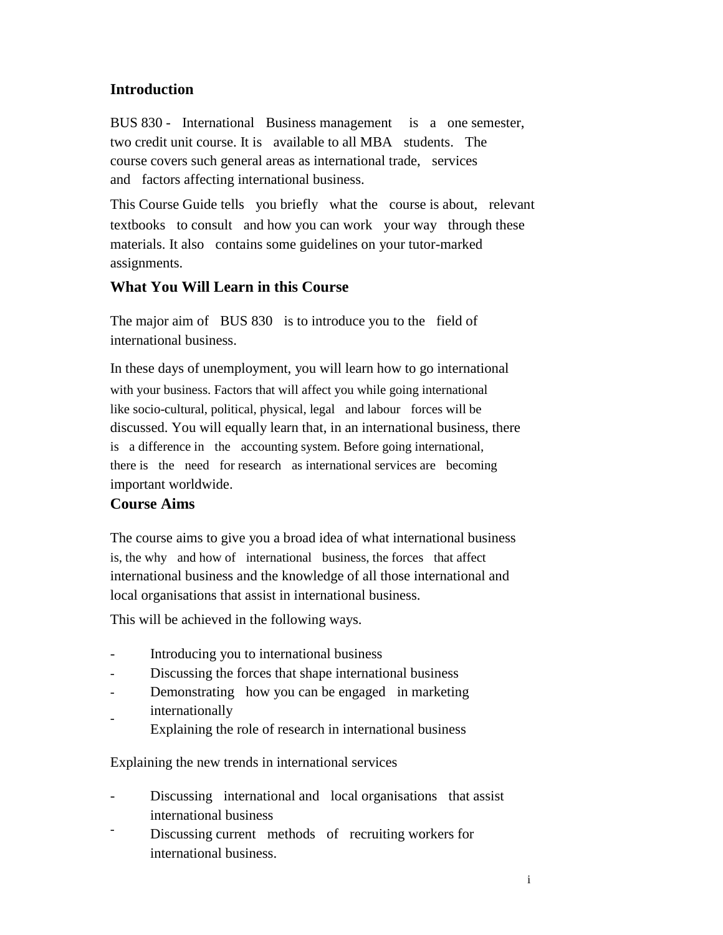# **Introduction**

BUS 830 - International Business management is a one semester, two credit unit course. It is available to all MBA students. The course covers such general areas as international trade, services and factors affecting international business.

This Course Guide tells you briefly what the course is about, relevant textbooks to consult and how you can work your way through these materials. It also contains some guidelines on your tutor-marked assignments.

# **What You Will Learn in this Course**

The major aim of BUS 830 is to introduce you to the field of international business.

In these days of unemployment, you will learn how to go international with your business. Factors that will affect you while going international like socio-cultural, political, physical, legal and labour forces will be discussed. You will equally learn that, in an international business, there is a difference in the accounting system. Before going international, there is the need for research as international services are becoming important worldwide.

#### **Course Aims**

The course aims to give you a broad idea of what international business is, the why and how of international business, the forces that affect international business and the knowledge of all those international and local organisations that assist in international business.

This will be achieved in the following ways.

- Introducing you to international business
- Discussing the forces that shape international business
- Demonstrating how you can be engaged in marketing
- internationally
	- Explaining the role of research in international business

Explaining the new trends in international services

- Discussing international and local organisations that assist international business
- Discussing current methods of recruiting workers for international business.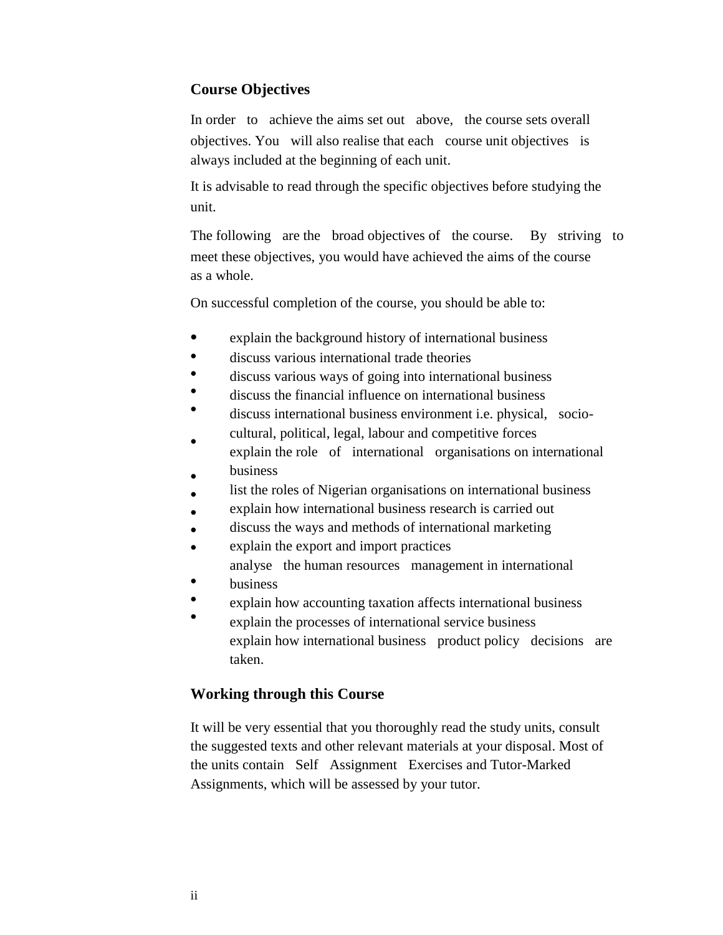# **Course Objectives**

In order to achieve the aims set out above, the course sets overall objectives. You will also realise that each course unit objectives is always included at the beginning of each unit.

It is advisable to read through the specific objectives before studying the unit.

The following are the broad objectives of the course. By striving to meet these objectives, you would have achieved the aims of the course as a whole.

On successful completion of the course, you should be able to:

- $\bullet$ explain the background history of international business
- $\bullet$ discuss various international trade theories
- $\bullet$ discuss various ways of going into international business
- $\bullet$ discuss the financial influence on international business
- $\bullet$ discuss international business environment i.e. physical, sociocultural, political, legal, labour and competitive forces
- $\bullet$  $\bullet$ explain the role of international organisations on international business
- $\bullet$ list the roles of Nigerian organisations on international business
- $\bullet$ explain how international business research is carried out
- $\bullet$ discuss the ways and methods of international marketing
- $\bullet$ explain the export and import practices
- $\bullet$ analyse the human resources management in international business
- $\bullet$ explain how accounting taxation affects international business
- $\bullet$ explain the processes of international service business explain how international business product policy decisions are taken.

#### **Working through this Course**

It will be very essential that you thoroughly read the study units, consult the suggested texts and other relevant materials at your disposal. Most of the units contain Self Assignment Exercises and Tutor-Marked Assignments, which will be assessed by your tutor.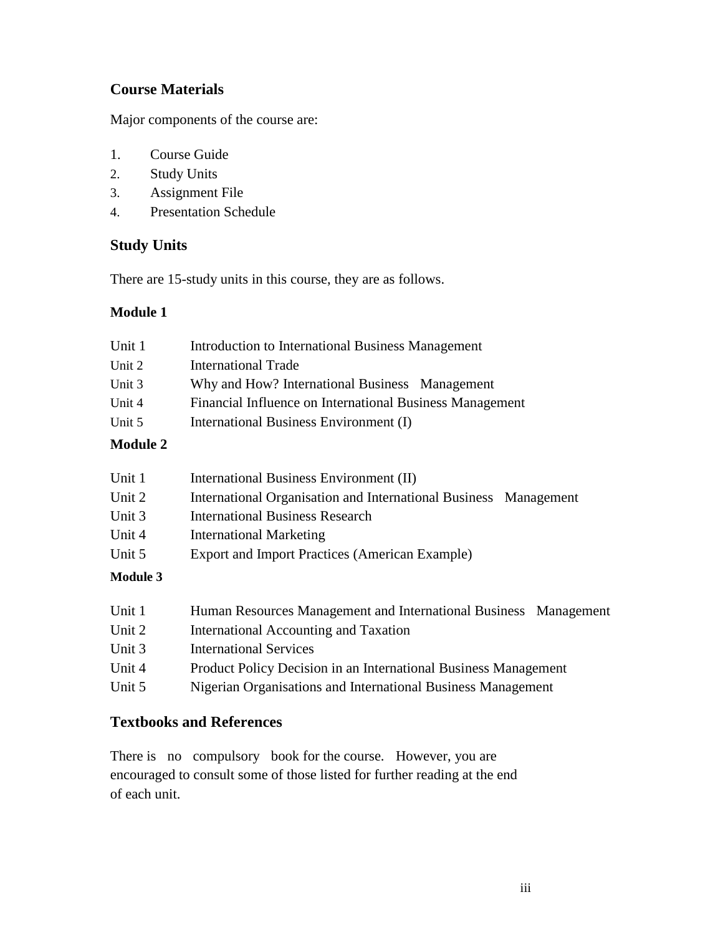# **Course Materials**

Major components of the course are:

- 1. Course Guide
- 2. Study Units
- 3. Assignment File
- 4. Presentation Schedule

# **Study Units**

There are 15-study units in this course, they are as follows.

# **Module 1**

| Unit 1 | Introduction to International Business Management        |  |  |
|--------|----------------------------------------------------------|--|--|
| Unit 2 | <b>International Trade</b>                               |  |  |
| Unit 3 | Why and How? International Business Management           |  |  |
| Unit 4 | Financial Influence on International Business Management |  |  |
| Unit 5 | International Business Environment (I)                   |  |  |
|        |                                                          |  |  |

### **Module 2**

| Unit 1 | International Business Environment (II)                          |  |
|--------|------------------------------------------------------------------|--|
| Unit 2 | International Organisation and International Business Management |  |
| Unit 3 | <b>International Business Research</b>                           |  |
| Unit 4 | <b>International Marketing</b>                                   |  |
| Unit 5 | Export and Import Practices (American Example)                   |  |
|        |                                                                  |  |

# **Module 3**

| Unit 1 | Human Resources Management and International Business Management |
|--------|------------------------------------------------------------------|
| Unit 2 | International Accounting and Taxation                            |
| Unit 3 | <b>International Services</b>                                    |
| Unit 4 | Product Policy Decision in an International Business Management  |
| Unit 5 | Nigerian Organisations and International Business Management     |

# **Textbooks and References**

There is no compulsory book for the course. However, you are encouraged to consult some of those listed for further reading at the end of each unit.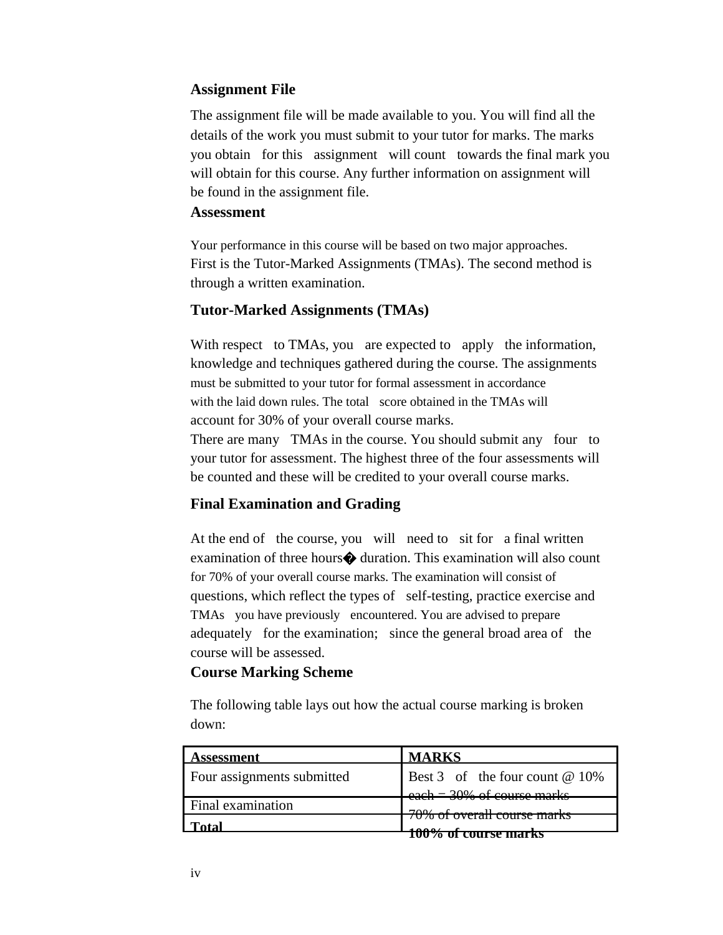#### **Assignment File**

The assignment file will be made available to you. You will find all the details of the work you must submit to your tutor for marks. The marks you obtain for this assignment will count towards the final mark you will obtain for this course. Any further information on assignment will be found in the assignment file.

#### **Assessment**

Your performance in this course will be based on two major approaches. First is the Tutor-Marked Assignments (TMAs). The second method is through a written examination.

#### **Tutor-Marked Assignments (TMAs)**

With respect to TMAs, you are expected to apply the information, knowledge and techniques gathered during the course. The assignments must be submitted to your tutor for formal assessment in accordance with the laid down rules. The total score obtained in the TMAs will account for 30% of your overall course marks.

There are many TMAs in the course. You should submit any four to your tutor for assessment. The highest three of the four assessments will be counted and these will be credited to your overall course marks.

#### **Final Examination and Grading**

At the end of the course, you will need to sit for a final written examination of three hours� duration. This examination will also count for 70% of your overall course marks. The examination will consist of questions, which reflect the types of self-testing, practice exercise and TMAs you have previously encountered. You are advised to prepare adequately for the examination; since the general broad area of the course will be assessed.

#### **Course Marking Scheme**

The following table lays out how the actual course marking is broken down:

| Assessment                 | MARKS                                                                                                                                   |
|----------------------------|-----------------------------------------------------------------------------------------------------------------------------------------|
| Four assignments submitted | Best 3 of the four count $@10\%$<br>$\alpha$ <sup>2004</sup> of $\alpha$ <sup>1</sup>                                                   |
| Final examination          | 770 ΟΙ COUIDC ΠΙΩΓΙΝΩ<br>and the control of the control of the control of the control of the control of the control of the control of t |
| Total                      | <u>UVULAH UUULSU HIAHAS</u>                                                                                                             |
|                            | TWC% OF COUTSE MATKS                                                                                                                    |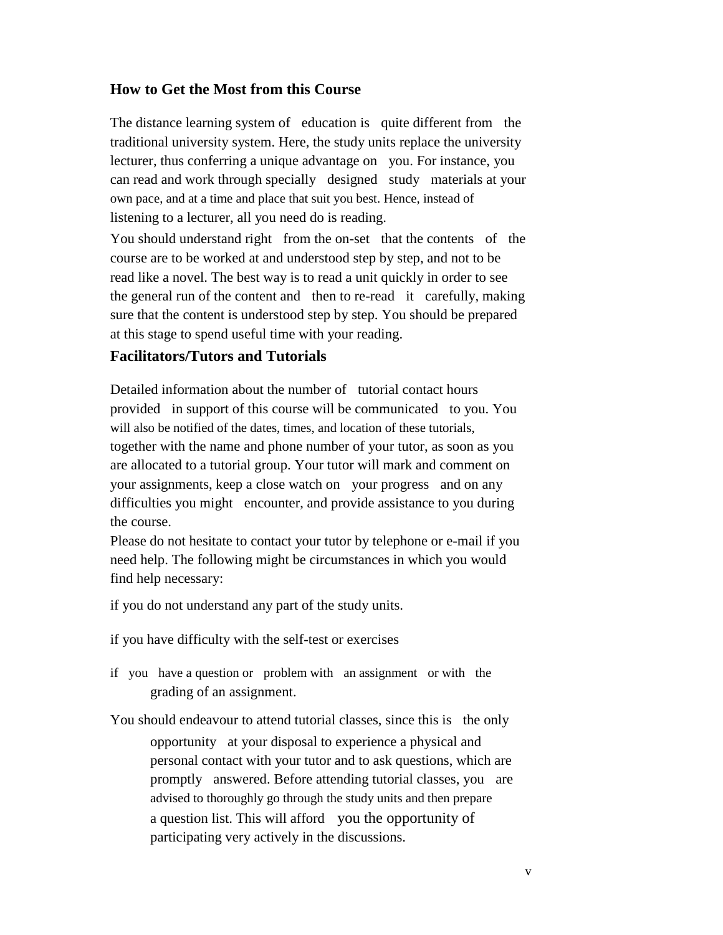#### **How to Get the Most from this Course**

The distance learning system of education is quite different from the traditional university system. Here, the study units replace the university lecturer, thus conferring a unique advantage on you. For instance, you can read and work through specially designed study materials at your own pace, and at a time and place that suit you best. Hence, instead of listening to a lecturer, all you need do is reading.

You should understand right from the on-set that the contents of the course are to be worked at and understood step by step, and not to be read like a novel. The best way is to read a unit quickly in order to see the general run of the content and then to re-read it carefully, making sure that the content is understood step by step. You should be prepared at this stage to spend useful time with your reading.

#### **Facilitators/Tutors and Tutorials**

Detailed information about the number of tutorial contact hours provided in support of this course will be communicated to you. You will also be notified of the dates, times, and location of these tutorials, together with the name and phone number of your tutor, as soon as you are allocated to a tutorial group. Your tutor will mark and comment on your assignments, keep a close watch on your progress and on any difficulties you might encounter, and provide assistance to you during the course.

Please do not hesitate to contact your tutor by telephone or e-mail if you need help. The following might be circumstances in which you would find help necessary:

if you do not understand any part of the study units.

if you have difficulty with the self-test or exercises

if you have a question or problem with an assignment or with the grading of an assignment.

You should endeavour to attend tutorial classes, since this is the only opportunity at your disposal to experience a physical and personal contact with your tutor and to ask questions, which are promptly answered. Before attending tutorial classes, you are advised to thoroughly go through the study units and then prepare a question list. This will afford you the opportunity of participating very actively in the discussions.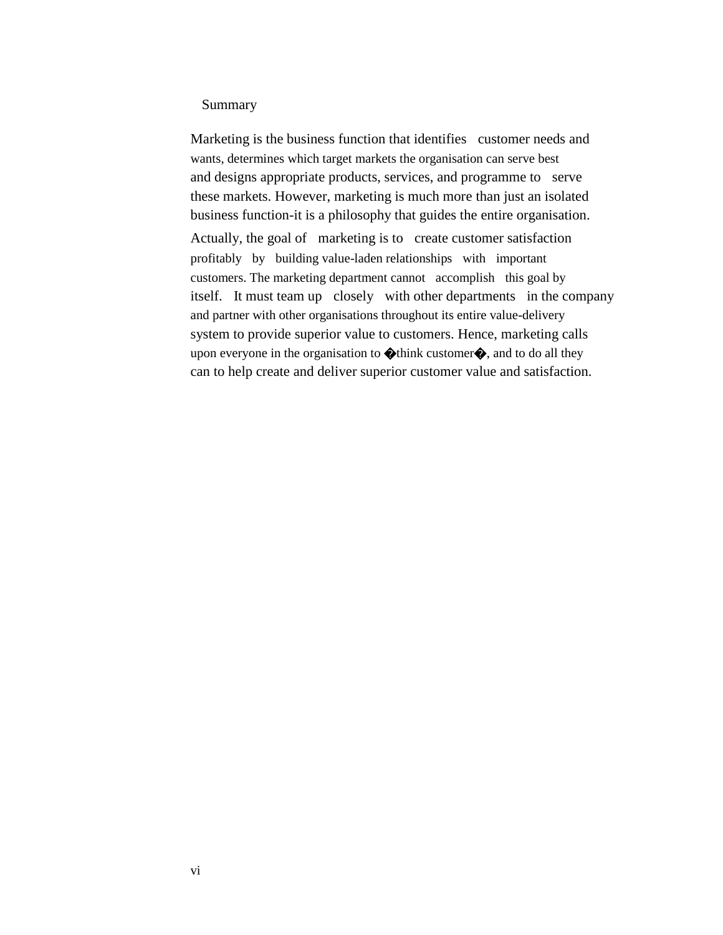#### Summary

Marketing is the business function that identifies customer needs and wants, determines which target markets the organisation can serve best and designs appropriate products, services, and programme to serve these markets. However, marketing is much more than just an isolated business function-it is a philosophy that guides the entire organisation. Actually, the goal of marketing is to create customer satisfaction profitably by building value-laden relationships with important customers. The marketing department cannot accomplish this goal by itself. It must team up closely with other departments in the company and partner with other organisations throughout its entire value-delivery system to provide superior value to customers. Hence, marketing calls upon everyone in the organisation to  $\bigcirc$  think customer $\bigcirc$ , and to do all they can to help create and deliver superior customer value and satisfaction.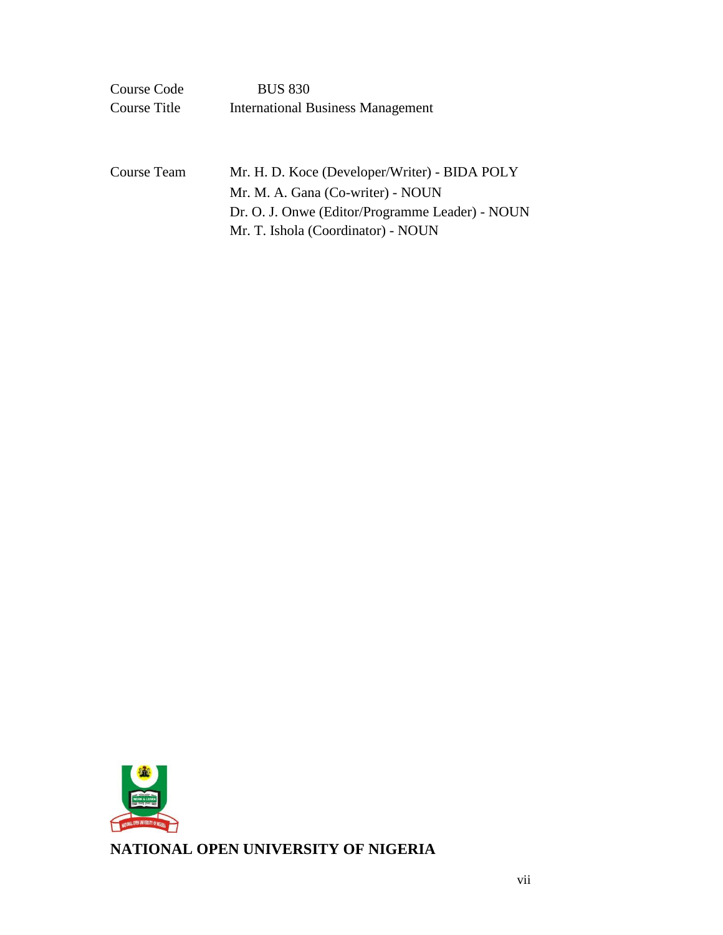| Course Code  | <b>BUS 830</b>                                  |
|--------------|-------------------------------------------------|
| Course Title | <b>International Business Management</b>        |
|              |                                                 |
|              |                                                 |
| Course Team  | Mr. H. D. Koce (Developer/Writer) - BIDA POLY   |
|              |                                                 |
|              | Mr. M. A. Gana (Co-writer) - NOUN               |
|              | Dr. O. J. Onwe (Editor/Programme Leader) - NOUN |
|              |                                                 |

Mr. T. Ishola (Coordinator) - NOUN



**NATIONAL OPEN UNIVERSITY OF NIGERIA**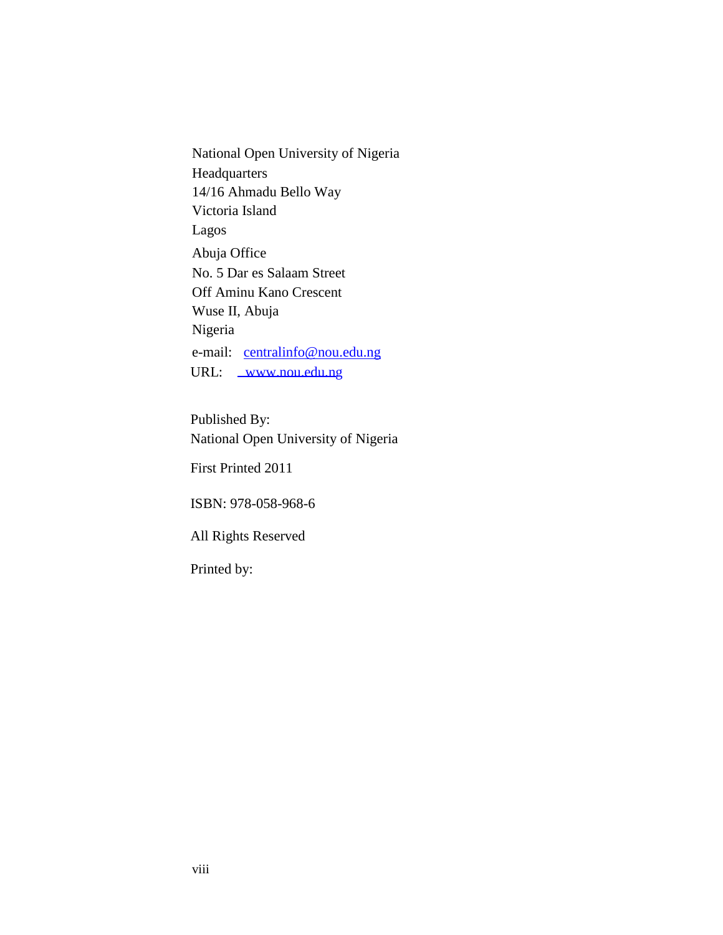National Open University of Nigeria Headquarters 14/16 Ahmadu Bello Way Victoria Island Lagos Abuja Office No. 5 Dar es Salaam Street Off Aminu Kano Crescent Wuse II, Abuja Nigeria e-mail: centralinfo@nou.edu.ng [URL: www.nou.edu.ng](mailto:centralinfo@nou.edu.ng)

Published By: National Open University of Nigeria

First Printed 2011

ISBN: 978-058-968-6

All Rights Reserved

Printed by: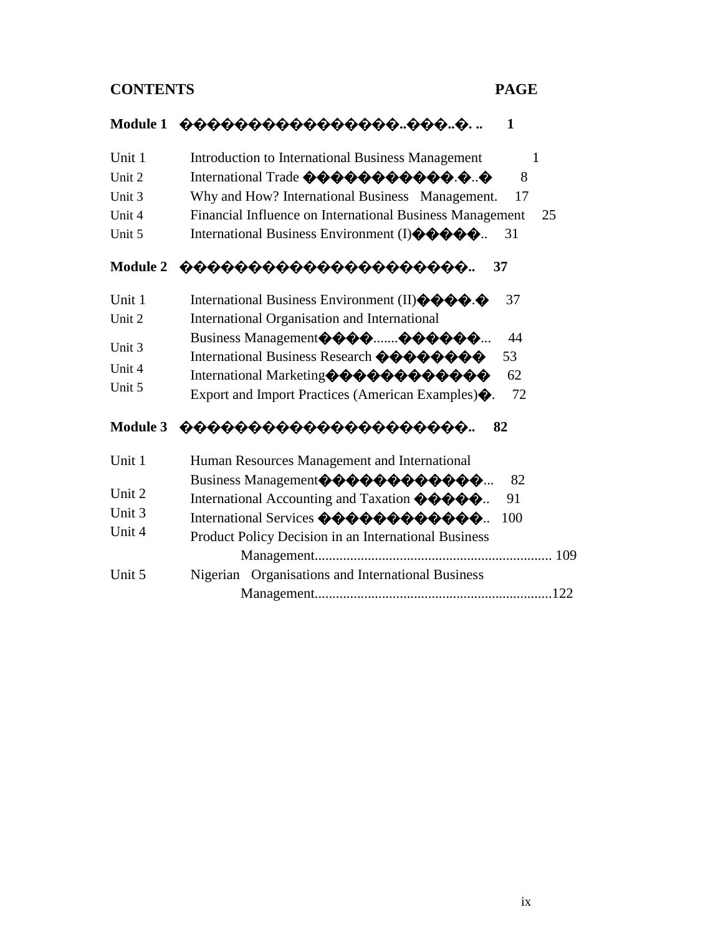# **CONTENTS**

# Module 1  $\odot$   $\odot$   $\odot$   $\odot$   $\odot$   $\odot$   $\odot$   $\odot$   $\odot$   $\odot$   $\odot$   $\odot$   $\odot$   $\odot$   $\odot$   $\odot$   $\odot$   $\odot$   $\odot$   $\odot$   $\odot$   $\odot$   $\odot$   $\odot$   $\odot$   $\odot$   $\odot$   $\odot$   $\odot$   $\odot$   $\odot$   $\odot$   $\odot$   $\odot$   $\odot$   $\$

| Unit 1 | Introduction to International Business Management                                                       |     |  |
|--------|---------------------------------------------------------------------------------------------------------|-----|--|
| Unit 2 | International Trade �����������.<br>8                                                                   |     |  |
| Unit 3 | Why and How? International Business Management.                                                         |     |  |
| Unit 4 | Financial Influence on International Business Management                                                | -25 |  |
| Unit 5 | International Business Environment (I) $\Diamond \Diamond \Diamond \Diamond \Diamond \Diamond$ .<br>-31 |     |  |

# 

| Unit 1 | International Business Environment (II) $\circ \bullet \bullet \bullet \bullet$<br>37 |     |  |
|--------|---------------------------------------------------------------------------------------|-----|--|
| Unit 2 | International Organisation and International                                          |     |  |
|        |                                                                                       | 44  |  |
| Unit 3 | International Business Research ���������                                             | 53  |  |
| Unit 4 | International Marketing ������������                                                  | 62. |  |
| Unit 5 | Export and Import Practices (American Examples).                                      | 72  |  |

# Module 3  $\odot$   $\odot$   $\odot$   $\odot$   $\odot$   $\odot$   $\odot$   $\odot$   $\odot$   $\odot$   $\odot$   $\odot$   $\odot$   $\odot$   $\odot$   $\odot$   $\odot$   $\odot$   $\odot$   $\odot$   $\odot$   $\odot$   $\odot$   $\odot$   $\odot$   $\odot$   $\odot$   $\odot$   $\odot$   $\odot$   $\odot$   $\odot$   $\odot$   $\odot$   $\odot$   $\$

| Unit 1 | Human Resources Management and International                                                 |
|--------|----------------------------------------------------------------------------------------------|
|        | Business Management������������<br>- 82                                                      |
| Unit 2 | International Accounting and Taxation $\Diamond \Diamond \Diamond \Diamond \Diamond$ .<br>91 |
| Unit 3 | International Services �������������. 100                                                    |
| Unit 4 | Product Policy Decision in an International Business                                         |
|        |                                                                                              |
| Unit 5 | Nigerian Organisations and International Business                                            |
|        |                                                                                              |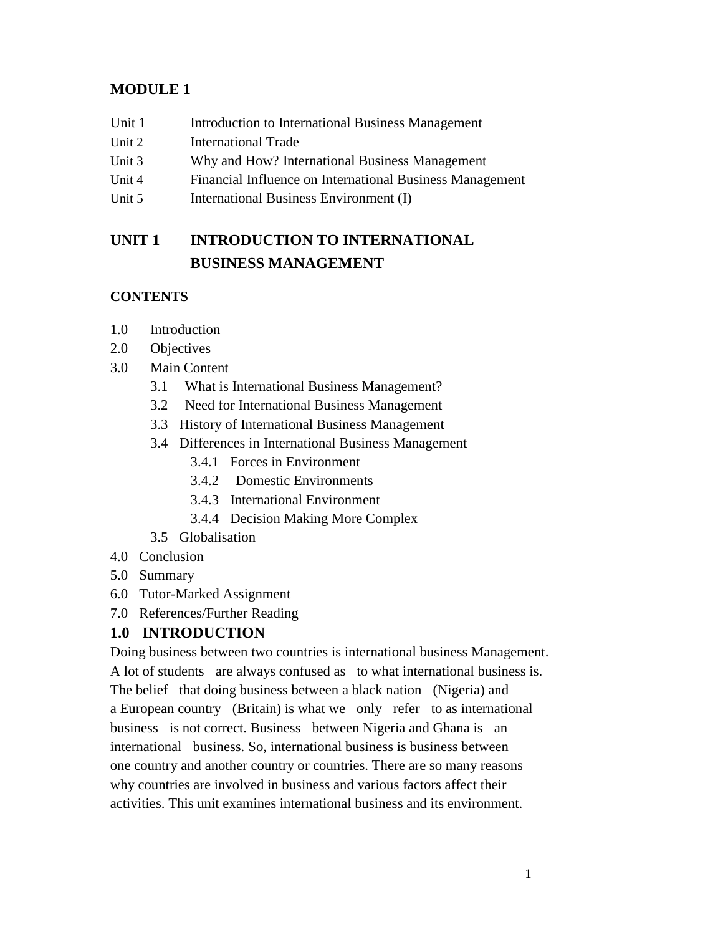# **MODULE 1**

| Unit 1 | Introduction to International Business Management        |
|--------|----------------------------------------------------------|
| Unit 2 | <b>International Trade</b>                               |
| Unit 3 | Why and How? International Business Management           |
| Unit 4 | Financial Influence on International Business Management |
| Unit 5 | International Business Environment (I)                   |
|        |                                                          |

#### **UNIT 1 INTRODUCTION TO INTERNATIONAL BUSINESS MANAGEMENT**

### **CONTENTS**

- 1.0 Introduction
- 2.0 Objectives
- 3.0 Main Content
	- 3.1 What is International Business Management?
	- 3.2 Need for International Business Management
	- 3.3 History of International Business Management
	- 3.4 Differences in International Business Management
		- 3.4.1 Forces in Environment
		- 3.4.2 Domestic Environments
		- 3.4.3 International Environment
		- 3.4.4 Decision Making More Complex
	- 3.5 Globalisation
- 4.0 Conclusion
- 5.0 Summary
- 6.0 Tutor-Marked Assignment
- 7.0 References/Further Reading

#### **1.0 INTRODUCTION**

Doing business between two countries is international business Management. A lot of students are always confused as to what international business is. The belief that doing business between a black nation (Nigeria) and a European country (Britain) is what we only refer to as international business is not correct. Business between Nigeria and Ghana is an international business. So, international business is business between one country and another country or countries. There are so many reasons why countries are involved in business and various factors affect their activities. This unit examines international business and its environment.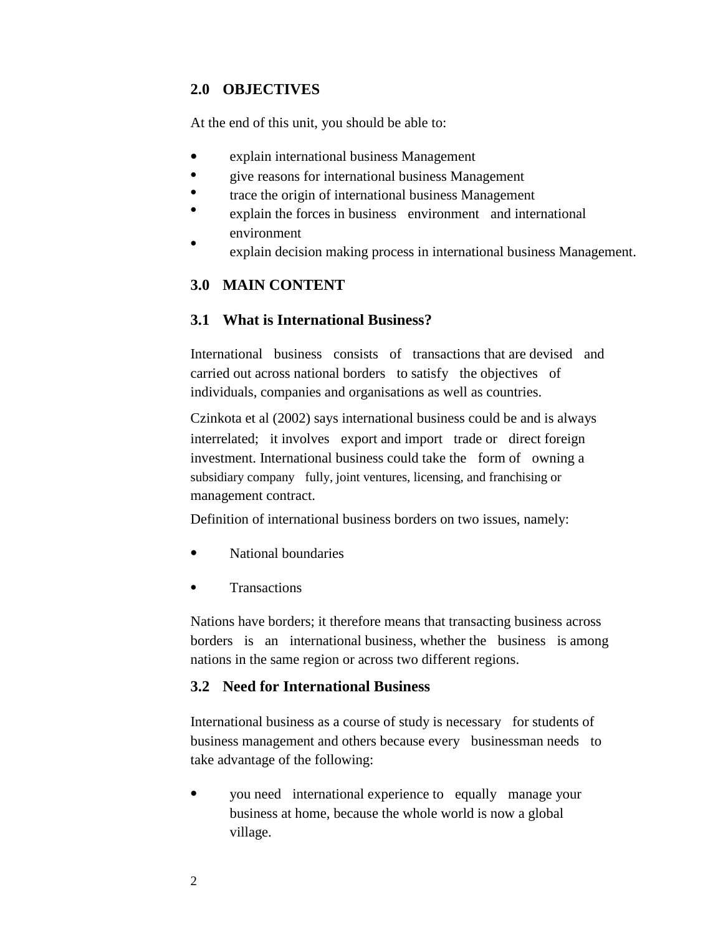# **2.0 OBJECTIVES**

At the end of this unit, you should be able to:

- $\bullet$ explain international business Management
- $\bullet$ give reasons for international business Management
- $\bullet$ trace the origin of international business Management
- $\bullet$ explain the forces in business environment and international environment
- $\bullet$ explain decision making process in international business Management.

### **3.0 MAIN CONTENT**

#### **3.1 What is International Business?**

International business consists of transactions that are devised and carried out across national borders to satisfy the objectives of individuals, companies and organisations as well as countries.

Czinkota et al (2002) says international business could be and is always interrelated; it involves export and import trade or direct foreign investment. International business could take the form of owning a subsidiary company fully, joint ventures, licensing, and franchising or management contract.

Definition of international business borders on two issues, namely:

- $\bullet$ National boundaries
- $\bullet$ **Transactions**

Nations have borders; it therefore means that transacting business across borders is an international business, whether the business is among nations in the same region or across two different regions.

#### **3.2 Need for International Business**

International business as a course of study is necessary for students of business management and others because every businessman needs to take advantage of the following:

 $\bullet$ you need international experience to equally manage your business at home, because the whole world is now a global village.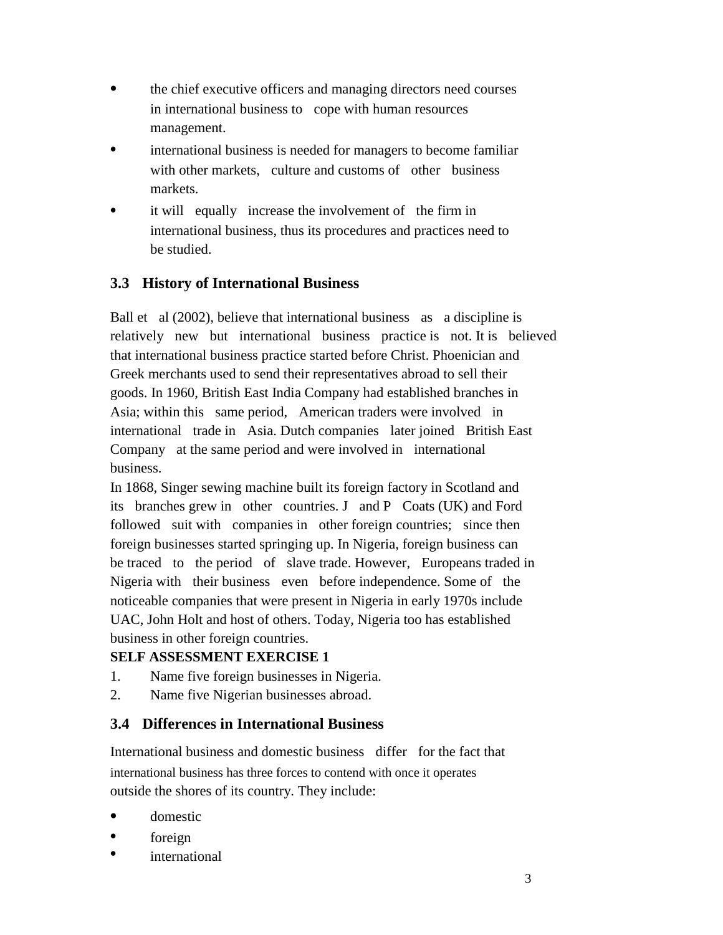- $\bullet$ the chief executive officers and managing directors need courses in international business to cope with human resources management.
- $\bullet$ international business is needed for managers to become familiar with other markets, culture and customs of other business markets.
- $\bullet$ it will equally increase the involvement of the firm in international business, thus its procedures and practices need to be studied.

# **3.3 History of International Business**

Ball et al (2002), believe that international business as a discipline is relatively new but international business practice is not. It is believed that international business practice started before Christ. Phoenician and Greek merchants used to send their representatives abroad to sell their goods. In 1960, British East India Company had established branches in Asia; within this same period, American traders were involved in international trade in Asia. Dutch companies later joined British East Company at the same period and were involved in international business.

In 1868, Singer sewing machine built its foreign factory in Scotland and its branches grew in other countries. J and P Coats (UK) and Ford followed suit with companies in other foreign countries; since then foreign businesses started springing up. In Nigeria, foreign business can be traced to the period of slave trade. However, Europeans traded in Nigeria with their business even before independence. Some of the noticeable companies that were present in Nigeria in early 1970s include UAC, John Holt and host of others. Today, Nigeria too has established business in other foreign countries.

#### **SELF ASSESSMENT EXERCISE 1**

- 1. Name five foreign businesses in Nigeria.
- 2. Name five Nigerian businesses abroad.

# **3.4 Differences in International Business**

International business and domestic business differ for the fact that international business has three forces to contend with once it operates outside the shores of its country. They include:

- $\bullet$ domestic
- $\bullet$ foreign
- $\bullet$ international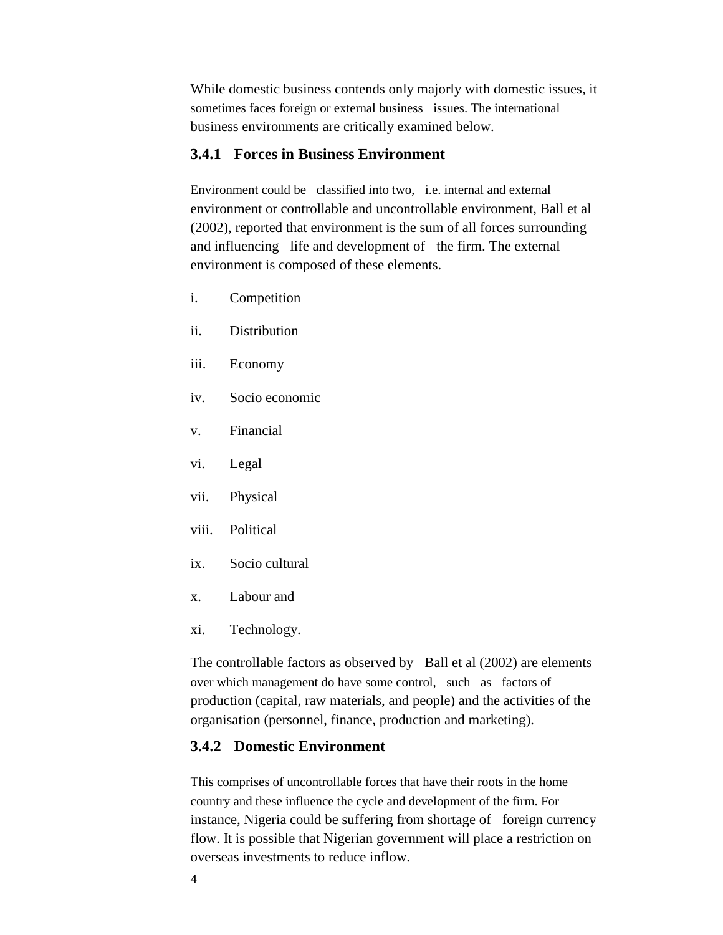While domestic business contends only majorly with domestic issues, it sometimes faces foreign or external business issues. The international business environments are critically examined below.

#### **3.4.1 Forces in Business Environment**

Environment could be classified into two, i.e. internal and external environment or controllable and uncontrollable environment, Ball et al (2002), reported that environment is the sum of all forces surrounding and influencing life and development of the firm. The external environment is composed of these elements.

- i. Competition
- ii. **Distribution**
- iii. Economy
- iv. Socio economic
- v. Financial
- vi. Legal
- vii. Physical
- viii. Political
- ix. Socio cultural
- x. Labour and
- xi. Technology.

The controllable factors as observed by Ball et al (2002) are elements over which management do have some control, such as factors of production (capital, raw materials, and people) and the activities of the organisation (personnel, finance, production and marketing).

#### **3.4.2 Domestic Environment**

This comprises of uncontrollable forces that have their roots in the home country and these influence the cycle and development of the firm. For instance, Nigeria could be suffering from shortage of foreign currency flow. It is possible that Nigerian government will place a restriction on overseas investments to reduce inflow.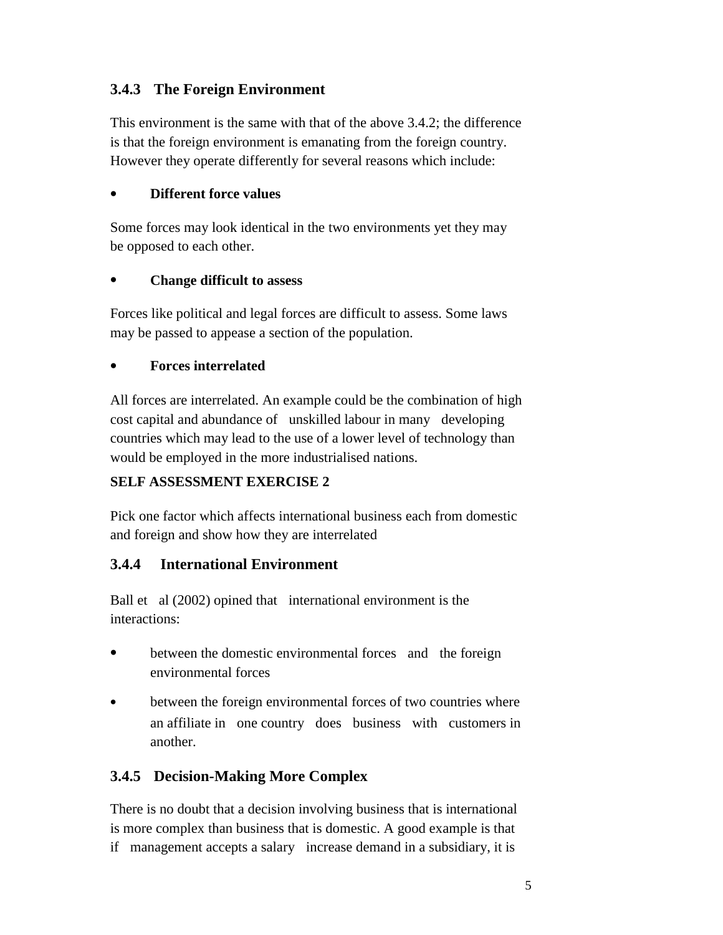# **3.4.3 The Foreign Environment**

This environment is the same with that of the above 3.4.2; the difference is that the foreign environment is emanating from the foreign country. However they operate differently for several reasons which include:

### **Different force values**

Some forces may look identical in the two environments yet they may be opposed to each other.

### **Change difficult to assess**

Forces like political and legal forces are difficult to assess. Some laws may be passed to appease a section of the population.

# **Forces interrelated**

All forces are interrelated. An example could be the combination of high cost capital and abundance of unskilled labour in many developing countries which may lead to the use of a lower level of technology than would be employed in the more industrialised nations.

# **SELF ASSESSMENT EXERCISE 2**

Pick one factor which affects international business each from domestic and foreign and show how they are interrelated

# **3.4.4 International Environment**

Ball et al (2002) opined that international environment is the interactions:

- $\bullet$ between the domestic environmental forces and the foreign environmental forces
- $\bullet$ between the foreign environmental forces of two countries where an affiliate in one country does business with customers in another.

# **3.4.5 Decision-Making More Complex**

There is no doubt that a decision involving business that is international is more complex than business that is domestic. A good example is that if management accepts a salary increase demand in a subsidiary, it is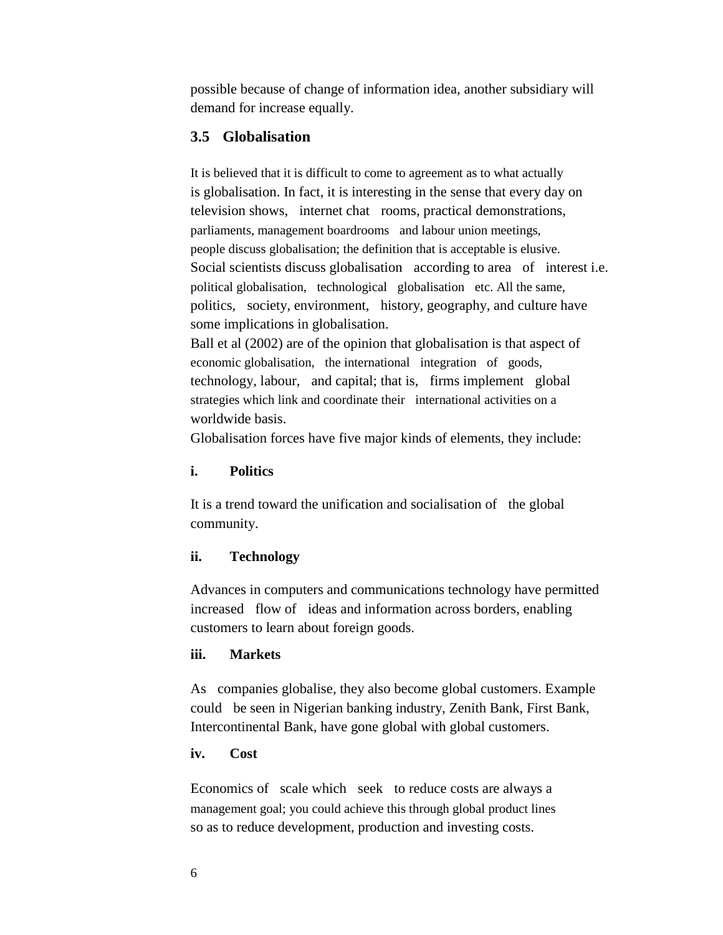possible because of change of information idea, another subsidiary will demand for increase equally.

#### **3.5 Globalisation**

It is believed that it is difficult to come to agreement as to what actually is globalisation. In fact, it is interesting in the sense that every day on television shows, internet chat rooms, practical demonstrations, parliaments, management boardrooms and labour union meetings, people discuss globalisation; the definition that is acceptable is elusive. Social scientists discuss globalisation according to area of interest i.e. political globalisation, technological globalisation etc. All the same, politics, society, environment, history, geography, and culture have some implications in globalisation. Ball et al (2002) are of the opinion that globalisation is that aspect of

economic globalisation, the international integration of goods, technology, labour, and capital; that is, firms implement global strategies which link and coordinate their international activities on a worldwide basis.

Globalisation forces have five major kinds of elements, they include:

#### **i. Politics**

It is a trend toward the unification and socialisation of the global community.

#### **ii. Technology**

Advances in computers and communications technology have permitted increased flow of ideas and information across borders, enabling customers to learn about foreign goods.

#### **iii. Markets**

As companies globalise, they also become global customers. Example could be seen in Nigerian banking industry, Zenith Bank, First Bank, Intercontinental Bank, have gone global with global customers.

#### **iv. Cost**

Economics of scale which seek to reduce costs are always a management goal; you could achieve this through global product lines so as to reduce development, production and investing costs.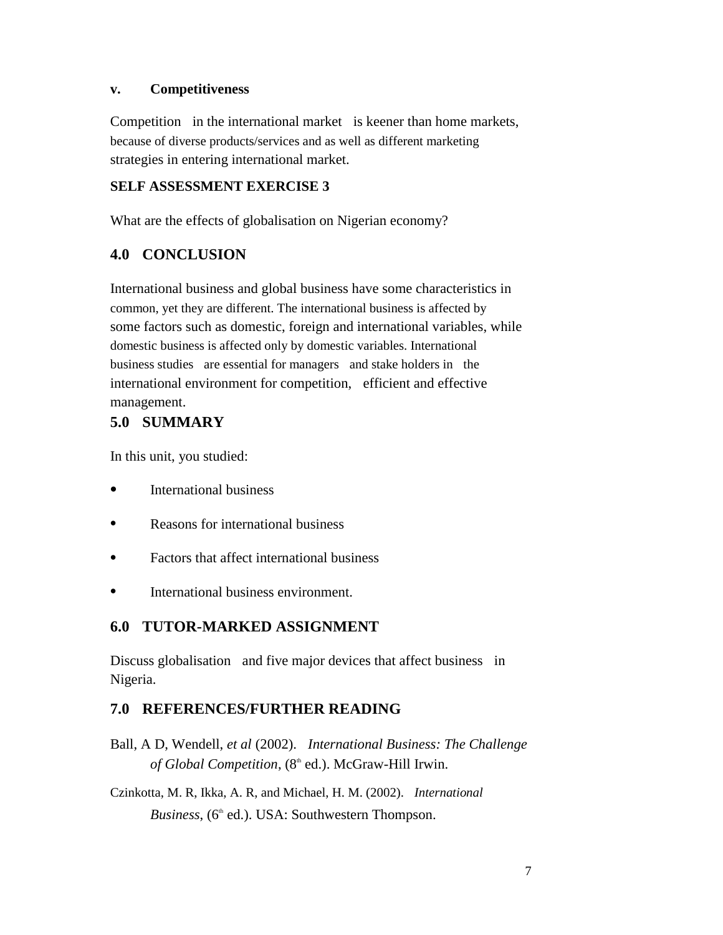#### **v. Competitiveness**

Competition in the international market is keener than home markets, because of diverse products/services and as well as different marketing strategies in entering international market.

#### **SELF ASSESSMENT EXERCISE 3**

What are the effects of globalisation on Nigerian economy?

### **4.0 CONCLUSION**

International business and global business have some characteristics in common, yet they are different. The international business is affected by some factors such as domestic, foreign and international variables, while domestic business is affected only by domestic variables. International business studies are essential for managers and stake holders in the international environment for competition, efficient and effective management.

# **5.0 SUMMARY**

In this unit, you studied:

- $\bullet$ International business
- $\bullet$ Reasons for international business
- $\bullet$ Factors that affect international business
- $\bullet$ International business environment.

# **6.0 TUTOR-MARKED ASSIGNMENT**

Discuss globalisation and five major devices that affect business in Nigeria.

# **7.0 REFERENCES/FURTHER READING**

- Ball, A D, Wendell, *et al* (2002). *International Business: The Challenge*  of Global Competition, (8<sup>th</sup> ed.). McGraw-Hill Irwin.
- Czinkotta, M. R, Ikka, A. R, and Michael, H. M. (2002). *International Business*, (6<sup>th</sup> ed.). USA: Southwestern Thompson.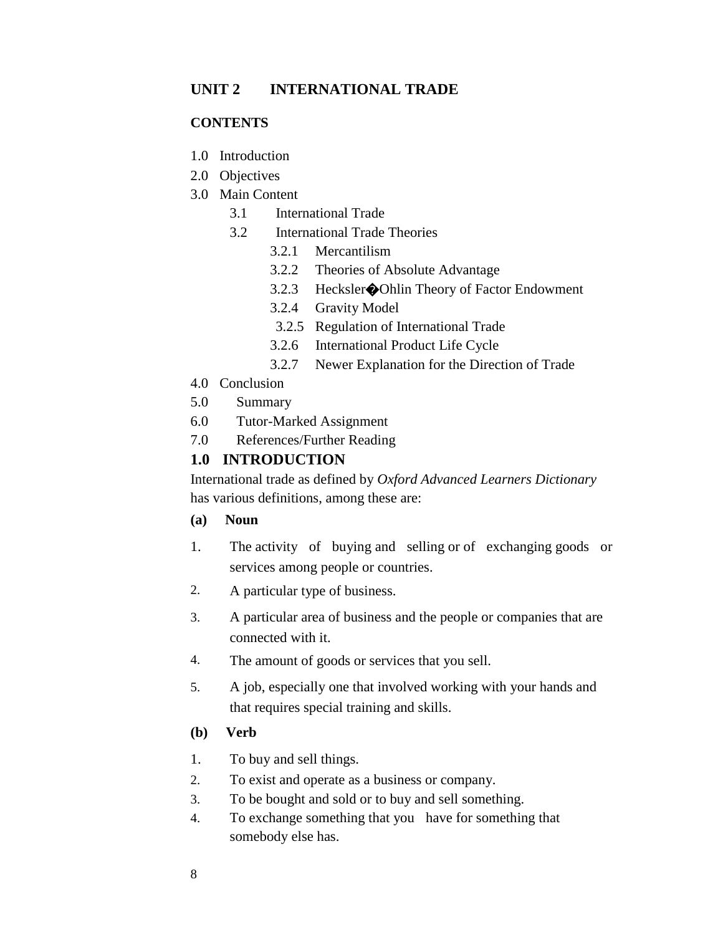### **UNIT 2 INTERNATIONAL TRADE**

#### **CONTENTS**

- 1.0 Introduction
- 2.0 Objectives
- 3.0 Main Content
	- 3.1 International Trade
	- 3.2 International Trade Theories
		- 3.2.1 Mercantilism
		- 3.2.2 Theories of Absolute Advantage
		- 3.2.3 Hecksler�Ohlin Theory of Factor Endowment
		- 3.2.4 Gravity Model
		- 3.2.5 Regulation of International Trade
		- 3.2.6 International Product Life Cycle
		- 3.2.7 Newer Explanation for the Direction of Trade
- 4.0 Conclusion
- 5.0 Summary
- 6.0 Tutor-Marked Assignment
- 7.0 References/Further Reading

#### **1.0 INTRODUCTION**

International trade as defined by *Oxford Advanced Learners Dictionary* has various definitions, among these are:

- **(a) Noun**
- 1. The activity of buying and selling or of exchanging goods or services among people or countries.
- 2. A particular type of business.
- 3. A particular area of business and the people or companies that are connected with it.
- 4. The amount of goods or services that you sell.
- 5. A job, especially one that involved working with your hands and that requires special training and skills.
- **(b) Verb**
- 1. To buy and sell things.
- 2. To exist and operate as a business or company.
- 3. To be bought and sold or to buy and sell something.
- 4. To exchange something that you have for something that somebody else has.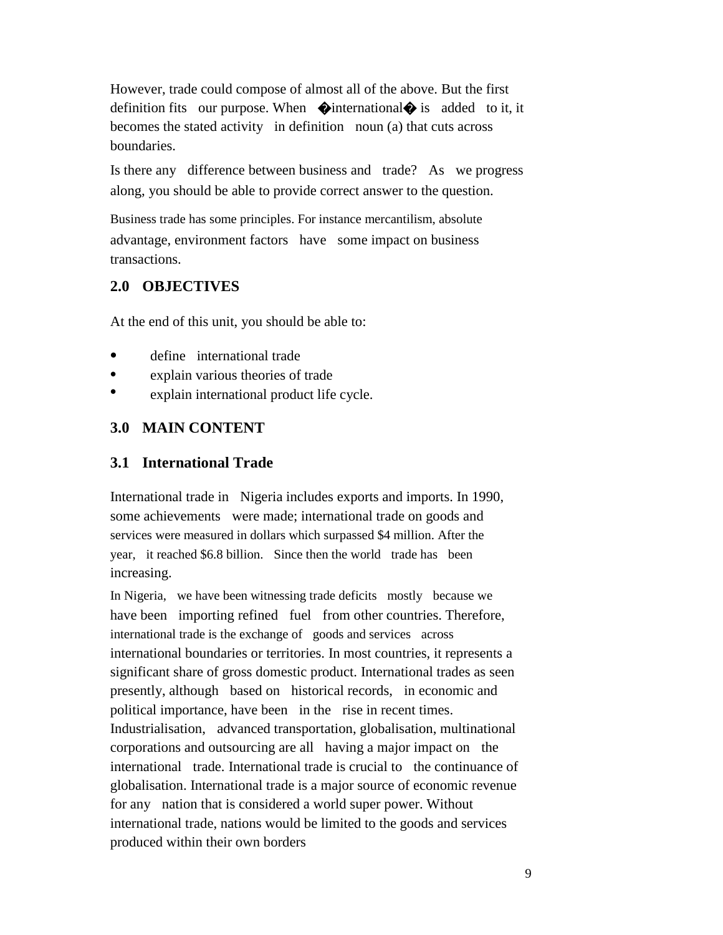However, trade could compose of almost all of the above. But the first definition fits our purpose. When  $\bullet$  international  $\bullet$  is added to it, it becomes the stated activity in definition noun (a) that cuts across boundaries.

Is there any difference between business and trade? As we progress along, you should be able to provide correct answer to the question.

Business trade has some principles. For instance mercantilism, absolute advantage, environment factors have some impact on business transactions.

### **2.0 OBJECTIVES**

At the end of this unit, you should be able to:

- $\bullet$ define international trade
- $\bullet$ explain various theories of trade
- $\bullet$ explain international product life cycle.

#### **3.0 MAIN CONTENT**

#### **3.1 International Trade**

International trade in Nigeria includes exports and imports. In 1990, some achievements were made; international trade on goods and services were measured in dollars which surpassed \$4 million. After the year, it reached \$6.8 billion. Since then the world trade has been increasing.

In Nigeria, we have been witnessing trade deficits mostly because we have been importing refined fuel from other countries. Therefore, international trade is the exchange of goods and services across international boundaries or territories. In most countries, it represents a significant share of gross domestic product. International trades as seen presently, although based on historical records, in economic and political importance, have been in the rise in recent times. Industrialisation, advanced transportation, globalisation, multinational corporations and outsourcing are all having a major impact on the international trade. International trade is crucial to the continuance of globalisation. International trade is a major source of economic revenue for any nation that is considered a world super power. Without international trade, nations would be limited to the goods and services produced within their own borders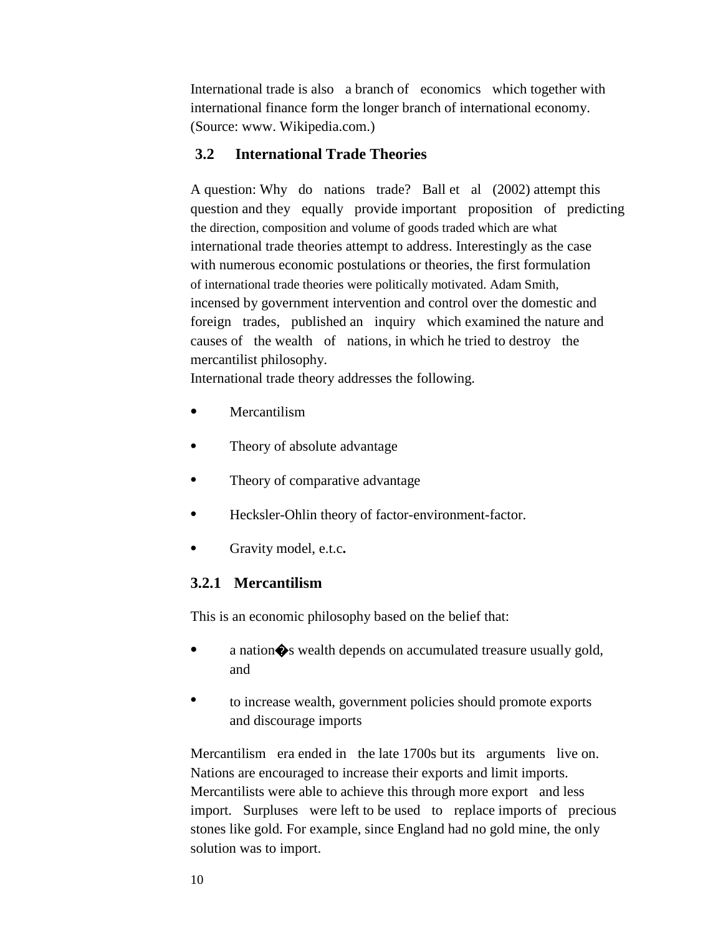International trade is also a branch of economics which together with international finance form the longer branch of international economy. (Source: www. Wikipedia.com.)

### **3.2 International Trade Theories**

A question: Why do nations trade? Ball et al (2002) attempt this question and they equally provide important proposition of predicting the direction, composition and volume of goods traded which are what international trade theories attempt to address. Interestingly as the case with numerous economic postulations or theories, the first formulation of international trade theories were politically motivated. Adam Smith, incensed by government intervention and control over the domestic and foreign trades, published an inquiry which examined the nature and causes of the wealth of nations, in which he tried to destroy the mercantilist philosophy.

International trade theory addresses the following.

- $\bullet$ Mercantilism
- $\bullet$ Theory of absolute advantage
- $\bullet$ Theory of comparative advantage
- $\bullet$ Hecksler-Ohlin theory of factor-environment-factor.
- $\bullet$ Gravity model, e.t.c**.**

# **3.2.1 Mercantilism**

This is an economic philosophy based on the belief that:

- $\bullet$ a nation�s wealth depends on accumulated treasure usually gold, and
- $\bullet$ to increase wealth, government policies should promote exports and discourage imports

Mercantilism era ended in the late 1700s but its arguments live on. Nations are encouraged to increase their exports and limit imports. Mercantilists were able to achieve this through more export and less import. Surpluses were left to be used to replace imports of precious stones like gold. For example, since England had no gold mine, the only solution was to import.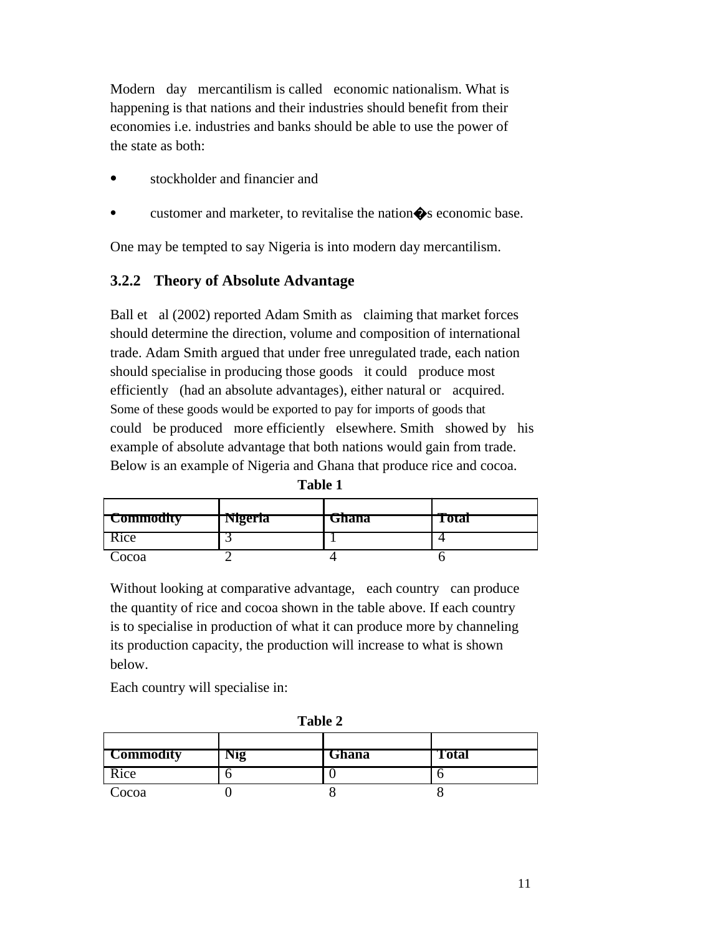Modern day mercantilism is called economic nationalism. What is happening is that nations and their industries should benefit from their economies i.e. industries and banks should be able to use the power of the state as both:

- $\bullet$ stockholder and financier and
- $\bullet$ customer and marketer, to revitalise the nation�s economic base.

One may be tempted to say Nigeria is into modern day mercantilism.

#### **3.2.2 Theory of Absolute Advantage**

Ball et al (2002) reported Adam Smith as claiming that market forces should determine the direction, volume and composition of international trade. Adam Smith argued that under free unregulated trade, each nation should specialise in producing those goods it could produce most efficiently (had an absolute advantages), either natural or acquired. Some of these goods would be exported to pay for imports of goods that could be produced more efficiently elsewhere. Smith showed by his example of absolute advantage that both nations would gain from trade. Below is an example of Nigeria and Ghana that produce rice and cocoa.

| <b>Commodity</b> | <b>Nigeria</b> | ~<br><b>Ghana</b> | Total |
|------------------|----------------|-------------------|-------|
| Rice             |                |                   |       |
| Cocoa            |                |                   |       |

**Table 1** 

Without looking at comparative advantage, each country can produce the quantity of rice and cocoa shown in the table above. If each country is to specialise in production of what it can produce more by channeling its production capacity, the production will increase to what is shown below.

Each country will specialise in:

| <b>Lavit</b> $\boldsymbol{\mu}$ |     |              |       |
|---------------------------------|-----|--------------|-------|
|                                 |     |              |       |
| <b>Commodity</b>                | Nig | <b>Ghana</b> | Total |
| Rice                            |     |              |       |
| Cocoa                           |     |              |       |

**Table 2**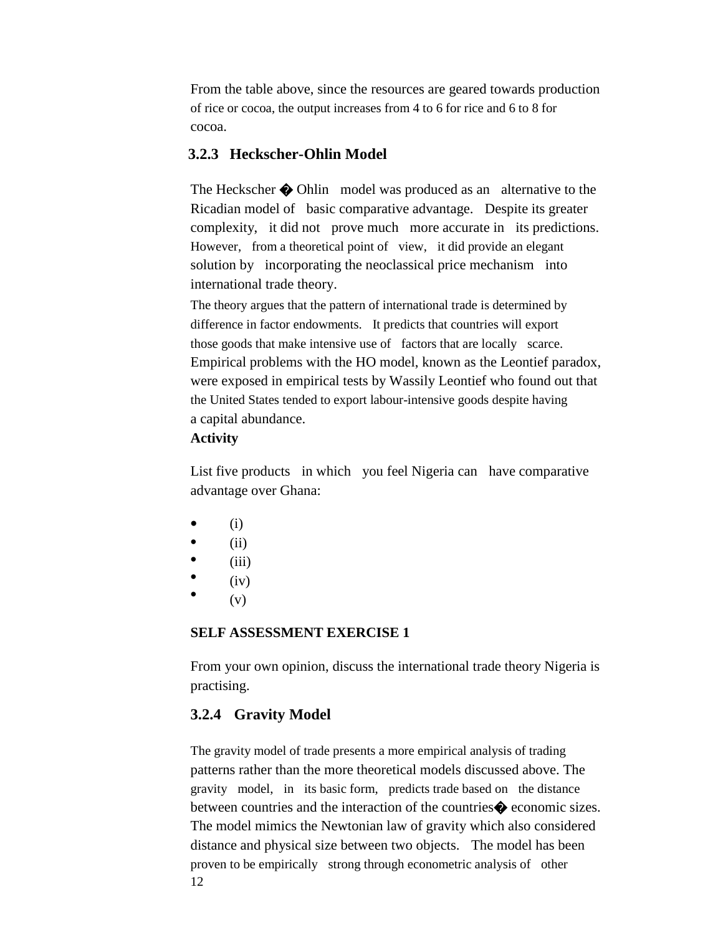From the table above, since the resources are geared towards production of rice or cocoa, the output increases from 4 to 6 for rice and 6 to 8 for cocoa.

#### **3.2.3 Heckscher-Ohlin Model**

The Heckscher  $\bigcirc$  Ohlin model was produced as an alternative to the Ricadian model of basic comparative advantage. Despite its greater complexity, it did not prove much more accurate in its predictions. However, from a theoretical point of view, it did provide an elegant solution by incorporating the neoclassical price mechanism into international trade theory.

The theory argues that the pattern of international trade is determined by difference in factor endowments. It predicts that countries will export those goods that make intensive use of factors that are locally scarce. Empirical problems with the HO model, known as the Leontief paradox, were exposed in empirical tests by Wassily Leontief who found out that the United States tended to export labour-intensive goods despite having a capital abundance.

#### **Activity**

List five products in which you feel Nigeria can have comparative advantage over Ghana:

- $\bullet$ (i)
- $\bullet$ (ii)
- $\bullet$ (iii)
- $\bullet$ (iv)
- $\bullet$ (v)

#### **SELF ASSESSMENT EXERCISE 1**

From your own opinion, discuss the international trade theory Nigeria is practising.

#### **3.2.4 Gravity Model**

The gravity model of trade presents a more empirical analysis of trading patterns rather than the more theoretical models discussed above. The gravity model, in its basic form, predicts trade based on the distance between countries and the interaction of the countries  $\diamond$  economic sizes. The model mimics the Newtonian law of gravity which also considered distance and physical size between two objects. The model has been proven to be empirically strong through econometric analysis of other 12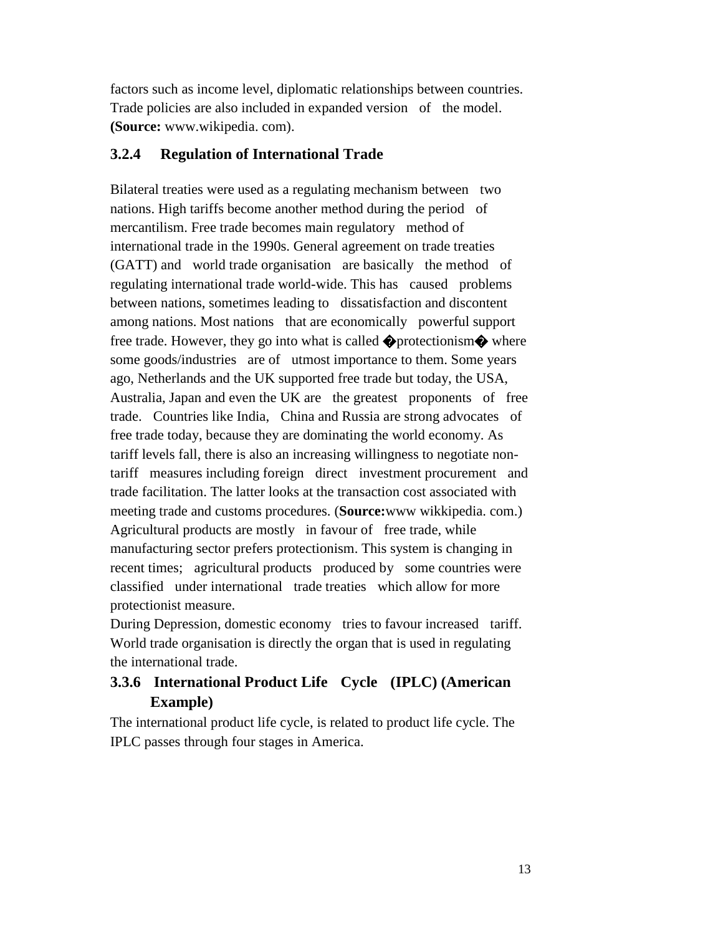factors such as income level, diplomatic relationships between countries. Trade policies are also included in expanded version of the model. **(Source:** www.wikipedia. com).

#### **3.2.4 Regulation of International Trade**

Bilateral treaties were used as a regulating mechanism between two nations. High tariffs become another method during the period of mercantilism. Free trade becomes main regulatory method of international trade in the 1990s. General agreement on trade treaties (GATT) and world trade organisation are basically the method of regulating international trade world-wide. This has caused problems between nations, sometimes leading to dissatisfaction and discontent among nations. Most nations that are economically powerful support free trade. However, they go into what is called  $\bigcirc$  protectionism $\bigcirc$  where some goods/industries are of utmost importance to them. Some years ago, Netherlands and the UK supported free trade but today, the USA, Australia, Japan and even the UK are the greatest proponents of free trade. Countries like India, China and Russia are strong advocates of free trade today, because they are dominating the world economy. As tariff levels fall, there is also an increasing willingness to negotiate nontariff measures including foreign direct investment procurement and trade facilitation. The latter looks at the transaction cost associated with meeting trade and customs procedures. (**Source:**www wikkipedia. com.) Agricultural products are mostly in favour of free trade, while manufacturing sector prefers protectionism. This system is changing in recent times; agricultural products produced by some countries were classified under international trade treaties which allow for more protectionist measure.

During Depression, domestic economy tries to favour increased tariff. World trade organisation is directly the organ that is used in regulating the international trade.

### **3.3.6 International Product Life Cycle (IPLC) (American Example)**

The international product life cycle, is related to product life cycle. The IPLC passes through four stages in America.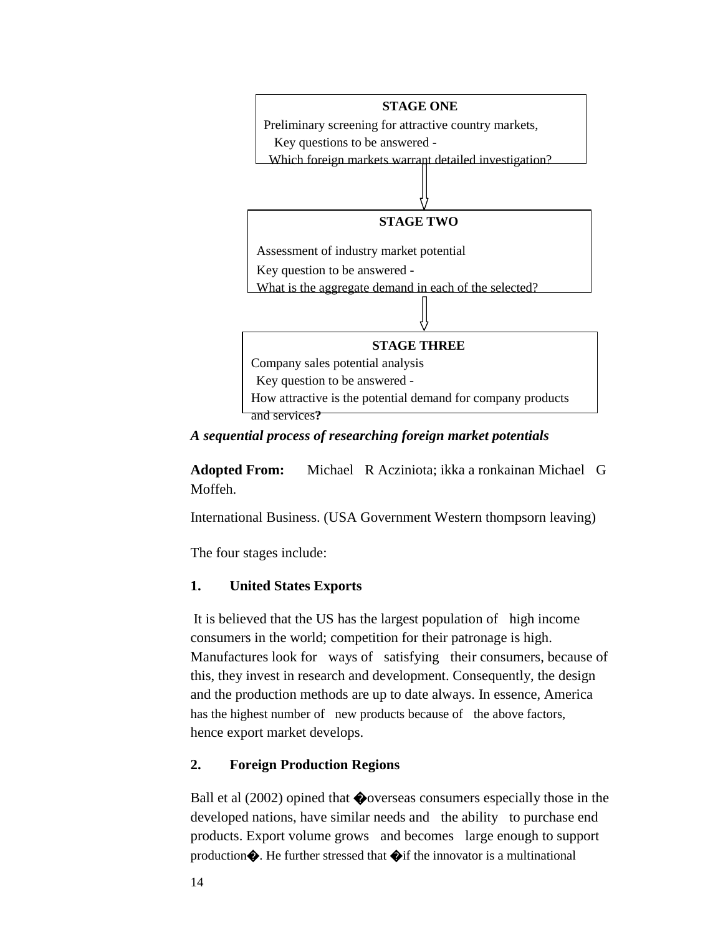

*A sequential process of researching foreign market potentials* 

**Adopted From:** Michael R Acziniota; ikka a ronkainan Michael G Moffeh.

International Business. (USA Government Western thompsorn leaving)

The four stages include:

#### **1. United States Exports**

It is believed that the US has the largest population of high income consumers in the world; competition for their patronage is high. Manufactures look for ways of satisfying their consumers, because of this, they invest in research and development. Consequently, the design and the production methods are up to date always. In essence, America has the highest number of new products because of the above factors, hence export market develops.

#### **2. Foreign Production Regions**

Ball et al  $(2002)$  opined that  $\diamondsuit$  overseas consumers especially those in the developed nations, have similar needs and the ability to purchase end products. Export volume grows and becomes large enough to support production $\blacklozenge$ . He further stressed that  $\blacklozenge$  if the innovator is a multinational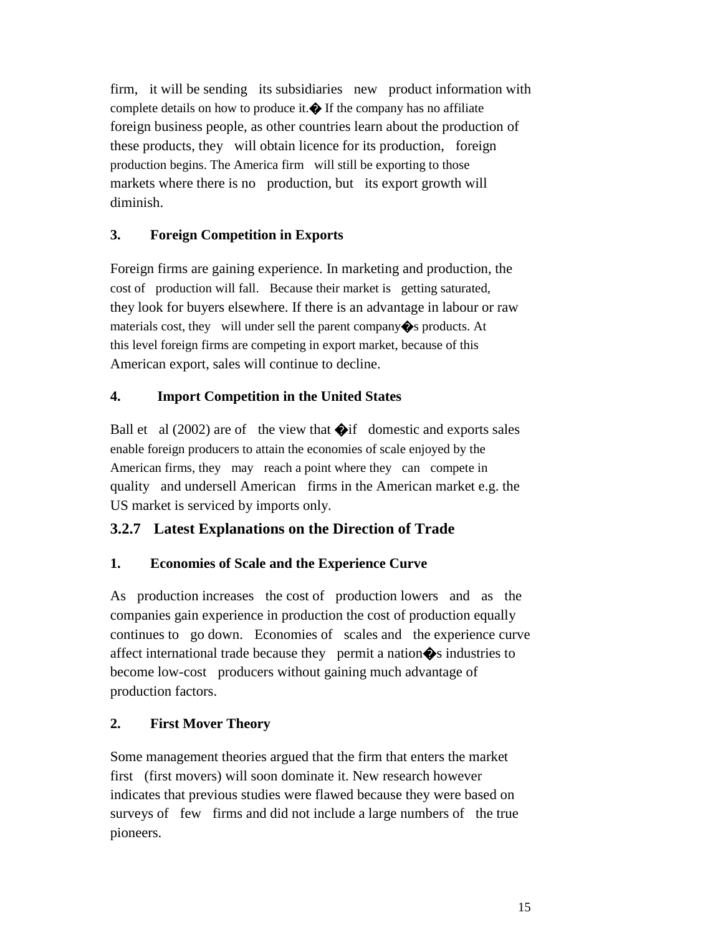firm, it will be sending its subsidiaries new product information with complete details on how to produce it. $\bigcirc$  If the company has no affiliate foreign business people, as other countries learn about the production of these products, they will obtain licence for its production, foreign production begins. The America firm will still be exporting to those markets where there is no production, but its export growth will diminish.

### **3. Foreign Competition in Exports**

Foreign firms are gaining experience. In marketing and production, the cost of production will fall. Because their market is getting saturated, they look for buyers elsewhere. If there is an advantage in labour or raw materials cost, they will under sell the parent company  $\diamond$ s products. At this level foreign firms are competing in export market, because of this American export, sales will continue to decline.

### **4. Import Competition in the United States**

Ball et al  $(2002)$  are of the view that  $\bigcirc$  if domestic and exports sales enable foreign producers to attain the economies of scale enjoyed by the American firms, they may reach a point where they can compete in quality and undersell American firms in the American market e.g. the US market is serviced by imports only.

# **3.2.7 Latest Explanations on the Direction of Trade**

# **1. Economies of Scale and the Experience Curve**

As production increases the cost of production lowers and as the companies gain experience in production the cost of production equally continues to go down. Economies of scales and the experience curve affect international trade because they permit a nation  $\bullet$ s industries to become low-cost producers without gaining much advantage of production factors.

# **2. First Mover Theory**

Some management theories argued that the firm that enters the market first (first movers) will soon dominate it. New research however indicates that previous studies were flawed because they were based on surveys of few firms and did not include a large numbers of the true pioneers.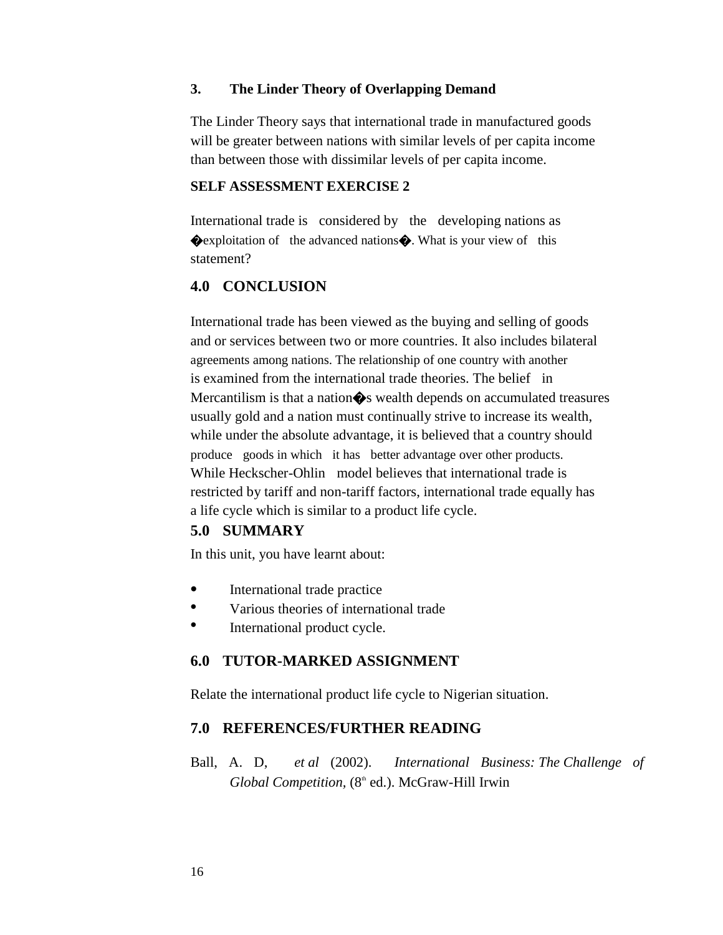#### **3. The Linder Theory of Overlapping Demand**

The Linder Theory says that international trade in manufactured goods will be greater between nations with similar levels of per capita income than between those with dissimilar levels of per capita income.

#### **SELF ASSESSMENT EXERCISE 2**

International trade is considered by the developing nations as �exploitation of the advanced nations�. What is your view of this statement?

#### **4.0 CONCLUSION**

International trade has been viewed as the buying and selling of goods and or services between two or more countries. It also includes bilateral agreements among nations. The relationship of one country with another is examined from the international trade theories. The belief in Mercantilism is that a nation  $\diamondsuit$ s wealth depends on accumulated treasures usually gold and a nation must continually strive to increase its wealth, while under the absolute advantage, it is believed that a country should produce goods in which it has better advantage over other products. While Heckscher-Ohlin model believes that international trade is restricted by tariff and non-tariff factors, international trade equally has a life cycle which is similar to a product life cycle.

#### **5.0 SUMMARY**

In this unit, you have learnt about:

- $\bullet$ International trade practice
- $\bullet$ Various theories of international trade
- $\bullet$ International product cycle.

#### **6.0 TUTOR-MARKED ASSIGNMENT**

Relate the international product life cycle to Nigerian situation.

### **7.0 REFERENCES/FURTHER READING**

Ball, A. D, *et al* (2002). *International Business: The Challenge of Global Competition,* (8<sup>th</sup> ed.). McGraw-Hill Irwin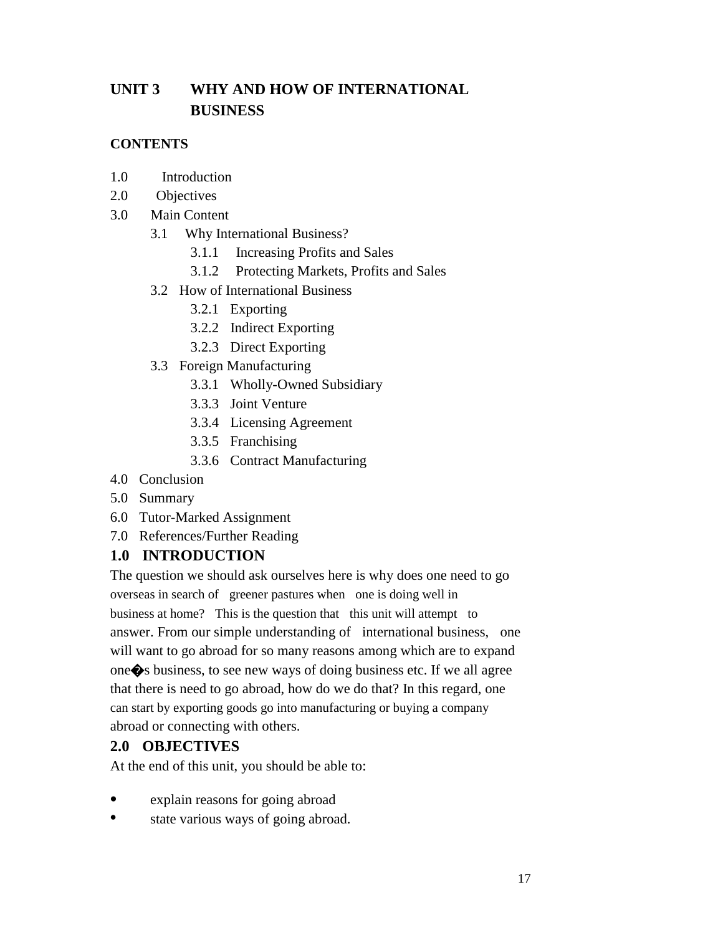# **UNIT 3 WHY AND HOW OF INTERNATIONAL BUSINESS**

### **CONTENTS**

- 1.0 Introduction
- 2.0 Objectives
- 3.0 Main Content
	- 3.1 Why International Business?
		- 3.1.1 Increasing Profits and Sales
		- 3.1.2 Protecting Markets, Profits and Sales
	- 3.2 How of International Business
		- 3.2.1 Exporting
		- 3.2.2 Indirect Exporting
		- 3.2.3 Direct Exporting
	- 3.3 Foreign Manufacturing
		- 3.3.1 Wholly-Owned Subsidiary
		- 3.3.3 Joint Venture
		- 3.3.4 Licensing Agreement
		- 3.3.5 Franchising
		- 3.3.6 Contract Manufacturing
- 4.0 Conclusion
- 5.0 Summary
- 6.0 Tutor-Marked Assignment
- 7.0 References/Further Reading

# **1.0 INTRODUCTION**

The question we should ask ourselves here is why does one need to go overseas in search of greener pastures when one is doing well in business at home? This is the question that this unit will attempt to answer. From our simple understanding of international business, one will want to go abroad for so many reasons among which are to expand one�s business, to see new ways of doing business etc. If we all agree that there is need to go abroad, how do we do that? In this regard, one can start by exporting goods go into manufacturing or buying a company abroad or connecting with others.

# **2.0 OBJECTIVES**

At the end of this unit, you should be able to:

- $\bullet$ explain reasons for going abroad
- $\bullet$ state various ways of going abroad.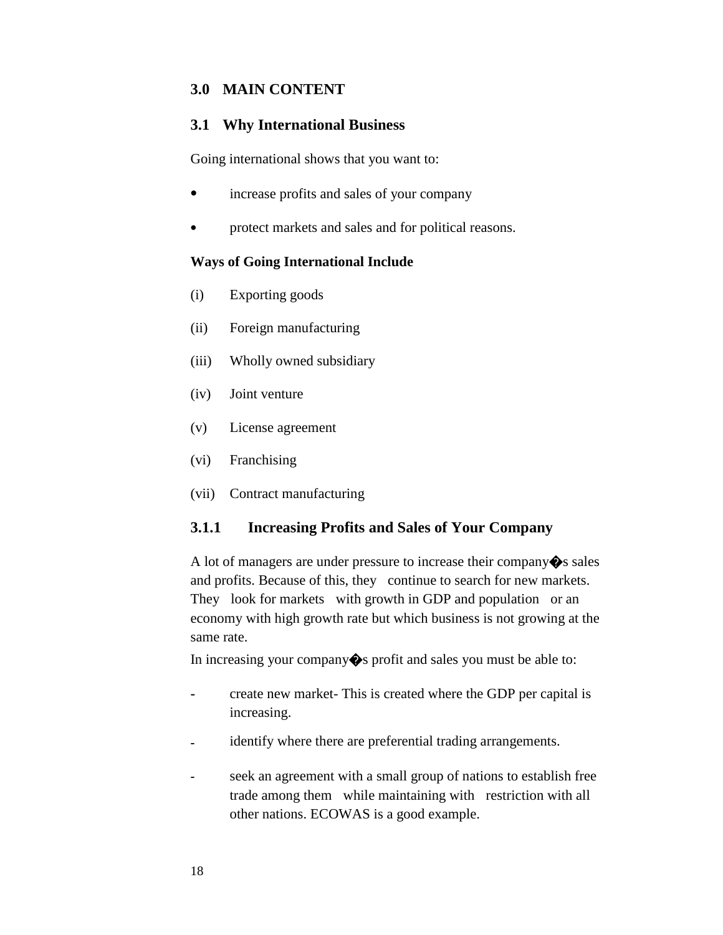# **3.0 MAIN CONTENT**

### **3.1 Why International Business**

Going international shows that you want to:

- $\bullet$ increase profits and sales of your company
- $\bullet$ protect markets and sales and for political reasons.

#### **Ways of Going International Include**

- (i) Exporting goods
- (ii) Foreign manufacturing
- (iii) Wholly owned subsidiary
- (iv) Joint venture
- (v) License agreement
- (vi) Franchising
- (vii) Contract manufacturing

#### **3.1.1 Increasing Profits and Sales of Your Company**

A lot of managers are under pressure to increase their company  $\diamond$  sales and profits. Because of this, they continue to search for new markets. They look for markets with growth in GDP and population or an economy with high growth rate but which business is not growing at the same rate.

In increasing your company�s profit and sales you must be able to:

- create new market- This is created where the GDP per capital is increasing.
- identify where there are preferential trading arrangements.
- seek an agreement with a small group of nations to establish free trade among them while maintaining with restriction with all other nations. ECOWAS is a good example.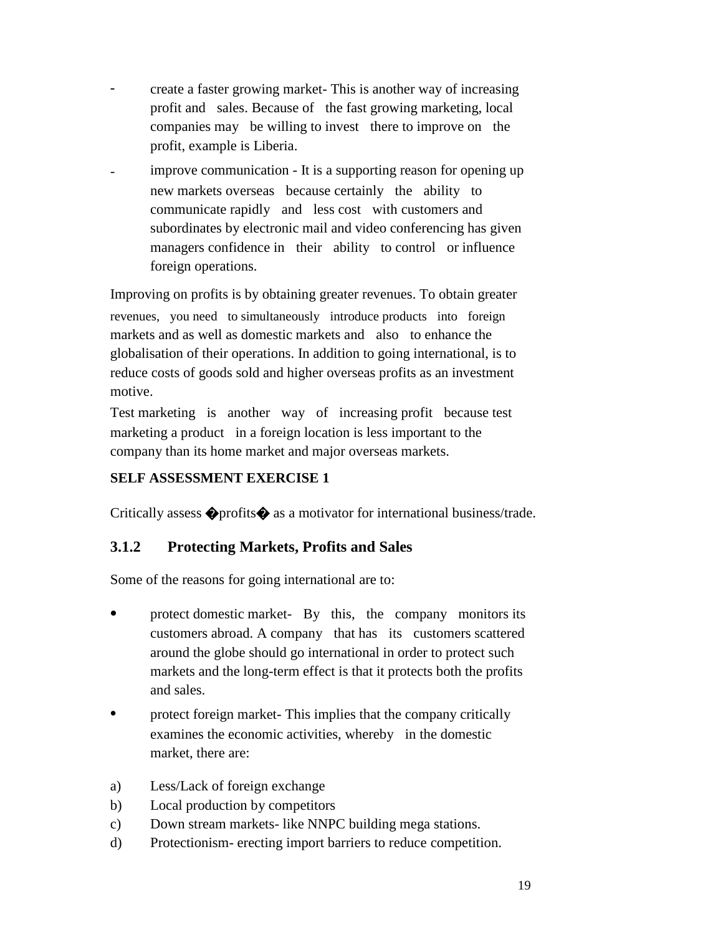- create a faster growing market- This is another way of increasing profit and sales. Because of the fast growing marketing, local companies may be willing to invest there to improve on the profit, example is Liberia.
- improve communication - It is a supporting reason for opening up new markets overseas because certainly the ability to communicate rapidly and less cost with customers and subordinates by electronic mail and video conferencing has given managers confidence in their ability to control or influence foreign operations.

Improving on profits is by obtaining greater revenues. To obtain greater revenues, you need to simultaneously introduce products into foreign markets and as well as domestic markets and also to enhance the globalisation of their operations. In addition to going international, is to reduce costs of goods sold and higher overseas profits as an investment motive.

Test marketing is another way of increasing profit because test marketing a product in a foreign location is less important to the company than its home market and major overseas markets.

# **SELF ASSESSMENT EXERCISE 1**

Critically assess  $\Diamond$  profits $\Diamond$  as a motivator for international business/trade.

# **3.1.2 Protecting Markets, Profits and Sales**

Some of the reasons for going international are to:

- $\bullet$ protect domestic market- By this, the company monitors its customers abroad. A company that has its customers scattered around the globe should go international in order to protect such markets and the long-term effect is that it protects both the profits and sales.
- $\bullet$ protect foreign market- This implies that the company critically examines the economic activities, whereby in the domestic market, there are:
- a) Less/Lack of foreign exchange
- b) Local production by competitors
- c) Down stream markets- like NNPC building mega stations.
- d) Protectionism- erecting import barriers to reduce competition.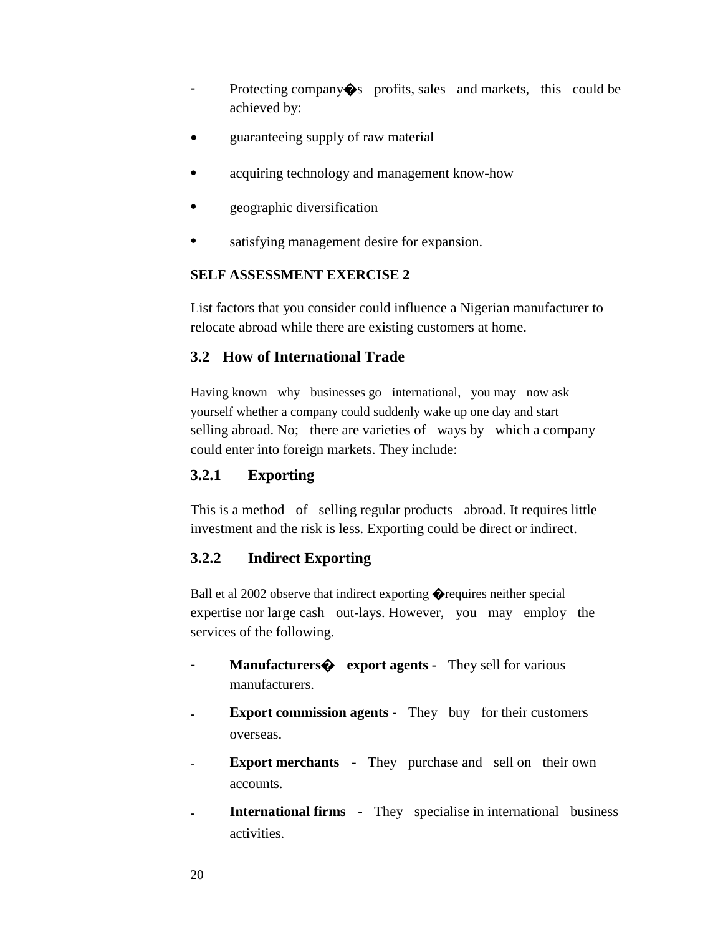- **-** Protecting company  $\diamondsuit$ s profits, sales and markets, this could be achieved by:
- $\bullet$ guaranteeing supply of raw material
- $\bullet$ acquiring technology and management know-how
- $\bullet$ geographic diversification
- $\bullet$ satisfying management desire for expansion.

#### **SELF ASSESSMENT EXERCISE 2**

List factors that you consider could influence a Nigerian manufacturer to relocate abroad while there are existing customers at home.

# **3.2 How of International Trade**

Having known why businesses go international, you may now ask yourself whether a company could suddenly wake up one day and start selling abroad. No; there are varieties of ways by which a company could enter into foreign markets. They include:

# **3.2.1 Exporting**

This is a method of selling regular products abroad. It requires little investment and the risk is less. Exporting could be direct or indirect.

# **3.2.2 Indirect Exporting**

Ball et al 2002 observe that indirect exporting �requires neither special expertise nor large cash out-lays. However, you may employ the services of the following.

- **- Manufacturers� export agents -** They sell for various manufacturers.
- **- Export commission agents -** They buy for their customers overseas.
- **- Export merchants -** They purchase and sell on their own accounts.
- **- International firms -** They specialise in international business activities.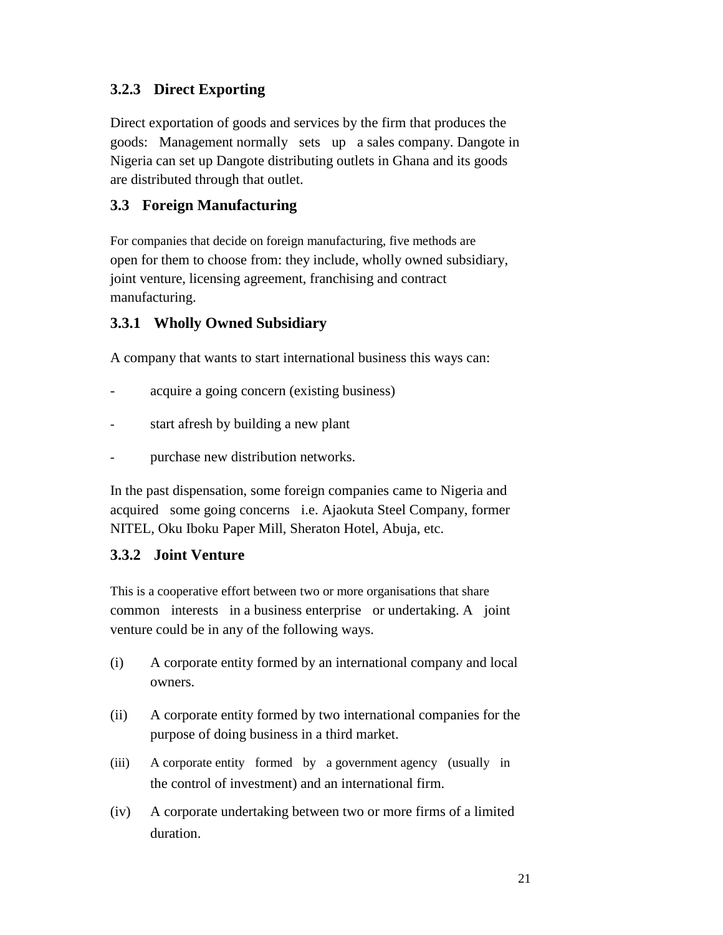# **3.2.3 Direct Exporting**

Direct exportation of goods and services by the firm that produces the goods: Management normally sets up a sales company. Dangote in Nigeria can set up Dangote distributing outlets in Ghana and its goods are distributed through that outlet.

# **3.3 Foreign Manufacturing**

For companies that decide on foreign manufacturing, five methods are open for them to choose from: they include, wholly owned subsidiary, joint venture, licensing agreement, franchising and contract manufacturing.

# **3.3.1 Wholly Owned Subsidiary**

A company that wants to start international business this ways can:

- acquire a going concern (existing business)
- start afresh by building a new plant
- purchase new distribution networks.

In the past dispensation, some foreign companies came to Nigeria and acquired some going concerns i.e. Ajaokuta Steel Company, former NITEL, Oku Iboku Paper Mill, Sheraton Hotel, Abuja, etc.

# **3.3.2 Joint Venture**

This is a cooperative effort between two or more organisations that share common interests in a business enterprise or undertaking. A joint venture could be in any of the following ways.

- (i) A corporate entity formed by an international company and local owners.
- (ii) A corporate entity formed by two international companies for the purpose of doing business in a third market.
- (iii) A corporate entity formed by a government agency (usually in the control of investment) and an international firm.
- (iv) A corporate undertaking between two or more firms of a limited duration.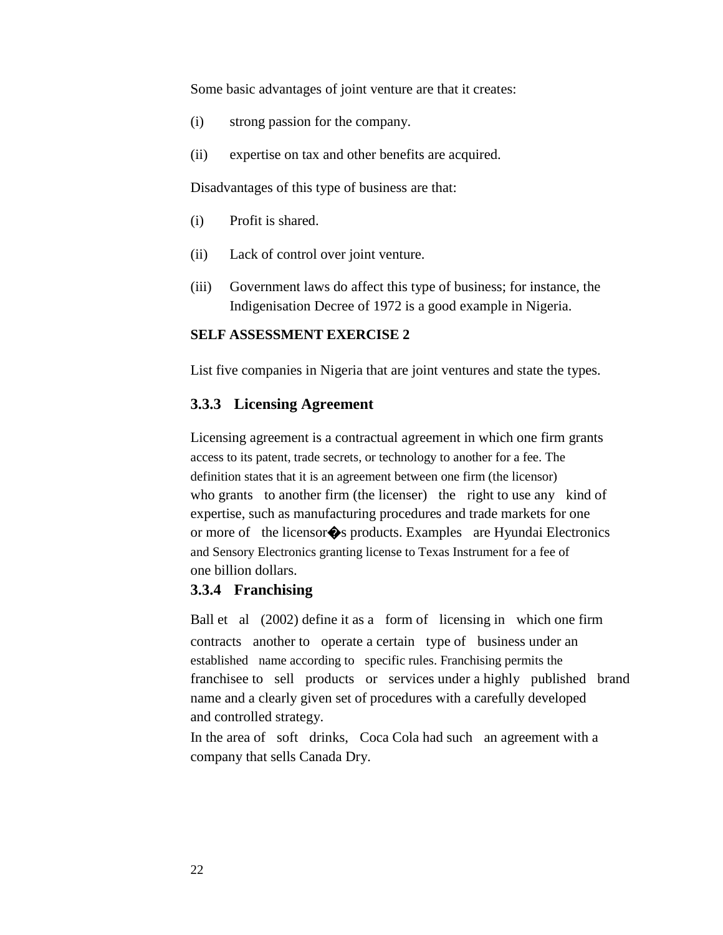Some basic advantages of joint venture are that it creates:

- (i) strong passion for the company.
- (ii) expertise on tax and other benefits are acquired.

Disadvantages of this type of business are that:

- (i) Profit is shared.
- (ii) Lack of control over joint venture.
- (iii) Government laws do affect this type of business; for instance, the Indigenisation Decree of 1972 is a good example in Nigeria.

#### **SELF ASSESSMENT EXERCISE 2**

List five companies in Nigeria that are joint ventures and state the types.

#### **3.3.3 Licensing Agreement**

Licensing agreement is a contractual agreement in which one firm grants access to its patent, trade secrets, or technology to another for a fee. The definition states that it is an agreement between one firm (the licensor) who grants to another firm (the licenser) the right to use any kind of expertise, such as manufacturing procedures and trade markets for one or more of the licensor�s products. Examples are Hyundai Electronics and Sensory Electronics granting license to Texas Instrument for a fee of one billion dollars.

#### **3.3.4 Franchising**

Ball et al (2002) define it as a form of licensing in which one firm contracts another to operate a certain type of business under an established name according to specific rules. Franchising permits the franchisee to sell products or services under a highly published brand name and a clearly given set of procedures with a carefully developed and controlled strategy.

In the area of soft drinks, Coca Cola had such an agreement with a company that sells Canada Dry.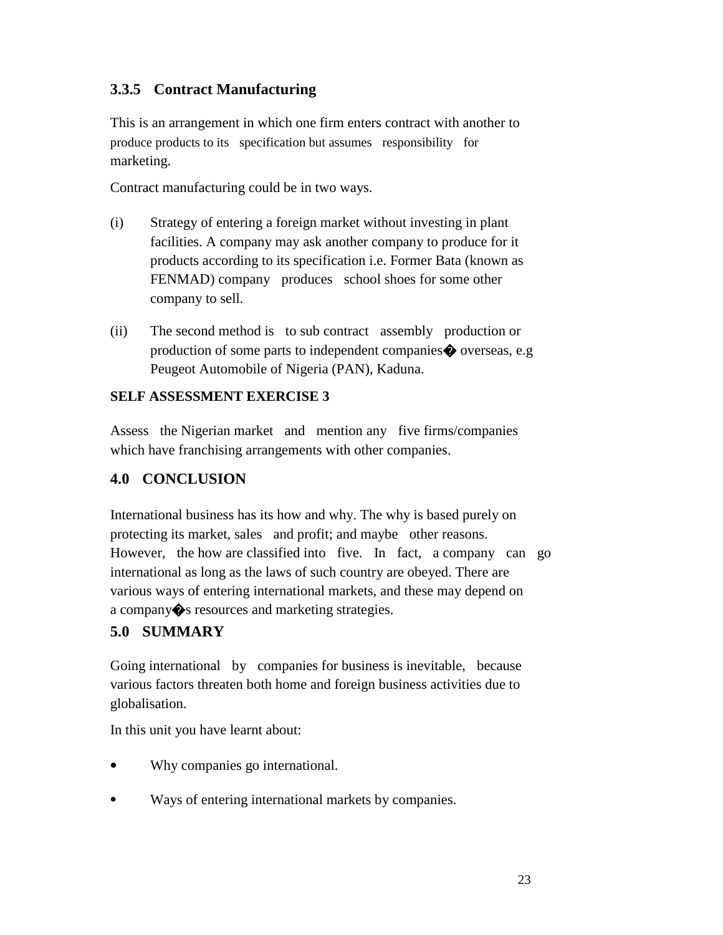# **3.3.5 Contract Manufacturing**

This is an arrangement in which one firm enters contract with another to produce products to its specification but assumes responsibility for marketing.

Contract manufacturing could be in two ways.

- (i) Strategy of entering a foreign market without investing in plant facilities. A company may ask another company to produce for it products according to its specification i.e. Former Bata (known as FENMAD) company produces school shoes for some other company to sell.
- (ii) The second method is to sub contract assembly production or production of some parts to independent companies� overseas, e.g Peugeot Automobile of Nigeria (PAN), Kaduna.

### **SELF ASSESSMENT EXERCISE 3**

Assess the Nigerian market and mention any five firms/companies which have franchising arrangements with other companies.

### **4.0 CONCLUSION**

International business has its how and why. The why is based purely on protecting its market, sales and profit; and maybe other reasons. However, the how are classified into five. In fact, a company can go international as long as the laws of such country are obeyed. There are various ways of entering international markets, and these may depend on a company�s resources and marketing strategies.

### **5.0 SUMMARY**

Going international by companies for business is inevitable, because various factors threaten both home and foreign business activities due to globalisation.

In this unit you have learnt about:

- $\bullet$ Why companies go international.
- $\bullet$ Ways of entering international markets by companies.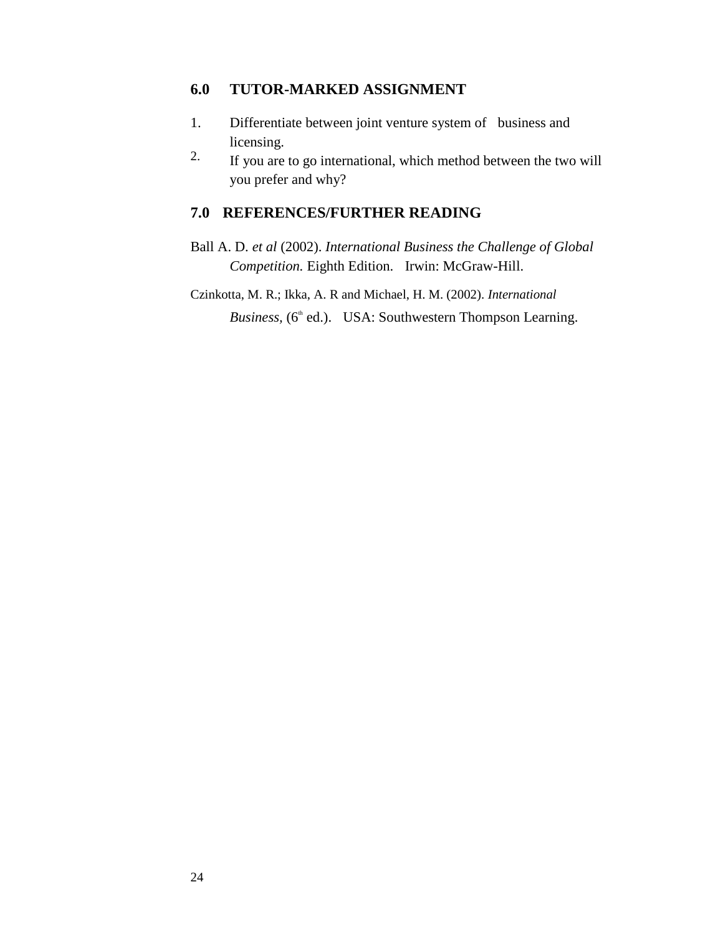### **6.0 TUTOR-MARKED ASSIGNMENT**

- 1. Differentiate between joint venture system of business and licensing.
- 2. If you are to go international, which method between the two will you prefer and why?

### **7.0 REFERENCES/FURTHER READING**

- Ball A. D. *et al* (2002). *International Business the Challenge of Global Competition.* Eighth Edition. Irwin: McGraw-Hill.
- Czinkotta, M. R.; Ikka, A. R and Michael, H. M. (2002). *International Business,* (6<sup>th</sup> ed.). USA: Southwestern Thompson Learning.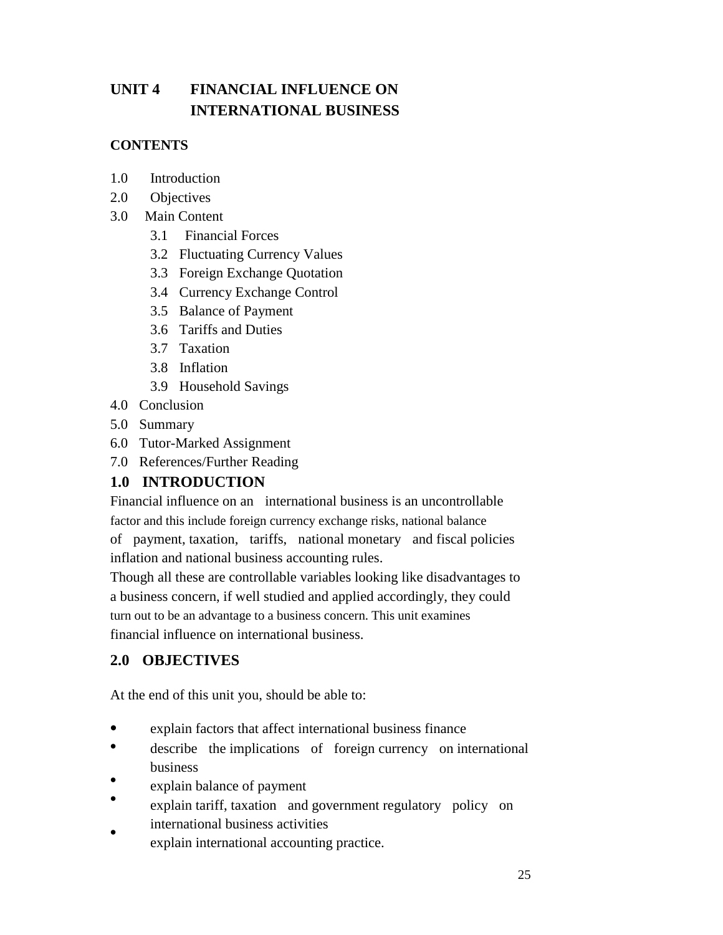# **UNIT 4 FINANCIAL INFLUENCE ON INTERNATIONAL BUSINESS**

### **CONTENTS**

- 1.0 Introduction
- 2.0 Objectives
- 3.0 Main Content
	- 3.1 Financial Forces
	- 3.2 Fluctuating Currency Values
	- 3.3 Foreign Exchange Quotation
	- 3.4 Currency Exchange Control
	- 3.5 Balance of Payment
	- 3.6 Tariffs and Duties
	- 3.7 Taxation
	- 3.8 Inflation
	- 3.9 Household Savings
- 4.0 Conclusion
- 5.0 Summary
- 6.0 Tutor-Marked Assignment
- 7.0 References/Further Reading

# **1.0 INTRODUCTION**

Financial influence on an international business is an uncontrollable factor and this include foreign currency exchange risks, national balance of payment, taxation, tariffs, national monetary and fiscal policies inflation and national business accounting rules.

Though all these are controllable variables looking like disadvantages to a business concern, if well studied and applied accordingly, they could turn out to be an advantage to a business concern. This unit examines financial influence on international business.

# **2.0 OBJECTIVES**

At the end of this unit you, should be able to:

- $\bullet$ explain factors that affect international business finance
- $\bullet$ describe the implications of foreign currency on international business
- $\bullet$ explain balance of payment
- $\bullet$ explain tariff, taxation and government regulatory policy on international business activities
- $\bullet$ explain international accounting practice.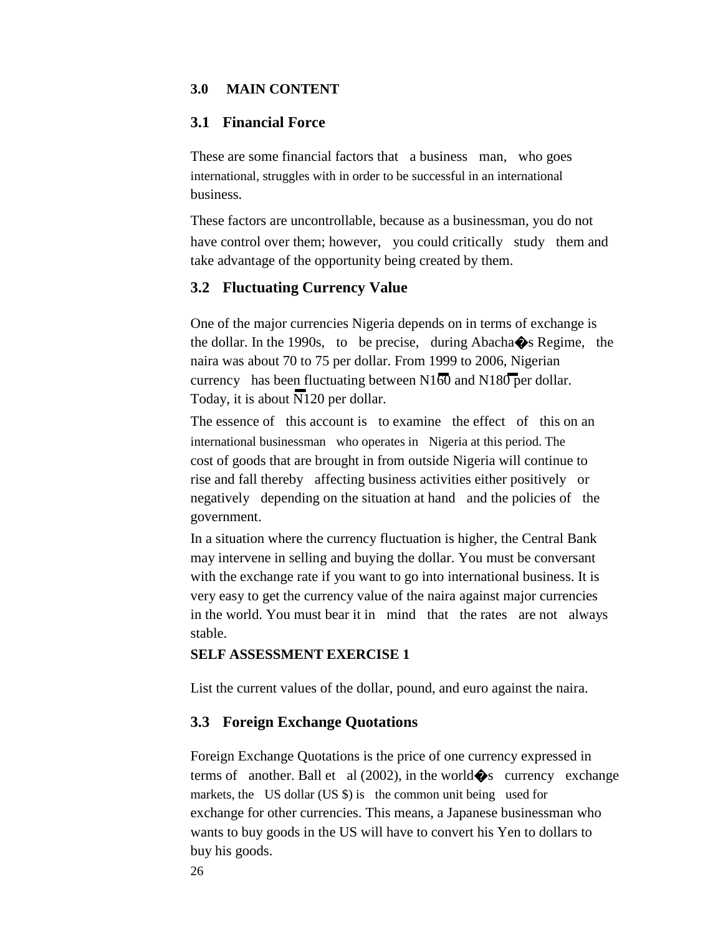#### **3.0 MAIN CONTENT**

#### **3.1 Financial Force**

These are some financial factors that a business man, who goes international, struggles with in order to be successful in an international business.

These factors are uncontrollable, because as a businessman, you do not have control over them; however, you could critically study them and take advantage of the opportunity being created by them.

#### **3.2 Fluctuating Currency Value**

One of the major currencies Nigeria depends on in terms of exchange is the dollar. In the 1990s, to be precise, during Abacha�s Regime, the naira was about 70 to 75 per dollar. From 1999 to 2006, Nigerian currency has been fluctuating between  $N1\overline{60}$  and  $N180\overline{p}$  per dollar. Today, it is about  $\overline{N}120$  per dollar.

The essence of this account is to examine the effect of this on an international businessman who operates in Nigeria at this period. The cost of goods that are brought in from outside Nigeria will continue to rise and fall thereby affecting business activities either positively or negatively depending on the situation at hand and the policies of the government.

In a situation where the currency fluctuation is higher, the Central Bank may intervene in selling and buying the dollar. You must be conversant with the exchange rate if you want to go into international business. It is very easy to get the currency value of the naira against major currencies in the world. You must bear it in mind that the rates are not always stable.

#### **SELF ASSESSMENT EXERCISE 1**

List the current values of the dollar, pound, and euro against the naira.

#### **3.3 Foreign Exchange Quotations**

Foreign Exchange Quotations is the price of one currency expressed in terms of another. Ball et al  $(2002)$ , in the world $\diamondsuit$ s currency exchange markets, the US dollar (US \$) is the common unit being used for exchange for other currencies. This means, a Japanese businessman who wants to buy goods in the US will have to convert his Yen to dollars to buy his goods.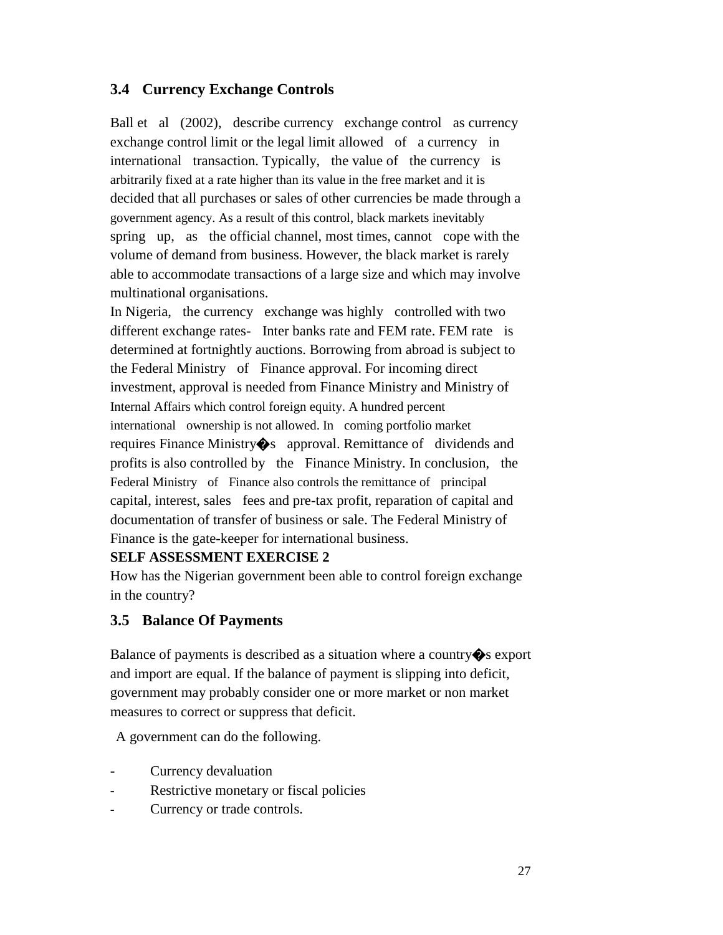# **3.4 Currency Exchange Controls**

Ball et al (2002), describe currency exchange control as currency exchange control limit or the legal limit allowed of a currency in international transaction. Typically, the value of the currency is arbitrarily fixed at a rate higher than its value in the free market and it is decided that all purchases or sales of other currencies be made through a government agency. As a result of this control, black markets inevitably spring up, as the official channel, most times, cannot cope with the volume of demand from business. However, the black market is rarely able to accommodate transactions of a large size and which may involve multinational organisations.

In Nigeria, the currency exchange was highly controlled with two different exchange rates- Inter banks rate and FEM rate. FEM rate is determined at fortnightly auctions. Borrowing from abroad is subject to the Federal Ministry of Finance approval. For incoming direct investment, approval is needed from Finance Ministry and Ministry of Internal Affairs which control foreign equity. A hundred percent international ownership is not allowed. In coming portfolio market requires Finance Ministry�s approval. Remittance of dividends and profits is also controlled by the Finance Ministry. In conclusion, the Federal Ministry of Finance also controls the remittance of principal capital, interest, sales fees and pre-tax profit, reparation of capital and documentation of transfer of business or sale. The Federal Ministry of Finance is the gate-keeper for international business.

#### **SELF ASSESSMENT EXERCISE 2**

How has the Nigerian government been able to control foreign exchange in the country?

### **3.5 Balance Of Payments**

Balance of payments is described as a situation where a country�s export and import are equal. If the balance of payment is slipping into deficit, government may probably consider one or more market or non market measures to correct or suppress that deficit.

A government can do the following.

- **-** Currency devaluation
- **-** Restrictive monetary or fiscal policies
- **-** Currency or trade controls.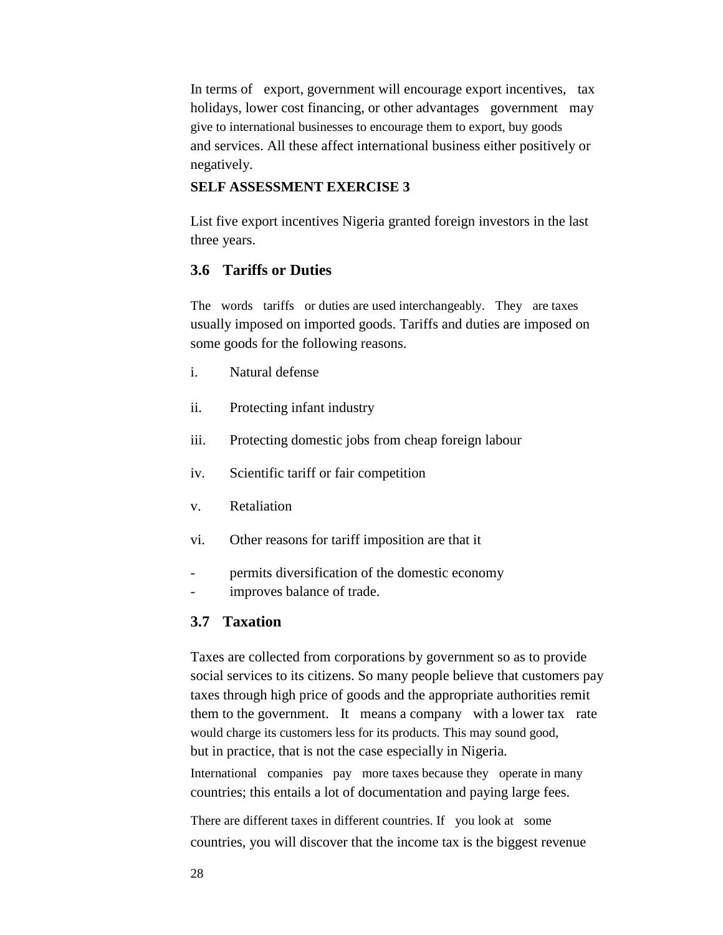In terms of export, government will encourage export incentives, tax holidays, lower cost financing, or other advantages government may give to international businesses to encourage them to export, buy goods and services. All these affect international business either positively or negatively.

#### **SELF ASSESSMENT EXERCISE 3**

List five export incentives Nigeria granted foreign investors in the last three years.

### **3.6 Tariffs or Duties**

The words tariffs or duties are used interchangeably. They are taxes usually imposed on imported goods. Tariffs and duties are imposed on some goods for the following reasons.

- i. Natural defense
- ii. Protecting infant industry
- iii. Protecting domestic jobs from cheap foreign labour
- iv. Scientific tariff or fair competition
- v. Retaliation
- vi. Other reasons for tariff imposition are that it
- permits diversification of the domestic economy
- improves balance of trade.

#### **3.7 Taxation**

Taxes are collected from corporations by government so as to provide social services to its citizens. So many people believe that customers pay taxes through high price of goods and the appropriate authorities remit them to the government. It means a company with a lower tax rate would charge its customers less for its products. This may sound good, but in practice, that is not the case especially in Nigeria. International companies pay more taxes because they operate in many countries; this entails a lot of documentation and paying large fees.

There are different taxes in different countries. If you look at some countries, you will discover that the income tax is the biggest revenue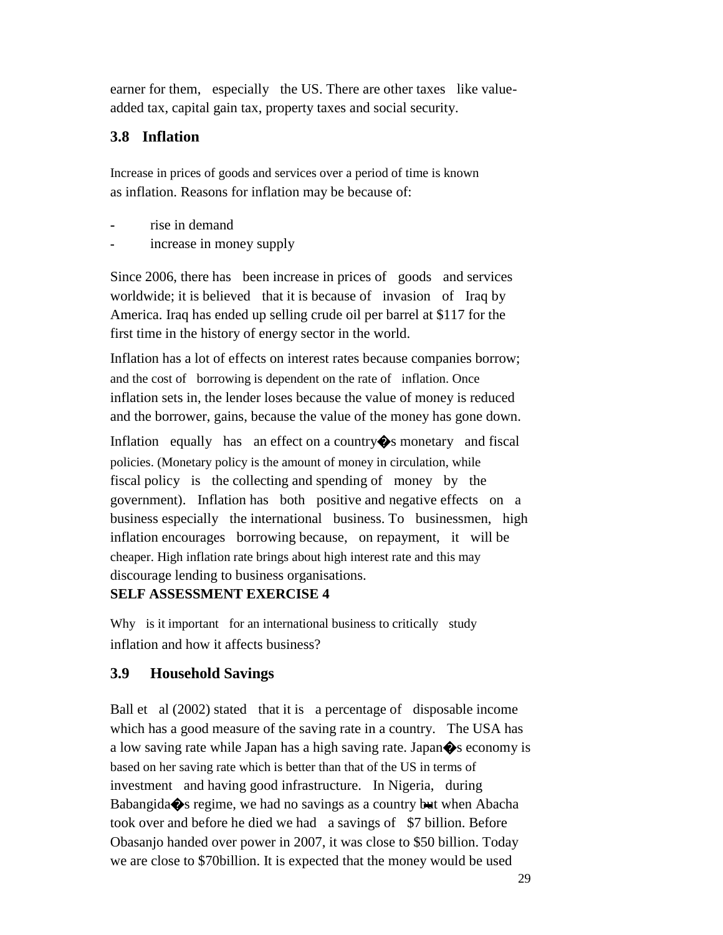earner for them, especially the US. There are other taxes like valueadded tax, capital gain tax, property taxes and social security.

# **3.8 Inflation**

Increase in prices of goods and services over a period of time is known as inflation. Reasons for inflation may be because of:

- rise in demand
- increase in money supply

Since 2006, there has been increase in prices of goods and services worldwide; it is believed that it is because of invasion of Iraq by America. Iraq has ended up selling crude oil per barrel at \$117 for the first time in the history of energy sector in the world.

Inflation has a lot of effects on interest rates because companies borrow; and the cost of borrowing is dependent on the rate of inflation. Once inflation sets in, the lender loses because the value of money is reduced and the borrower, gains, because the value of the money has gone down.

Inflation equally has an effect on a country  $\diamond$  monetary and fiscal policies. (Monetary policy is the amount of money in circulation, while fiscal policy is the collecting and spending of money by the government). Inflation has both positive and negative effects on a business especially the international business. To businessmen, high inflation encourages borrowing because, on repayment, it will be cheaper. High inflation rate brings about high interest rate and this may discourage lending to business organisations.

### **SELF ASSESSMENT EXERCISE 4**

Why is it important for an international business to critically study inflation and how it affects business?

# **3.9 Household Savings**

Ball et al (2002) stated that it is a percentage of disposable income which has a good measure of the saving rate in a country. The USA has a low saving rate while Japan has a high saving rate. Japan $\diamond$ s economy is based on her saving rate which is better than that of the US in terms of investment and having good infrastructure. In Nigeria, during Babangida�s regime, we had no savings as a country but when Abacha took over and before he died we had a savings of \$7 billion. Before Obasanjo handed over power in 2007, it was close to \$50 billion. Today we are close to \$70billion. It is expected that the money would be used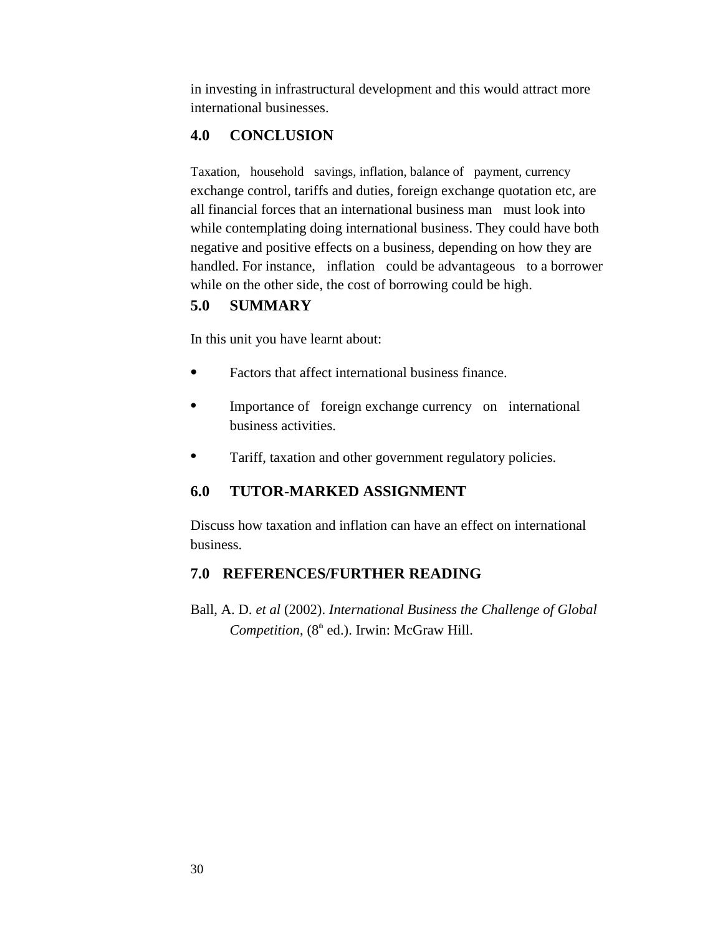in investing in infrastructural development and this would attract more international businesses.

### **4.0 CONCLUSION**

Taxation, household savings, inflation, balance of payment, currency exchange control, tariffs and duties, foreign exchange quotation etc, are all financial forces that an international business man must look into while contemplating doing international business. They could have both negative and positive effects on a business, depending on how they are handled. For instance, inflation could be advantageous to a borrower while on the other side, the cost of borrowing could be high.

### **5.0 SUMMARY**

In this unit you have learnt about:

- $\bullet$ Factors that affect international business finance.
- $\bullet$ Importance of foreign exchange currency on international business activities.
- $\bullet$ Tariff, taxation and other government regulatory policies.

### **6.0 TUTOR-MARKED ASSIGNMENT**

Discuss how taxation and inflation can have an effect on international business.

### **7.0 REFERENCES/FURTHER READING**

Ball, A. D. *et al* (2002). *International Business the Challenge of Global Competition*, (8<sup>th</sup> ed.). Irwin: McGraw Hill.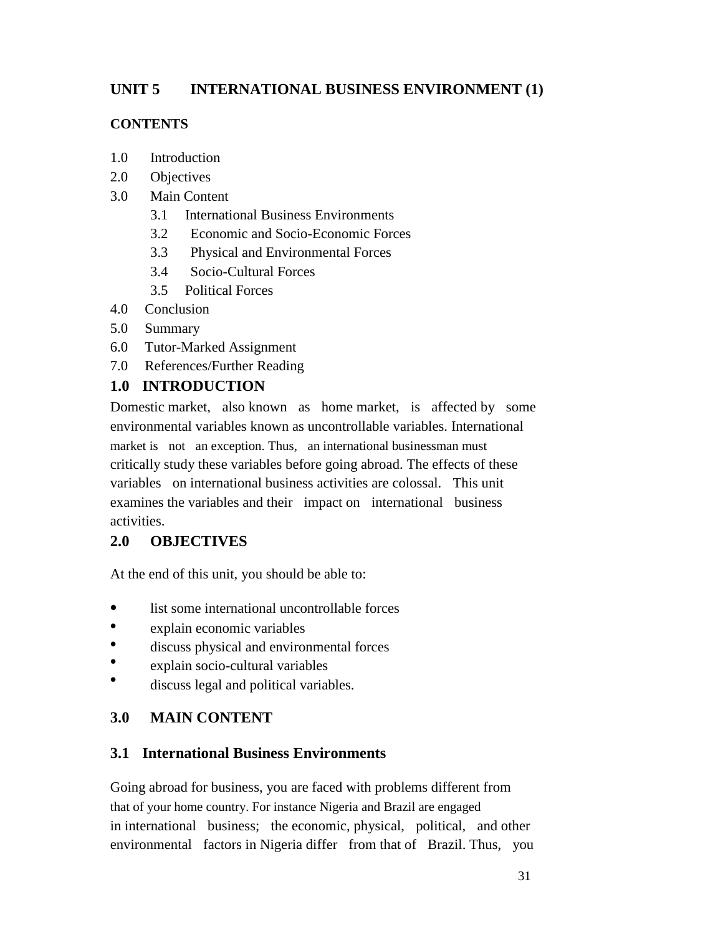# **UNIT 5 INTERNATIONAL BUSINESS ENVIRONMENT (1)**

### **CONTENTS**

- 1.0 Introduction
- 2.0 Objectives
- 3.0 Main Content
	- 3.1 International Business Environments
	- 3.2 Economic and Socio-Economic Forces
	- 3.3 Physical and Environmental Forces
	- 3.4 Socio-Cultural Forces
	- 3.5 Political Forces
- 4.0 Conclusion
- 5.0 Summary
- 6.0 Tutor-Marked Assignment
- 7.0 References/Further Reading

### **1.0 INTRODUCTION**

Domestic market, also known as home market, is affected by some environmental variables known as uncontrollable variables. International market is not an exception. Thus, an international businessman must critically study these variables before going abroad. The effects of these variables on international business activities are colossal. This unit examines the variables and their impact on international business activities.

### **2.0 OBJECTIVES**

At the end of this unit, you should be able to:

- $\bullet$ list some international uncontrollable forces
- $\bullet$ explain economic variables
- $\bullet$ discuss physical and environmental forces
- $\bullet$ explain socio-cultural variables
- $\bullet$ discuss legal and political variables.

### **3.0 MAIN CONTENT**

### **3.1 International Business Environments**

Going abroad for business, you are faced with problems different from that of your home country. For instance Nigeria and Brazil are engaged in international business; the economic, physical, political, and other environmental factors in Nigeria differ from that of Brazil. Thus, you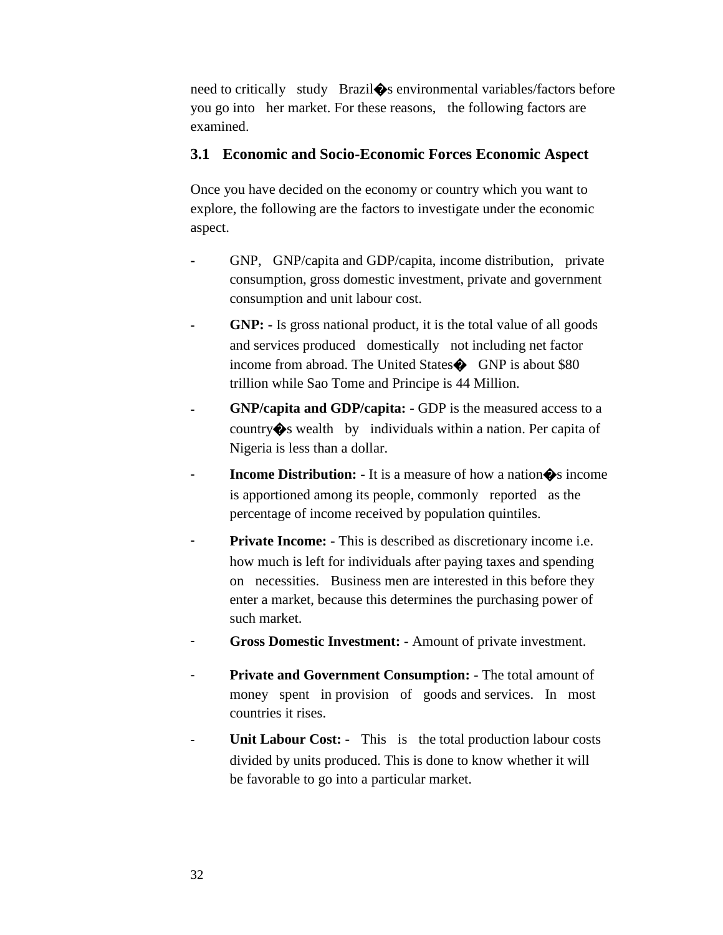need to critically study Brazil  $\bullet$ s environmental variables/factors before you go into her market. For these reasons, the following factors are examined.

### **3.1 Economic and Socio-Economic Forces Economic Aspect**

Once you have decided on the economy or country which you want to explore, the following are the factors to investigate under the economic aspect.

- **-** GNP, GNP/capita and GDP/capita, income distribution, private consumption, gross domestic investment, private and government consumption and unit labour cost.
- **- GNP: -** Is gross national product, it is the total value of all goods and services produced domestically not including net factor income from abroad. The United States  $\bigcirc$  GNP is about \$80 trillion while Sao Tome and Principe is 44 Million.
- **- GNP/capita and GDP/capita: -** GDP is the measured access to a country  $\diamond$  wealth by individuals within a nation. Per capita of Nigeria is less than a dollar.
- **- Income Distribution:** - It is a measure of how a nation  $\diamondsuit$  income is apportioned among its people, commonly reported as the percentage of income received by population quintiles.
- **- Private Income: -** This is described as discretionary income i.e. how much is left for individuals after paying taxes and spending on necessities. Business men are interested in this before they enter a market, because this determines the purchasing power of such market.
- **- Gross Domestic Investment: -** Amount of private investment.
- **- Private and Government Consumption: -** The total amount of money spent in provision of goods and services. In most countries it rises.
- **- Unit Labour Cost:** - This is the total production labour costs divided by units produced. This is done to know whether it will be favorable to go into a particular market.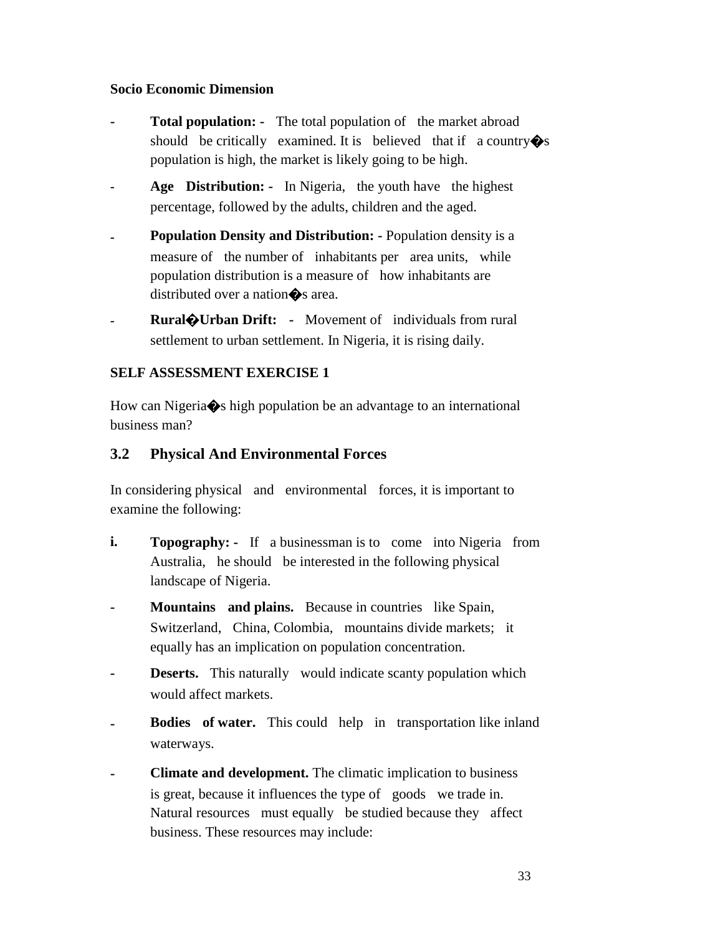#### **Socio Economic Dimension**

- **- Total population:** The total population of the market abroad should be critically examined. It is believed that if a country  $\diamondsuit$ s population is high, the market is likely going to be high.
- **- Age Distribution: -** In Nigeria, the youth have the highest percentage, followed by the adults, children and the aged.
- **- Population Density and Distribution: -** Population density is a measure of the number of inhabitants per area units, while population distribution is a measure of how inhabitants are distributed over a nation�s area.
- **- Rural�Urban Drift: -** Movement of individuals from rural settlement to urban settlement. In Nigeria, it is rising daily.

### **SELF ASSESSMENT EXERCISE 1**

How can Nigeria  $\diamondsuit$  high population be an advantage to an international business man?

# **3.2 Physical And Environmental Forces**

In considering physical and environmental forces, it is important to examine the following:

- **i. Topography:** - If a businessman is to come into Nigeria from Australia, he should be interested in the following physical landscape of Nigeria.
- **- Mountains and plains.** Because in countries like Spain, Switzerland, China, Colombia, mountains divide markets; it equally has an implication on population concentration.
- **- Deserts.** This naturally would indicate scanty population which would affect markets.
- **- Bodies of water.** This could help in transportation like inland waterways.
- **- Climate and development.** The climatic implication to business is great, because it influences the type of goods we trade in. Natural resources must equally be studied because they affect business. These resources may include: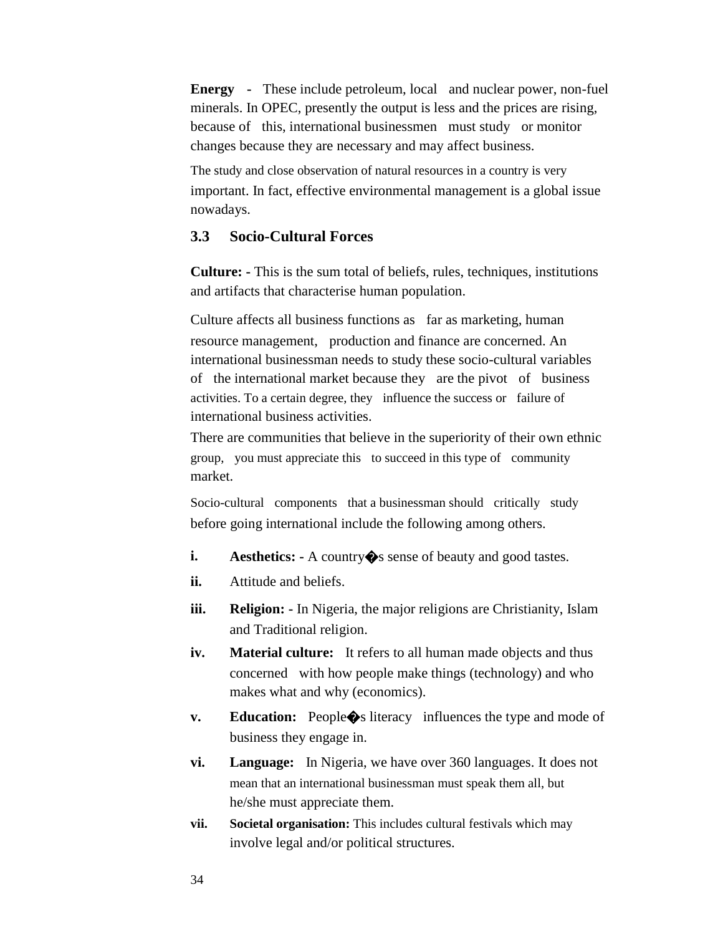**Energy -** These include petroleum, local and nuclear power, non-fuel minerals. In OPEC, presently the output is less and the prices are rising, because of this, international businessmen must study or monitor changes because they are necessary and may affect business.

The study and close observation of natural resources in a country is very important. In fact, effective environmental management is a global issue nowadays.

#### **3.3 Socio-Cultural Forces**

**Culture: -** This is the sum total of beliefs, rules, techniques, institutions and artifacts that characterise human population.

Culture affects all business functions as far as marketing, human resource management, production and finance are concerned. An international businessman needs to study these socio-cultural variables of the international market because they are the pivot of business activities. To a certain degree, they influence the success or failure of international business activities.

There are communities that believe in the superiority of their own ethnic group, you must appreciate this to succeed in this type of community market.

Socio-cultural components that a businessman should critically study before going international include the following among others.

- **i.** Aesthetics: - A country  $\diamondsuit$  s sense of beauty and good tastes.
- **ii.** Attitude and beliefs.
- **iii. Religion:** In Nigeria, the major religions are Christianity, Islam and Traditional religion.
- **iv. Material culture:** It refers to all human made objects and thus concerned with how people make things (technology) and who makes what and why (economics).
- **v. Education:** People  $\bullet$  literacy influences the type and mode of business they engage in.
- **vi. Language:** In Nigeria, we have over 360 languages. It does not mean that an international businessman must speak them all, but he/she must appreciate them.
- **vii. Societal organisation:** This includes cultural festivals which may involve legal and/or political structures.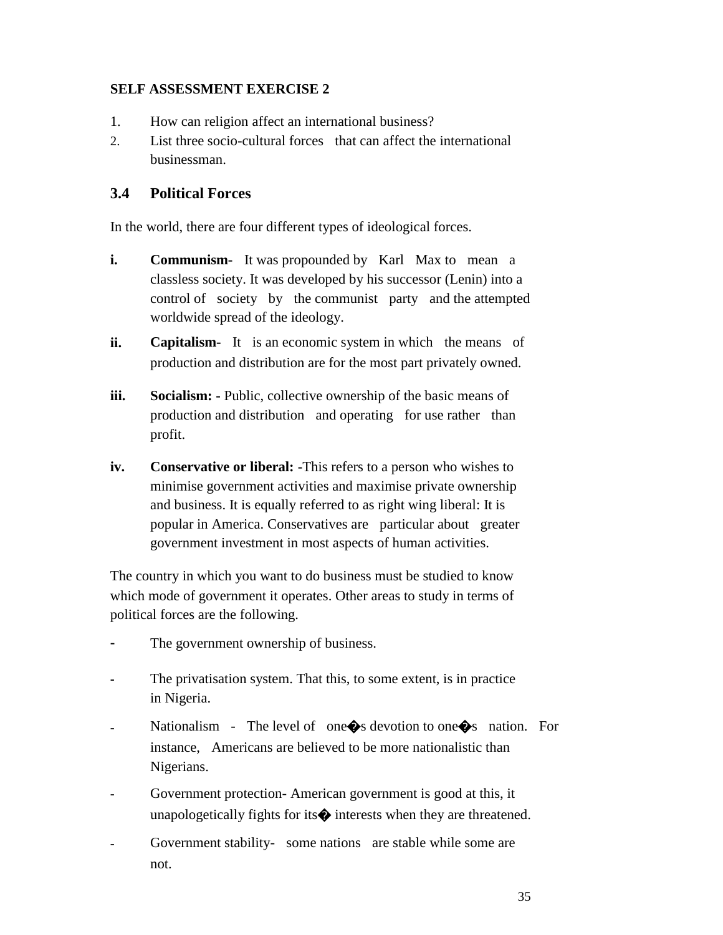### **SELF ASSESSMENT EXERCISE 2**

- 1. How can religion affect an international business?
- 2. List three socio-cultural forces that can affect the international businessman.

### **3.4 Political Forces**

In the world, there are four different types of ideological forces.

- **i. Communism-** It was propounded by Karl Max to mean a classless society. It was developed by his successor (Lenin) into a control of society by the communist party and the attempted worldwide spread of the ideology.
- **ii. Capitalism-** It is an economic system in which the means of production and distribution are for the most part privately owned.
- **iii. Socialism:** Public, collective ownership of the basic means of production and distribution and operating for use rather than profit.
- **iv. Conservative or liberal: -**This refers to a person who wishes to minimise government activities and maximise private ownership and business. It is equally referred to as right wing liberal: It is popular in America. Conservatives are particular about greater government investment in most aspects of human activities.

The country in which you want to do business must be studied to know which mode of government it operates. Other areas to study in terms of political forces are the following.

- **-** The government ownership of business.
- **-** The privatisation system. That this, to some extent, is in practice in Nigeria.
- **-** Nationalism - The level of one $\diamondsuit$ s devotion to one $\diamondsuit$ s nation. For instance, Americans are believed to be more nationalistic than Nigerians.
- **-** Government protection- American government is good at this, it unapologetically fights for its  $\diamondsuit$  interests when they are threatened.
- **-** Government stability- some nations are stable while some are not.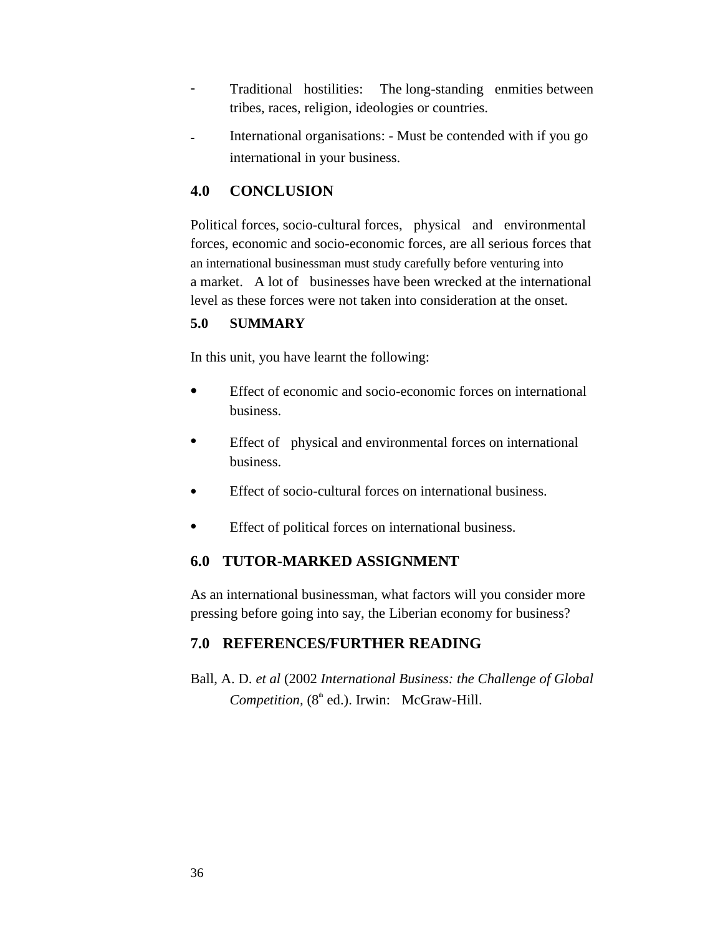- **-** Traditional hostilities: The long-standing enmities between tribes, races, religion, ideologies or countries.
- **-** International organisations: - Must be contended with if you go international in your business.

# **4.0 CONCLUSION**

Political forces, socio-cultural forces, physical and environmental forces, economic and socio-economic forces, are all serious forces that an international businessman must study carefully before venturing into a market. A lot of businesses have been wrecked at the international level as these forces were not taken into consideration at the onset.

### **5.0 SUMMARY**

In this unit, you have learnt the following:

- $\bullet$ Effect of economic and socio-economic forces on international business.
- $\bullet$ Effect of physical and environmental forces on international business.
- $\bullet$ Effect of socio-cultural forces on international business.
- $\bullet$ Effect of political forces on international business.

### **6.0 TUTOR-MARKED ASSIGNMENT**

As an international businessman, what factors will you consider more pressing before going into say, the Liberian economy for business?

### **7.0 REFERENCES/FURTHER READING**

Ball, A. D. *et al* (2002 *International Business: the Challenge of Global Competition,* (8<sup>th</sup> ed.). Irwin: McGraw-Hill.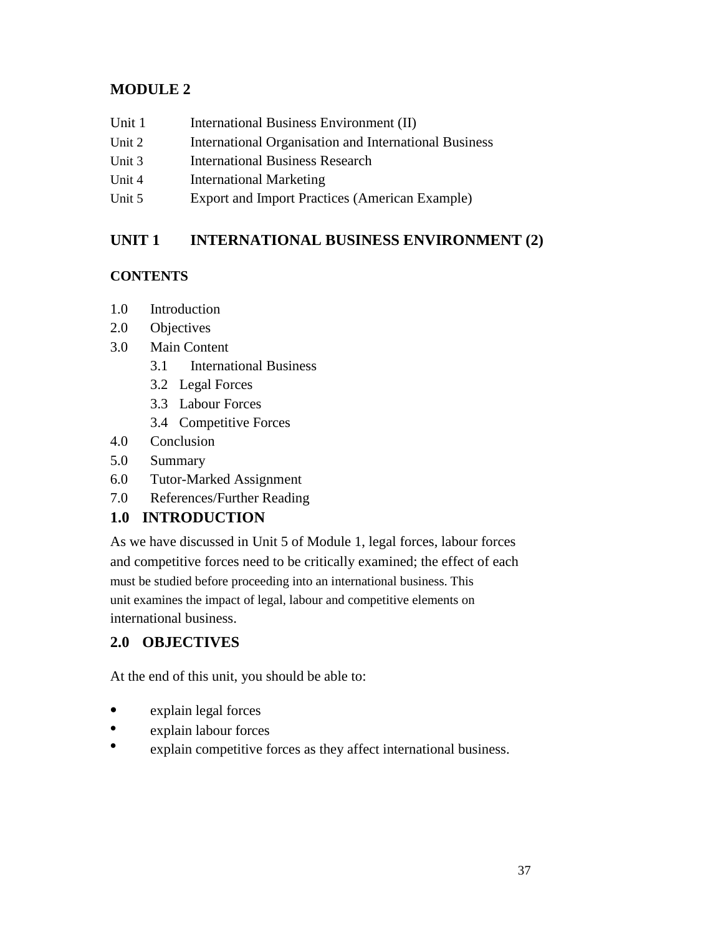# **MODULE 2**

- Unit 1 International Business Environment (II)
- Unit 2 International Organisation and International Business
- Unit 3 International Business Research
- Unit 4 International Marketing
- Unit 5 Export and Import Practices (American Example)

#### **UNIT 1 INTERNATIONAL BUSINESS ENVIRONMENT (2)**

### **CONTENTS**

- 1.0 Introduction
- 2.0 Objectives
- 3.0 Main Content
	- 3.1 International Business
	- 3.2 Legal Forces
	- 3.3 Labour Forces
	- 3.4 Competitive Forces
- 4.0 Conclusion
- 5.0 Summary
- 6.0 Tutor-Marked Assignment
- 7.0 References/Further Reading

# **1.0 INTRODUCTION**

As we have discussed in Unit 5 of Module 1, legal forces, labour forces and competitive forces need to be critically examined; the effect of each must be studied before proceeding into an international business. This unit examines the impact of legal, labour and competitive elements on international business.

# **2.0 OBJECTIVES**

At the end of this unit, you should be able to:

- $\bullet$ explain legal forces
- $\bullet$ explain labour forces
- $\bullet$ explain competitive forces as they affect international business.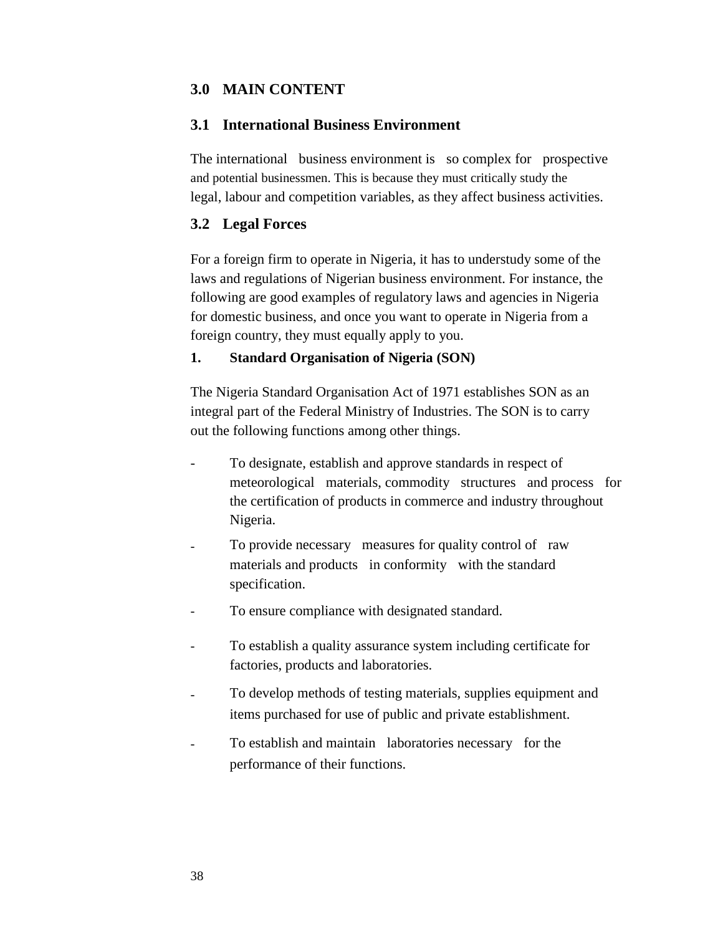# **3.0 MAIN CONTENT**

### **3.1 International Business Environment**

The international business environment is so complex for prospective and potential businessmen. This is because they must critically study the legal, labour and competition variables, as they affect business activities.

### **3.2 Legal Forces**

For a foreign firm to operate in Nigeria, it has to understudy some of the laws and regulations of Nigerian business environment. For instance, the following are good examples of regulatory laws and agencies in Nigeria for domestic business, and once you want to operate in Nigeria from a foreign country, they must equally apply to you.

#### **1. Standard Organisation of Nigeria (SON)**

The Nigeria Standard Organisation Act of 1971 establishes SON as an integral part of the Federal Ministry of Industries. The SON is to carry out the following functions among other things.

- To designate, establish and approve standards in respect of meteorological materials, commodity structures and process for the certification of products in commerce and industry throughout Nigeria.
- To provide necessary measures for quality control of raw materials and products in conformity with the standard specification.
- To ensure compliance with designated standard.
- To establish a quality assurance system including certificate for factories, products and laboratories.
- To develop methods of testing materials, supplies equipment and items purchased for use of public and private establishment.
- To establish and maintain laboratories necessary for the performance of their functions.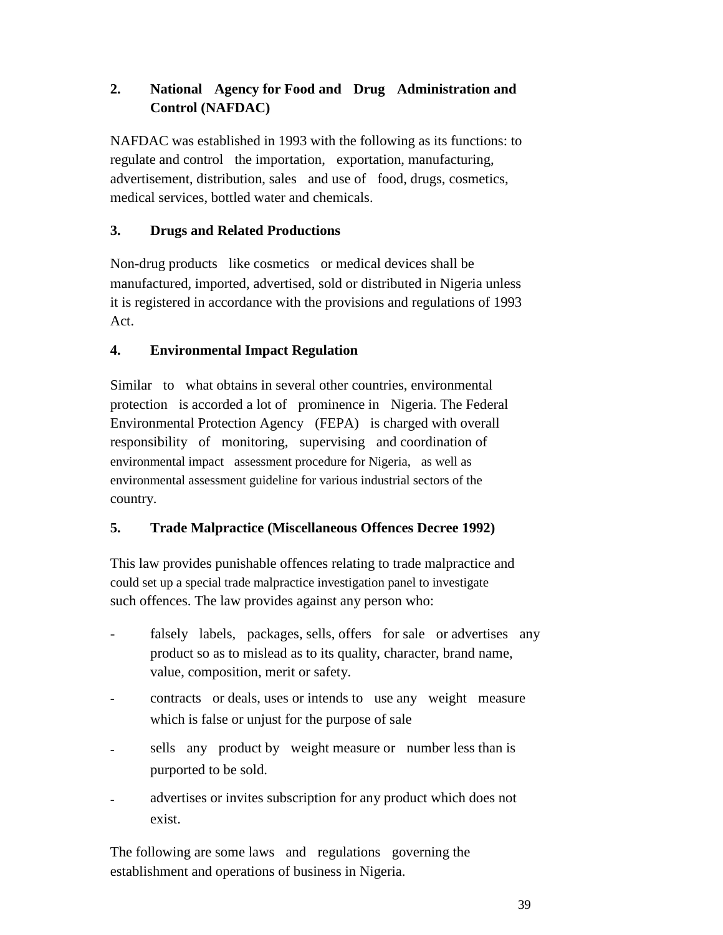# **2. National Agency for Food and Drug Administration and Control (NAFDAC)**

NAFDAC was established in 1993 with the following as its functions: to regulate and control the importation, exportation, manufacturing, advertisement, distribution, sales and use of food, drugs, cosmetics, medical services, bottled water and chemicals.

# **3. Drugs and Related Productions**

Non-drug products like cosmetics or medical devices shall be manufactured, imported, advertised, sold or distributed in Nigeria unless it is registered in accordance with the provisions and regulations of 1993 Act.

# **4. Environmental Impact Regulation**

Similar to what obtains in several other countries, environmental protection is accorded a lot of prominence in Nigeria. The Federal Environmental Protection Agency (FEPA) is charged with overall responsibility of monitoring, supervising and coordination of environmental impact assessment procedure for Nigeria, as well as environmental assessment guideline for various industrial sectors of the country.

# **5. Trade Malpractice (Miscellaneous Offences Decree 1992)**

This law provides punishable offences relating to trade malpractice and could set up a special trade malpractice investigation panel to investigate such offences. The law provides against any person who:

- falsely labels, packages, sells, offers for sale or advertises any product so as to mislead as to its quality, character, brand name, value, composition, merit or safety.
- contracts or deals, uses or intends to use any weight measure which is false or unjust for the purpose of sale
- sells any product by weight measure or number less than is purported to be sold.
- advertises or invites subscription for any product which does not exist.

The following are some laws and regulations governing the establishment and operations of business in Nigeria.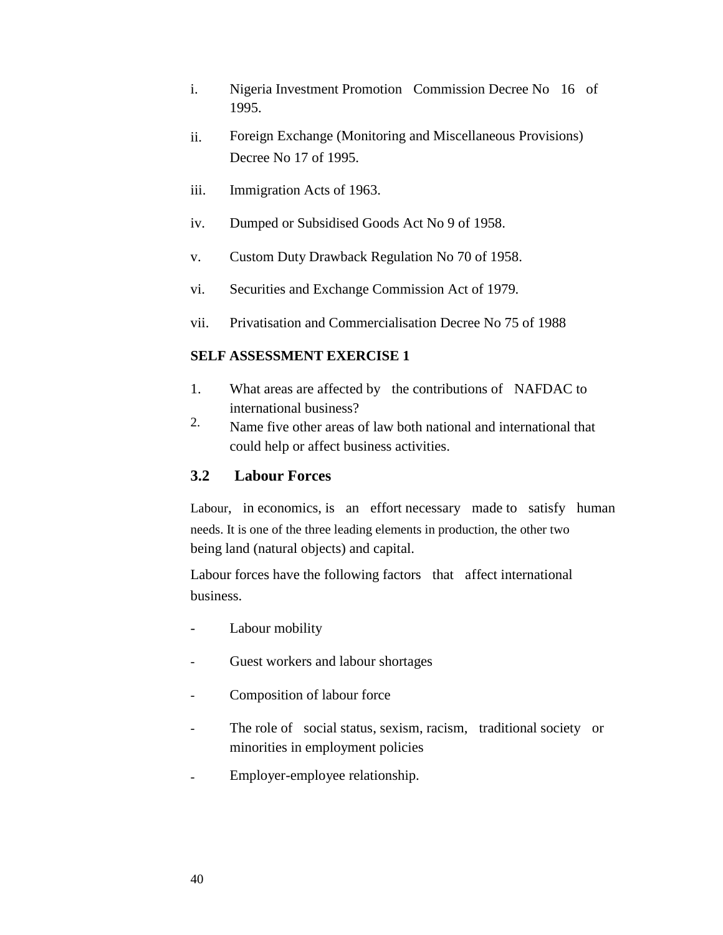- i. Nigeria Investment Promotion Commission Decree No 16 of 1995.
- ii. Foreign Exchange (Monitoring and Miscellaneous Provisions) Decree No 17 of 1995.
- iii. Immigration Acts of 1963.
- iv. Dumped or Subsidised Goods Act No 9 of 1958.
- v. Custom Duty Drawback Regulation No 70 of 1958.
- vi. Securities and Exchange Commission Act of 1979.
- vii. Privatisation and Commercialisation Decree No 75 of 1988

#### **SELF ASSESSMENT EXERCISE 1**

- 1. What areas are affected by the contributions of NAFDAC to international business?
- 2. Name five other areas of law both national and international that could help or affect business activities.

### **3.2 Labour Forces**

Labour, in economics, is an effort necessary made to satisfy human needs. It is one of the three leading elements in production, the other two being land (natural objects) and capital.

Labour forces have the following factors that affect international business.

- Labour mobility
- Guest workers and labour shortages
- Composition of labour force
- The role of social status, sexism, racism, traditional society or minorities in employment policies
- Employer-employee relationship.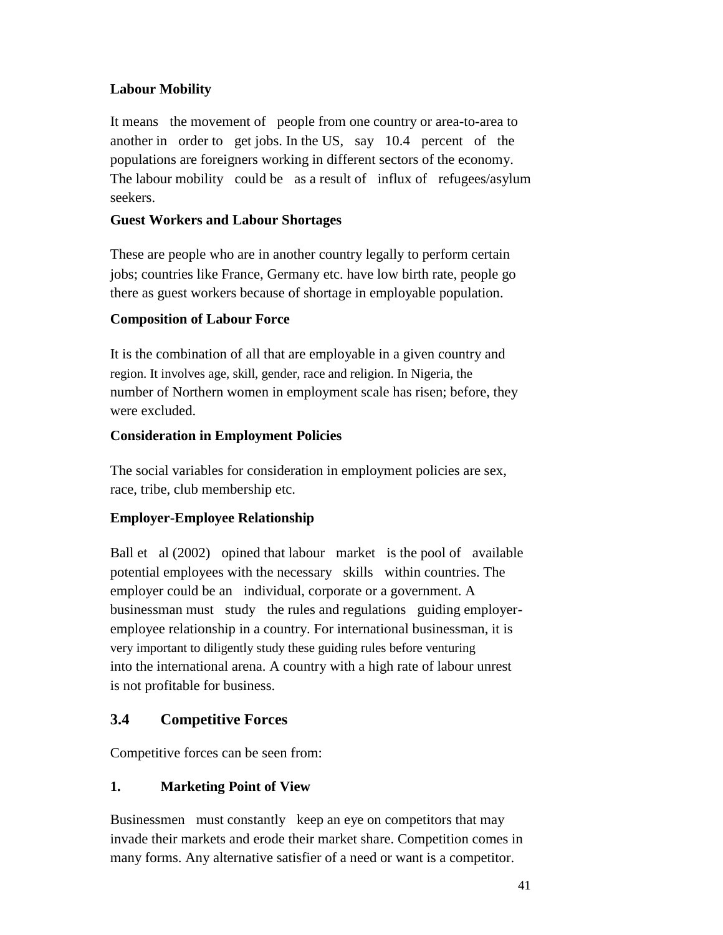### **Labour Mobility**

It means the movement of people from one country or area-to-area to another in order to get jobs. In the US, say 10.4 percent of the populations are foreigners working in different sectors of the economy. The labour mobility could be as a result of influx of refugees/asylum seekers.

### **Guest Workers and Labour Shortages**

These are people who are in another country legally to perform certain jobs; countries like France, Germany etc. have low birth rate, people go there as guest workers because of shortage in employable population.

### **Composition of Labour Force**

It is the combination of all that are employable in a given country and region. It involves age, skill, gender, race and religion. In Nigeria, the number of Northern women in employment scale has risen; before, they were excluded.

### **Consideration in Employment Policies**

The social variables for consideration in employment policies are sex, race, tribe, club membership etc.

### **Employer-Employee Relationship**

Ball et al (2002) opined that labour market is the pool of available potential employees with the necessary skills within countries. The employer could be an individual, corporate or a government. A businessman must study the rules and regulations guiding employeremployee relationship in a country. For international businessman, it is very important to diligently study these guiding rules before venturing into the international arena. A country with a high rate of labour unrest is not profitable for business.

# **3.4 Competitive Forces**

Competitive forces can be seen from:

### **1. Marketing Point of View**

Businessmen must constantly keep an eye on competitors that may invade their markets and erode their market share. Competition comes in many forms. Any alternative satisfier of a need or want is a competitor.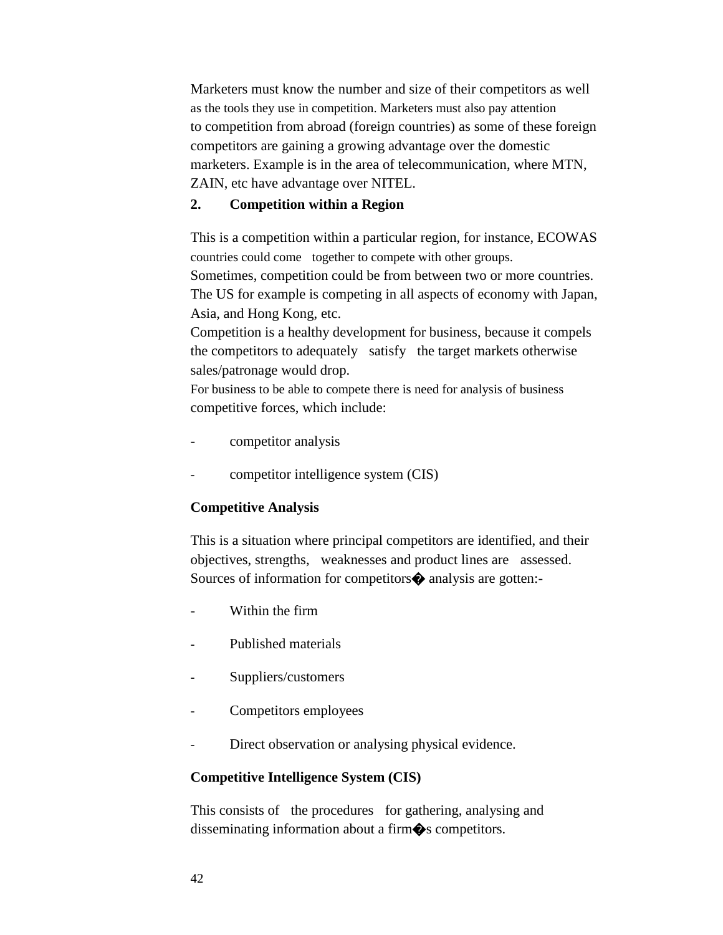Marketers must know the number and size of their competitors as well as the tools they use in competition. Marketers must also pay attention to competition from abroad (foreign countries) as some of these foreign competitors are gaining a growing advantage over the domestic marketers. Example is in the area of telecommunication, where MTN, ZAIN, etc have advantage over NITEL.

### **2. Competition within a Region**

This is a competition within a particular region, for instance, ECOWAS countries could come together to compete with other groups. Sometimes, competition could be from between two or more countries. The US for example is competing in all aspects of economy with Japan, Asia, and Hong Kong, etc.

Competition is a healthy development for business, because it compels the competitors to adequately satisfy the target markets otherwise sales/patronage would drop.

For business to be able to compete there is need for analysis of business competitive forces, which include:

- competitor analysis
- competitor intelligence system (CIS)

### **Competitive Analysis**

This is a situation where principal competitors are identified, and their objectives, strengths, weaknesses and product lines are assessed. Sources of information for competitors  $\bullet$  analysis are gotten:-

- Within the firm
- Published materials
- Suppliers/customers
- Competitors employees
- Direct observation or analysing physical evidence.

### **Competitive Intelligence System (CIS)**

This consists of the procedures for gathering, analysing and disseminating information about a firm  $\bullet$ s competitors.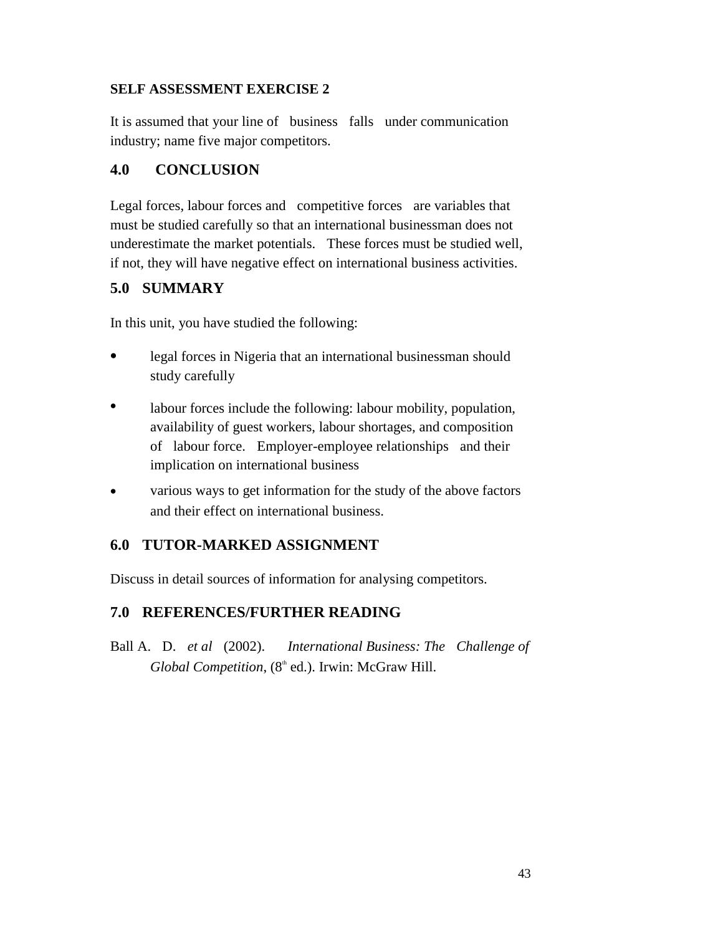### **SELF ASSESSMENT EXERCISE 2**

It is assumed that your line of business falls under communication industry; name five major competitors.

# **4.0 CONCLUSION**

Legal forces, labour forces and competitive forces are variables that must be studied carefully so that an international businessman does not underestimate the market potentials. These forces must be studied well, if not, they will have negative effect on international business activities.

### **5.0 SUMMARY**

In this unit, you have studied the following:

- $\bullet$ legal forces in Nigeria that an international businessman should study carefully
- $\bullet$ labour forces include the following: labour mobility, population, availability of guest workers, labour shortages, and composition of labour force. Employer-employee relationships and their implication on international business
- $\bullet$ various ways to get information for the study of the above factors and their effect on international business.

# **6.0 TUTOR-MARKED ASSIGNMENT**

Discuss in detail sources of information for analysing competitors.

# **7.0 REFERENCES/FURTHER READING**

Ball A. D. *et al* (2002). *International Business: The Challenge of Global Competition*, (8<sup>th</sup> ed.). Irwin: McGraw Hill.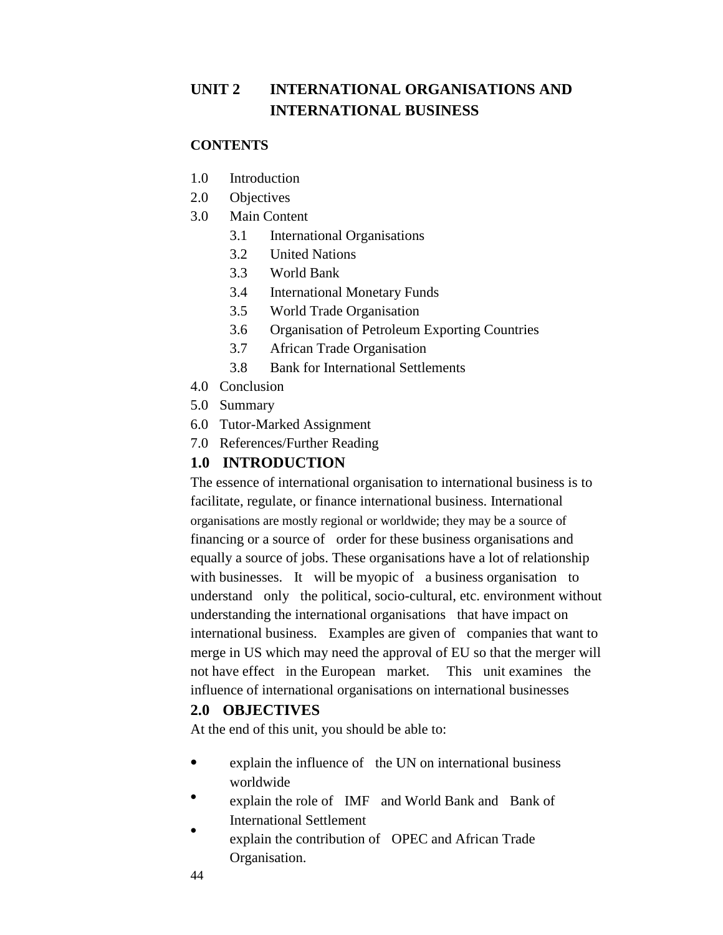# **UNIT 2 INTERNATIONAL ORGANISATIONS AND INTERNATIONAL BUSINESS**

#### **CONTENTS**

- 1.0 Introduction
- 2.0 Objectives
- 3.0 Main Content
	- 3.1 International Organisations
	- 3.2 United Nations
	- 3.3 World Bank
	- 3.4 International Monetary Funds
	- 3.5 World Trade Organisation
	- 3.6 Organisation of Petroleum Exporting Countries
	- 3.7 African Trade Organisation
	- 3.8 Bank for International Settlements
- 4.0 Conclusion
- 5.0 Summary
- 6.0 Tutor-Marked Assignment
- 7.0 References/Further Reading

### **1.0 INTRODUCTION**

The essence of international organisation to international business is to facilitate, regulate, or finance international business. International organisations are mostly regional or worldwide; they may be a source of financing or a source of order for these business organisations and equally a source of jobs. These organisations have a lot of relationship with businesses. It will be myopic of a business organisation to understand only the political, socio-cultural, etc. environment without understanding the international organisations that have impact on international business. Examples are given of companies that want to merge in US which may need the approval of EU so that the merger will not have effect in the European market. This unit examines the influence of international organisations on international businesses

### **2.0 OBJECTIVES**

At the end of this unit, you should be able to:

- $\bullet$ explain the influence of the UN on international business worldwide
- $\bullet$ explain the role of IMF and World Bank and Bank of International Settlement
- $\bullet$ explain the contribution of OPEC and African Trade Organisation.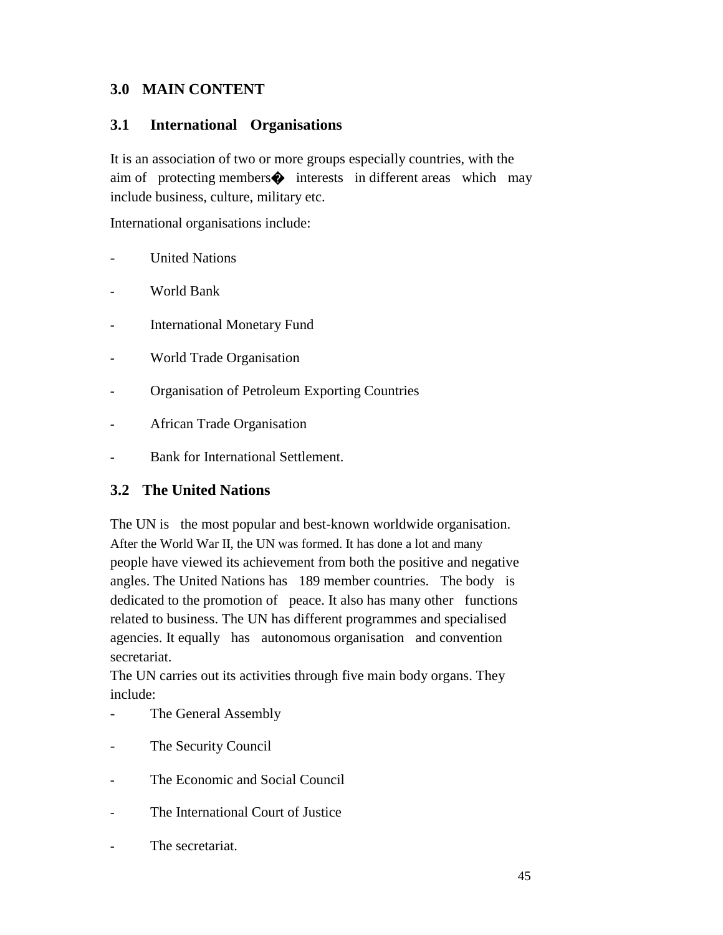# **3.0 MAIN CONTENT**

### **3.1 International Organisations**

It is an association of two or more groups especially countries, with the aim of protecting members� interests in different areas which may include business, culture, military etc.

International organisations include:

- United Nations
- World Bank
- International Monetary Fund
- World Trade Organisation
- Organisation of Petroleum Exporting Countries
- African Trade Organisation
- Bank for International Settlement.

### **3.2 The United Nations**

The UN is the most popular and best-known worldwide organisation. After the World War II, the UN was formed. It has done a lot and many people have viewed its achievement from both the positive and negative angles. The United Nations has 189 member countries. The body is dedicated to the promotion of peace. It also has many other functions related to business. The UN has different programmes and specialised agencies. It equally has autonomous organisation and convention secretariat.

The UN carries out its activities through five main body organs. They include:

- The General Assembly
- The Security Council
- The Economic and Social Council
- The International Court of Justice
- The secretariat.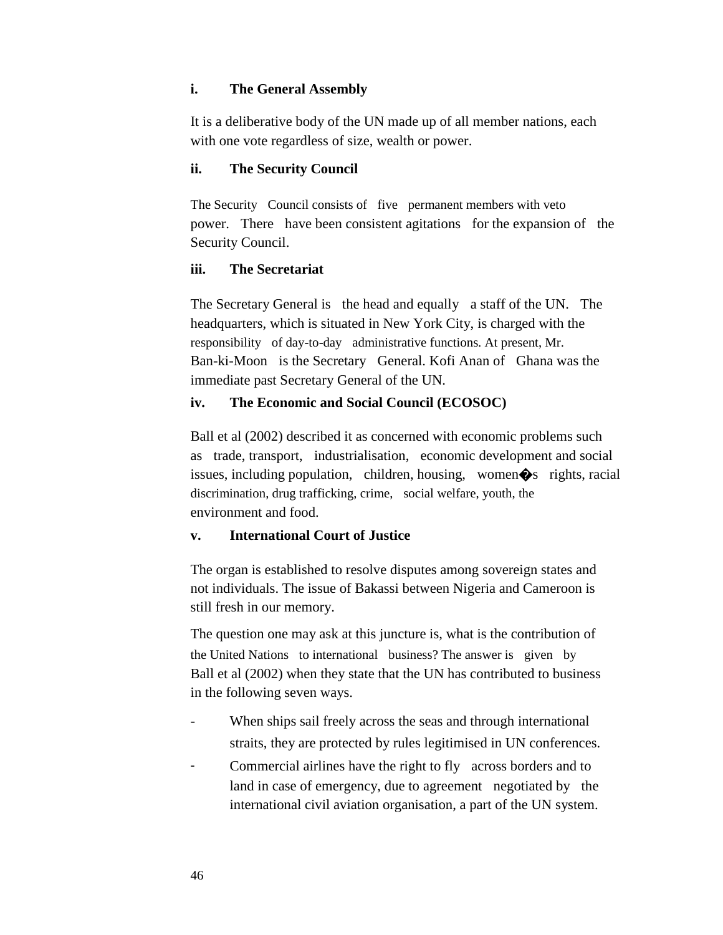#### **i. The General Assembly**

It is a deliberative body of the UN made up of all member nations, each with one vote regardless of size, wealth or power.

#### **ii. The Security Council**

The Security Council consists of five permanent members with veto power. There have been consistent agitations for the expansion of the Security Council.

#### **iii. The Secretariat**

The Secretary General is the head and equally a staff of the UN. The headquarters, which is situated in New York City, is charged with the responsibility of day-to-day administrative functions. At present, Mr. Ban-ki-Moon is the Secretary General. Kofi Anan of Ghana was the immediate past Secretary General of the UN.

#### **iv. The Economic and Social Council (ECOSOC)**

Ball et al (2002) described it as concerned with economic problems such as trade, transport, industrialisation, economic development and social issues, including population, children, housing, women�s rights, racial discrimination, drug trafficking, crime, social welfare, youth, the environment and food.

### **v. International Court of Justice**

The organ is established to resolve disputes among sovereign states and not individuals. The issue of Bakassi between Nigeria and Cameroon is still fresh in our memory.

The question one may ask at this juncture is, what is the contribution of the United Nations to international business? The answer is given by Ball et al (2002) when they state that the UN has contributed to business in the following seven ways.

- When ships sail freely across the seas and through international straits, they are protected by rules legitimised in UN conferences.
- Commercial airlines have the right to fly across borders and to land in case of emergency, due to agreement negotiated by the international civil aviation organisation, a part of the UN system.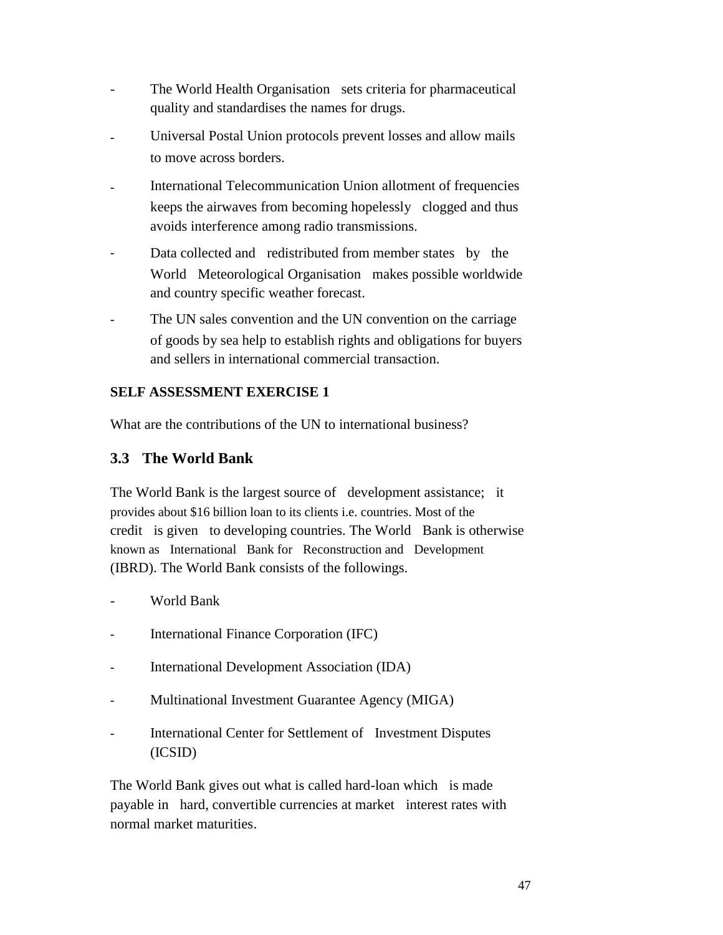- The World Health Organisation sets criteria for pharmaceutical quality and standardises the names for drugs.
- Universal Postal Union protocols prevent losses and allow mails to move across borders.
- International Telecommunication Union allotment of frequencies keeps the airwaves from becoming hopelessly clogged and thus avoids interference among radio transmissions.
- Data collected and redistributed from member states by the World Meteorological Organisation makes possible worldwide and country specific weather forecast.
- The UN sales convention and the UN convention on the carriage of goods by sea help to establish rights and obligations for buyers and sellers in international commercial transaction.

### **SELF ASSESSMENT EXERCISE 1**

What are the contributions of the UN to international business?

# **3.3 The World Bank**

The World Bank is the largest source of development assistance; it provides about \$16 billion loan to its clients i.e. countries. Most of the credit is given to developing countries. The World Bank is otherwise known as International Bank for Reconstruction and Development (IBRD). The World Bank consists of the followings.

- World Bank
- International Finance Corporation (IFC)
- International Development Association (IDA)
- Multinational Investment Guarantee Agency (MIGA)
- International Center for Settlement of Investment Disputes (ICSID)

The World Bank gives out what is called hard-loan which is made payable in hard, convertible currencies at market interest rates with normal market maturities.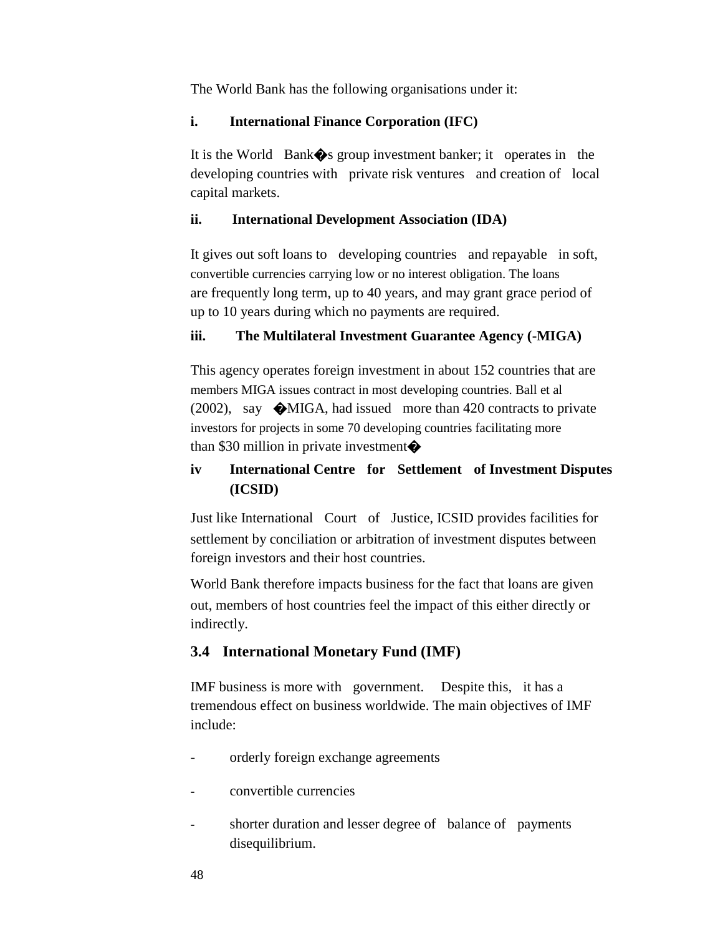The World Bank has the following organisations under it:

#### **i. International Finance Corporation (IFC)**

It is the World Bank�s group investment banker; it operates in the developing countries with private risk ventures and creation of local capital markets.

#### **ii. International Development Association (IDA)**

It gives out soft loans to developing countries and repayable in soft, convertible currencies carrying low or no interest obligation. The loans are frequently long term, up to 40 years, and may grant grace period of up to 10 years during which no payments are required.

### **iii. The Multilateral Investment Guarantee Agency (-MIGA)**

This agency operates foreign investment in about 152 countries that are members MIGA issues contract in most developing countries. Ball et al (2002), say �MIGA, had issued more than 420 contracts to private investors for projects in some 70 developing countries facilitating more than \$30 million in private investment $\bullet$ 

### **iv International Centre for Settlement of Investment Disputes (ICSID)**

Just like International Court of Justice, ICSID provides facilities for settlement by conciliation or arbitration of investment disputes between foreign investors and their host countries.

World Bank therefore impacts business for the fact that loans are given out, members of host countries feel the impact of this either directly or indirectly.

### **3.4 International Monetary Fund (IMF)**

IMF business is more with government. Despite this, it has a tremendous effect on business worldwide. The main objectives of IMF include:

- orderly foreign exchange agreements
- convertible currencies
- shorter duration and lesser degree of balance of payments disequilibrium.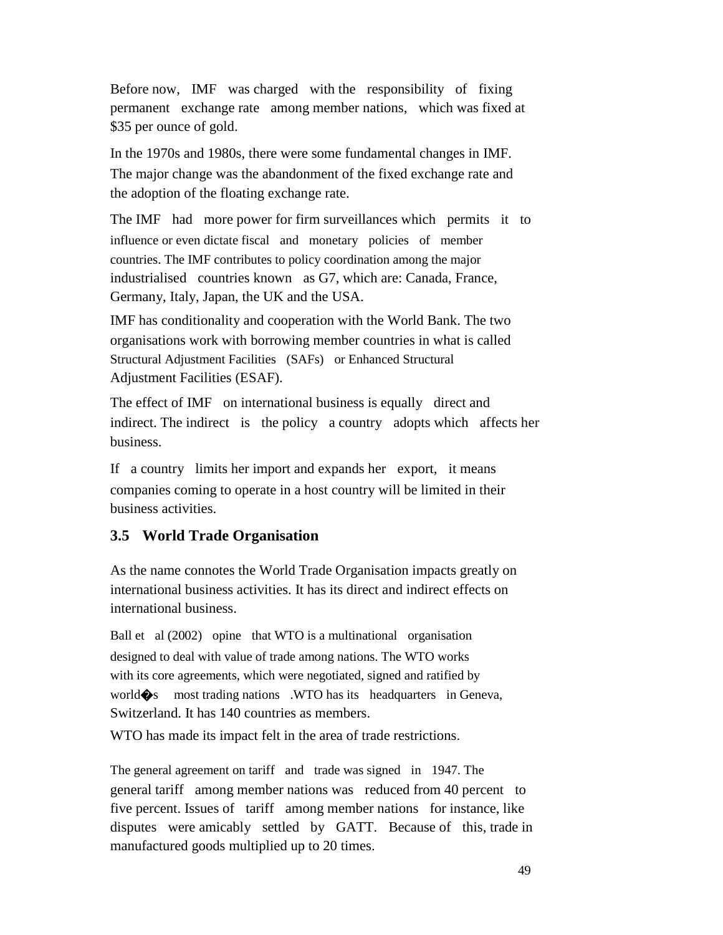Before now, IMF was charged with the responsibility of fixing permanent exchange rate among member nations, which was fixed at \$35 per ounce of gold.

In the 1970s and 1980s, there were some fundamental changes in IMF. The major change was the abandonment of the fixed exchange rate and the adoption of the floating exchange rate.

The IMF had more power for firm surveillances which permits it to influence or even dictate fiscal and monetary policies of member countries. The IMF contributes to policy coordination among the major industrialised countries known as G7, which are: Canada, France, Germany, Italy, Japan, the UK and the USA.

IMF has conditionality and cooperation with the World Bank. The two organisations work with borrowing member countries in what is called Structural Adjustment Facilities (SAFs) or Enhanced Structural Adjustment Facilities (ESAF).

The effect of IMF on international business is equally direct and indirect. The indirect is the policy a country adopts which affects her business.

If a country limits her import and expands her export, it means companies coming to operate in a host country will be limited in their business activities.

### **3.5 World Trade Organisation**

As the name connotes the World Trade Organisation impacts greatly on international business activities. It has its direct and indirect effects on international business.

Ball et al (2002) opine that WTO is a multinational organisation designed to deal with value of trade among nations. The WTO works with its core agreements, which were negotiated, signed and ratified by world $\diamondsuit$ s most trading nations .WTO has its headquarters in Geneva, Switzerland. It has 140 countries as members.

WTO has made its impact felt in the area of trade restrictions.

The general agreement on tariff and trade was signed in 1947. The general tariff among member nations was reduced from 40 percent to five percent. Issues of tariff among member nations for instance, like disputes were amicably settled by GATT. Because of this, trade in manufactured goods multiplied up to 20 times.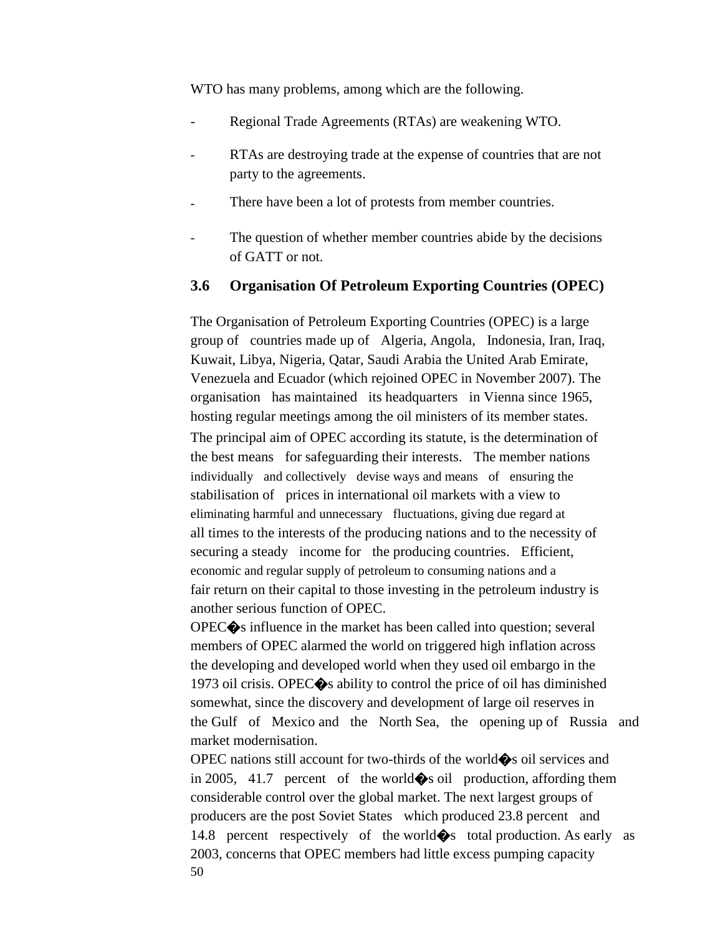WTO has many problems, among which are the following.

- Regional Trade Agreements (RTAs) are weakening WTO.
- RTAs are destroying trade at the expense of countries that are not party to the agreements.
- There have been a lot of protests from member countries.
- The question of whether member countries abide by the decisions of GATT or not.

#### **3.6 Organisation Of Petroleum Exporting Countries (OPEC)**

The Organisation of Petroleum Exporting Countries (OPEC) is a large group of countries made up of Algeria, Angola, Indonesia, Iran, Iraq, Kuwait, Libya, Nigeria, Qatar, Saudi Arabia the United Arab Emirate, Venezuela and Ecuador (which rejoined OPEC in November 2007). The organisation has maintained its headquarters in Vienna since 1965, hosting regular meetings among the oil ministers of its member states. The principal aim of OPEC according its statute, is the determination of the best means for safeguarding their interests. The member nations individually and collectively devise ways and means of ensuring the stabilisation of prices in international oil markets with a view to eliminating harmful and unnecessary fluctuations, giving due regard at all times to the interests of the producing nations and to the necessity of securing a steady income for the producing countries. Efficient, economic and regular supply of petroleum to consuming nations and a fair return on their capital to those investing in the petroleum industry is another serious function of OPEC.

OPEC�s influence in the market has been called into question; several members of OPEC alarmed the world on triggered high inflation across the developing and developed world when they used oil embargo in the 1973 oil crisis. OPEC�s ability to control the price of oil has diminished somewhat, since the discovery and development of large oil reserves in the Gulf of Mexico and the North Sea, the opening up of Russia and market modernisation.

OPEC nations still account for two-thirds of the world $\diamondsuit$ s oil services and in 2005, 41.7 percent of the world $\hat{\mathbf{\bullet}}$ s oil production, affording them considerable control over the global market. The next largest groups of producers are the post Soviet States which produced 23.8 percent and 14.8 percent respectively of the world $\diamondsuit$ s total production. As early as 2003, concerns that OPEC members had little excess pumping capacity 50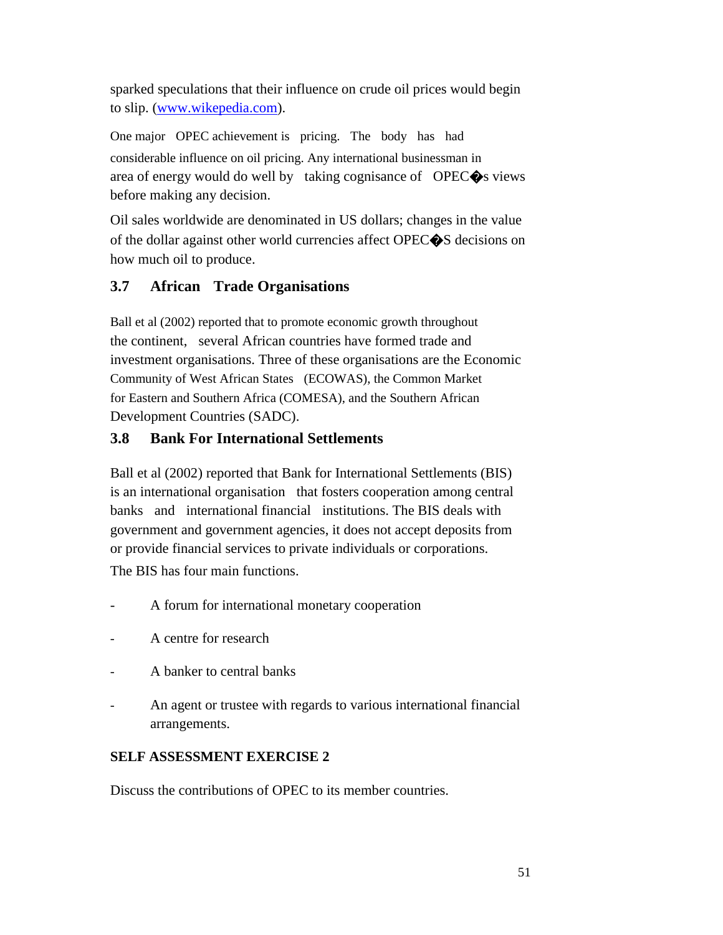sparked speculations that their influence on crude oil prices would begin to [slip. \(www.wikepedia.com\)](http://www.wikepedia.com/).

One major OPEC achievement is pricing. The body has had considerable influence on oil pricing. Any international businessman in area of energy would do well by taking cognisance of OPEC $\diamondsuit$ s views before making any decision.

Oil sales worldwide are denominated in US dollars; changes in the value of the dollar against other world currencies affect OPEC�S decisions on how much oil to produce.

### **3.7 African Trade Organisations**

Ball et al (2002) reported that to promote economic growth throughout the continent, several African countries have formed trade and investment organisations. Three of these organisations are the Economic Community of West African States (ECOWAS), the Common Market for Eastern and Southern Africa (COMESA), and the Southern African Development Countries (SADC).

# **3.8 Bank For International Settlements**

Ball et al (2002) reported that Bank for International Settlements (BIS) is an international organisation that fosters cooperation among central banks and international financial institutions. The BIS deals with government and government agencies, it does not accept deposits from or provide financial services to private individuals or corporations.

The BIS has four main functions.

- A forum for international monetary cooperation
- A centre for research
- A banker to central banks
- An agent or trustee with regards to various international financial arrangements.

# **SELF ASSESSMENT EXERCISE 2**

Discuss the contributions of OPEC to its member countries.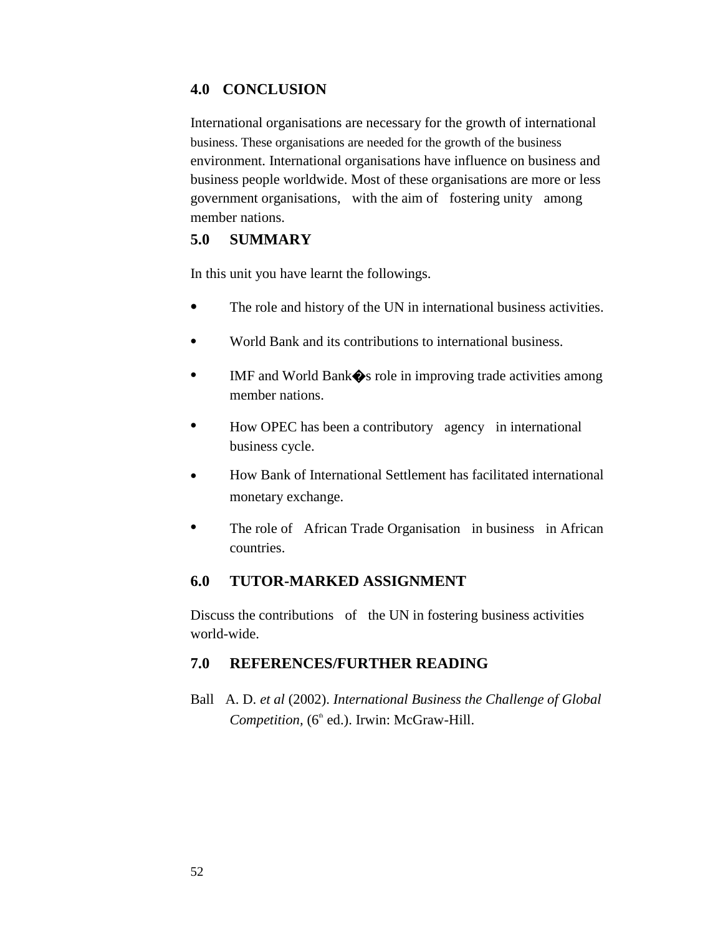### **4.0 CONCLUSION**

International organisations are necessary for the growth of international business. These organisations are needed for the growth of the business environment. International organisations have influence on business and business people worldwide. Most of these organisations are more or less government organisations, with the aim of fostering unity among member nations.

#### **5.0 SUMMARY**

In this unit you have learnt the followings.

- $\bullet$ The role and history of the UN in international business activities.
- $\bullet$ World Bank and its contributions to international business.
- $\bullet$ IMF and World Bank�s role in improving trade activities among member nations.
- $\bullet$ How OPEC has been a contributory agency in international business cycle.
- $\bullet$ How Bank of International Settlement has facilitated international monetary exchange.
- $\bullet$ The role of African Trade Organisation in business in African countries.

#### **6.0 TUTOR-MARKED ASSIGNMENT**

Discuss the contributions of the UN in fostering business activities world-wide.

#### **7.0 REFERENCES/FURTHER READING**

Ball A. D. *et al* (2002). *International Business the Challenge of Global Competition,* (6<sup>th</sup> ed.). Irwin: McGraw-Hill.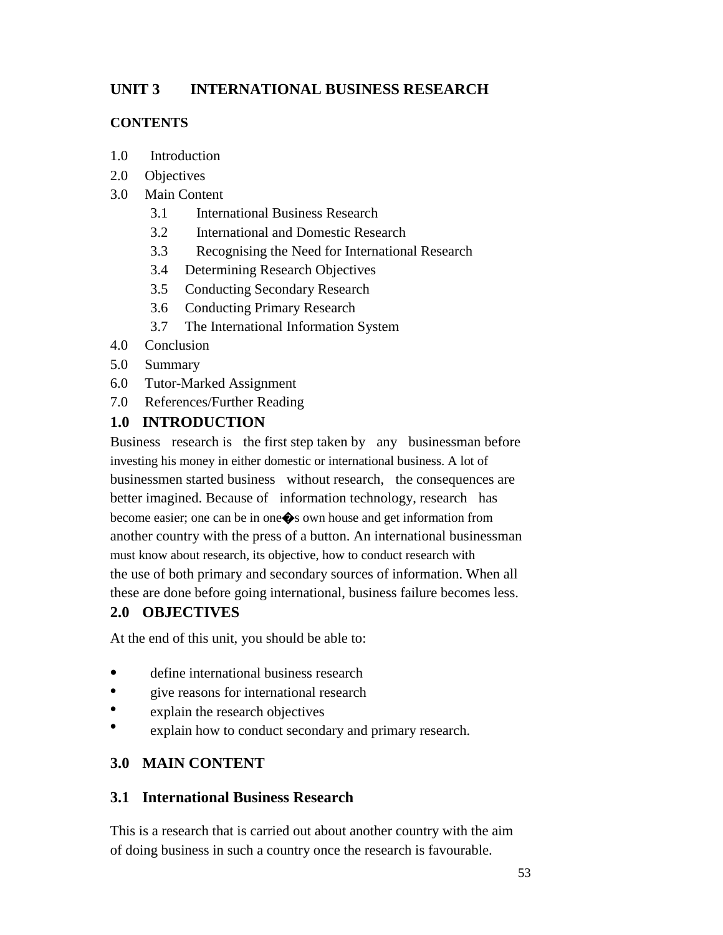# **UNIT 3 INTERNATIONAL BUSINESS RESEARCH**

### **CONTENTS**

- 1.0 Introduction
- 2.0 Objectives
- 3.0 Main Content
	- 3.1 International Business Research
	- 3.2 International and Domestic Research
	- 3.3 Recognising the Need for International Research
	- 3.4 Determining Research Objectives
	- 3.5 Conducting Secondary Research
	- 3.6 Conducting Primary Research
	- 3.7 The International Information System
- 4.0 Conclusion
- 5.0 Summary
- 6.0 Tutor-Marked Assignment
- 7.0 References/Further Reading

### **1.0 INTRODUCTION**

Business research is the first step taken by any businessman before investing his money in either domestic or international business. A lot of businessmen started business without research, the consequences are better imagined. Because of information technology, research has become easier; one can be in one $\diamondsuit$ s own house and get information from another country with the press of a button. An international businessman must know about research, its objective, how to conduct research with the use of both primary and secondary sources of information. When all these are done before going international, business failure becomes less.

# **2.0 OBJECTIVES**

At the end of this unit, you should be able to:

- $\bullet$ define international business research
- $\bullet$ give reasons for international research
- $\bullet$ explain the research objectives
- $\bullet$ explain how to conduct secondary and primary research.

### **3.0 MAIN CONTENT**

### **3.1 International Business Research**

This is a research that is carried out about another country with the aim of doing business in such a country once the research is favourable.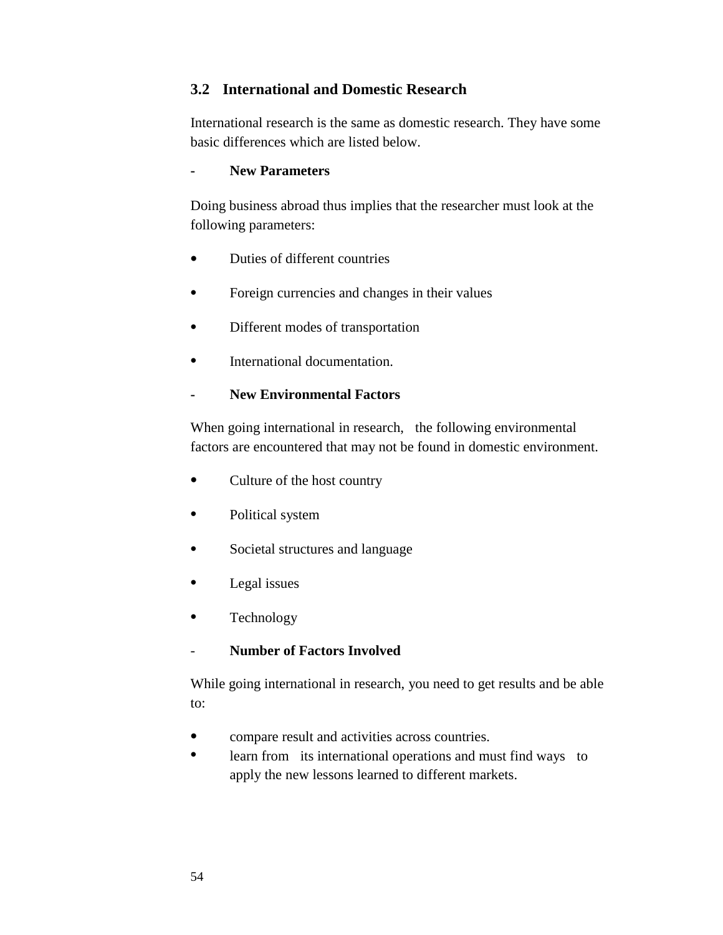# **3.2 International and Domestic Research**

International research is the same as domestic research. They have some basic differences which are listed below.

#### **- New Parameters**

Doing business abroad thus implies that the researcher must look at the following parameters:

- $\bullet$ Duties of different countries
- $\bullet$ Foreign currencies and changes in their values
- $\bullet$ Different modes of transportation
- $\bullet$ International documentation.

#### **- New Environmental Factors**

When going international in research, the following environmental factors are encountered that may not be found in domestic environment.

- $\bullet$ Culture of the host country
- $\bullet$ Political system
- $\bullet$ Societal structures and language
- $\bullet$ Legal issues
- $\bullet$ Technology
- **Number of Factors Involved**

While going international in research, you need to get results and be able to:

- $\bullet$ compare result and activities across countries.
- $\bullet$ learn from its international operations and must find ways to apply the new lessons learned to different markets.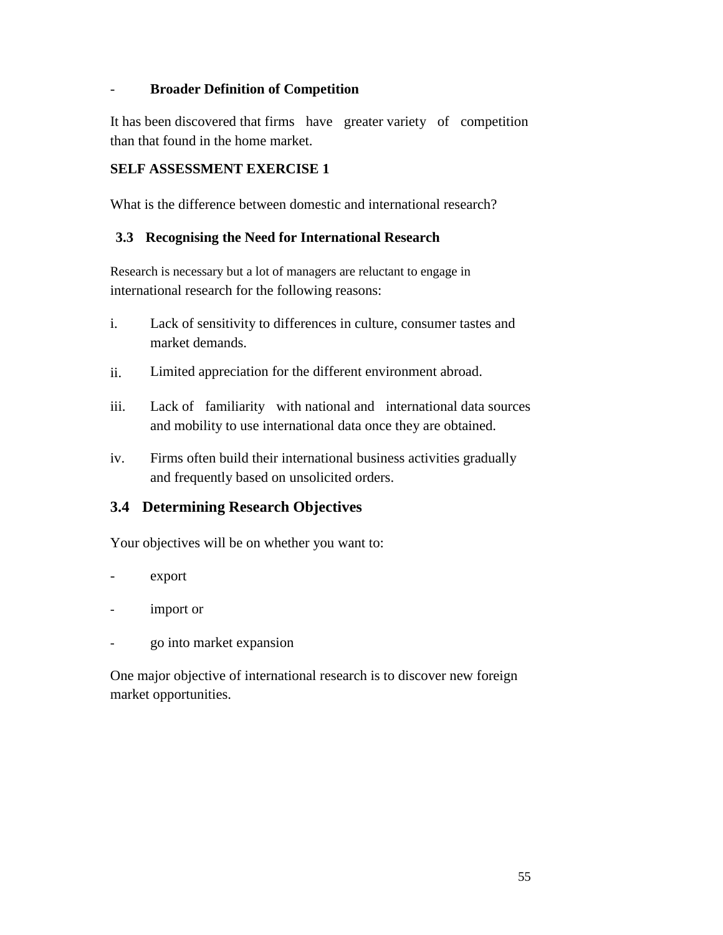#### - **Broader Definition of Competition**

It has been discovered that firms have greater variety of competition than that found in the home market.

### **SELF ASSESSMENT EXERCISE 1**

What is the difference between domestic and international research?

#### **3.3 Recognising the Need for International Research**

Research is necessary but a lot of managers are reluctant to engage in international research for the following reasons:

- i. Lack of sensitivity to differences in culture, consumer tastes and market demands.
- ii. Limited appreciation for the different environment abroad.
- iii. Lack of familiarity with national and international data sources and mobility to use international data once they are obtained.
- iv. Firms often build their international business activities gradually and frequently based on unsolicited orders.

### **3.4 Determining Research Objectives**

Your objectives will be on whether you want to:

- export
- import or
- go into market expansion

One major objective of international research is to discover new foreign market opportunities.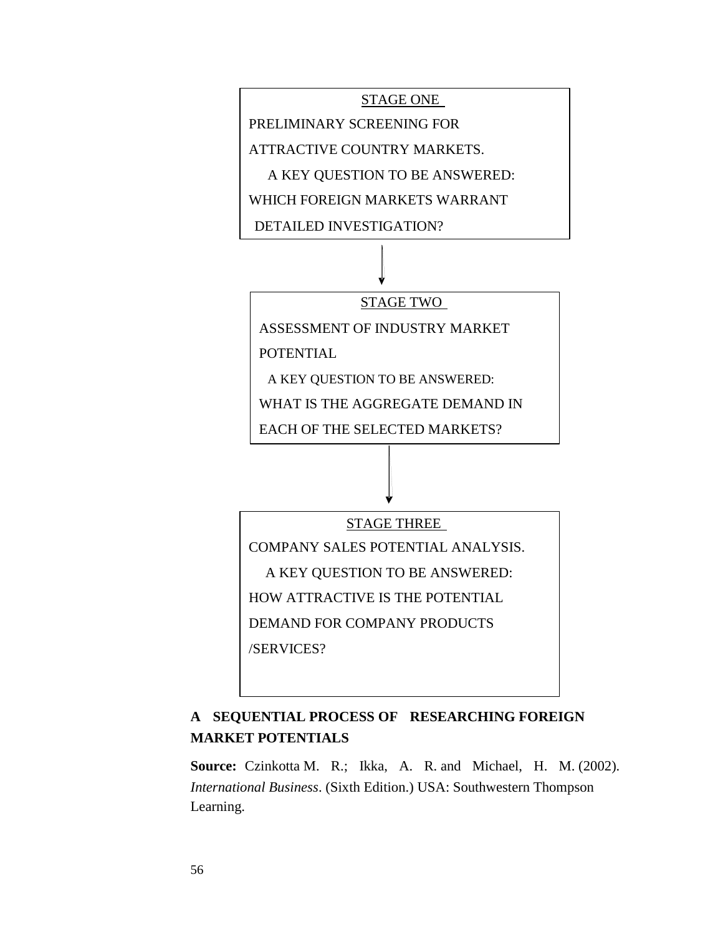STAGE ONE

PRELIMINARY SCREENING FOR

ATTRACTIVE COUNTRY MARKETS.

A KEY QUESTION TO BE ANSWERED:

WHICH FOREIGN MARKETS WARRANT

DETAILED INVESTIGATION?



# **A SEQUENTIAL PROCESS OF RESEARCHING FOREIGN MARKET POTENTIALS**

**Source:** Czinkotta M. R.; Ikka, A. R. and Michael, H. M. (2002). *International Business*. (Sixth Edition.) USA: Southwestern Thompson Learning.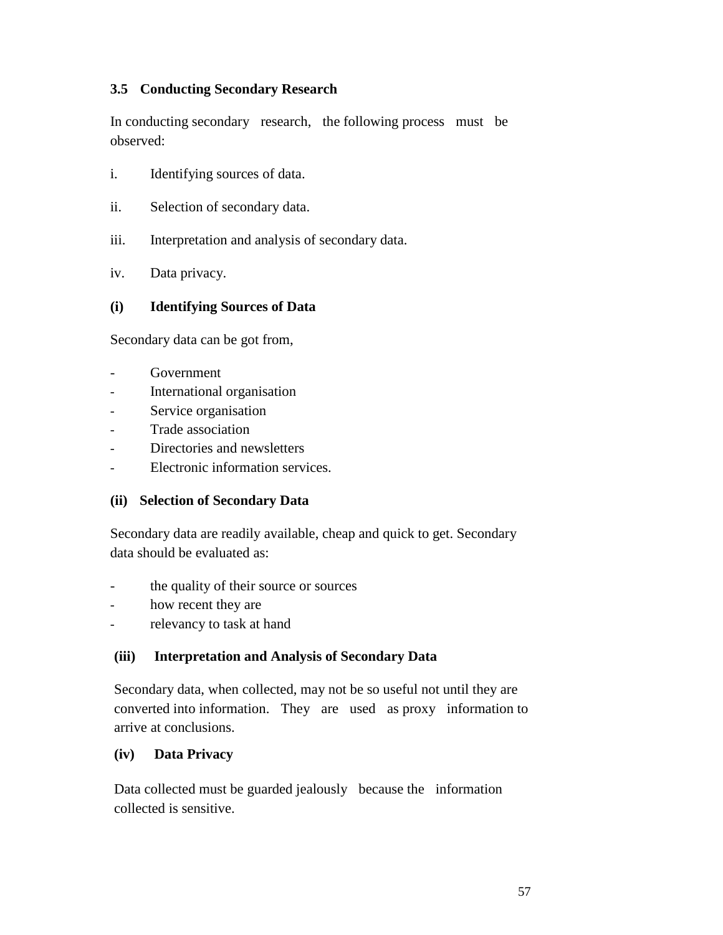### **3.5 Conducting Secondary Research**

In conducting secondary research, the following process must be observed:

- i. Identifying sources of data.
- ii. Selection of secondary data.
- iii. Interpretation and analysis of secondary data.
- iv. Data privacy.

#### **(i) Identifying Sources of Data**

Secondary data can be got from,

- Government
- International organisation
- Service organisation
- Trade association
- Directories and newsletters
- Electronic information services.

#### **(ii) Selection of Secondary Data**

Secondary data are readily available, cheap and quick to get. Secondary data should be evaluated as:

- the quality of their source or sources
- how recent they are
- relevancy to task at hand

### **(iii) Interpretation and Analysis of Secondary Data**

Secondary data, when collected, may not be so useful not until they are converted into information. They are used as proxy information to arrive at conclusions.

#### **(iv) Data Privacy**

Data collected must be guarded jealously because the information collected is sensitive.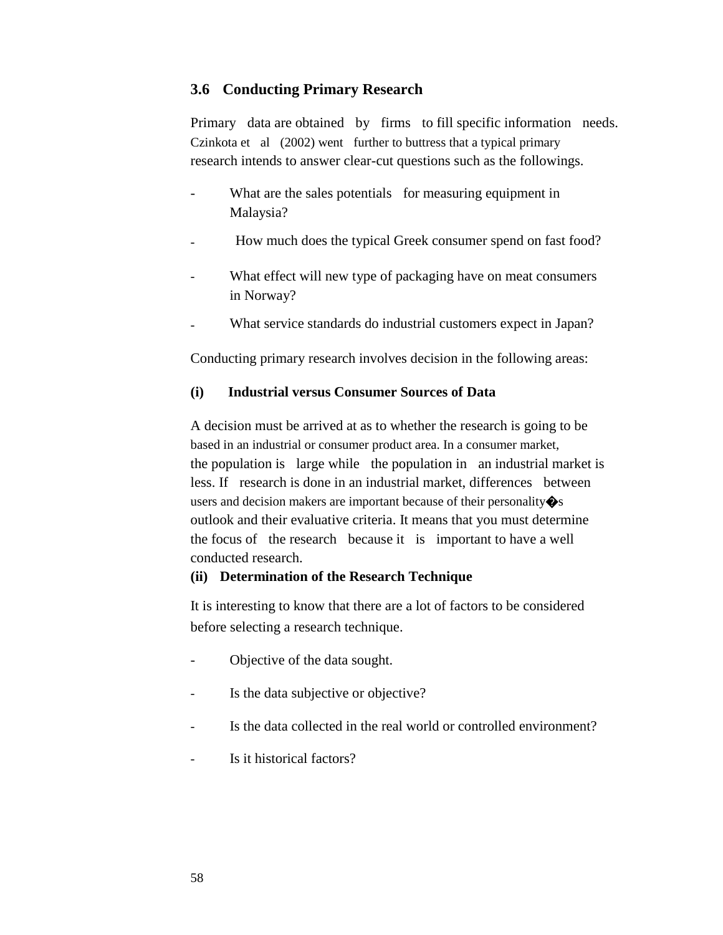### **3.6 Conducting Primary Research**

Primary data are obtained by firms to fill specific information needs. Czinkota et al (2002) went further to buttress that a typical primary research intends to answer clear-cut questions such as the followings.

- What are the sales potentials for measuring equipment in Malaysia?
- How much does the typical Greek consumer spend on fast food?
- What effect will new type of packaging have on meat consumers in Norway?
- What service standards do industrial customers expect in Japan?

Conducting primary research involves decision in the following areas:

#### **(i) Industrial versus Consumer Sources of Data**

A decision must be arrived at as to whether the research is going to be based in an industrial or consumer product area. In a consumer market, the population is large while the population in an industrial market is less. If research is done in an industrial market, differences between users and decision makers are important because of their personality  $\diamondsuit$ s outlook and their evaluative criteria. It means that you must determine the focus of the research because it is important to have a well conducted research.

#### **(ii) Determination of the Research Technique**

It is interesting to know that there are a lot of factors to be considered before selecting a research technique.

- Objective of the data sought.
- Is the data subjective or objective?
- Is the data collected in the real world or controlled environment?
- Is it historical factors?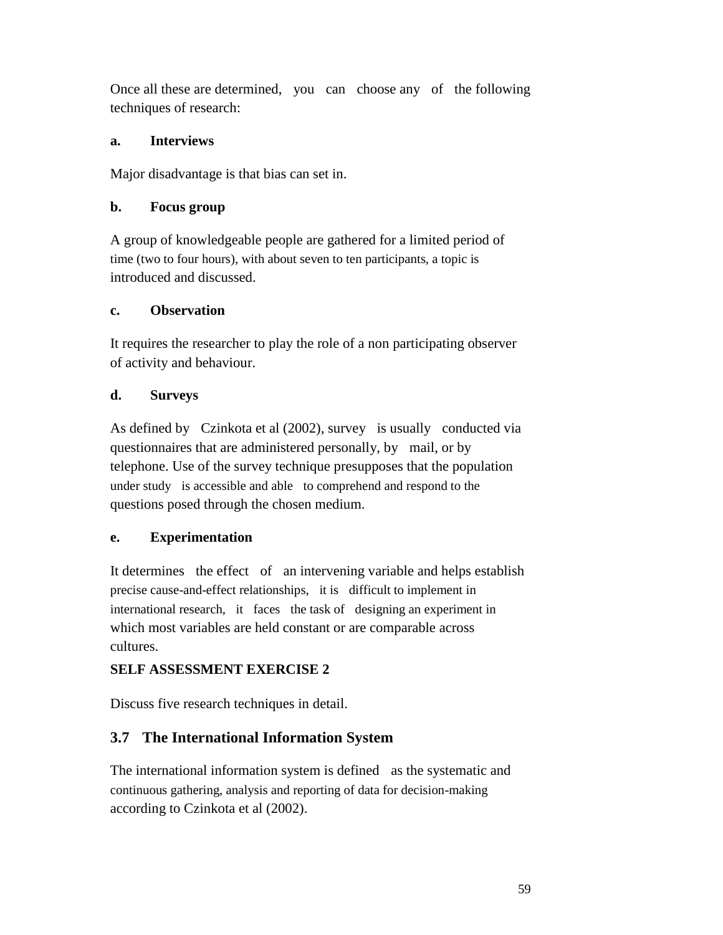Once all these are determined, you can choose any of the following techniques of research:

### **a. Interviews**

Major disadvantage is that bias can set in.

### **b. Focus group**

A group of knowledgeable people are gathered for a limited period of time (two to four hours), with about seven to ten participants, a topic is introduced and discussed.

### **c. Observation**

It requires the researcher to play the role of a non participating observer of activity and behaviour.

# **d. Surveys**

As defined by Czinkota et al (2002), survey is usually conducted via questionnaires that are administered personally, by mail, or by telephone. Use of the survey technique presupposes that the population under study is accessible and able to comprehend and respond to the questions posed through the chosen medium.

# **e. Experimentation**

It determines the effect of an intervening variable and helps establish precise cause-and-effect relationships, it is difficult to implement in international research, it faces the task of designing an experiment in which most variables are held constant or are comparable across cultures.

# **SELF ASSESSMENT EXERCISE 2**

Discuss five research techniques in detail.

# **3.7 The International Information System**

The international information system is defined as the systematic and continuous gathering, analysis and reporting of data for decision-making according to Czinkota et al (2002).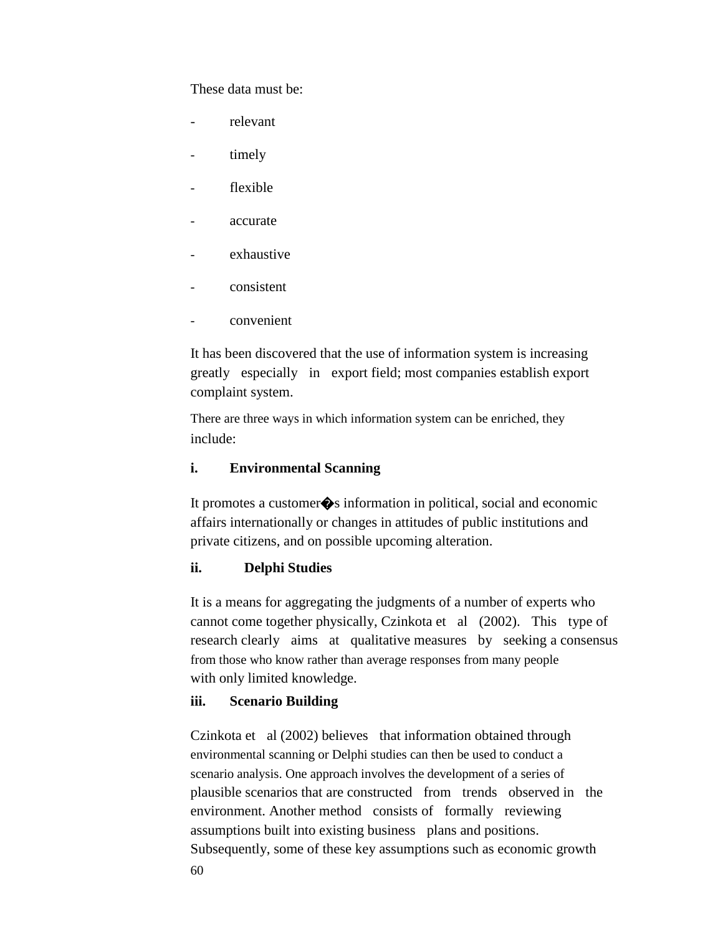#### These data must be:

- relevant
- timely
- flexible
- accurate
- exhaustive
- consistent
- convenient

It has been discovered that the use of information system is increasing greatly especially in export field; most companies establish export complaint system.

There are three ways in which information system can be enriched, they include:

#### **i. Environmental Scanning**

It promotes a customer�s information in political, social and economic affairs internationally or changes in attitudes of public institutions and private citizens, and on possible upcoming alteration.

#### **ii. Delphi Studies**

It is a means for aggregating the judgments of a number of experts who cannot come together physically, Czinkota et al (2002). This type of research clearly aims at qualitative measures by seeking a consensus from those who know rather than average responses from many people with only limited knowledge.

#### **iii. Scenario Building**

Czinkota et al (2002) believes that information obtained through environmental scanning or Delphi studies can then be used to conduct a scenario analysis. One approach involves the development of a series of plausible scenarios that are constructed from trends observed in the environment. Another method consists of formally reviewing assumptions built into existing business plans and positions. Subsequently, some of these key assumptions such as economic growth 60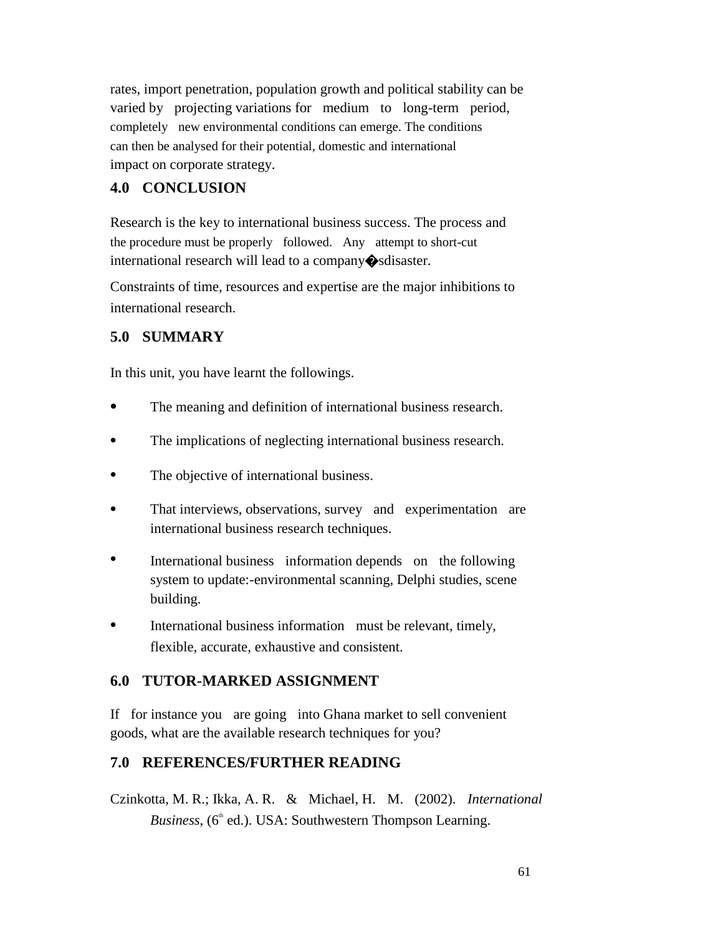rates, import penetration, population growth and political stability can be varied by projecting variations for medium to long-term period, completely new environmental conditions can emerge. The conditions can then be analysed for their potential, domestic and international impact on corporate strategy.

### **4.0 CONCLUSION**

Research is the key to international business success. The process and the procedure must be properly followed. Any attempt to short-cut international research will lead to a company�sdisaster.

Constraints of time, resources and expertise are the major inhibitions to international research.

# **5.0 SUMMARY**

In this unit, you have learnt the followings.

- $\bullet$ The meaning and definition of international business research.
- $\bullet$ The implications of neglecting international business research.
- $\bullet$ The objective of international business.
- $\bullet$ That interviews, observations, survey and experimentation are international business research techniques.
- $\bullet$ International business information depends on the following system to update:-environmental scanning, Delphi studies, scene building.
- $\bullet$ International business information must be relevant, timely, flexible, accurate, exhaustive and consistent.

# **6.0 TUTOR-MARKED ASSIGNMENT**

If for instance you are going into Ghana market to sell convenient goods, what are the available research techniques for you?

# **7.0 REFERENCES/FURTHER READING**

Czinkotta, M. R.; Ikka, A. R. & Michael, H. M. (2002). *International Business*, (6<sup>th</sup> ed.). USA: Southwestern Thompson Learning.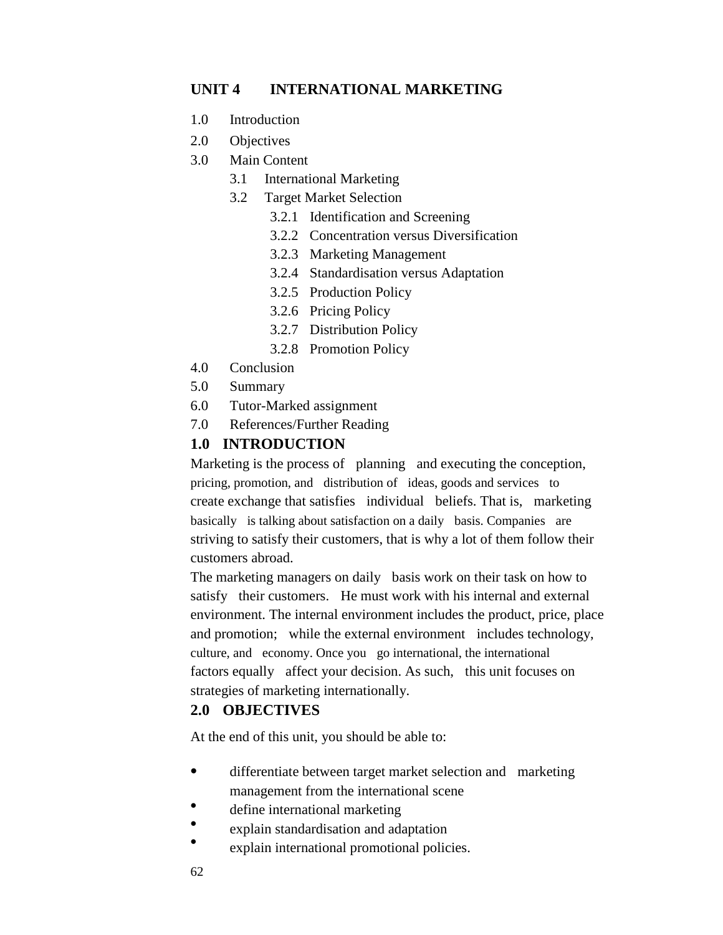### **UNIT 4 INTERNATIONAL MARKETING**

- 1.0 Introduction
- 2.0 Objectives
- 3.0 Main Content
	- 3.1 International Marketing
	- 3.2 Target Market Selection
		- 3.2.1 Identification and Screening
		- 3.2.2 Concentration versus Diversification
		- 3.2.3 Marketing Management
		- 3.2.4 Standardisation versus Adaptation
		- 3.2.5 Production Policy
		- 3.2.6 Pricing Policy
		- 3.2.7 Distribution Policy
		- 3.2.8 Promotion Policy
- 4.0 Conclusion
- 5.0 Summary
- 6.0 Tutor-Marked assignment
- 7.0 References/Further Reading

### **1.0 INTRODUCTION**

Marketing is the process of planning and executing the conception, pricing, promotion, and distribution of ideas, goods and services to create exchange that satisfies individual beliefs. That is, marketing basically is talking about satisfaction on a daily basis. Companies are striving to satisfy their customers, that is why a lot of them follow their customers abroad.

The marketing managers on daily basis work on their task on how to satisfy their customers. He must work with his internal and external environment. The internal environment includes the product, price, place and promotion; while the external environment includes technology, culture, and economy. Once you go international, the international factors equally affect your decision. As such, this unit focuses on strategies of marketing internationally.

#### **2.0 OBJECTIVES**

At the end of this unit, you should be able to:

- $\bullet$ differentiate between target market selection and marketing management from the international scene
- $\bullet$ define international marketing
- $\bullet$ explain standardisation and adaptation
- $\bullet$ explain international promotional policies.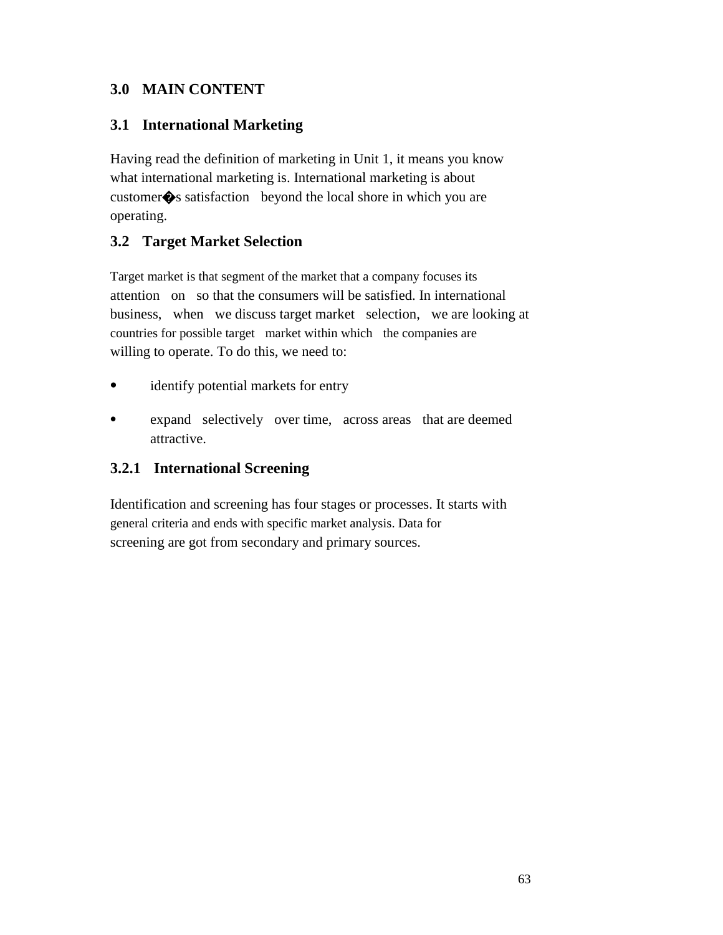# **3.0 MAIN CONTENT**

# **3.1 International Marketing**

Having read the definition of marketing in Unit 1, it means you know what international marketing is. International marketing is about customer�s satisfaction beyond the local shore in which you are operating.

# **3.2 Target Market Selection**

Target market is that segment of the market that a company focuses its attention on so that the consumers will be satisfied. In international business, when we discuss target market selection, we are looking at countries for possible target market within which the companies are willing to operate. To do this, we need to:

- $\bullet$ identify potential markets for entry
- $\bullet$ expand selectively over time, across areas that are deemed attractive.

# **3.2.1 International Screening**

Identification and screening has four stages or processes. It starts with general criteria and ends with specific market analysis. Data for screening are got from secondary and primary sources.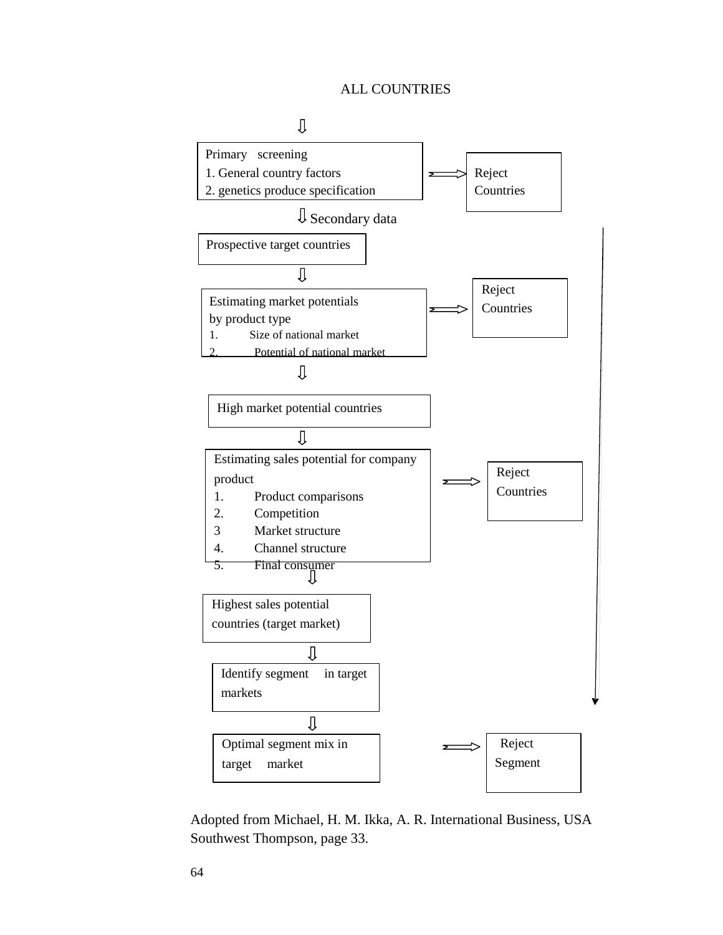#### ALL COUNTRIES



Adopted from Michael, H. M. Ikka, A. R. International Business, USA Southwest Thompson, page 33.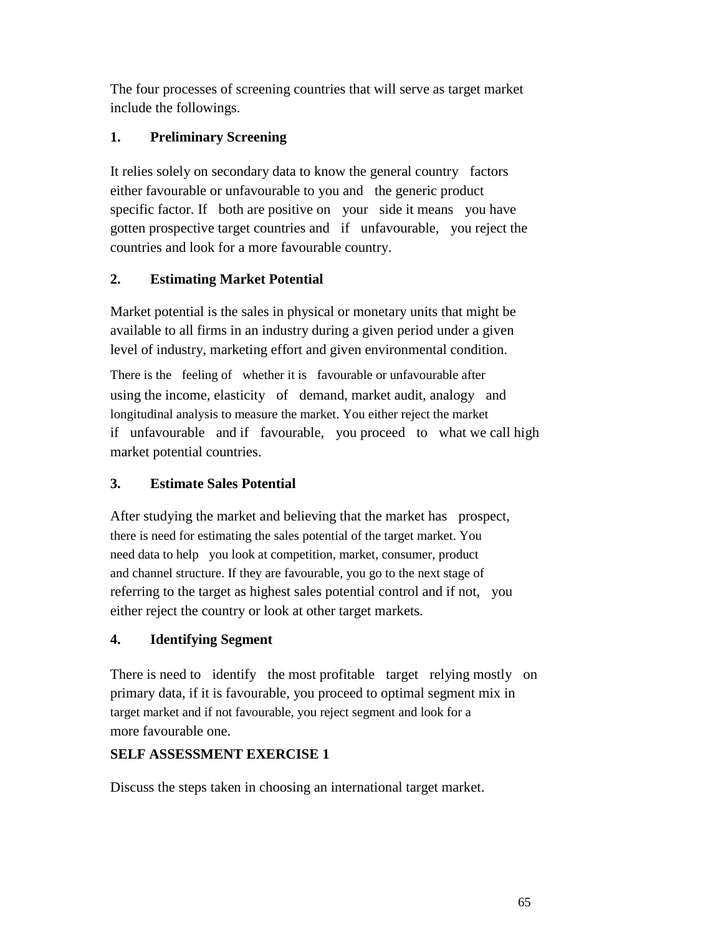The four processes of screening countries that will serve as target market include the followings.

# **1. Preliminary Screening**

It relies solely on secondary data to know the general country factors either favourable or unfavourable to you and the generic product specific factor. If both are positive on your side it means you have gotten prospective target countries and if unfavourable, you reject the countries and look for a more favourable country.

# **2. Estimating Market Potential**

Market potential is the sales in physical or monetary units that might be available to all firms in an industry during a given period under a given level of industry, marketing effort and given environmental condition.

There is the feeling of whether it is favourable or unfavourable after using the income, elasticity of demand, market audit, analogy and longitudinal analysis to measure the market. You either reject the market if unfavourable and if favourable, you proceed to what we call high market potential countries.

# **3. Estimate Sales Potential**

After studying the market and believing that the market has prospect, there is need for estimating the sales potential of the target market. You need data to help you look at competition, market, consumer, product and channel structure. If they are favourable, you go to the next stage of referring to the target as highest sales potential control and if not, you either reject the country or look at other target markets.

# **4. Identifying Segment**

There is need to identify the most profitable target relying mostly on primary data, if it is favourable, you proceed to optimal segment mix in target market and if not favourable, you reject segment and look for a more favourable one.

# **SELF ASSESSMENT EXERCISE 1**

Discuss the steps taken in choosing an international target market.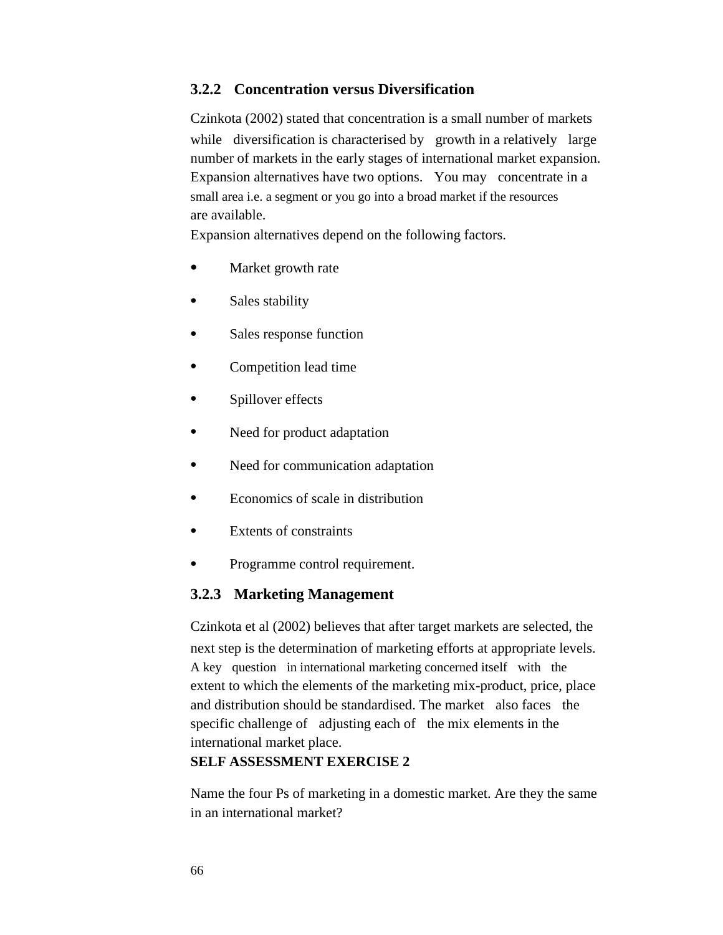### **3.2.2 Concentration versus Diversification**

Czinkota (2002) stated that concentration is a small number of markets while diversification is characterised by growth in a relatively large number of markets in the early stages of international market expansion. Expansion alternatives have two options. You may concentrate in a small area i.e. a segment or you go into a broad market if the resources are available.

Expansion alternatives depend on the following factors.

- $\bullet$ Market growth rate
- $\bullet$ Sales stability
- $\bullet$ Sales response function
- $\bullet$ Competition lead time
- $\bullet$ Spillover effects
- $\bullet$ Need for product adaptation
- $\bullet$ Need for communication adaptation
- $\bullet$ Economics of scale in distribution
- $\bullet$ Extents of constraints
- $\bullet$ Programme control requirement.

#### **3.2.3 Marketing Management**

Czinkota et al (2002) believes that after target markets are selected, the next step is the determination of marketing efforts at appropriate levels. A key question in international marketing concerned itself with the extent to which the elements of the marketing mix-product, price, place and distribution should be standardised. The market also faces the specific challenge of adjusting each of the mix elements in the international market place.

#### **SELF ASSESSMENT EXERCISE 2**

Name the four Ps of marketing in a domestic market. Are they the same in an international market?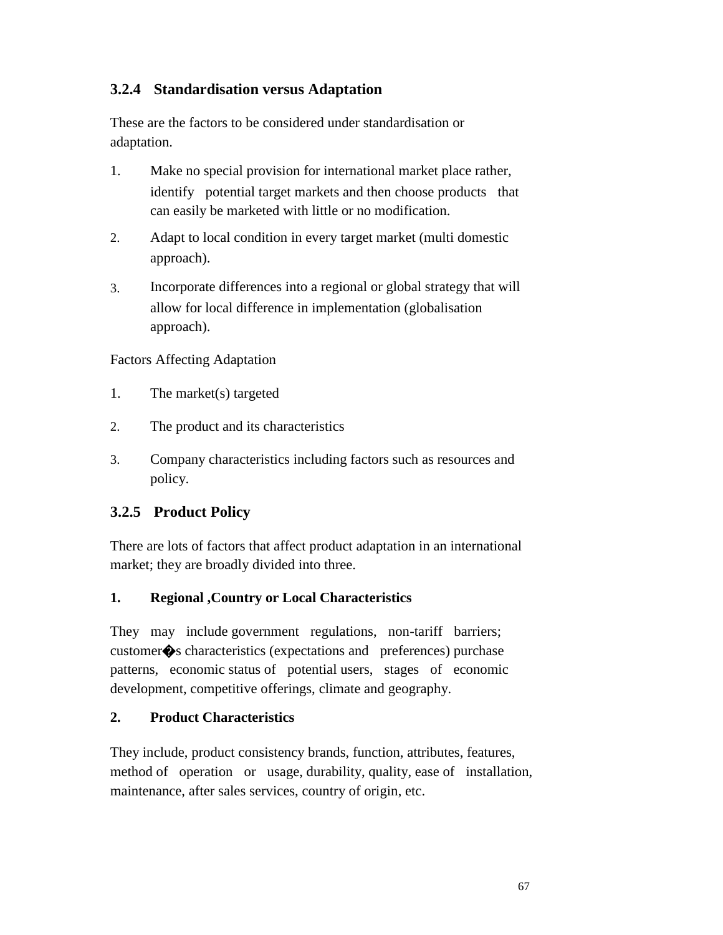# **3.2.4 Standardisation versus Adaptation**

These are the factors to be considered under standardisation or adaptation.

- 1. Make no special provision for international market place rather, identify potential target markets and then choose products that can easily be marketed with little or no modification.
- 2. Adapt to local condition in every target market (multi domestic approach).
- 3. Incorporate differences into a regional or global strategy that will allow for local difference in implementation (globalisation approach).

Factors Affecting Adaptation

- 1. The market(s) targeted
- 2. The product and its characteristics
- 3. Company characteristics including factors such as resources and policy.

# **3.2.5 Product Policy**

There are lots of factors that affect product adaptation in an international market; they are broadly divided into three.

# **1. Regional ,Country or Local Characteristics**

They may include government regulations, non-tariff barriers; customer�s characteristics (expectations and preferences) purchase patterns, economic status of potential users, stages of economic development, competitive offerings, climate and geography.

# **2. Product Characteristics**

They include, product consistency brands, function, attributes, features, method of operation or usage, durability, quality, ease of installation, maintenance, after sales services, country of origin, etc.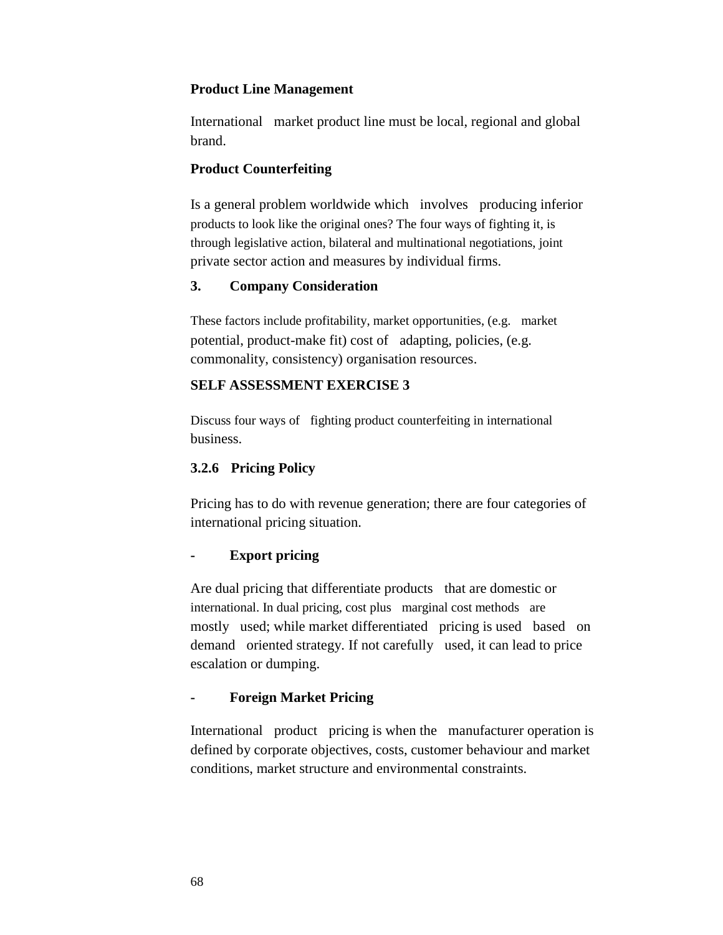### **Product Line Management**

International market product line must be local, regional and global brand.

### **Product Counterfeiting**

Is a general problem worldwide which involves producing inferior products to look like the original ones? The four ways of fighting it, is through legislative action, bilateral and multinational negotiations, joint private sector action and measures by individual firms.

#### **3. Company Consideration**

These factors include profitability, market opportunities, (e.g. market potential, product-make fit) cost of adapting, policies, (e.g. commonality, consistency) organisation resources.

#### **SELF ASSESSMENT EXERCISE 3**

Discuss four ways of fighting product counterfeiting in international business.

#### **3.2.6 Pricing Policy**

Pricing has to do with revenue generation; there are four categories of international pricing situation.

#### **- Export pricing**

Are dual pricing that differentiate products that are domestic or international. In dual pricing, cost plus marginal cost methods are mostly used; while market differentiated pricing is used based on demand oriented strategy. If not carefully used, it can lead to price escalation or dumping.

#### **- Foreign Market Pricing**

International product pricing is when the manufacturer operation is defined by corporate objectives, costs, customer behaviour and market conditions, market structure and environmental constraints.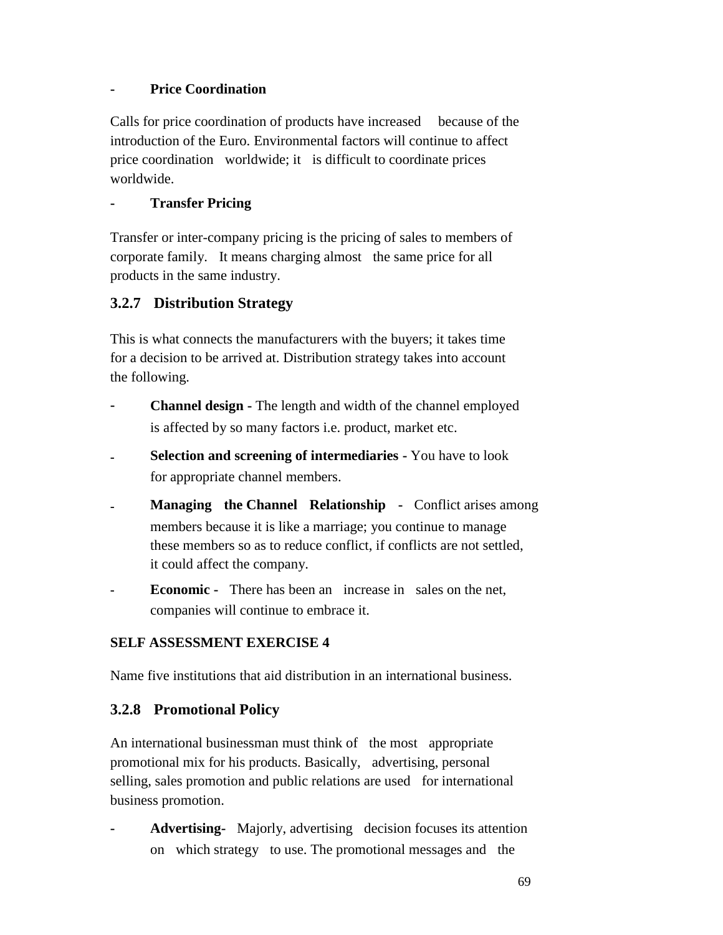### **- Price Coordination**

Calls for price coordination of products have increased because of the introduction of the Euro. Environmental factors will continue to affect price coordination worldwide; it is difficult to coordinate prices worldwide.

### **- Transfer Pricing**

Transfer or inter-company pricing is the pricing of sales to members of corporate family. It means charging almost the same price for all products in the same industry.

# **3.2.7 Distribution Strategy**

This is what connects the manufacturers with the buyers; it takes time for a decision to be arrived at. Distribution strategy takes into account the following.

- **- Channel design -** The length and width of the channel employed is affected by so many factors i.e. product, market etc.
- **- Selection and screening of intermediaries -** You have to look for appropriate channel members.
- **- Managing the Channel Relationship -** Conflict arises among members because it is like a marriage; you continue to manage these members so as to reduce conflict, if conflicts are not settled, it could affect the company.
- **- Economic -** There has been an increase in sales on the net, companies will continue to embrace it.

# **SELF ASSESSMENT EXERCISE 4**

Name five institutions that aid distribution in an international business.

# **3.2.8 Promotional Policy**

An international businessman must think of the most appropriate promotional mix for his products. Basically, advertising, personal selling, sales promotion and public relations are used for international business promotion.

**- Advertising-** Majorly, advertising decision focuses its attention on which strategy to use. The promotional messages and the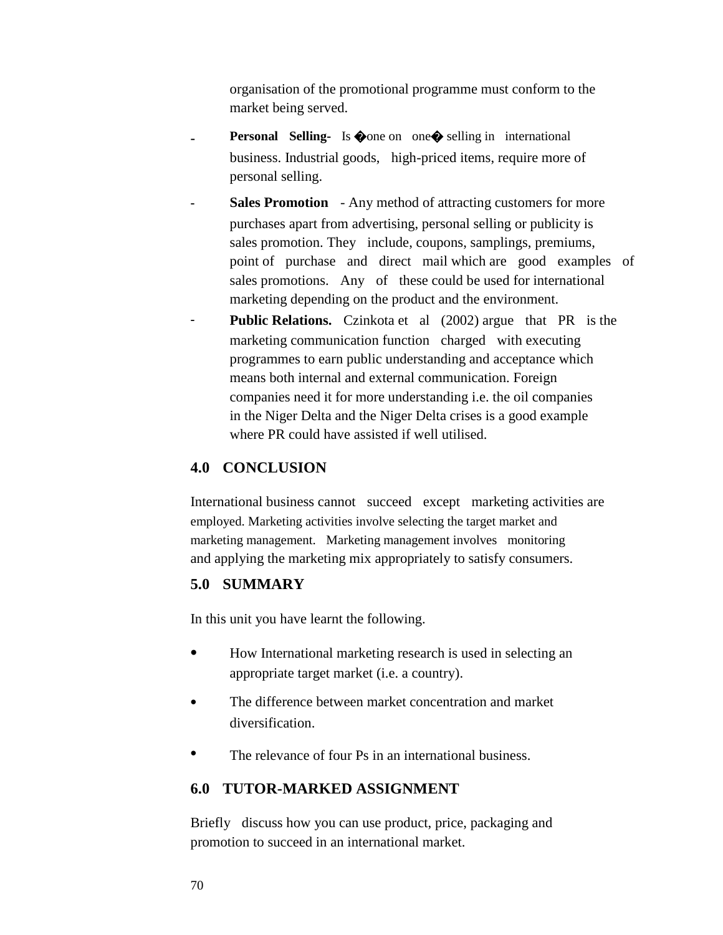organisation of the promotional programme must conform to the market being served.

- **- Personal Selling-** Is  $\diamondsuit$  one on one  $\diamondsuit$  selling in international business. Industrial goods, high-priced items, require more of personal selling.
- **- Sales Promotion** - Any method of attracting customers for more purchases apart from advertising, personal selling or publicity is sales promotion. They include, coupons, samplings, premiums, point of purchase and direct mail which are good examples of sales promotions. Any of these could be used for international marketing depending on the product and the environment.
- **- Public Relations.** Czinkota et al (2002) argue that PR is the marketing communication function charged with executing programmes to earn public understanding and acceptance which means both internal and external communication. Foreign companies need it for more understanding i.e. the oil companies in the Niger Delta and the Niger Delta crises is a good example where PR could have assisted if well utilised.

# **4.0 CONCLUSION**

International business cannot succeed except marketing activities are employed. Marketing activities involve selecting the target market and marketing management. Marketing management involves monitoring and applying the marketing mix appropriately to satisfy consumers.

### **5.0 SUMMARY**

In this unit you have learnt the following.

- $\bullet$ How International marketing research is used in selecting an appropriate target market (i.e. a country).
- $\bullet$ The difference between market concentration and market diversification.
- $\bullet$ The relevance of four Ps in an international business.

### **6.0 TUTOR-MARKED ASSIGNMENT**

Briefly discuss how you can use product, price, packaging and promotion to succeed in an international market.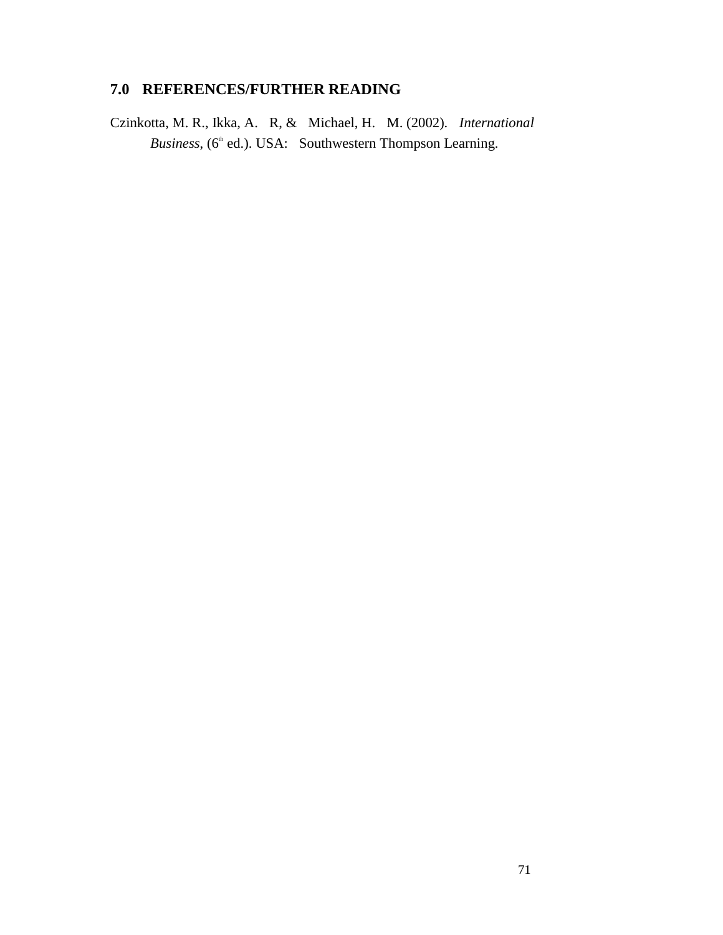# **7.0 REFERENCES/FURTHER READING**

Czinkotta, M. R., Ikka, A. R, & Michael, H. M. (2002). *International Business*, (6<sup>th</sup> ed.). USA: Southwestern Thompson Learning.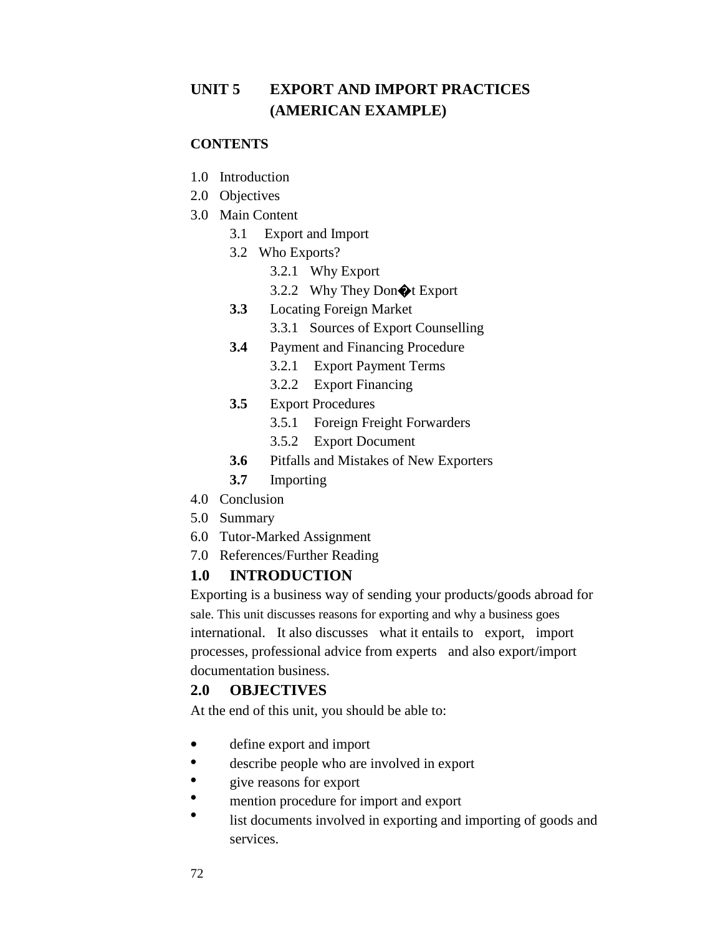# **UNIT 5 EXPORT AND IMPORT PRACTICES (AMERICAN EXAMPLE)**

### **CONTENTS**

- 1.0 Introduction
- 2.0 Objectives
- 3.0 Main Content
	- 3.1 Export and Import
	- 3.2 Who Exports?
		- 3.2.1 Why Export
		- 3.2.2 Why They Don�t Export
	- **3.3** Locating Foreign Market
		- 3.3.1 Sources of Export Counselling
	- **3.4** Payment and Financing Procedure
		- 3.2.1 Export Payment Terms
		- 3.2.2 Export Financing
	- **3.5** Export Procedures
		- 3.5.1 Foreign Freight Forwarders
		- 3.5.2 Export Document
	- **3.6** Pitfalls and Mistakes of New Exporters
	- **3.7** Importing
- 4.0 Conclusion
- 5.0 Summary
- 6.0 Tutor-Marked Assignment
- 7.0 References/Further Reading

#### **1.0 INTRODUCTION**

Exporting is a business way of sending your products/goods abroad for sale. This unit discusses reasons for exporting and why a business goes international. It also discusses what it entails to export, import processes, professional advice from experts and also export/import documentation business.

### **2.0 OBJECTIVES**

At the end of this unit, you should be able to:

- $\bullet$ define export and import
- $\bullet$ describe people who are involved in export
- $\bullet$ give reasons for export
- $\bullet$ mention procedure for import and export
- $\bullet$ list documents involved in exporting and importing of goods and services.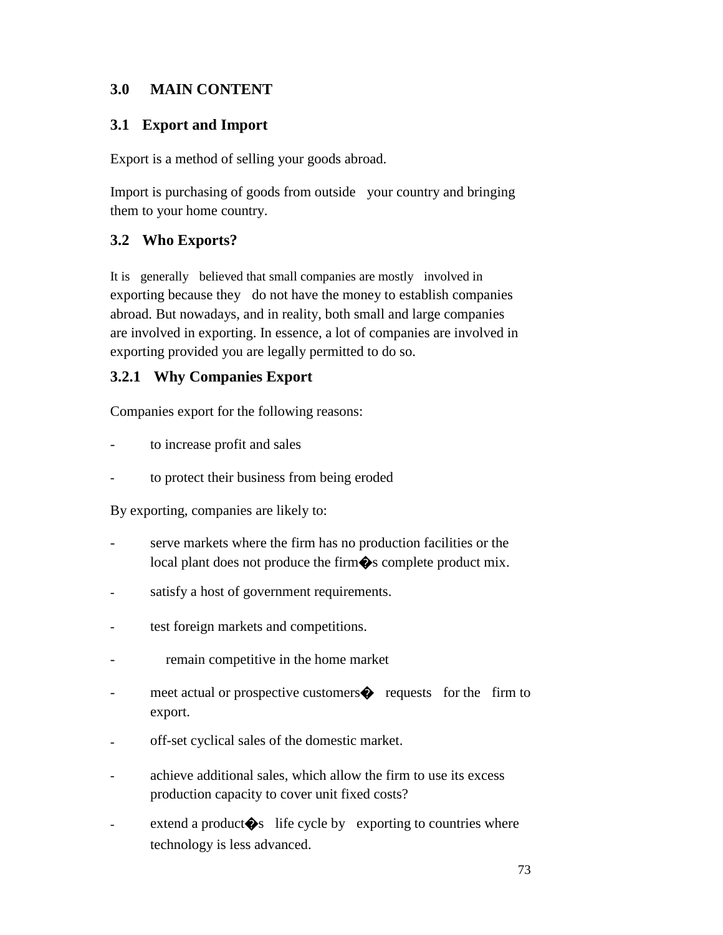# **3.0 MAIN CONTENT**

# **3.1 Export and Import**

Export is a method of selling your goods abroad.

Import is purchasing of goods from outside your country and bringing them to your home country.

# **3.2 Who Exports?**

It is generally believed that small companies are mostly involved in exporting because they do not have the money to establish companies abroad. But nowadays, and in reality, both small and large companies are involved in exporting. In essence, a lot of companies are involved in exporting provided you are legally permitted to do so.

# **3.2.1 Why Companies Export**

Companies export for the following reasons:

- to increase profit and sales
- to protect their business from being eroded

By exporting, companies are likely to:

- serve markets where the firm has no production facilities or the local plant does not produce the firm  $\bullet$ s complete product mix.
- satisfy a host of government requirements.
- test foreign markets and competitions.
- remain competitive in the home market
- meet actual or prospective customers $\diamondsuit$  requests for the firm to export.
- off-set cyclical sales of the domestic market.
- achieve additional sales, which allow the firm to use its excess production capacity to cover unit fixed costs?
- extend a product $\bullet$ s life cycle by exporting to countries where technology is less advanced.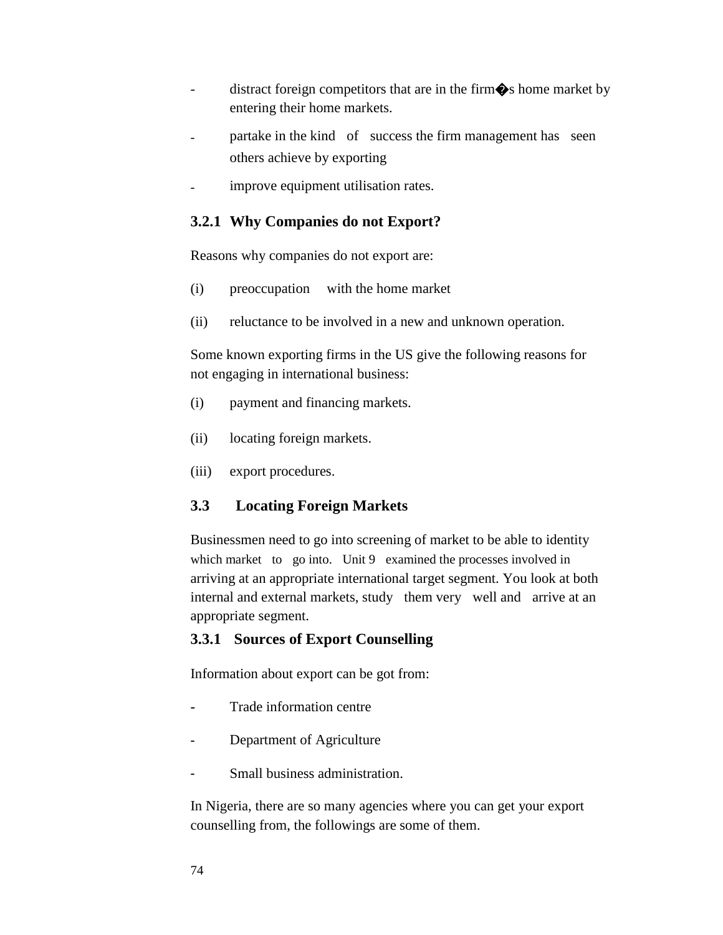- distract foreign competitors that are in the firm  $\bullet$ s home market by entering their home markets.
- partake in the kind of success the firm management has seen others achieve by exporting
- improve equipment utilisation rates.

# **3.2.1 Why Companies do not Export?**

Reasons why companies do not export are:

- (i) preoccupation with the home market
- (ii) reluctance to be involved in a new and unknown operation.

Some known exporting firms in the US give the following reasons for not engaging in international business:

- (i) payment and financing markets.
- (ii) locating foreign markets.
- (iii) export procedures.

# **3.3 Locating Foreign Markets**

Businessmen need to go into screening of market to be able to identity which market to go into. Unit 9 examined the processes involved in arriving at an appropriate international target segment. You look at both internal and external markets, study them very well and arrive at an appropriate segment.

# **3.3.1 Sources of Export Counselling**

Information about export can be got from:

- **-** Trade information centre
- **-** Department of Agriculture
- **-** Small business administration.

In Nigeria, there are so many agencies where you can get your export counselling from, the followings are some of them.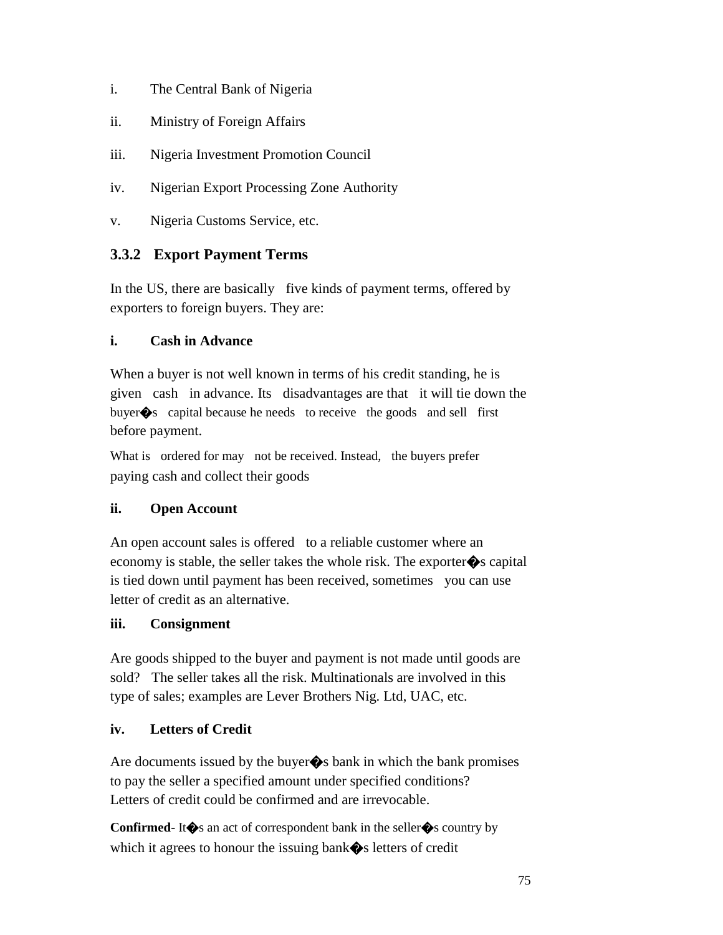- i. The Central Bank of Nigeria
- ii. Ministry of Foreign Affairs
- iii. Nigeria Investment Promotion Council
- iv. Nigerian Export Processing Zone Authority
- v. Nigeria Customs Service, etc.

# **3.3.2 Export Payment Terms**

In the US, there are basically five kinds of payment terms, offered by exporters to foreign buyers. They are:

### **i. Cash in Advance**

When a buyer is not well known in terms of his credit standing, he is given cash in advance. Its disadvantages are that it will tie down the buyer�s capital because he needs to receive the goods and sell first before payment.

What is ordered for may not be received. Instead, the buyers prefer paying cash and collect their goods

### **ii. Open Account**

An open account sales is offered to a reliable customer where an economy is stable, the seller takes the whole risk. The exporter�s capital is tied down until payment has been received, sometimes you can use letter of credit as an alternative.

### **iii. Consignment**

Are goods shipped to the buyer and payment is not made until goods are sold? The seller takes all the risk. Multinationals are involved in this type of sales; examples are Lever Brothers Nig. Ltd, UAC, etc.

### **iv. Letters of Credit**

Are documents issued by the buyer $\diamondsuit$ s bank in which the bank promises to pay the seller a specified amount under specified conditions? Letters of credit could be confirmed and are irrevocable.

**Confirmed-It** $\hat{\mathbf{\bullet}}$  an act of correspondent bank in the seller  $\hat{\mathbf{\bullet}}$  country by which it agrees to honour the issuing bank $\diamond$ s letters of credit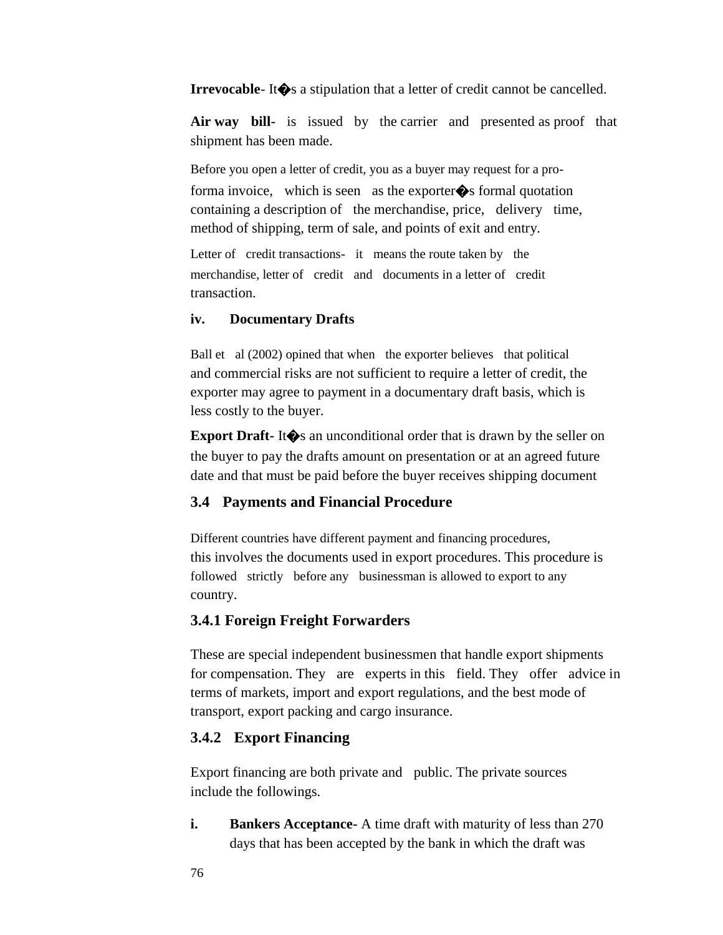**Irrevocable**- It $\diamondsuit$  a stipulation that a letter of credit cannot be cancelled.

Air way bill- is issued by the carrier and presented as proof that shipment has been made.

Before you open a letter of credit, you as a buyer may request for a proforma invoice, which is seen as the exporter  $\diamond$  formal quotation containing a description of the merchandise, price, delivery time, method of shipping, term of sale, and points of exit and entry.

Letter of credit transactions- it means the route taken by the merchandise, letter of credit and documents in a letter of credit transaction.

#### **iv. Documentary Drafts**

Ball et al (2002) opined that when the exporter believes that political and commercial risks are not sufficient to require a letter of credit, the exporter may agree to payment in a documentary draft basis, which is less costly to the buyer.

**Export Draft-** It  $\diamondsuit$  an unconditional order that is drawn by the seller on the buyer to pay the drafts amount on presentation or at an agreed future date and that must be paid before the buyer receives shipping document

### **3.4 Payments and Financial Procedure**

Different countries have different payment and financing procedures, this involves the documents used in export procedures. This procedure is followed strictly before any businessman is allowed to export to any country.

#### **3.4.1 Foreign Freight Forwarders**

These are special independent businessmen that handle export shipments for compensation. They are experts in this field. They offer advice in terms of markets, import and export regulations, and the best mode of transport, export packing and cargo insurance.

#### **3.4.2 Export Financing**

Export financing are both private and public. The private sources include the followings.

**i. Bankers Acceptance-** A time draft with maturity of less than 270 days that has been accepted by the bank in which the draft was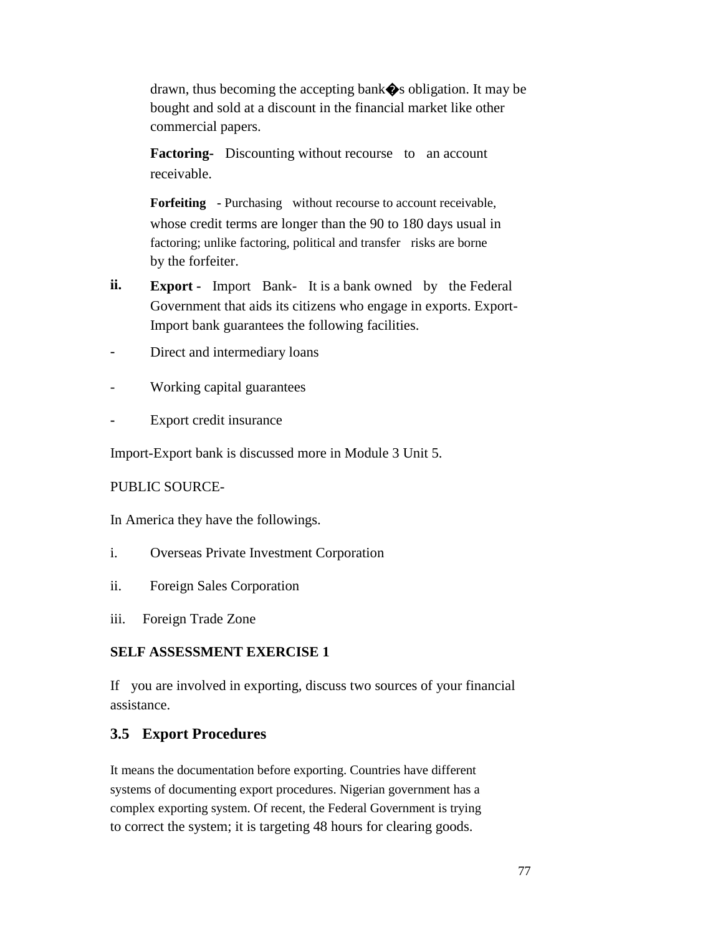drawn, thus becoming the accepting bank�s obligation. It may be bought and sold at a discount in the financial market like other commercial papers.

**Factoring-** Discounting without recourse to an account receivable.

**Forfeiting -** Purchasing without recourse to account receivable, whose credit terms are longer than the 90 to 180 days usual in factoring; unlike factoring, political and transfer risks are borne by the forfeiter.

- **ii. Export -** Import Bank- It is a bank owned by the Federal Government that aids its citizens who engage in exports. Export-Import bank guarantees the following facilities.
- **-** Direct and intermediary loans
- Working capital guarantees
- **-** Export credit insurance

Import-Export bank is discussed more in Module 3 Unit 5.

#### PUBLIC SOURCE-

In America they have the followings.

- i. Overseas Private Investment Corporation
- ii. Foreign Sales Corporation
- iii. Foreign Trade Zone

### **SELF ASSESSMENT EXERCISE 1**

If you are involved in exporting, discuss two sources of your financial assistance.

### **3.5 Export Procedures**

It means the documentation before exporting. Countries have different systems of documenting export procedures. Nigerian government has a complex exporting system. Of recent, the Federal Government is trying to correct the system; it is targeting 48 hours for clearing goods.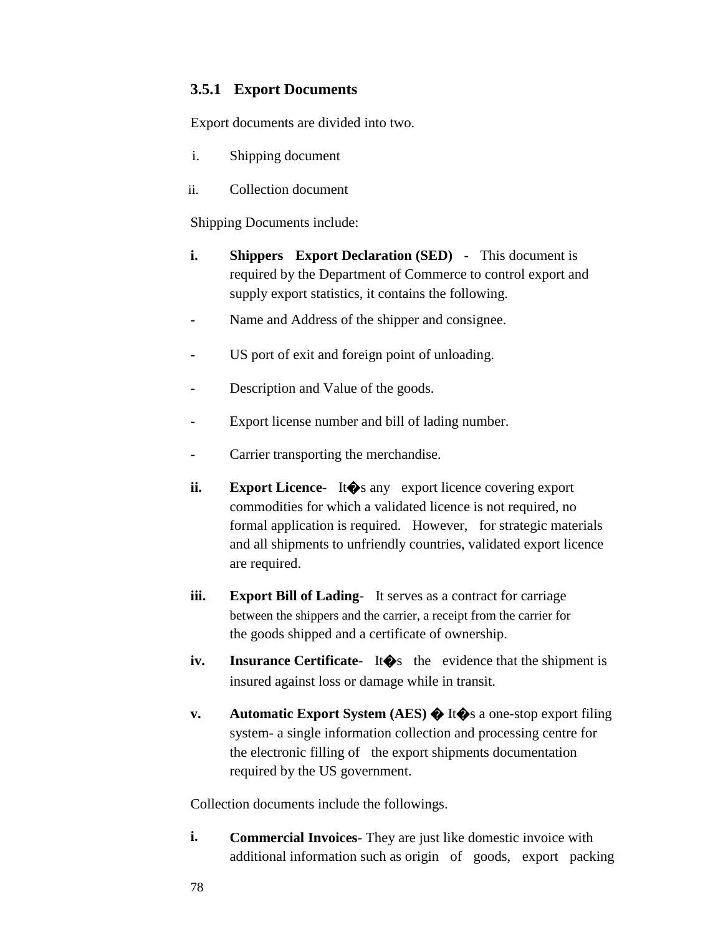# **3.5.1 Export Documents**

Export documents are divided into two.

- i. Shipping document
- ii. Collection document

Shipping Documents include:

- **i. Shippers Export Declaration (SED)** - This document is required by the Department of Commerce to control export and supply export statistics, it contains the following.
- **-** Name and Address of the shipper and consignee.
- **-** US port of exit and foreign point of unloading.
- **-** Description and Value of the goods.
- **-** Export license number and bill of lading number.
- **-** Carrier transporting the merchandise.
- **ii. Export Licence**- It  $\diamondsuit$  any export licence covering export commodities for which a validated licence is not required, no formal application is required. However, for strategic materials and all shipments to unfriendly countries, validated export licence are required.
- **iii. Export Bill of Lading** It serves as a contract for carriage between the shippers and the carrier, a receipt from the carrier for the goods shipped and a certificate of ownership.
- **iv. Insurance Certificate** It  $\bullet$ s the evidence that the shipment is insured against loss or damage while in transit.
- **v. Automatic Export System (AES)**  $\diamondsuit$  **It** $\diamondsuit$  a one-stop export filing system- a single information collection and processing centre for the electronic filling of the export shipments documentation required by the US government.

Collection documents include the followings.

**i. Commercial Invoices**- They are just like domestic invoice with additional information such as origin of goods, export packing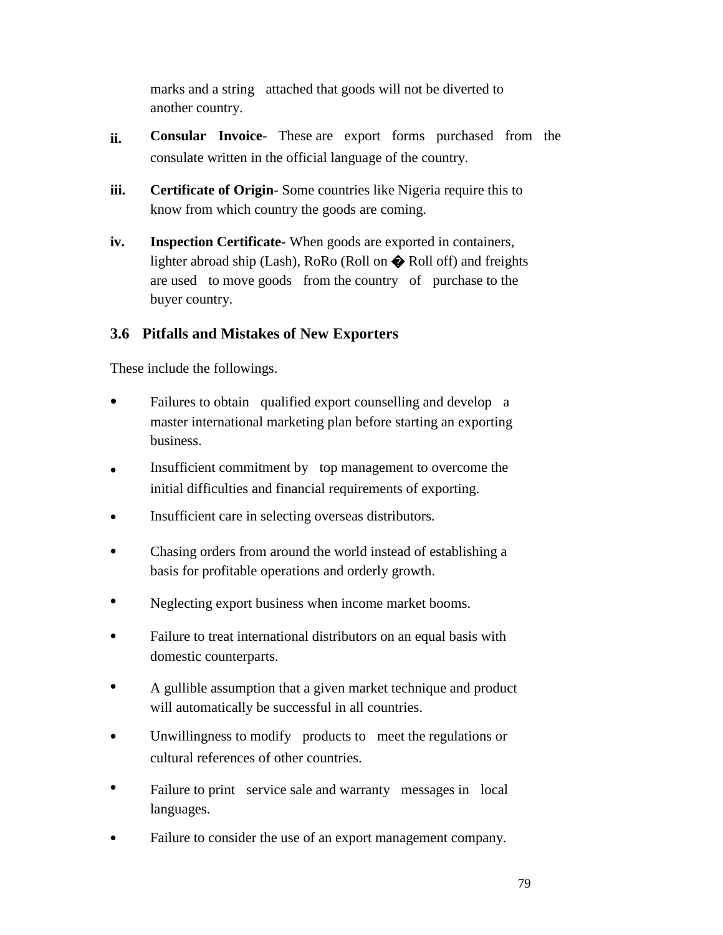marks and a string attached that goods will not be diverted to another country.

- **ii. Consular Invoice**- These are export forms purchased from the consulate written in the official language of the country.
- **iii. Certificate of Origin-** Some countries like Nigeria require this to know from which country the goods are coming.
- **iv. Inspection Certificate-** When goods are exported in containers, lighter abroad ship (Lash), RoRo (Roll on � Roll off) and freights are used to move goods from the country of purchase to the buyer country.

# **3.6 Pitfalls and Mistakes of New Exporters**

These include the followings.

- $\bullet$ Failures to obtain qualified export counselling and develop a master international marketing plan before starting an exporting business.
- $\bullet$ Insufficient commitment by top management to overcome the initial difficulties and financial requirements of exporting.
- $\bullet$ Insufficient care in selecting overseas distributors.
- $\bullet$ Chasing orders from around the world instead of establishing a basis for profitable operations and orderly growth.
- $\bullet$ Neglecting export business when income market booms.
- $\bullet$ Failure to treat international distributors on an equal basis with domestic counterparts.
- $\bullet$ A gullible assumption that a given market technique and product will automatically be successful in all countries.
- $\bullet$ Unwillingness to modify products to meet the regulations or cultural references of other countries.
- $\bullet$ Failure to print service sale and warranty messages in local languages.
- $\bullet$ Failure to consider the use of an export management company.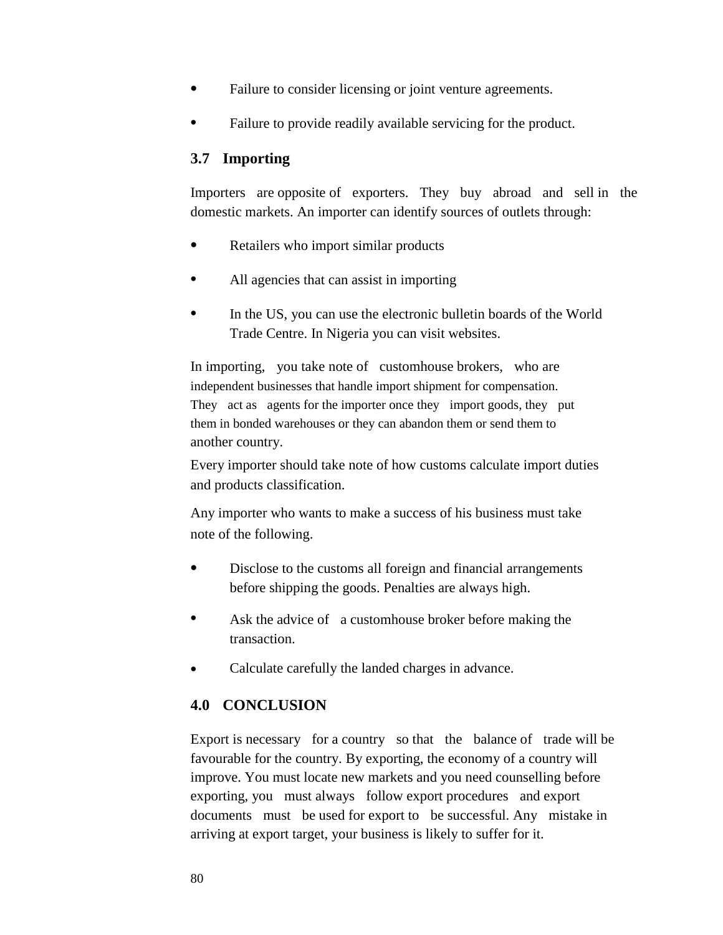- $\bullet$ Failure to consider licensing or joint venture agreements.
- $\bullet$ Failure to provide readily available servicing for the product.

#### **3.7 Importing**

Importers are opposite of exporters. They buy abroad and sell in the domestic markets. An importer can identify sources of outlets through:

- $\bullet$ Retailers who import similar products
- $\bullet$ All agencies that can assist in importing
- $\bullet$ In the US, you can use the electronic bulletin boards of the World Trade Centre. In Nigeria you can visit websites.

In importing, you take note of customhouse brokers, who are independent businesses that handle import shipment for compensation. They act as agents for the importer once they import goods, they put them in bonded warehouses or they can abandon them or send them to another country.

Every importer should take note of how customs calculate import duties and products classification.

Any importer who wants to make a success of his business must take note of the following.

- $\bullet$ Disclose to the customs all foreign and financial arrangements before shipping the goods. Penalties are always high.
- $\bullet$ Ask the advice of a customhouse broker before making the transaction.
- $\bullet$ Calculate carefully the landed charges in advance.

#### **4.0 CONCLUSION**

Export is necessary for a country so that the balance of trade will be favourable for the country. By exporting, the economy of a country will improve. You must locate new markets and you need counselling before exporting, you must always follow export procedures and export documents must be used for export to be successful. Any mistake in arriving at export target, your business is likely to suffer for it.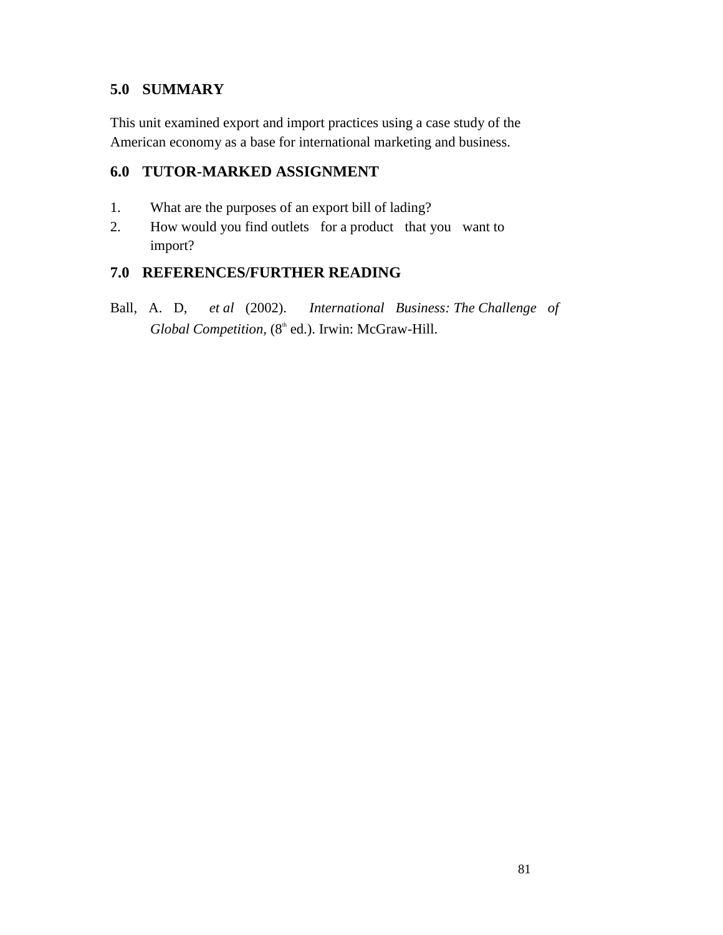# **5.0 SUMMARY**

This unit examined export and import practices using a case study of the American economy as a base for international marketing and business.

# **6.0 TUTOR-MARKED ASSIGNMENT**

- 1. What are the purposes of an export bill of lading?
- 2. How would you find outlets for a product that you want to import?

# **7.0 REFERENCES/FURTHER READING**

Ball, A. D, *et al* (2002). *International Business: The Challenge of Global Competition,* (8<sup>th</sup> ed.). Irwin: McGraw-Hill.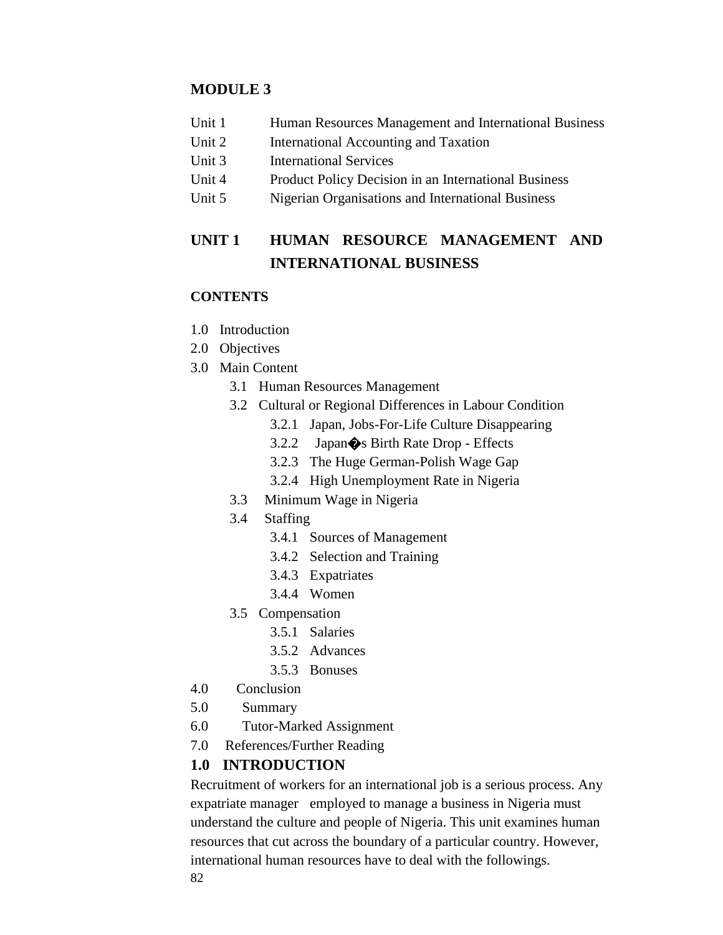### **MODULE 3**

- Unit 1 Human Resources Management and International Business
- Unit 2 International Accounting and Taxation
- Unit 3 International Services
- Unit 4 Product Policy Decision in an International Business
- Unit 5 Nigerian Organisations and International Business

#### **UNIT 1 HUMAN RESOURCE MANAGEMENT AND INTERNATIONAL BUSINESS**

#### **CONTENTS**

- 1.0 Introduction
- 2.0 Objectives
- 3.0 Main Content
	- 3.1 Human Resources Management
	- 3.2 Cultural or Regional Differences in Labour Condition
		- 3.2.1 Japan, Jobs-For-Life Culture Disappearing
		- 3.2.2 Japan�s Birth Rate Drop Effects
		- 3.2.3 The Huge German-Polish Wage Gap
		- 3.2.4 High Unemployment Rate in Nigeria
	- 3.3 Minimum Wage in Nigeria
	- 3.4 Staffing
		- 3.4.1 Sources of Management
		- 3.4.2 Selection and Training
		- 3.4.3 Expatriates
		- 3.4.4 Women
	- 3.5 Compensation
		- 3.5.1 Salaries
		- 3.5.2 Advances
		- 3.5.3 Bonuses
- 4.0 Conclusion
- 5.0 Summary
- 6.0 Tutor-Marked Assignment
- 7.0 References/Further Reading

#### **1.0 INTRODUCTION**

Recruitment of workers for an international job is a serious process. Any expatriate manager employed to manage a business in Nigeria must understand the culture and people of Nigeria. This unit examines human resources that cut across the boundary of a particular country. However, international human resources have to deal with the followings. 82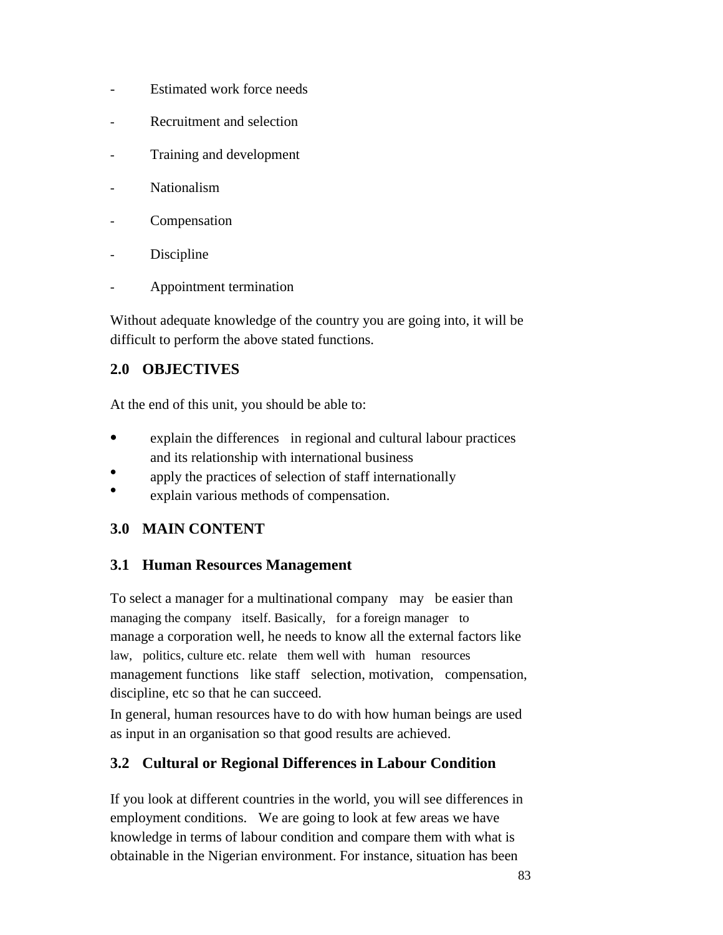- Estimated work force needs
- Recruitment and selection
- Training and development
- Nationalism
- Compensation
- Discipline
- Appointment termination

Without adequate knowledge of the country you are going into, it will be difficult to perform the above stated functions.

# **2.0 OBJECTIVES**

At the end of this unit, you should be able to:

- $\bullet$ explain the differences in regional and cultural labour practices and its relationship with international business
- $\bullet$ apply the practices of selection of staff internationally
- $\bullet$ explain various methods of compensation.

# **3.0 MAIN CONTENT**

### **3.1 Human Resources Management**

To select a manager for a multinational company may be easier than managing the company itself. Basically, for a foreign manager to manage a corporation well, he needs to know all the external factors like law, politics, culture etc. relate them well with human resources management functions like staff selection, motivation, compensation, discipline, etc so that he can succeed.

In general, human resources have to do with how human beings are used as input in an organisation so that good results are achieved.

# **3.2 Cultural or Regional Differences in Labour Condition**

If you look at different countries in the world, you will see differences in employment conditions. We are going to look at few areas we have knowledge in terms of labour condition and compare them with what is obtainable in the Nigerian environment. For instance, situation has been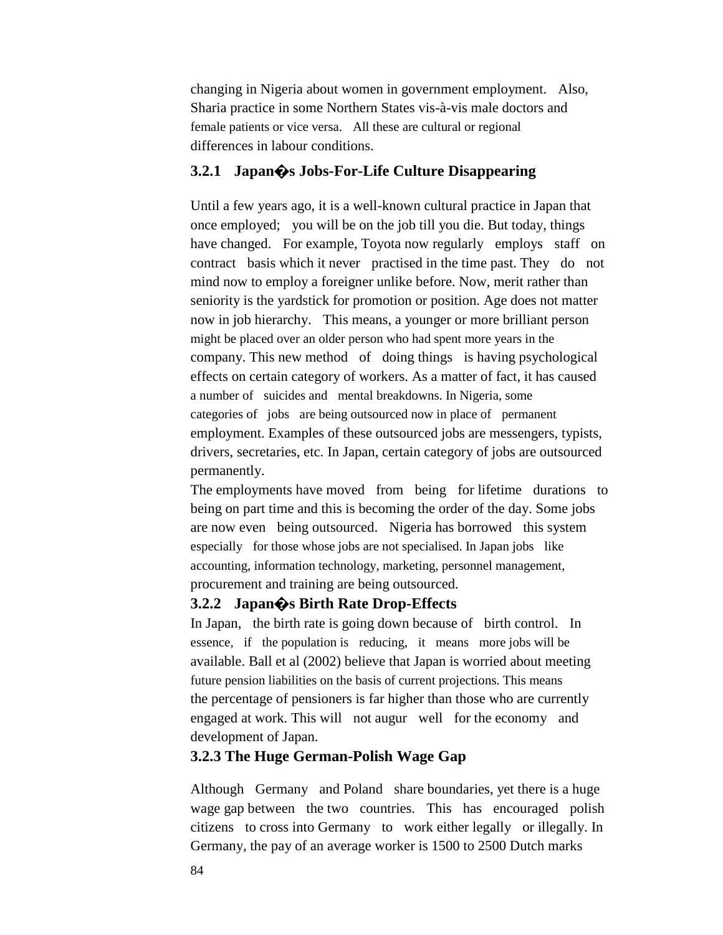changing in Nigeria about women in government employment. Also, Sharia practice in some Northern States vis-à-vis male doctors and female patients or vice versa. All these are cultural or regional differences in labour conditions.

### **3.2.1 Japan�s Jobs-For-Life Culture Disappearing**

Until a few years ago, it is a well-known cultural practice in Japan that once employed; you will be on the job till you die. But today, things have changed. For example, Toyota now regularly employs staff on contract basis which it never practised in the time past. They do not mind now to employ a foreigner unlike before. Now, merit rather than seniority is the yardstick for promotion or position. Age does not matter now in job hierarchy. This means, a younger or more brilliant person might be placed over an older person who had spent more years in the company. This new method of doing things is having psychological effects on certain category of workers. As a matter of fact, it has caused a number of suicides and mental breakdowns. In Nigeria, some categories of jobs are being outsourced now in place of permanent employment. Examples of these outsourced jobs are messengers, typists, drivers, secretaries, etc. In Japan, certain category of jobs are outsourced permanently.

The employments have moved from being for lifetime durations to being on part time and this is becoming the order of the day. Some jobs are now even being outsourced. Nigeria has borrowed this system especially for those whose jobs are not specialised. In Japan jobs like accounting, information technology, marketing, personnel management, procurement and training are being outsourced.

#### **3.2.2 Japan�s Birth Rate Drop-Effects**

In Japan, the birth rate is going down because of birth control. In essence, if the population is reducing, it means more jobs will be available. Ball et al (2002) believe that Japan is worried about meeting future pension liabilities on the basis of current projections. This means the percentage of pensioners is far higher than those who are currently engaged at work. This will not augur well for the economy and development of Japan.

#### **3.2.3 The Huge German-Polish Wage Gap**

Although Germany and Poland share boundaries, yet there is a huge wage gap between the two countries. This has encouraged polish citizens to cross into Germany to work either legally or illegally. In Germany, the pay of an average worker is 1500 to 2500 Dutch marks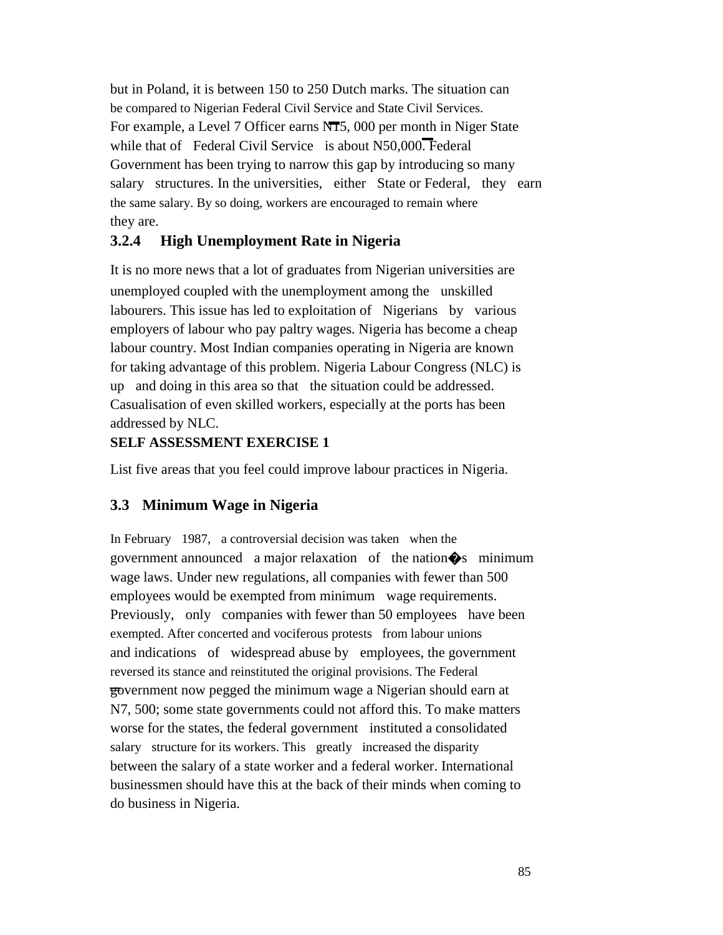but in Poland, it is between 150 to 250 Dutch marks. The situation can be compared to Nigerian Federal Civil Service and State Civil Services. For example, a Level 7 Officer earns NT5, 000 per month in Niger State while that of Federal Civil Service is about N50,000. Federal Government has been trying to narrow this gap by introducing so many salary structures. In the universities, either State or Federal, they earn the same salary. By so doing, workers are encouraged to remain where they are.

## **3.2.4 High Unemployment Rate in Nigeria**

It is no more news that a lot of graduates from Nigerian universities are unemployed coupled with the unemployment among the unskilled labourers. This issue has led to exploitation of Nigerians by various employers of labour who pay paltry wages. Nigeria has become a cheap labour country. Most Indian companies operating in Nigeria are known for taking advantage of this problem. Nigeria Labour Congress (NLC) is up and doing in this area so that the situation could be addressed. Casualisation of even skilled workers, especially at the ports has been addressed by NLC.

### **SELF ASSESSMENT EXERCISE 1**

List five areas that you feel could improve labour practices in Nigeria.

### **3.3 Minimum Wage in Nigeria**

In February 1987, a controversial decision was taken when the government announced a major relaxation of the nation�s minimum wage laws. Under new regulations, all companies with fewer than 500 employees would be exempted from minimum wage requirements. Previously, only companies with fewer than 50 employees have been exempted. After concerted and vociferous protests from labour unions and indications of widespread abuse by employees, the government reversed its stance and reinstituted the original provisions. The Federal government now pegged the minimum wage a Nigerian should earn at N7, 500; some state governments could not afford this. To make matters worse for the states, the federal government instituted a consolidated salary structure for its workers. This greatly increased the disparity between the salary of a state worker and a federal worker. International businessmen should have this at the back of their minds when coming to do business in Nigeria.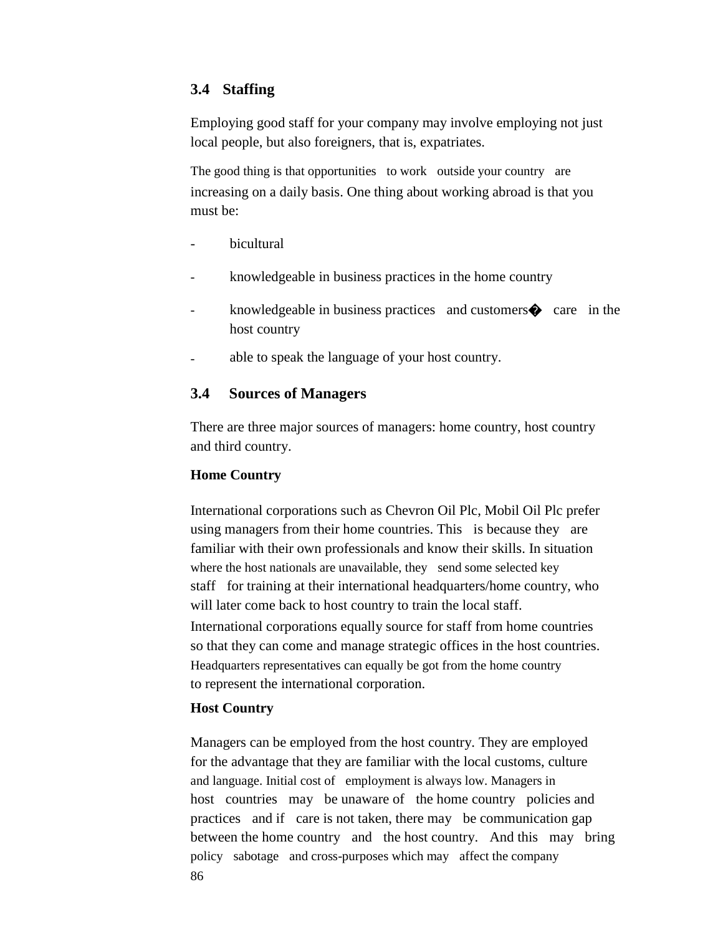# **3.4 Staffing**

Employing good staff for your company may involve employing not just local people, but also foreigners, that is, expatriates.

The good thing is that opportunities to work outside your country are increasing on a daily basis. One thing about working abroad is that you must be:

- bicultural
- knowledgeable in business practices in the home country
- knowledgeable in business practices and customers  $\diamond$  care in the host country
- able to speak the language of your host country.

### **3.4 Sources of Managers**

There are three major sources of managers: home country, host country and third country.

#### **Home Country**

International corporations such as Chevron Oil Plc, Mobil Oil Plc prefer using managers from their home countries. This is because they are familiar with their own professionals and know their skills. In situation where the host nationals are unavailable, they send some selected key staff for training at their international headquarters/home country, who will later come back to host country to train the local staff. International corporations equally source for staff from home countries so that they can come and manage strategic offices in the host countries. Headquarters representatives can equally be got from the home country to represent the international corporation.

#### **Host Country**

Managers can be employed from the host country. They are employed for the advantage that they are familiar with the local customs, culture and language. Initial cost of employment is always low. Managers in host countries may be unaware of the home country policies and practices and if care is not taken, there may be communication gap between the home country and the host country. And this may bring policy sabotage and cross-purposes which may affect the company 86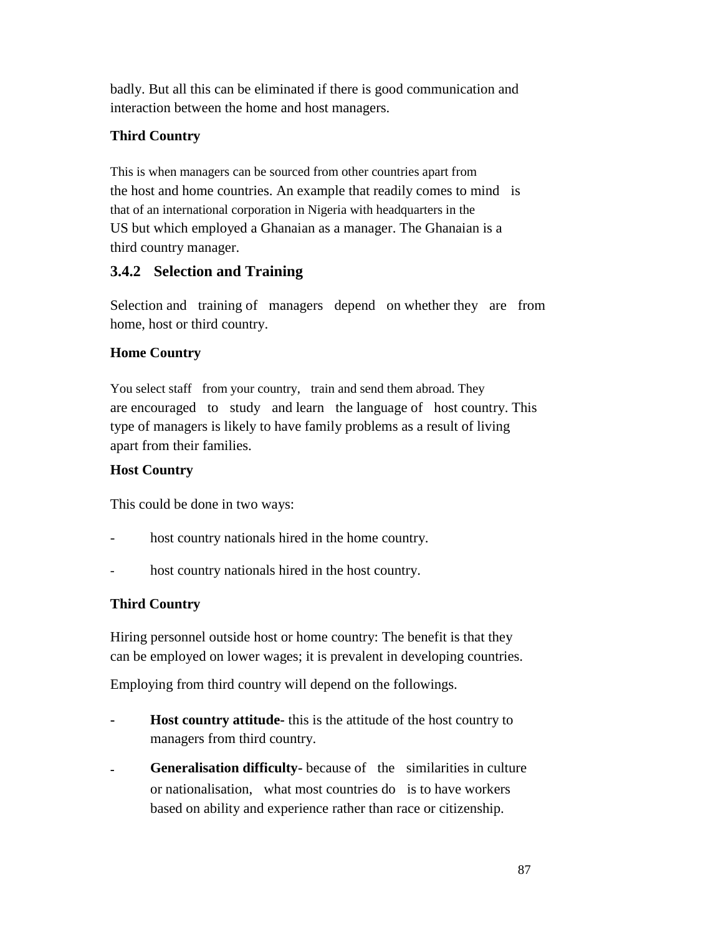badly. But all this can be eliminated if there is good communication and interaction between the home and host managers.

# **Third Country**

This is when managers can be sourced from other countries apart from the host and home countries. An example that readily comes to mind is that of an international corporation in Nigeria with headquarters in the US but which employed a Ghanaian as a manager. The Ghanaian is a third country manager.

# **3.4.2 Selection and Training**

Selection and training of managers depend on whether they are from home, host or third country.

### **Home Country**

You select staff from your country, train and send them abroad. They are encouraged to study and learn the language of host country. This type of managers is likely to have family problems as a result of living apart from their families.

### **Host Country**

This could be done in two ways:

- host country nationals hired in the home country.
- host country nationals hired in the host country.

# **Third Country**

Hiring personnel outside host or home country: The benefit is that they can be employed on lower wages; it is prevalent in developing countries.

Employing from third country will depend on the followings.

- **- Host country attitude-** this is the attitude of the host country to managers from third country.
- **- Generalisation difficulty-** because of the similarities in culture or nationalisation, what most countries do is to have workers based on ability and experience rather than race or citizenship.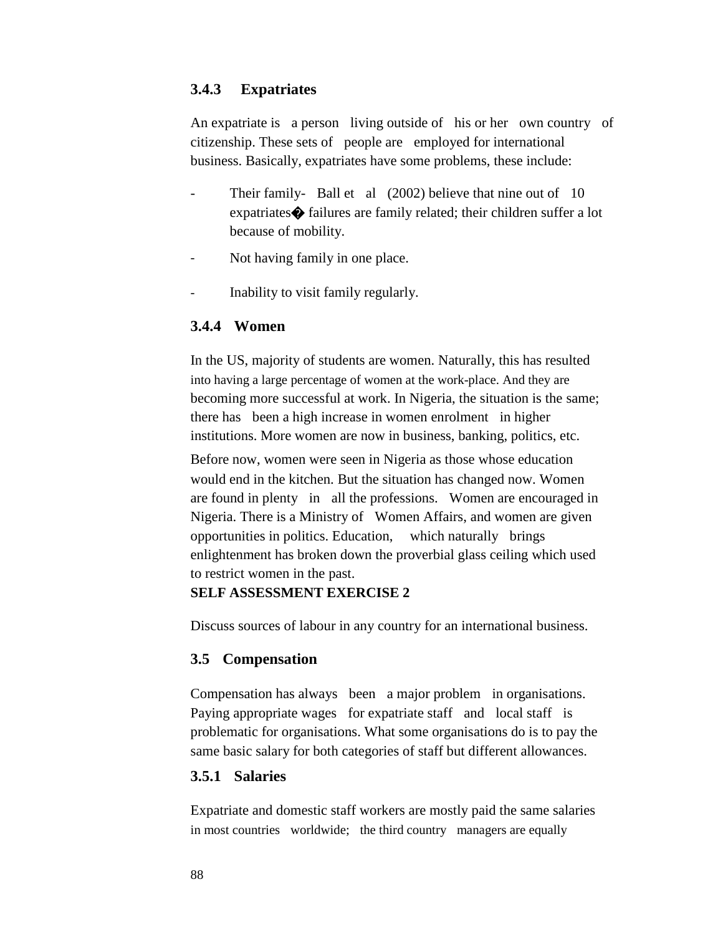### **3.4.3 Expatriates**

An expatriate is a person living outside of his or her own country of citizenship. These sets of people are employed for international business. Basically, expatriates have some problems, these include:

- Their family- Ball et al (2002) believe that nine out of 10 expatriates� failures are family related; their children suffer a lot because of mobility.
- Not having family in one place.
- Inability to visit family regularly.

#### **3.4.4 Women**

In the US, majority of students are women. Naturally, this has resulted into having a large percentage of women at the work-place. And they are becoming more successful at work. In Nigeria, the situation is the same; there has been a high increase in women enrolment in higher institutions. More women are now in business, banking, politics, etc.

Before now, women were seen in Nigeria as those whose education would end in the kitchen. But the situation has changed now. Women are found in plenty in all the professions. Women are encouraged in Nigeria. There is a Ministry of Women Affairs, and women are given opportunities in politics. Education, which naturally brings enlightenment has broken down the proverbial glass ceiling which used to restrict women in the past.

### **SELF ASSESSMENT EXERCISE 2**

Discuss sources of labour in any country for an international business.

#### **3.5 Compensation**

Compensation has always been a major problem in organisations. Paying appropriate wages for expatriate staff and local staff is problematic for organisations. What some organisations do is to pay the same basic salary for both categories of staff but different allowances.

#### **3.5.1 Salaries**

Expatriate and domestic staff workers are mostly paid the same salaries in most countries worldwide; the third country managers are equally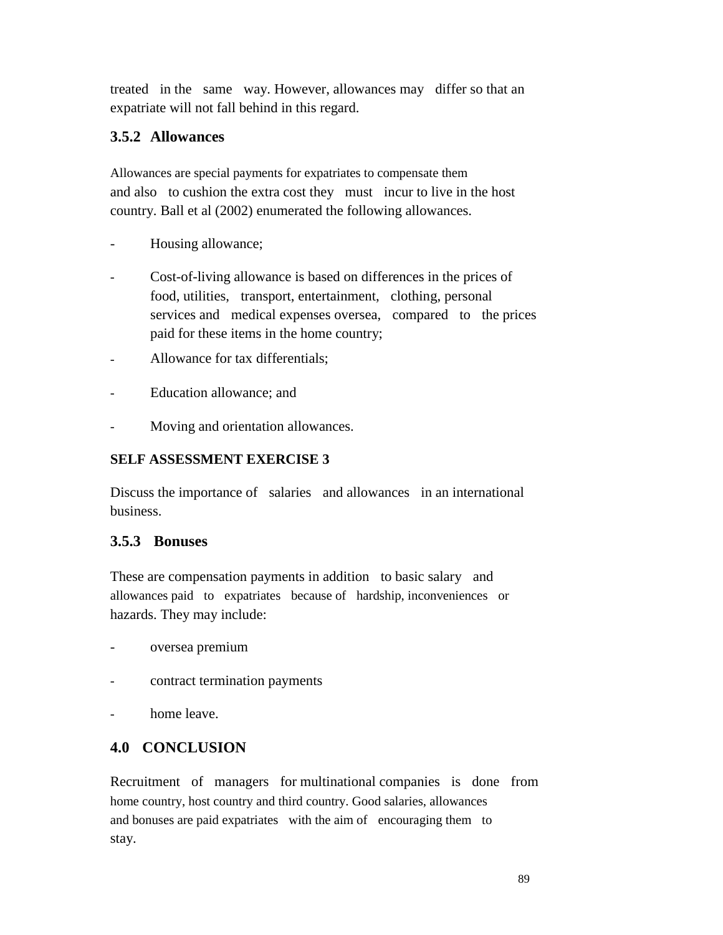treated in the same way. However, allowances may differ so that an expatriate will not fall behind in this regard.

### **3.5.2 Allowances**

Allowances are special payments for expatriates to compensate them and also to cushion the extra cost they must incur to live in the host country. Ball et al (2002) enumerated the following allowances.

- Housing allowance;
- Cost-of-living allowance is based on differences in the prices of food, utilities, transport, entertainment, clothing, personal services and medical expenses oversea, compared to the prices paid for these items in the home country;
- Allowance for tax differentials;
- Education allowance; and
- Moving and orientation allowances.

### **SELF ASSESSMENT EXERCISE 3**

Discuss the importance of salaries and allowances in an international business.

# **3.5.3 Bonuses**

These are compensation payments in addition to basic salary and allowances paid to expatriates because of hardship, inconveniences or hazards. They may include:

- oversea premium
- contract termination payments
- home leave.

# **4.0 CONCLUSION**

Recruitment of managers for multinational companies is done from home country, host country and third country. Good salaries, allowances and bonuses are paid expatriates with the aim of encouraging them to stay.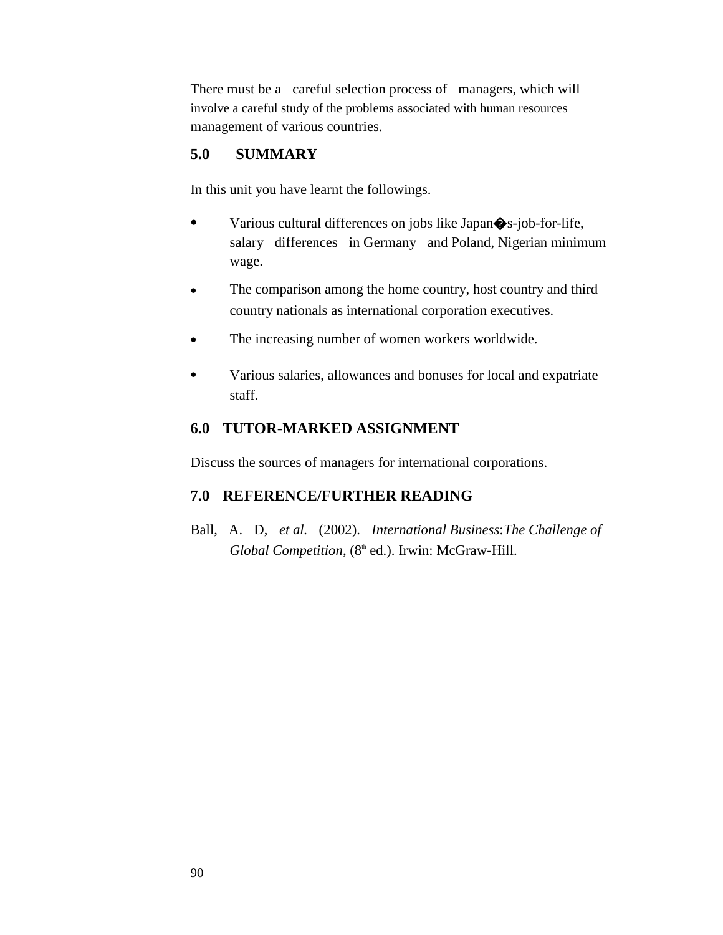There must be a careful selection process of managers, which will involve a careful study of the problems associated with human resources management of various countries.

### **5.0 SUMMARY**

In this unit you have learnt the followings.

- $\bullet$ Various cultural differences on jobs like Japan�s-job-for-life, salary differences in Germany and Poland, Nigerian minimum wage.
- $\bullet$ The comparison among the home country, host country and third country nationals as international corporation executives.
- $\bullet$ The increasing number of women workers worldwide.
- $\bullet$ Various salaries, allowances and bonuses for local and expatriate staff.

### **6.0 TUTOR-MARKED ASSIGNMENT**

Discuss the sources of managers for international corporations.

### **7.0 REFERENCE/FURTHER READING**

Ball, A. D, *et al.* (2002). *International Business*:*The Challenge of Global Competition*, (8<sup>th</sup> ed.). Irwin: McGraw-Hill.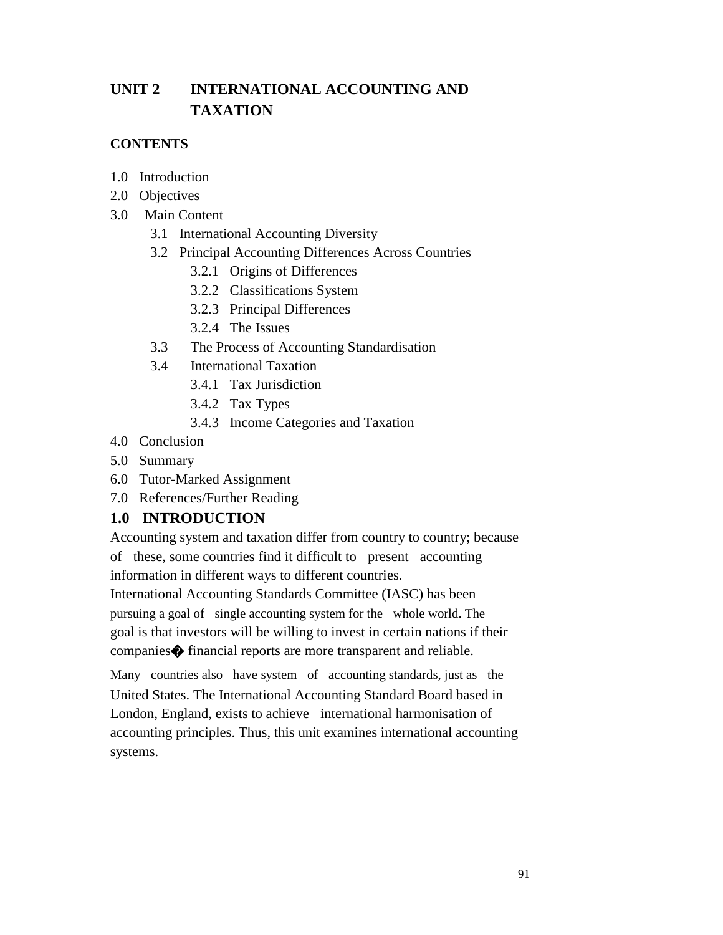# **UNIT 2 INTERNATIONAL ACCOUNTING AND TAXATION**

### **CONTENTS**

- 1.0 Introduction
- 2.0 Objectives
- 3.0 Main Content
	- 3.1 International Accounting Diversity
	- 3.2 Principal Accounting Differences Across Countries
		- 3.2.1 Origins of Differences
		- 3.2.2 Classifications System
		- 3.2.3 Principal Differences
		- 3.2.4 The Issues
	- 3.3 The Process of Accounting Standardisation
	- 3.4 International Taxation
		- 3.4.1 Tax Jurisdiction
		- 3.4.2 Tax Types
		- 3.4.3 Income Categories and Taxation
- 4.0 Conclusion
- 5.0 Summary
- 6.0 Tutor-Marked Assignment
- 7.0 References/Further Reading

# **1.0 INTRODUCTION**

Accounting system and taxation differ from country to country; because of these, some countries find it difficult to present accounting information in different ways to different countries.

International Accounting Standards Committee (IASC) has been pursuing a goal of single accounting system for the whole world. The goal is that investors will be willing to invest in certain nations if their companies� financial reports are more transparent and reliable.

Many countries also have system of accounting standards, just as the United States. The International Accounting Standard Board based in London, England, exists to achieve international harmonisation of accounting principles. Thus, this unit examines international accounting systems.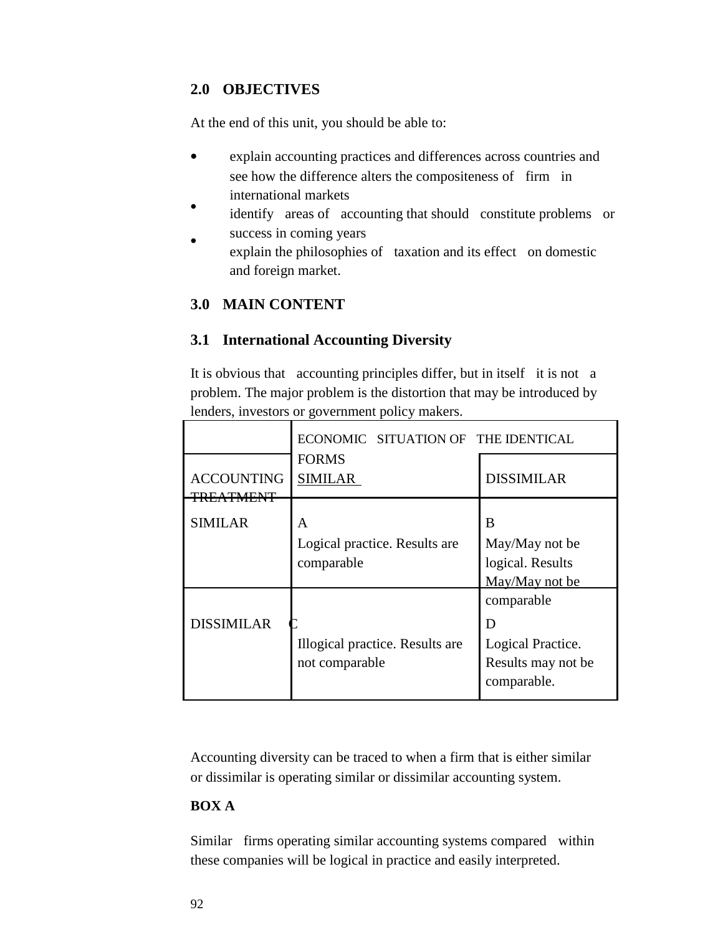# **2.0 OBJECTIVES**

At the end of this unit, you should be able to:

- $\bullet$ explain accounting practices and differences across countries and see how the difference alters the compositeness of firm in
- $\bullet$ international markets
- $\bullet$ identify areas of accounting that should constitute problems or success in coming years
- explain the philosophies of taxation and its effect on domestic and foreign market.

# **3.0 MAIN CONTENT**

### **3.1 International Accounting Diversity**

It is obvious that accounting principles differ, but in itself it is not a problem. The major problem is the distortion that may be introduced by lenders, investors or government policy makers.

|                                | ECONOMIC SITUATION OF THE IDENTICAL               |                                                                           |
|--------------------------------|---------------------------------------------------|---------------------------------------------------------------------------|
| <b>ACCOUNTING</b><br>E A TN ÆN | <b>FORMS</b><br><b>SIMILAR</b>                    | <b>DISSIMILAR</b>                                                         |
| <b>SIMILAR</b>                 | A<br>Logical practice. Results are<br>comparable  | B<br>May/May not be<br>logical. Results<br>May/May not be                 |
| <b>DISSIMILAR</b>              | Illogical practice. Results are<br>not comparable | comparable<br>D<br>Logical Practice.<br>Results may not be<br>comparable. |

Accounting diversity can be traced to when a firm that is either similar or dissimilar is operating similar or dissimilar accounting system.

### **BOX A**

Similar firms operating similar accounting systems compared within these companies will be logical in practice and easily interpreted.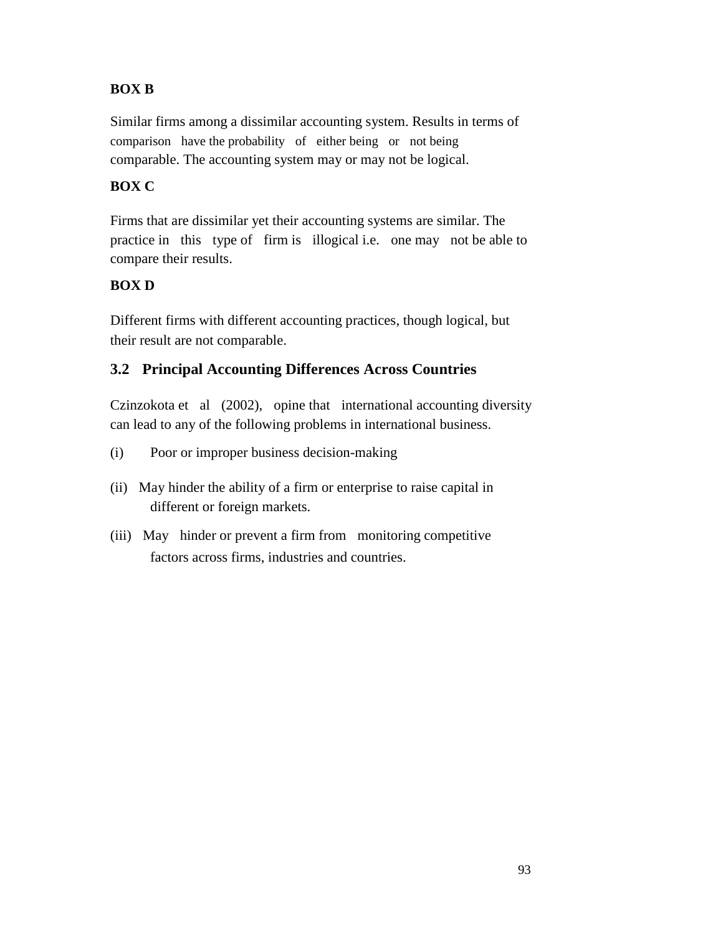# **BOX B**

Similar firms among a dissimilar accounting system. Results in terms of comparison have the probability of either being or not being comparable. The accounting system may or may not be logical.

# **BOX C**

Firms that are dissimilar yet their accounting systems are similar. The practice in this type of firm is illogical i.e. one may not be able to compare their results.

# **BOX D**

Different firms with different accounting practices, though logical, but their result are not comparable.

# **3.2 Principal Accounting Differences Across Countries**

Czinzokota et al (2002), opine that international accounting diversity can lead to any of the following problems in international business.

- (i) Poor or improper business decision-making
- (ii) May hinder the ability of a firm or enterprise to raise capital in different or foreign markets*.*
- (iii) May hinder or prevent a firm from monitoring competitive factors across firms, industries and countries.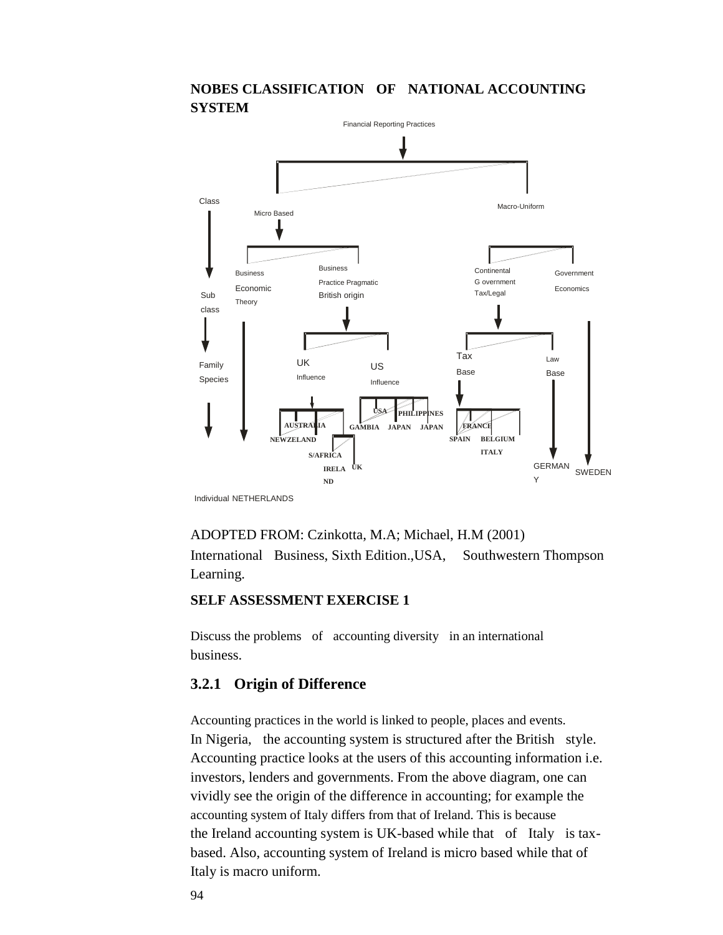### **NOBES CLASSIFICATION OF NATIONAL ACCOUNTING SYSTEM**



Individual NETHERLANDS

# ADOPTED FROM: Czinkotta, M.A; Michael, H.M (2001) International Business, Sixth Edition.,USA, Southwestern Thompson Learning.

#### **SELF ASSESSMENT EXERCISE 1**

Discuss the problems of accounting diversity in an international business.

#### **3.2.1 Origin of Difference**

Accounting practices in the world is linked to people, places and events. In Nigeria, the accounting system is structured after the British style. Accounting practice looks at the users of this accounting information i.e. investors, lenders and governments. From the above diagram, one can vividly see the origin of the difference in accounting; for example the accounting system of Italy differs from that of Ireland. This is because the Ireland accounting system is UK-based while that of Italy is taxbased. Also, accounting system of Ireland is micro based while that of Italy is macro uniform.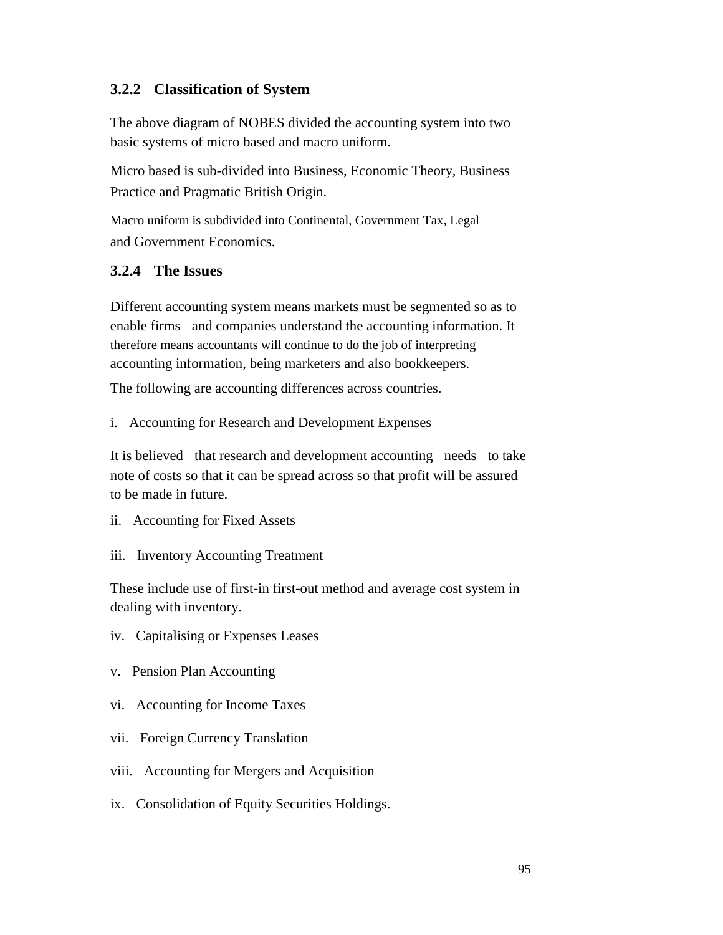# **3.2.2 Classification of System**

The above diagram of NOBES divided the accounting system into two basic systems of micro based and macro uniform.

Micro based is sub-divided into Business, Economic Theory, Business Practice and Pragmatic British Origin.

Macro uniform is subdivided into Continental, Government Tax, Legal and Government Economics.

## **3.2.4 The Issues**

Different accounting system means markets must be segmented so as to enable firms and companies understand the accounting information. It therefore means accountants will continue to do the job of interpreting accounting information, being marketers and also bookkeepers.

The following are accounting differences across countries.

i. Accounting for Research and Development Expenses

It is believed that research and development accounting needs to take note of costs so that it can be spread across so that profit will be assured to be made in future.

- ii. Accounting for Fixed Assets
- iii. Inventory Accounting Treatment

These include use of first-in first-out method and average cost system in dealing with inventory.

- iv. Capitalising or Expenses Leases
- v. Pension Plan Accounting
- vi. Accounting for Income Taxes
- vii. Foreign Currency Translation
- viii. Accounting for Mergers and Acquisition
- ix. Consolidation of Equity Securities Holdings.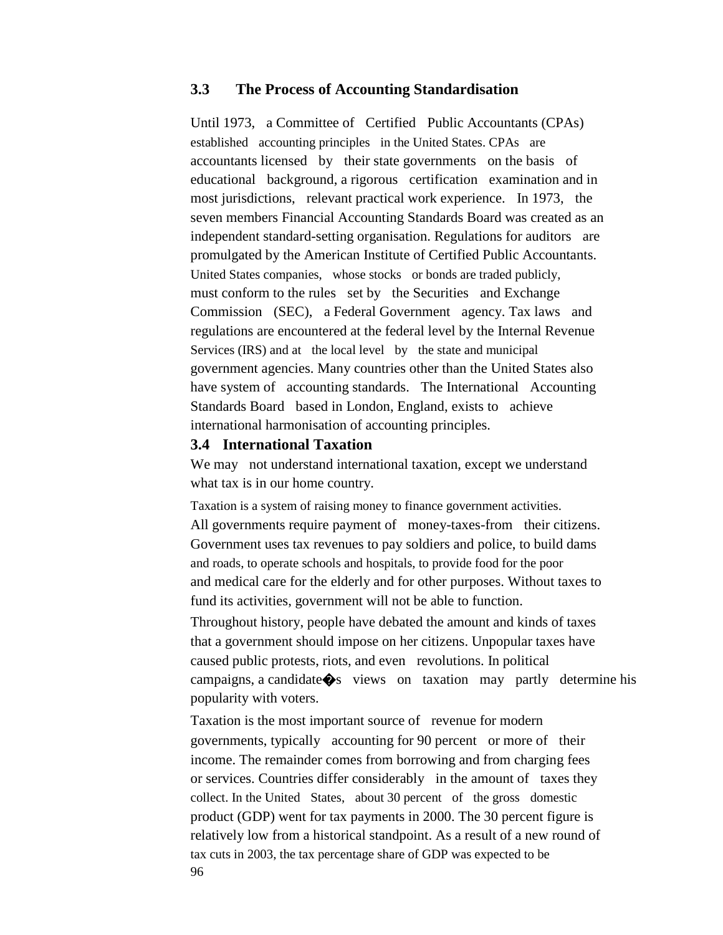#### **3.3 The Process of Accounting Standardisation**

Until 1973, a Committee of Certified Public Accountants (CPAs) established accounting principles in the United States. CPAs are accountants licensed by their state governments on the basis of educational background, a rigorous certification examination and in most jurisdictions, relevant practical work experience. In 1973, the seven members Financial Accounting Standards Board was created as an independent standard-setting organisation. Regulations for auditors are promulgated by the American Institute of Certified Public Accountants. United States companies, whose stocks or bonds are traded publicly, must conform to the rules set by the Securities and Exchange Commission (SEC), a Federal Government agency. Tax laws and regulations are encountered at the federal level by the Internal Revenue Services (IRS) and at the local level by the state and municipal government agencies. Many countries other than the United States also have system of accounting standards. The International Accounting Standards Board based in London, England, exists to achieve international harmonisation of accounting principles.

#### **3.4 International Taxation**

We may not understand international taxation, except we understand what tax is in our home country.

Taxation is a system of raising money to finance government activities. All governments require payment of money-taxes-from their citizens. Government uses tax revenues to pay soldiers and police, to build dams and roads, to operate schools and hospitals, to provide food for the poor and medical care for the elderly and for other purposes. Without taxes to fund its activities, government will not be able to function.

Throughout history, people have debated the amount and kinds of taxes that a government should impose on her citizens. Unpopular taxes have caused public protests, riots, and even revolutions. In political campaigns, a candidate�s views on taxation may partly determine his popularity with voters.

Taxation is the most important source of revenue for modern governments, typically accounting for 90 percent or more of their income. The remainder comes from borrowing and from charging fees or services. Countries differ considerably in the amount of taxes they collect. In the United States, about 30 percent of the gross domestic product (GDP) went for tax payments in 2000. The 30 percent figure is relatively low from a historical standpoint. As a result of a new round of tax cuts in 2003, the tax percentage share of GDP was expected to be 96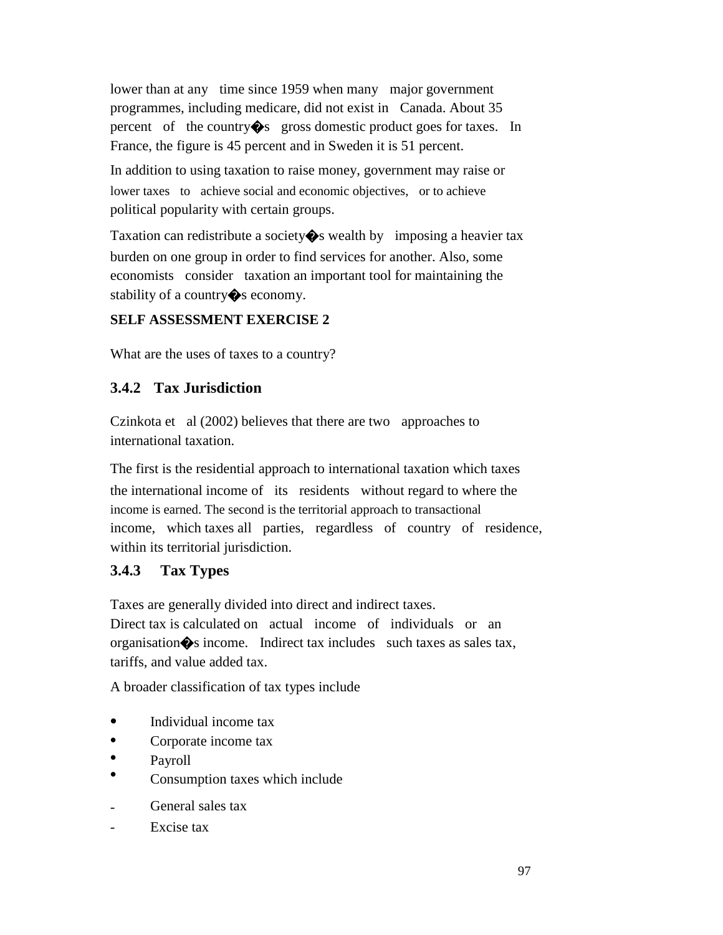lower than at any time since 1959 when many major government programmes, including medicare, did not exist in Canada. About 35 percent of the country�s gross domestic product goes for taxes. In France, the figure is 45 percent and in Sweden it is 51 percent.

In addition to using taxation to raise money, government may raise or lower taxes to achieve social and economic objectives, or to achieve political popularity with certain groups.

Taxation can redistribute a society  $\diamond$ s wealth by imposing a heavier tax burden on one group in order to find services for another. Also, some economists consider taxation an important tool for maintaining the stability of a country  $\bullet$ s economy.

## **SELF ASSESSMENT EXERCISE 2**

What are the uses of taxes to a country?

# **3.4.2 Tax Jurisdiction**

Czinkota et al (2002) believes that there are two approaches to international taxation.

The first is the residential approach to international taxation which taxes the international income of its residents without regard to where the income is earned. The second is the territorial approach to transactional income, which taxes all parties, regardless of country of residence, within its territorial jurisdiction.

# **3.4.3 Tax Types**

Taxes are generally divided into direct and indirect taxes.

Direct tax is calculated on actual income of individuals or an organisation�s income. Indirect tax includes such taxes as sales tax, tariffs, and value added tax.

A broader classification of tax types include

- $\bullet$ Individual income tax
- $\bullet$ Corporate income tax
- $\bullet$ Payroll
- $\bullet$ Consumption taxes which include
- General sales tax
- Excise tax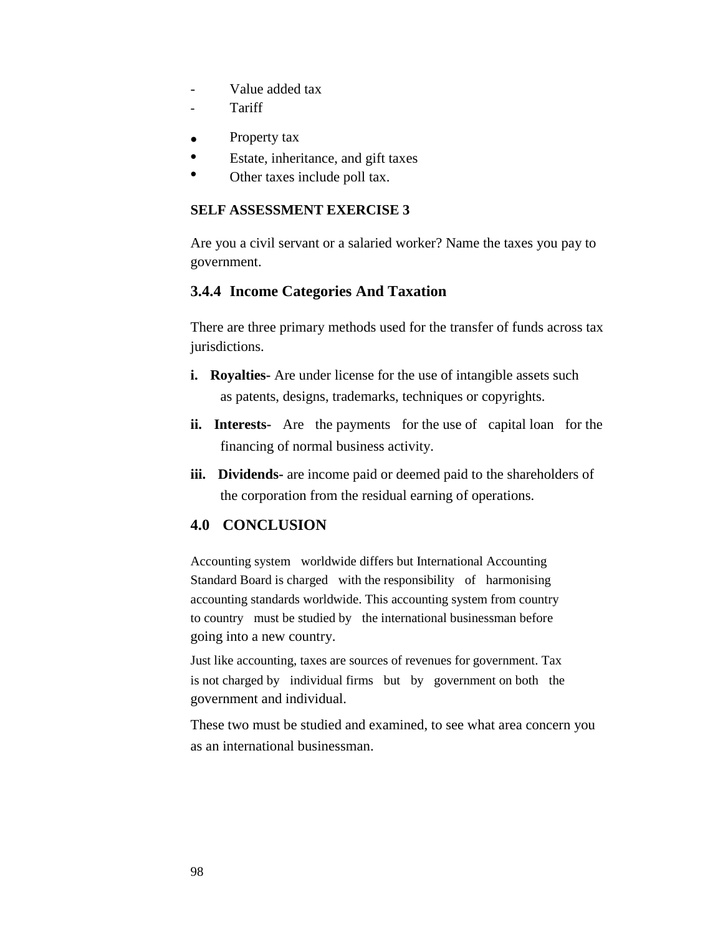- Value added tax
- Tariff
- $\bullet$ Property tax
- $\bullet$ Estate, inheritance, and gift taxes
- $\bullet$ Other taxes include poll tax.

#### **SELF ASSESSMENT EXERCISE 3**

Are you a civil servant or a salaried worker? Name the taxes you pay to government.

#### **3.4.4 Income Categories And Taxation**

There are three primary methods used for the transfer of funds across tax jurisdictions.

- **i.** Royalties-Are under license for the use of intangible assets such as patents, designs, trademarks, techniques or copyrights.
- **ii. Interests-** Are the payments for the use of capital loan for the financing of normal business activity.
- **iii. Dividends-** are income paid or deemed paid to the shareholders of the corporation from the residual earning of operations.

## **4.0 CONCLUSION**

Accounting system worldwide differs but International Accounting Standard Board is charged with the responsibility of harmonising accounting standards worldwide. This accounting system from country to country must be studied by the international businessman before going into a new country.

Just like accounting, taxes are sources of revenues for government. Tax is not charged by individual firms but by government on both the government and individual.

These two must be studied and examined, to see what area concern you as an international businessman.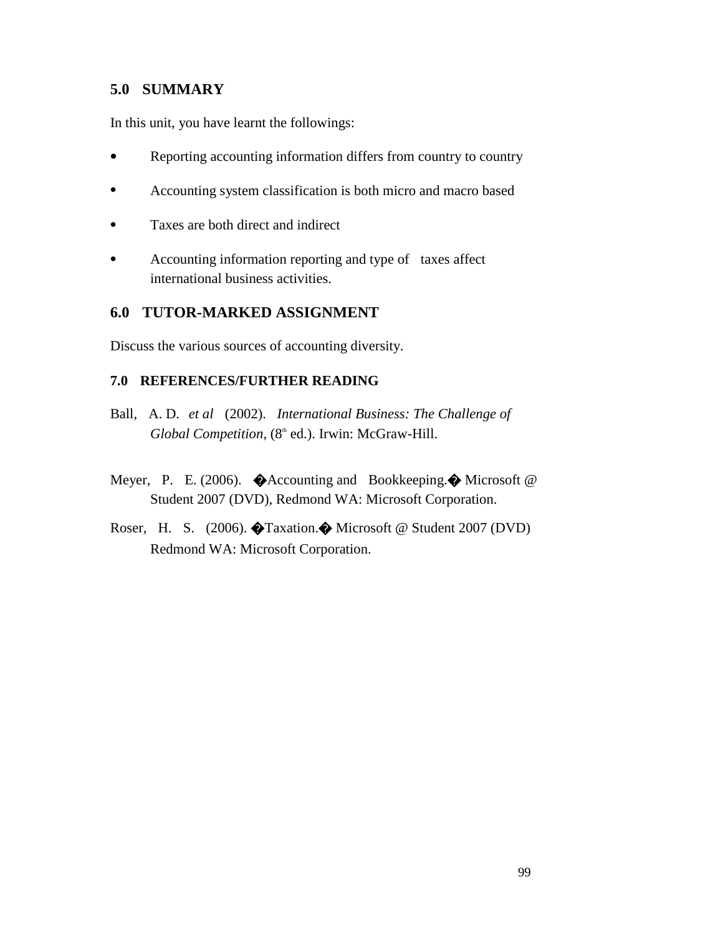## **5.0 SUMMARY**

In this unit, you have learnt the followings:

- $\bullet$ Reporting accounting information differs from country to country
- $\bullet$ Accounting system classification is both micro and macro based
- $\bullet$ Taxes are both direct and indirect
- $\bullet$ Accounting information reporting and type of taxes affect international business activities.

#### **6.0 TUTOR-MARKED ASSIGNMENT**

Discuss the various sources of accounting diversity.

#### **7.0 REFERENCES/FURTHER READING**

- Ball, A. D. *et al* (2002). *International Business: The Challenge of Global Competition*, (8<sup>th</sup> ed.). Irwin: McGraw-Hill.
- Meyer, P. E. (2006).  $\bullet$  Accounting and Bookkeeping.  $\bullet$  Microsoft @ Student 2007 (DVD), Redmond WA: Microsoft Corporation.
- Roser, H. S. (2006).  $\bullet$  Taxation.  $\bullet$  Microsoft @ Student 2007 (DVD) Redmond WA: Microsoft Corporation.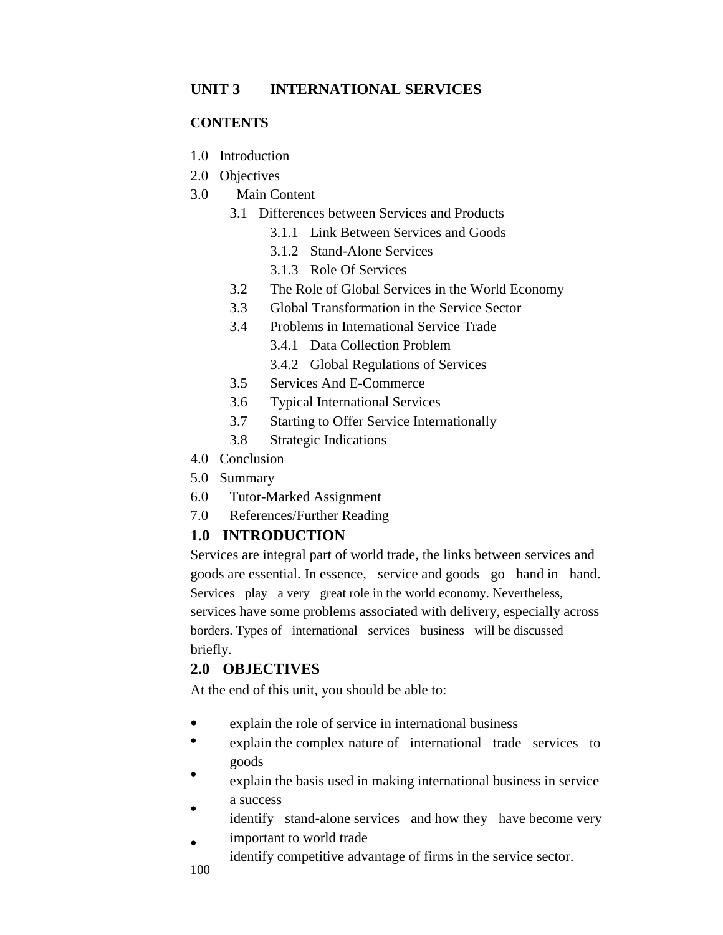## **UNIT 3 INTERNATIONAL SERVICES**

#### **CONTENTS**

- 1.0 Introduction
- 2.0 Objectives
- 3.0 Main Content
	- 3.1 Differences between Services and Products
		- 3.1.1 Link Between Services and Goods
		- 3.1.2 Stand-Alone Services
		- 3.1.3 Role Of Services
	- 3.2 The Role of Global Services in the World Economy
	- 3.3 Global Transformation in the Service Sector
	- 3.4 Problems in International Service Trade
		- 3.4.1 Data Collection Problem
			- 3.4.2 Global Regulations of Services
	- 3.5 Services And E-Commerce
	- 3.6 Typical International Services
	- 3.7 Starting to Offer Service Internationally
	- 3.8 Strategic Indications
- 4.0 Conclusion
- 5.0 Summary
- 6.0 Tutor-Marked Assignment
- 7.0 References/Further Reading

## **1.0 INTRODUCTION**

Services are integral part of world trade, the links between services and goods are essential. In essence, service and goods go hand in hand. Services play a very great role in the world economy. Nevertheless, services have some problems associated with delivery, especially across borders. Types of international services business will be discussed briefly.

# **2.0 OBJECTIVES**

At the end of this unit, you should be able to:

- $\bullet$ explain the role of service in international business
- $\bullet$ explain the complex nature of international trade services to goods
- $\bullet$  $\bullet$ explain the basis used in making international business in service a success
- $\bullet$ identify stand-alone services and how they have become very important to world trade
	- identify competitive advantage of firms in the service sector.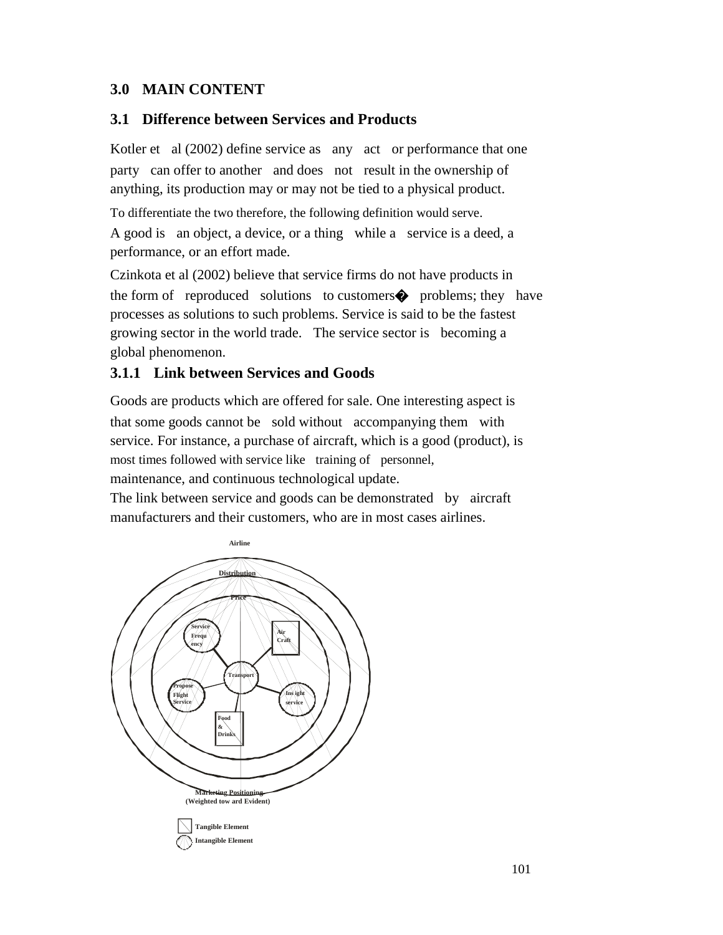## **3.0 MAIN CONTENT**

#### **3.1 Difference between Services and Products**

Kotler et al (2002) define service as any act or performance that one party can offer to another and does not result in the ownership of anything, its production may or may not be tied to a physical product.

To differentiate the two therefore, the following definition would serve. A good is an object, a device, or a thing while a service is a deed, a performance, or an effort made.

Czinkota et al (2002) believe that service firms do not have products in the form of reproduced solutions to customers<sup>o</sup> problems; they have processes as solutions to such problems. Service is said to be the fastest growing sector in the world trade. The service sector is becoming a global phenomenon.

#### **3.1.1 Link between Services and Goods**

Goods are products which are offered for sale. One interesting aspect is that some goods cannot be sold without accompanying them with service. For instance, a purchase of aircraft, which is a good (product), is most times followed with service like training of personnel, maintenance, and continuous technological update.

The link between service and goods can be demonstrated by aircraft manufacturers and their customers, who are in most cases airlines.

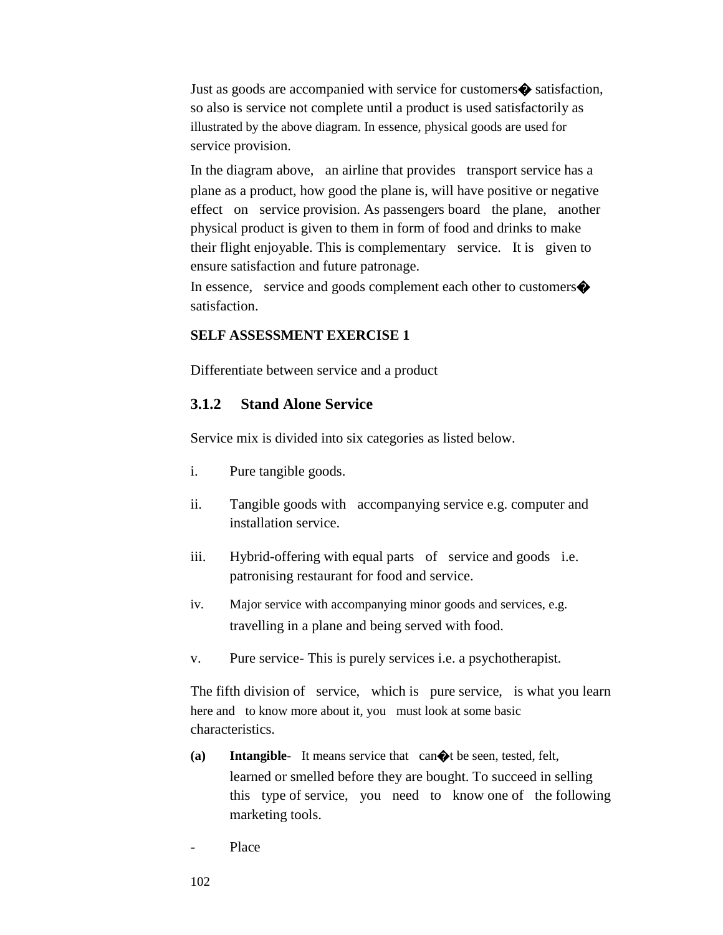Just as goods are accompanied with service for customers� satisfaction, so also is service not complete until a product is used satisfactorily as illustrated by the above diagram. In essence, physical goods are used for service provision.

In the diagram above, an airline that provides transport service has a plane as a product, how good the plane is, will have positive or negative effect on service provision. As passengers board the plane, another physical product is given to them in form of food and drinks to make their flight enjoyable. This is complementary service. It is given to ensure satisfaction and future patronage.

In essence, service and goods complement each other to customers  $\bullet$ satisfaction.

#### **SELF ASSESSMENT EXERCISE 1**

Differentiate between service and a product

#### **3.1.2 Stand Alone Service**

Service mix is divided into six categories as listed below.

- i. Pure tangible goods.
- ii. Tangible goods with accompanying service e.g. computer and installation service.
- iii. Hybrid-offering with equal parts of service and goods i.e. patronising restaurant for food and service.
- iv. Major service with accompanying minor goods and services, e.g. travelling in a plane and being served with food.
- v. Pure service- This is purely services i.e. a psychotherapist.

The fifth division of service, which is pure service, is what you learn here and to know more about it, you must look at some basic characteristics.

- **(a) Intangible** It means service that can�t be seen, tested, felt, learned or smelled before they are bought. To succeed in selling this type of service, you need to know one of the following marketing tools.
- Place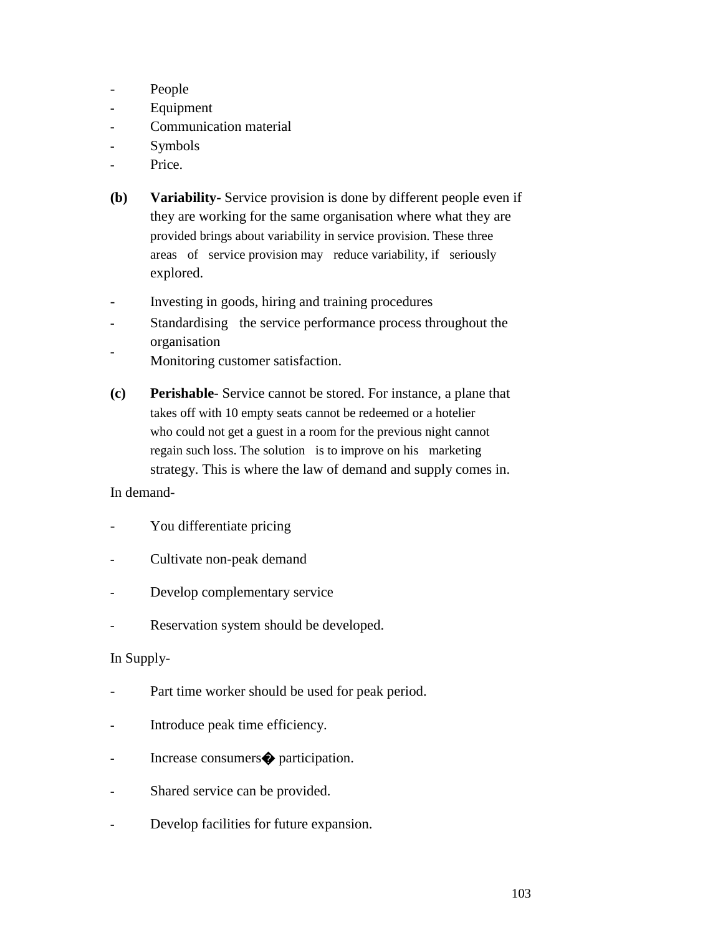- People
- Equipment
- Communication material
- Symbols
- Price.
- **(b) Variability-** Service provision is done by different people even if they are working for the same organisation where what they are provided brings about variability in service provision. These three areas of service provision may reduce variability, if seriously explored.
- Investing in goods, hiring and training procedures
- Standardising the service performance process throughout the organisation
- Monitoring customer satisfaction.
- **(c) Perishable** Service cannot be stored. For instance, a plane that takes off with 10 empty seats cannot be redeemed or a hotelier who could not get a guest in a room for the previous night cannot regain such loss. The solution is to improve on his marketing strategy. This is where the law of demand and supply comes in.

#### In demand-

- You differentiate pricing
- Cultivate non-peak demand
- Develop complementary service
- Reservation system should be developed.

#### In Supply-

- Part time worker should be used for peak period.
- Introduce peak time efficiency.
- Increase consumers  $\bullet$  participation.
- Shared service can be provided.
- Develop facilities for future expansion.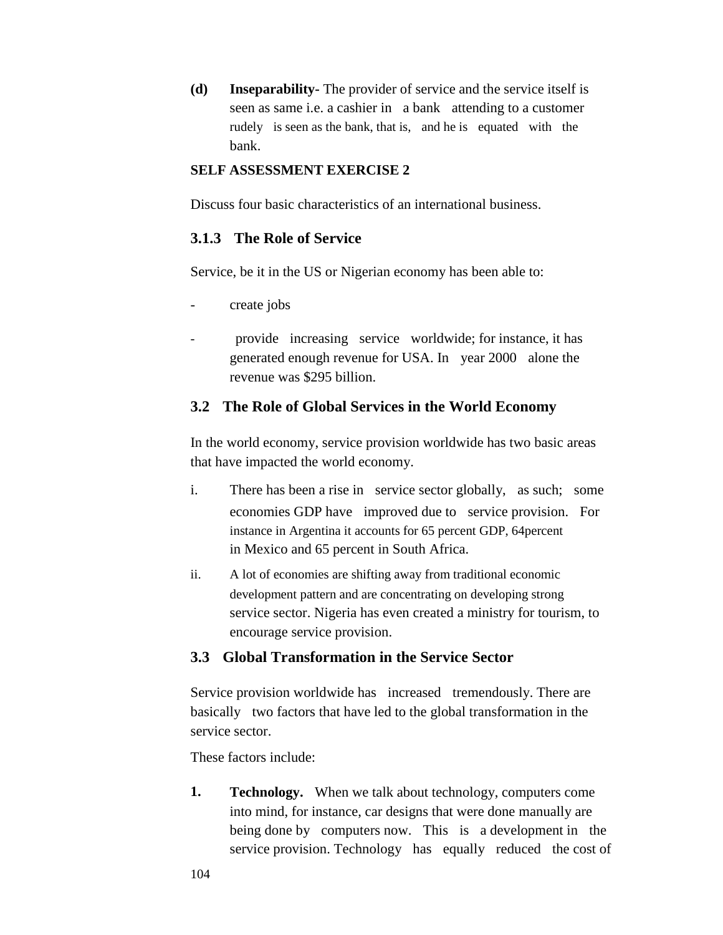**(d) Inseparability-** The provider of service and the service itself is seen as same i.e. a cashier in a bank attending to a customer rudely is seen as the bank, that is, and he is equated with the bank.

#### **SELF ASSESSMENT EXERCISE 2**

Discuss four basic characteristics of an international business.

## **3.1.3 The Role of Service**

Service, be it in the US or Nigerian economy has been able to:

- create jobs
- provide increasing service worldwide; for instance, it has generated enough revenue for USA. In year 2000 alone the revenue was \$295 billion.

#### **3.2 The Role of Global Services in the World Economy**

In the world economy, service provision worldwide has two basic areas that have impacted the world economy.

- i. There has been a rise in service sector globally, as such; some economies GDP have improved due to service provision. For instance in Argentina it accounts for 65 percent GDP, 64percent in Mexico and 65 percent in South Africa.
- ii. A lot of economies are shifting away from traditional economic development pattern and are concentrating on developing strong service sector. Nigeria has even created a ministry for tourism, to encourage service provision.

#### **3.3 Global Transformation in the Service Sector**

Service provision worldwide has increased tremendously. There are basically two factors that have led to the global transformation in the service sector.

These factors include:

**1. Technology.** When we talk about technology, computers come into mind, for instance, car designs that were done manually are being done by computers now. This is a development in the service provision. Technology has equally reduced the cost of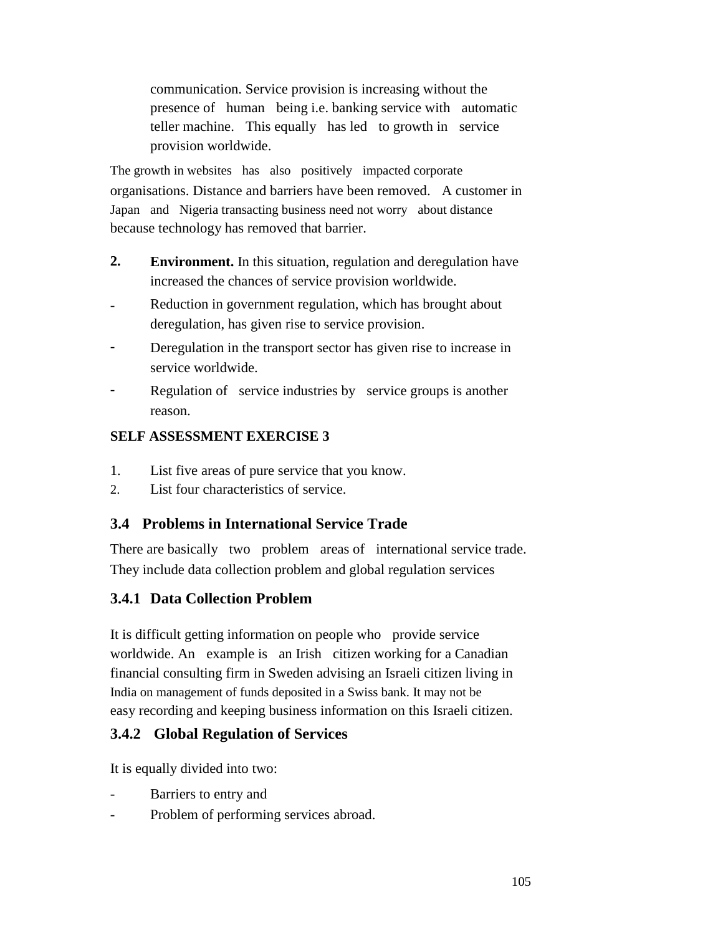communication. Service provision is increasing without the presence of human being i.e. banking service with automatic teller machine. This equally has led to growth in service provision worldwide.

The growth in websites has also positively impacted corporate organisations. Distance and barriers have been removed. A customer in Japan and Nigeria transacting business need not worry about distance because technology has removed that barrier.

- **2. Environment.** In this situation, regulation and deregulation have increased the chances of service provision worldwide.
- Reduction in government regulation, which has brought about deregulation, has given rise to service provision.
- Deregulation in the transport sector has given rise to increase in service worldwide.
- Regulation of service industries by service groups is another reason.

## **SELF ASSESSMENT EXERCISE 3**

- 1. List five areas of pure service that you know.
- 2. List four characteristics of service.

# **3.4 Problems in International Service Trade**

There are basically two problem areas of international service trade. They include data collection problem and global regulation services

# **3.4.1 Data Collection Problem**

It is difficult getting information on people who provide service worldwide. An example is an Irish citizen working for a Canadian financial consulting firm in Sweden advising an Israeli citizen living in India on management of funds deposited in a Swiss bank. It may not be easy recording and keeping business information on this Israeli citizen.

# **3.4.2 Global Regulation of Services**

It is equally divided into two:

- Barriers to entry and
- Problem of performing services abroad.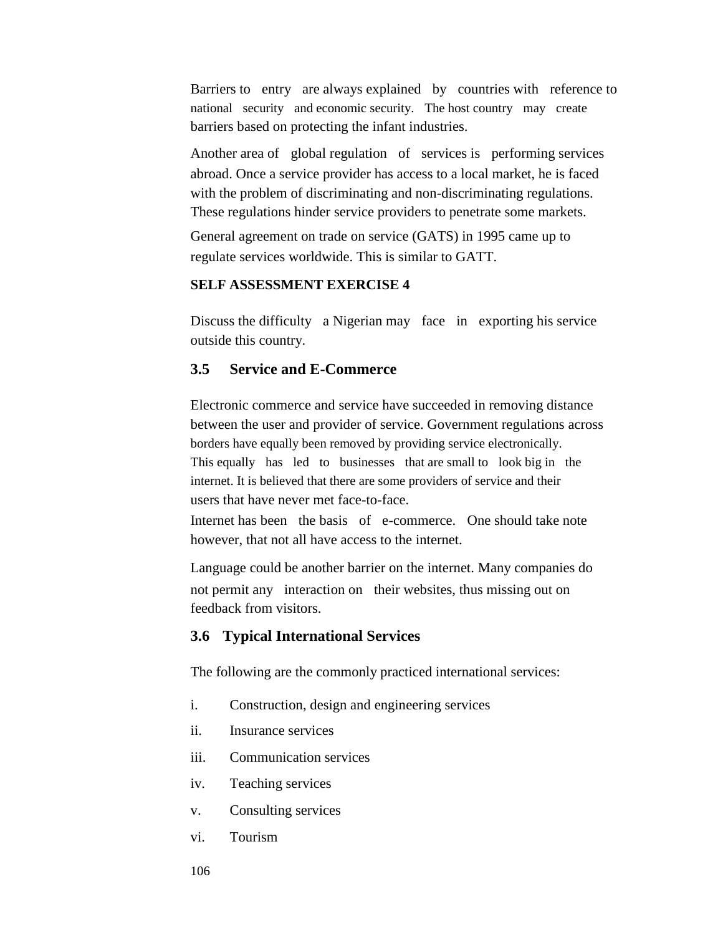Barriers to entry are always explained by countries with reference to national security and economic security. The host country may create barriers based on protecting the infant industries.

Another area of global regulation of services is performing services abroad. Once a service provider has access to a local market, he is faced with the problem of discriminating and non-discriminating regulations. These regulations hinder service providers to penetrate some markets.

General agreement on trade on service (GATS) in 1995 came up to regulate services worldwide. This is similar to GATT.

#### **SELF ASSESSMENT EXERCISE 4**

Discuss the difficulty a Nigerian may face in exporting his service outside this country.

#### **3.5 Service and E-Commerce**

Electronic commerce and service have succeeded in removing distance between the user and provider of service. Government regulations across borders have equally been removed by providing service electronically. This equally has led to businesses that are small to look big in the internet. It is believed that there are some providers of service and their users that have never met face-to-face.

Internet has been the basis of e-commerce. One should take note however, that not all have access to the internet.

Language could be another barrier on the internet. Many companies do not permit any interaction on their websites, thus missing out on feedback from visitors.

#### **3.6 Typical International Services**

The following are the commonly practiced international services:

- i. Construction, design and engineering services
- ii. Insurance services
- iii. Communication services
- iv. Teaching services
- v. Consulting services
- vi. Tourism
- 106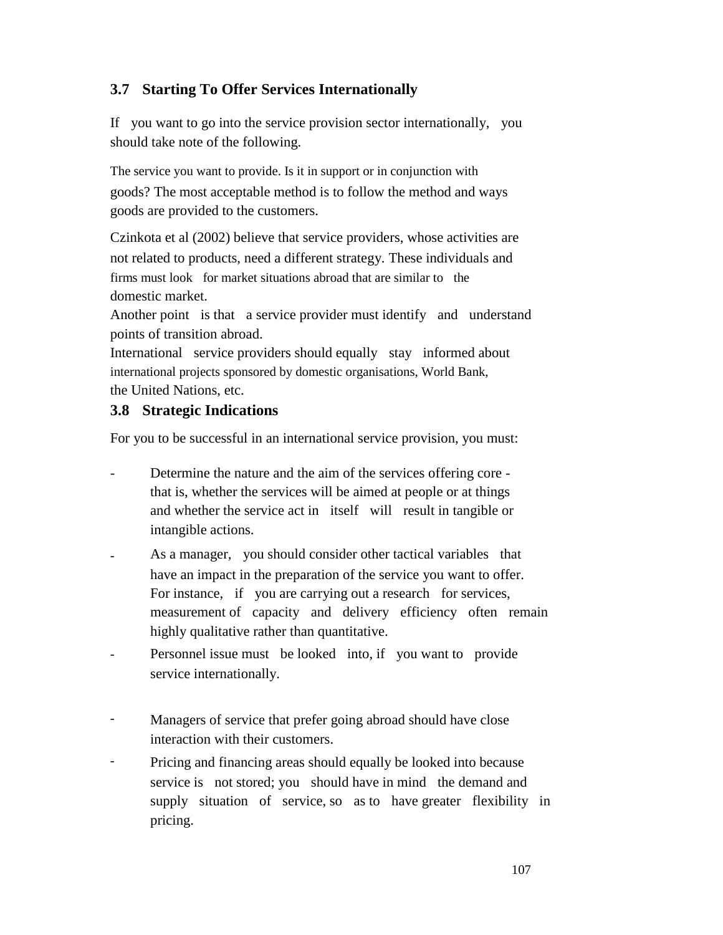# **3.7 Starting To Offer Services Internationally**

If you want to go into the service provision sector internationally, you should take note of the following.

The service you want to provide. Is it in support or in conjunction with goods? The most acceptable method is to follow the method and ways goods are provided to the customers.

Czinkota et al (2002) believe that service providers, whose activities are not related to products, need a different strategy. These individuals and firms must look for market situations abroad that are similar to the domestic market.

Another point is that a service provider must identify and understand points of transition abroad.

International service providers should equally stay informed about international projects sponsored by domestic organisations, World Bank, the United Nations, etc.

# **3.8 Strategic Indications**

For you to be successful in an international service provision, you must:

- Determine the nature and the aim of the services offering core that is, whether the services will be aimed at people or at things and whether the service act in itself will result in tangible or intangible actions.
- As a manager, you should consider other tactical variables that have an impact in the preparation of the service you want to offer. For instance, if you are carrying out a research for services, measurement of capacity and delivery efficiency often remain highly qualitative rather than quantitative.
- Personnel issue must be looked into, if you want to provide service internationally.
- Managers of service that prefer going abroad should have close interaction with their customers.
- Pricing and financing areas should equally be looked into because service is not stored; you should have in mind the demand and supply situation of service, so as to have greater flexibility in pricing.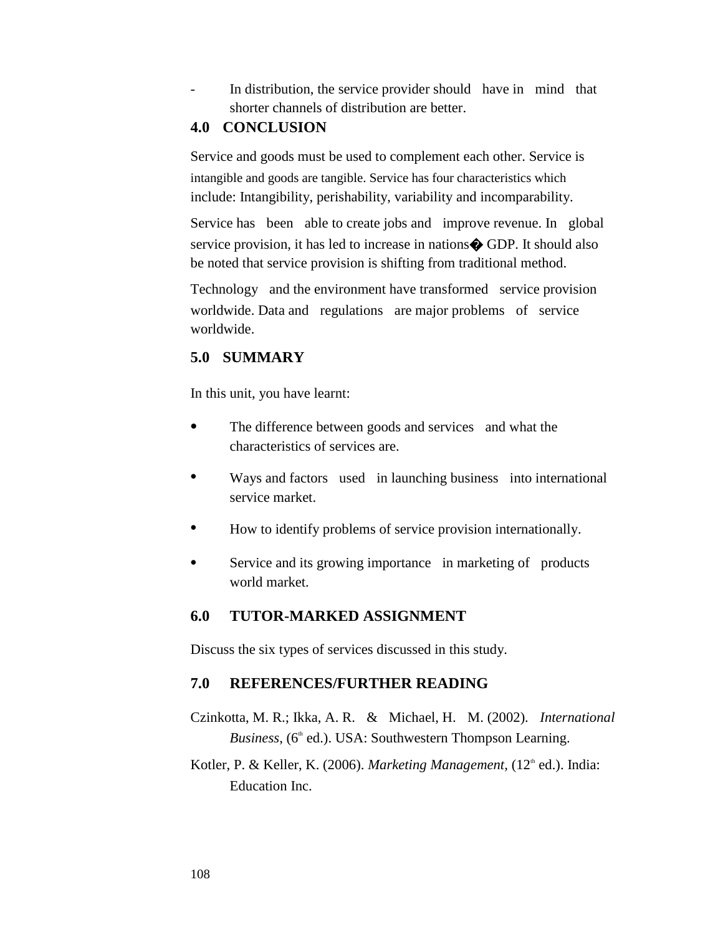- In distribution, the service provider should have in mind that shorter channels of distribution are better.

## **4.0 CONCLUSION**

Service and goods must be used to complement each other. Service is intangible and goods are tangible. Service has four characteristics which include: Intangibility, perishability, variability and incomparability.

Service has been able to create jobs and improve revenue. In global service provision, it has led to increase in nations $\bigcirc$  GDP. It should also be noted that service provision is shifting from traditional method.

Technology and the environment have transformed service provision worldwide. Data and regulations are major problems of service worldwide.

# **5.0 SUMMARY**

In this unit, you have learnt:

- $\bullet$ The difference between goods and services and what the characteristics of services are.
- $\bullet$ Ways and factors used in launching business into international service market.
- $\bullet$ How to identify problems of service provision internationally.
- $\bullet$ Service and its growing importance in marketing of products world market.

## **6.0 TUTOR-MARKED ASSIGNMENT**

Discuss the six types of services discussed in this study.

## **7.0 REFERENCES/FURTHER READING**

- Czinkotta, M. R.; Ikka, A. R. & Michael, H. M. (2002). *International Business*, (6<sup>th</sup> ed.). USA: Southwestern Thompson Learning.
- Kotler, P. & Keller, K. (2006). *Marketing Management*, (12<sup>th</sup> ed.). India: Education Inc.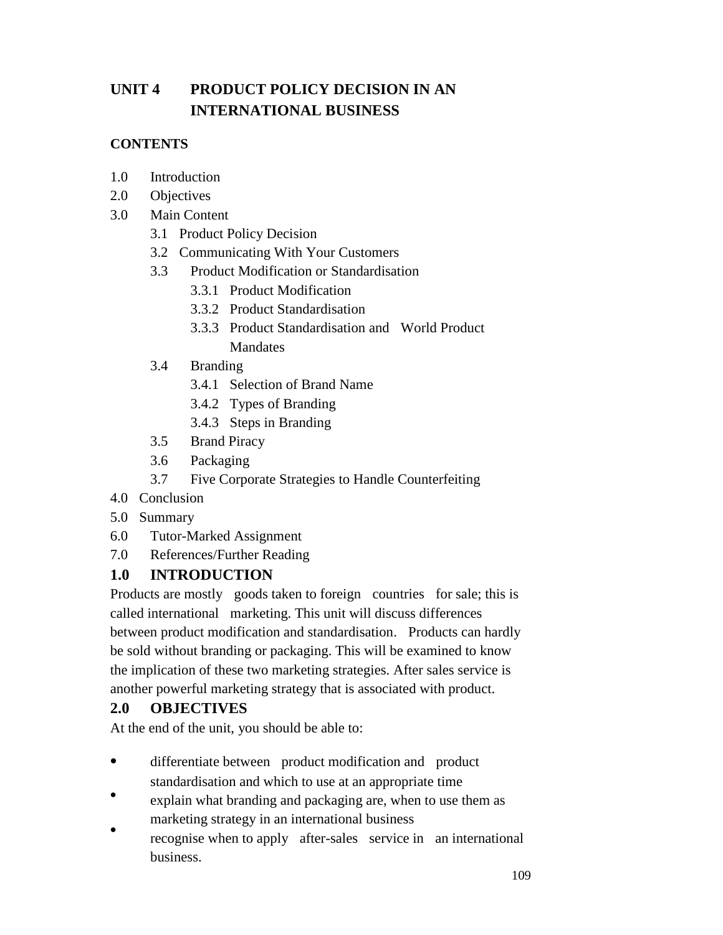# **UNIT 4 PRODUCT POLICY DECISION IN AN INTERNATIONAL BUSINESS**

# **CONTENTS**

- 1.0 Introduction
- 2.0 Objectives
- 3.0 Main Content
	- 3.1 Product Policy Decision
	- 3.2 Communicating With Your Customers
	- 3.3 Product Modification or Standardisation
		- 3.3.1 Product Modification
		- 3.3.2 Product Standardisation
		- 3.3.3 Product Standardisation and World Product **Mandates**
	- 3.4 Branding
		- 3.4.1 Selection of Brand Name
		- 3.4.2 Types of Branding
		- 3.4.3 Steps in Branding
	- 3.5 Brand Piracy
	- 3.6 Packaging
	- 3.7 Five Corporate Strategies to Handle Counterfeiting
- 4.0 Conclusion
- 5.0 Summary
- 6.0 Tutor-Marked Assignment
- 7.0 References/Further Reading

# **1.0 INTRODUCTION**

Products are mostly goods taken to foreign countries for sale; this is called international marketing. This unit will discuss differences between product modification and standardisation. Products can hardly be sold without branding or packaging. This will be examined to know the implication of these two marketing strategies. After sales service is another powerful marketing strategy that is associated with product.

# **2.0 OBJECTIVES**

At the end of the unit, you should be able to:

- $\bullet$ differentiate between product modification and product standardisation and which to use at an appropriate time
- $\bullet$ explain what branding and packaging are, when to use them as marketing strategy in an international business
- $\bullet$ recognise when to apply after-sales service in an international business.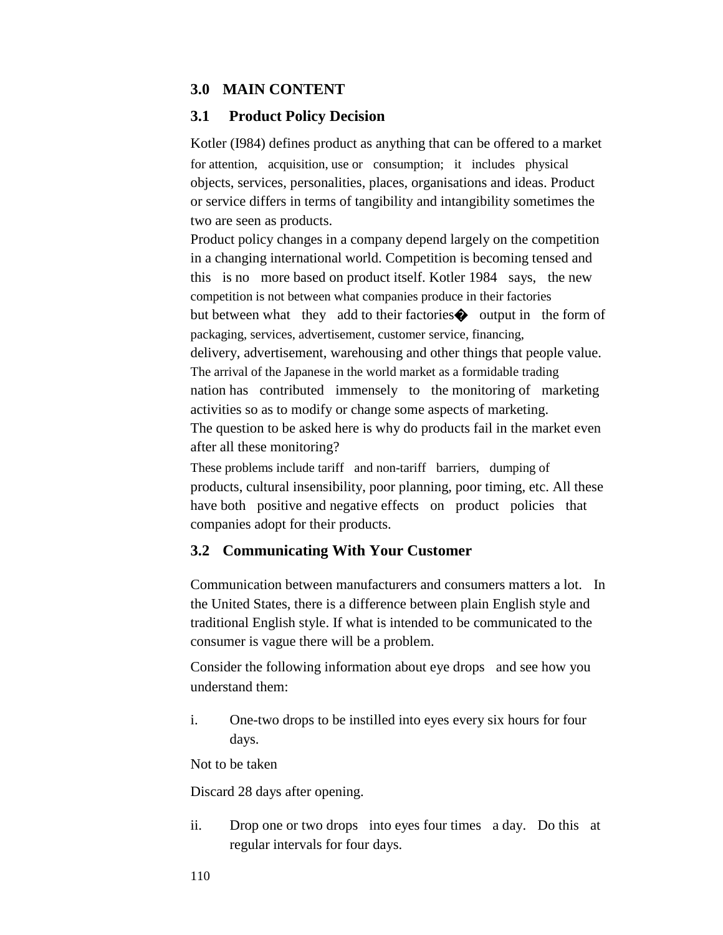## **3.0 MAIN CONTENT**

#### **3.1 Product Policy Decision**

Kotler (I984) defines product as anything that can be offered to a market for attention, acquisition, use or consumption; it includes physical objects, services, personalities, places, organisations and ideas. Product or service differs in terms of tangibility and intangibility sometimes the two are seen as products.

Product policy changes in a company depend largely on the competition in a changing international world. Competition is becoming tensed and this is no more based on product itself. Kotler 1984 says, the new competition is not between what companies produce in their factories but between what they add to their factories  $\bullet$  output in the form of packaging, services, advertisement, customer service, financing, delivery, advertisement, warehousing and other things that people value. The arrival of the Japanese in the world market as a formidable trading nation has contributed immensely to the monitoring of marketing activities so as to modify or change some aspects of marketing. The question to be asked here is why do products fail in the market even after all these monitoring?

These problems include tariff and non-tariff barriers, dumping of products, cultural insensibility, poor planning, poor timing, etc. All these have both positive and negative effects on product policies that companies adopt for their products.

#### **3.2 Communicating With Your Customer**

Communication between manufacturers and consumers matters a lot. In the United States, there is a difference between plain English style and traditional English style. If what is intended to be communicated to the consumer is vague there will be a problem.

Consider the following information about eye drops and see how you understand them:

i. One-two drops to be instilled into eyes every six hours for four days.

Not to be taken

Discard 28 days after opening.

ii. Drop one or two drops into eyes four times a day. Do this at regular intervals for four days.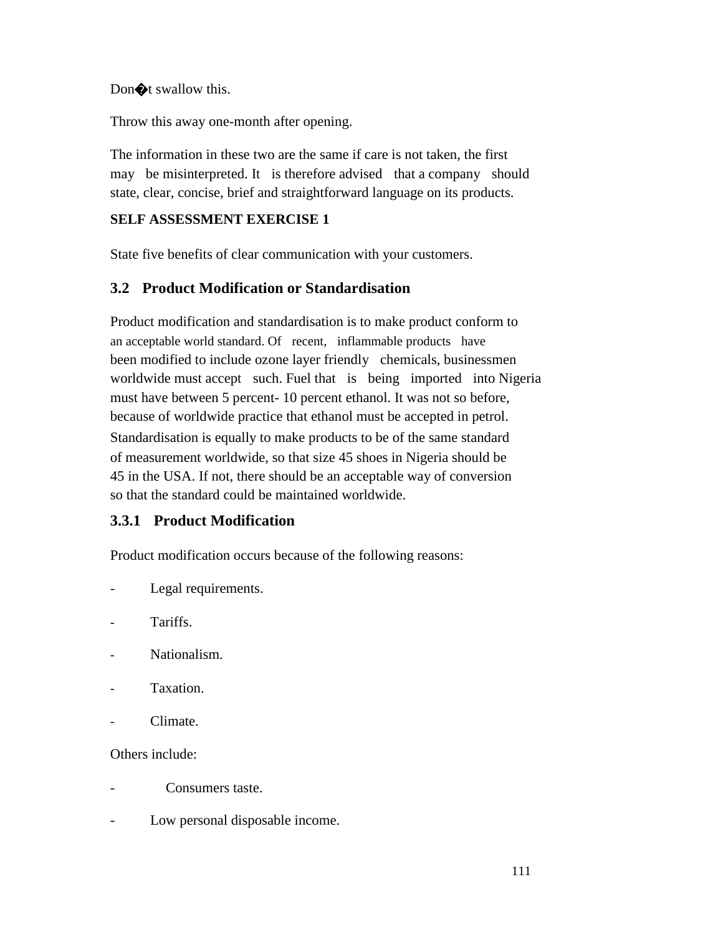Don $\bullet$ t swallow this.

Throw this away one-month after opening.

The information in these two are the same if care is not taken, the first may be misinterpreted. It is therefore advised that a company should state, clear, concise, brief and straightforward language on its products.

#### **SELF ASSESSMENT EXERCISE 1**

State five benefits of clear communication with your customers.

# **3.2 Product Modification or Standardisation**

Product modification and standardisation is to make product conform to an acceptable world standard. Of recent, inflammable products have been modified to include ozone layer friendly chemicals, businessmen worldwide must accept such. Fuel that is being imported into Nigeria must have between 5 percent- 10 percent ethanol. It was not so before, because of worldwide practice that ethanol must be accepted in petrol. Standardisation is equally to make products to be of the same standard of measurement worldwide, so that size 45 shoes in Nigeria should be 45 in the USA. If not, there should be an acceptable way of conversion so that the standard could be maintained worldwide.

# **3.3.1 Product Modification**

Product modification occurs because of the following reasons:

- Legal requirements.
- Tariffs.
- Nationalism.
- Taxation.
- Climate.

Others include:

- Consumers taste.
- Low personal disposable income.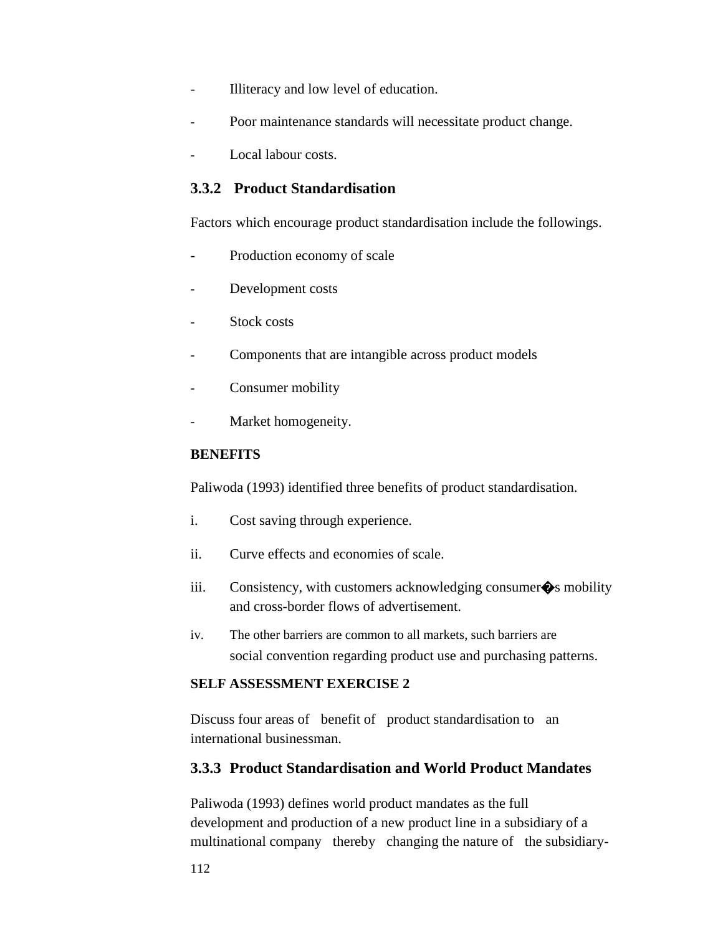- Illiteracy and low level of education.
- Poor maintenance standards will necessitate product change.
- Local labour costs.

## **3.3.2 Product Standardisation**

Factors which encourage product standardisation include the followings.

- Production economy of scale
- Development costs
- Stock costs
- Components that are intangible across product models
- Consumer mobility
- Market homogeneity.

#### **BENEFITS**

Paliwoda (1993) identified three benefits of product standardisation.

- i. Cost saving through experience.
- ii. Curve effects and economies of scale.
- iii. Consistency, with customers acknowledging consumer<sup>•</sup>s mobility and cross-border flows of advertisement.
- iv. The other barriers are common to all markets, such barriers are social convention regarding product use and purchasing patterns.

#### **SELF ASSESSMENT EXERCISE 2**

Discuss four areas of benefit of product standardisation to an international businessman.

#### **3.3.3 Product Standardisation and World Product Mandates**

Paliwoda (1993) defines world product mandates as the full development and production of a new product line in a subsidiary of a multinational company thereby changing the nature of the subsidiary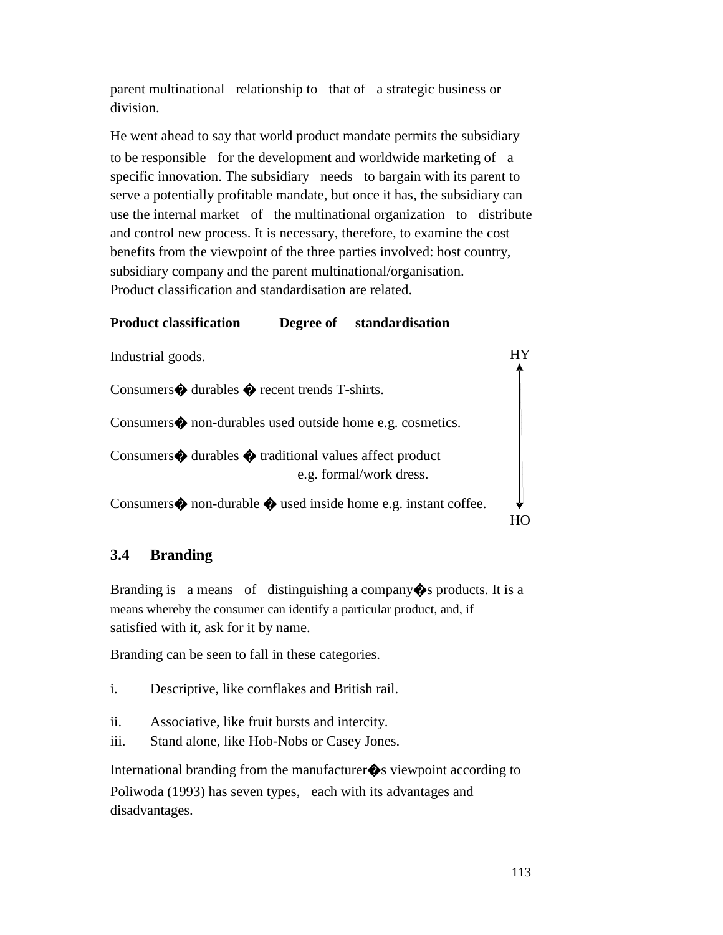parent multinational relationship to that of a strategic business or division.

He went ahead to say that world product mandate permits the subsidiary to be responsible for the development and worldwide marketing of a specific innovation. The subsidiary needs to bargain with its parent to serve a potentially profitable mandate, but once it has, the subsidiary can use the internal market of the multinational organization to distribute and control new process. It is necessary, therefore, to examine the cost benefits from the viewpoint of the three parties involved: host country, subsidiary company and the parent multinational/organisation. Product classification and standardisation are related.

#### **Product classification Degree of standardisation**

Industrial goods. HY Consumers  $\bigcirc$  durables  $\bigcirc$  recent trends T-shirts. Consumers� non-durables used outside home e.g. cosmetics. Consumers� durables � traditional values affect product e.g. formal/work dress. Consumers  $\diamondsuit$  non-durable  $\diamondsuit$  used inside home e.g. instant coffee. HO

# **3.4 Branding**

Branding is a means of distinguishing a company  $\diamond$  s products. It is a means whereby the consumer can identify a particular product, and, if satisfied with it, ask for it by name.

Branding can be seen to fall in these categories.

- i. Descriptive, like cornflakes and British rail.
- ii. Associative, like fruit bursts and intercity.
- iii. Stand alone, like Hob-Nobs or Casey Jones.

International branding from the manufacturer  $\bullet$ s viewpoint according to Poliwoda (1993) has seven types, each with its advantages and disadvantages.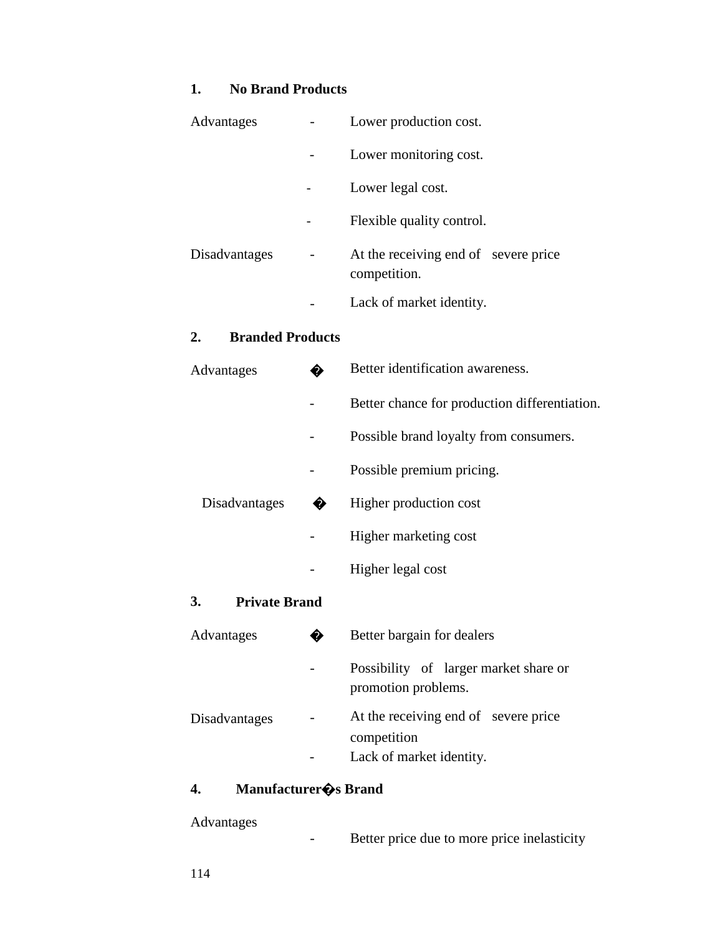# **1. No Brand Products**

| Advantages    | Lower production cost.                               |
|---------------|------------------------------------------------------|
|               | Lower monitoring cost.                               |
|               | Lower legal cost.                                    |
|               | Flexible quality control.                            |
| Disadvantages | At the receiving end of severe price<br>competition. |
|               | Lack of market identity.                             |

# **2. Branded Products**

| Advantages                 |   | Better identification awareness.              |
|----------------------------|---|-----------------------------------------------|
|                            |   | Better chance for production differentiation. |
|                            |   | Possible brand loyalty from consumers.        |
|                            |   | Possible premium pricing.                     |
| Disadvantages              | ❸ | Higher production cost                        |
|                            |   | Higher marketing cost                         |
|                            |   | Higher legal cost                             |
| 3.<br><b>Private Brand</b> |   |                                               |
|                            |   |                                               |

| Advantages    | Better bargain for dealers                                   |
|---------------|--------------------------------------------------------------|
|               | Possibility of larger market share or<br>promotion problems. |
| Disadvantages | At the receiving end of severe price<br>competition          |
|               | Lack of market identity.                                     |

# **4. Manufacturer�s Brand**

Advantages

- Better price due to more price inelasticity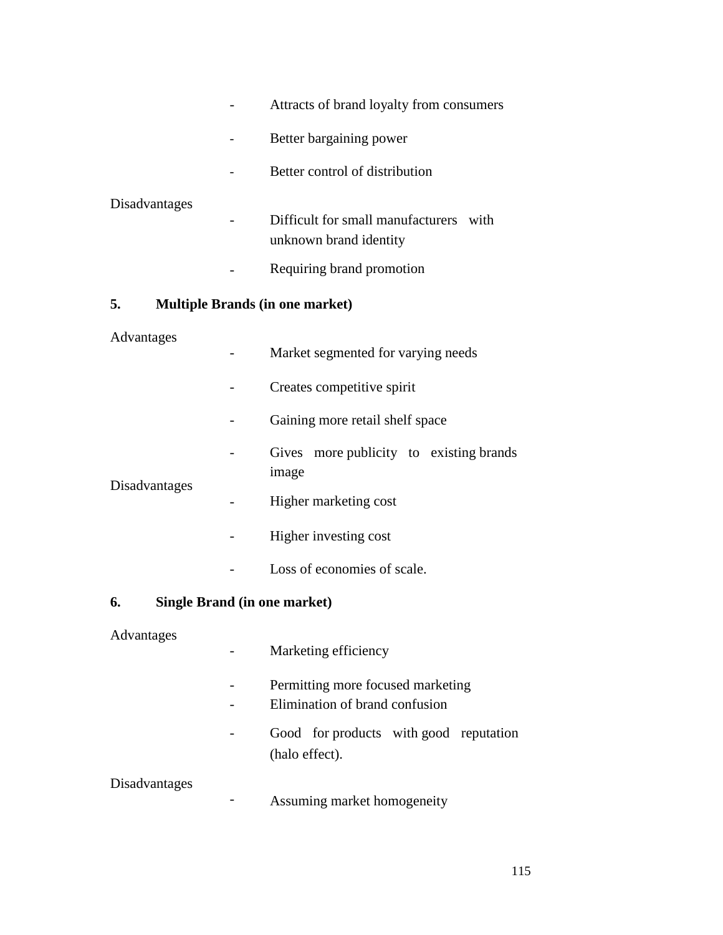|               | Attracts of brand loyalty from consumers                            |
|---------------|---------------------------------------------------------------------|
|               | Better bargaining power                                             |
|               | Better control of distribution                                      |
| Disadvantages | Difficult for small manufacturers<br>with<br>unknown brand identity |
|               | Requiring brand promotion                                           |

#### **5. Multiple Brands (in one market)**

#### Advantages

|               | Market segmented for varying needs               |
|---------------|--------------------------------------------------|
|               | Creates competitive spirit                       |
| Disadvantages | Gaining more retail shelf space                  |
|               | Gives more publicity to existing brands<br>image |
|               | Higher marketing cost                            |
|               | Higher investing cost                            |
|               |                                                  |

#### - Loss of economies of scale.

## **6. Single Brand (in one market)**

#### Advantages

- Marketing efficiency
- Permitting more focused marketing
- Elimination of brand confusion
- Good for products with good reputation (halo effect).

## Disadvantages

- Assuming market homogeneity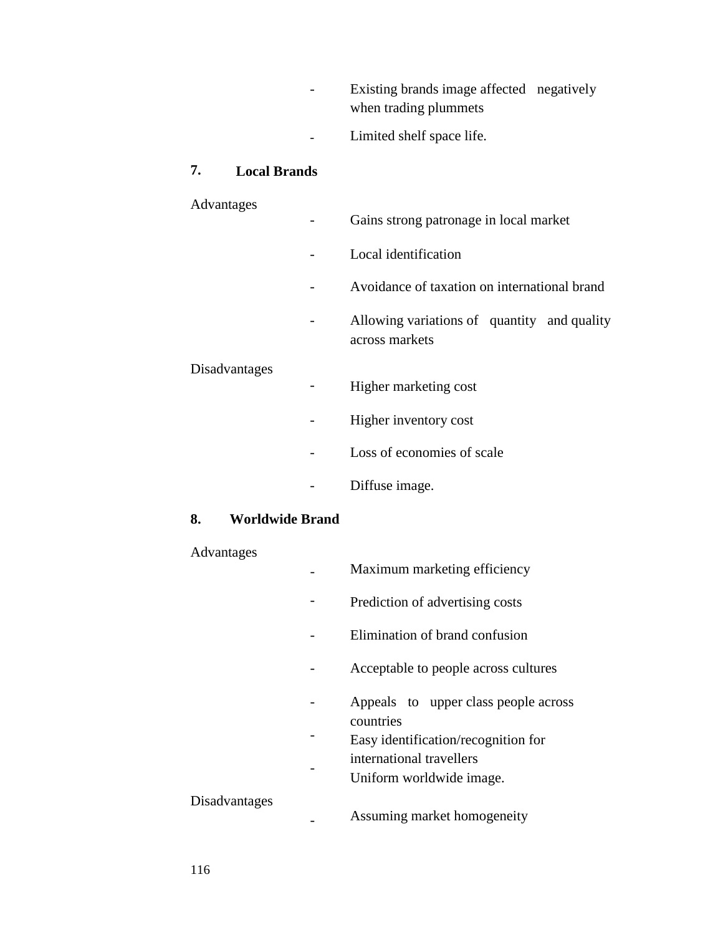- Existing brands image affected negatively when trading plummets
- Limited shelf space life.

#### **7. Local Brands**

# Advantages

|               | Gains strong patronage in local market                        |
|---------------|---------------------------------------------------------------|
|               | Local identification                                          |
|               | Avoidance of taxation on international brand                  |
|               | Allowing variations of quantity and quality<br>across markets |
| Disadvantages |                                                               |
|               | Higher marketing cost                                         |
|               | Higher inventory cost                                         |
|               | Loss of economies of scale                                    |
|               | Diffuse image.                                                |

#### **8. Worldwide Brand**

#### Advantages

|               | Maximum marketing efficiency                      |
|---------------|---------------------------------------------------|
|               | Prediction of advertising costs                   |
|               | Elimination of brand confusion                    |
|               | Acceptable to people across cultures              |
|               | Appeals to upper class people across<br>countries |
|               | Easy identification/recognition for               |
|               | international travellers                          |
|               | Uniform worldwide image.                          |
| Disadvantages |                                                   |
|               | Assuming market homogeneity                       |
|               |                                                   |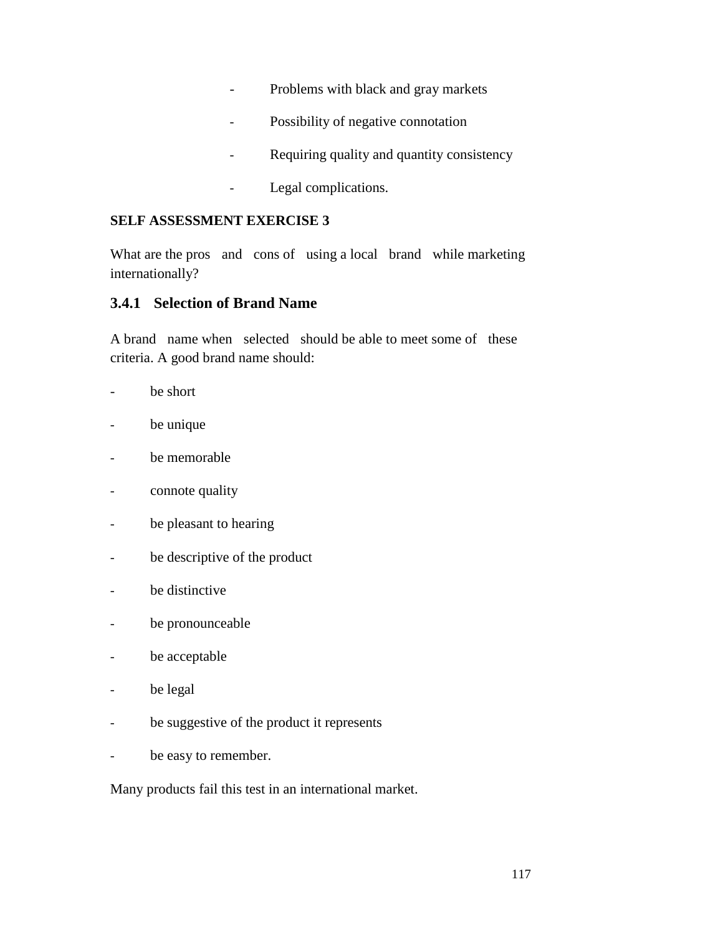- Problems with black and gray markets
- Possibility of negative connotation
- Requiring quality and quantity consistency
- Legal complications.

#### **SELF ASSESSMENT EXERCISE 3**

What are the pros and cons of using a local brand while marketing internationally?

#### **3.4.1 Selection of Brand Name**

A brand name when selected should be able to meet some of these criteria. A good brand name should:

- be short
- be unique
- be memorable
- connote quality
- be pleasant to hearing
- be descriptive of the product
- be distinctive
- be pronounceable
- be acceptable
- be legal
- be suggestive of the product it represents
- be easy to remember.

Many products fail this test in an international market.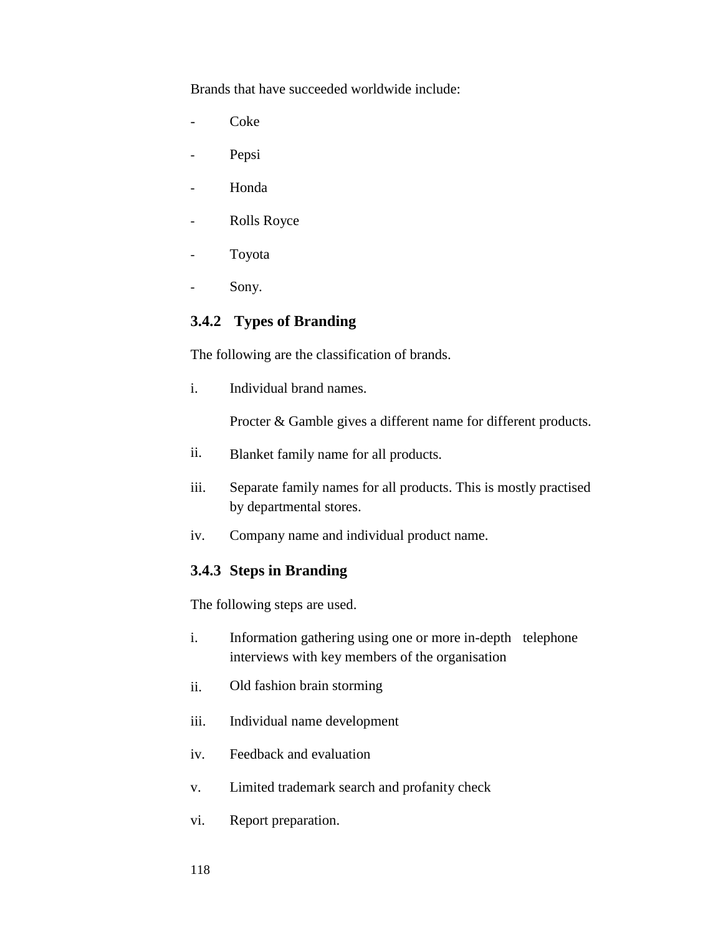Brands that have succeeded worldwide include:

- Coke
- Pepsi
- Honda
- Rolls Royce
- Toyota
- Sony.

## **3.4.2 Types of Branding**

The following are the classification of brands.

i. Individual brand names.

Procter & Gamble gives a different name for different products.

- ii. Blanket family name for all products.
- iii. Separate family names for all products. This is mostly practised by departmental stores.
- iv. Company name and individual product name.

#### **3.4.3 Steps in Branding**

The following steps are used.

- i. Information gathering using one or more in-depth telephone interviews with key members of the organisation
- ii. Old fashion brain storming
- iii. Individual name development
- iv. Feedback and evaluation
- v. Limited trademark search and profanity check
- vi. Report preparation.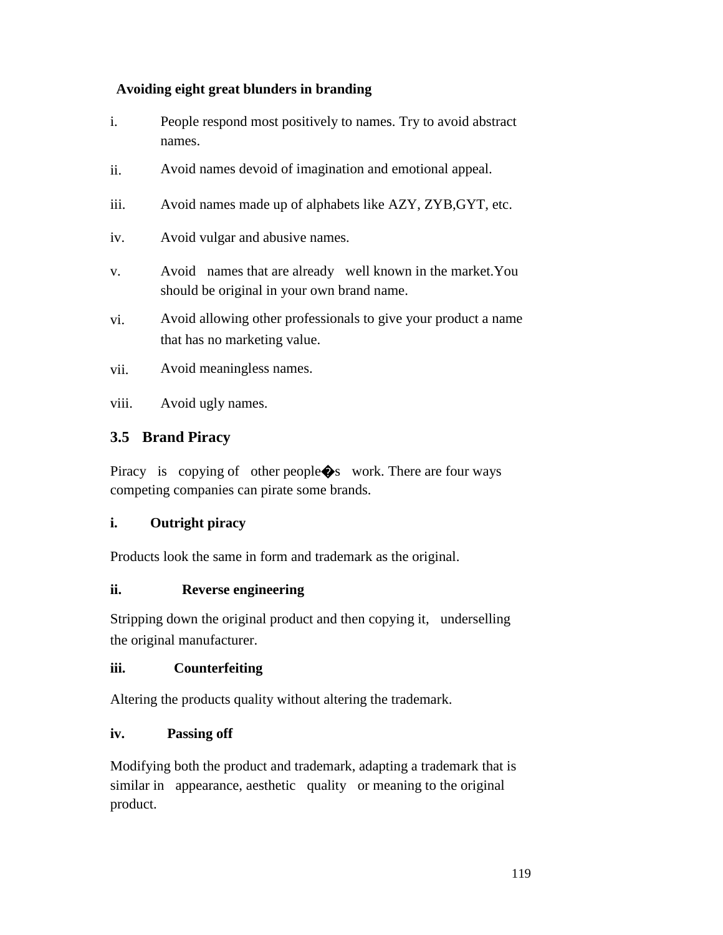## **Avoiding eight great blunders in branding**

- i. People respond most positively to names. Try to avoid abstract names.
- ii. Avoid names devoid of imagination and emotional appeal.
- iii. Avoid names made up of alphabets like AZY, ZYB,GYT, etc.
- iv. Avoid vulgar and abusive names.
- v. Avoid names that are already well known in the market.You should be original in your own brand name.
- vi. Avoid allowing other professionals to give your product a name that has no marketing value.
- vii. Avoid meaningless names.
- viii. Avoid ugly names.

# **3.5 Brand Piracy**

Piracy is copying of other people  $\bullet$ s work. There are four ways competing companies can pirate some brands.

## **i. Outright piracy**

Products look the same in form and trademark as the original.

## **ii. Reverse engineering**

Stripping down the original product and then copying it, underselling the original manufacturer.

## **iii. Counterfeiting**

Altering the products quality without altering the trademark.

## **iv. Passing off**

Modifying both the product and trademark, adapting a trademark that is similar in appearance, aesthetic quality or meaning to the original product.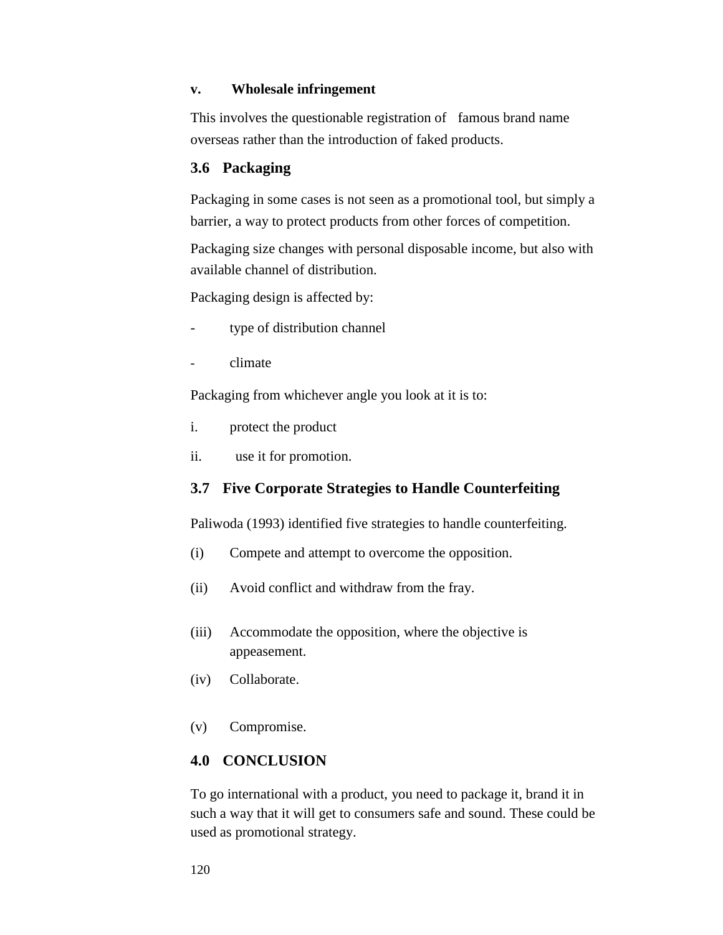#### **v. Wholesale infringement**

This involves the questionable registration of famous brand name overseas rather than the introduction of faked products.

#### **3.6 Packaging**

Packaging in some cases is not seen as a promotional tool, but simply a barrier, a way to protect products from other forces of competition.

Packaging size changes with personal disposable income, but also with available channel of distribution.

Packaging design is affected by:

- type of distribution channel
- climate

Packaging from whichever angle you look at it is to:

- i. protect the product
- ii. use it for promotion.

#### **3.7 Five Corporate Strategies to Handle Counterfeiting**

Paliwoda (1993) identified five strategies to handle counterfeiting.

- (i) Compete and attempt to overcome the opposition.
- (ii) Avoid conflict and withdraw from the fray.
- (iii) Accommodate the opposition, where the objective is appeasement.
- (iv) Collaborate.
- (v) Compromise.

#### **4.0 CONCLUSION**

To go international with a product, you need to package it, brand it in such a way that it will get to consumers safe and sound. These could be used as promotional strategy.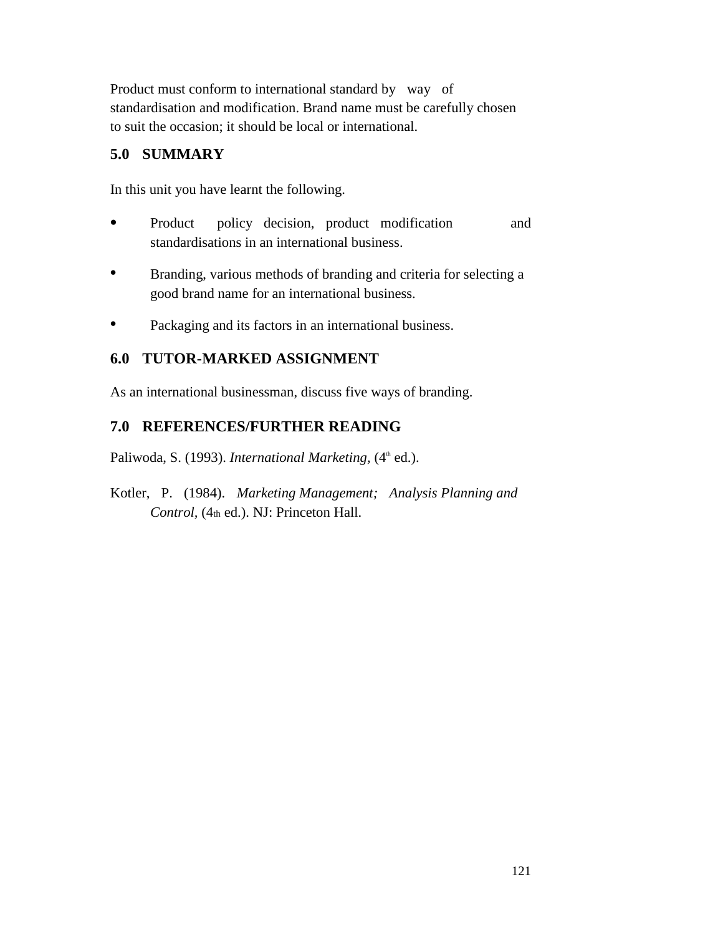Product must conform to international standard by way of standardisation and modification. Brand name must be carefully chosen to suit the occasion; it should be local or international.

# **5.0 SUMMARY**

In this unit you have learnt the following.

- $\bullet$ Product policy decision, product modification and standardisations in an international business.
- $\bullet$ Branding, various methods of branding and criteria for selecting a good brand name for an international business.
- $\bullet$ Packaging and its factors in an international business.

# **6.0 TUTOR-MARKED ASSIGNMENT**

As an international businessman, discuss five ways of branding.

# **7.0 REFERENCES/FURTHER READING**

Paliwoda, S. (1993). *International Marketing*, (4<sup>th</sup> ed.).

Kotler, P. (1984). *Marketing Management; Analysis Planning and Control,* (4th ed.). NJ: Princeton Hall.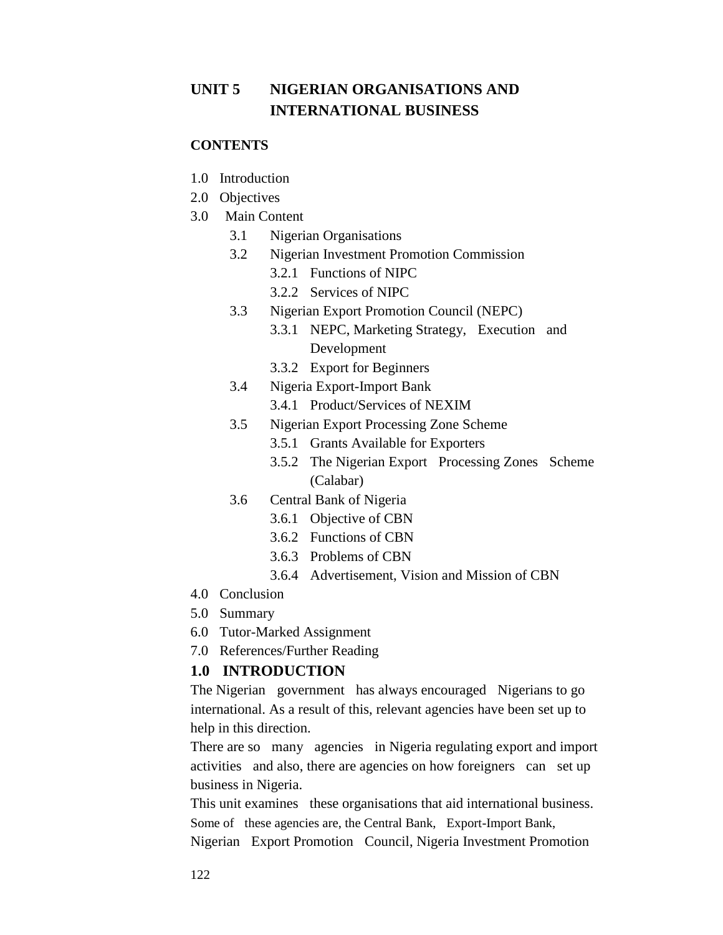# **UNIT 5 NIGERIAN ORGANISATIONS AND INTERNATIONAL BUSINESS**

#### **CONTENTS**

- 1.0 Introduction
- 2.0 Objectives
- 3.0 Main Content
	- 3.1 Nigerian Organisations
	- 3.2 Nigerian Investment Promotion Commission
		- 3.2.1 Functions of NIPC
		- 3.2.2 Services of NIPC
	- 3.3 Nigerian Export Promotion Council (NEPC)
		- 3.3.1 NEPC, Marketing Strategy, Execution and Development
		- 3.3.2 Export for Beginners
	- 3.4 Nigeria Export-Import Bank
		- 3.4.1 Product/Services of NEXIM
	- 3.5 Nigerian Export Processing Zone Scheme
		- 3.5.1 Grants Available for Exporters
		- 3.5.2 The Nigerian Export Processing Zones Scheme (Calabar)
	- 3.6 Central Bank of Nigeria
		- 3.6.1 Objective of CBN
		- 3.6.2 Functions of CBN
		- 3.6.3 Problems of CBN
		- 3.6.4 Advertisement, Vision and Mission of CBN
- 4.0 Conclusion
- 5.0 Summary
- 6.0 Tutor-Marked Assignment
- 7.0 References/Further Reading

#### **1.0 INTRODUCTION**

The Nigerian government has always encouraged Nigerians to go international. As a result of this, relevant agencies have been set up to help in this direction.

There are so many agencies in Nigeria regulating export and import activities and also, there are agencies on how foreigners can set up business in Nigeria.

This unit examines these organisations that aid international business. Some of these agencies are, the Central Bank, Export-Import Bank, Nigerian Export Promotion Council, Nigeria Investment Promotion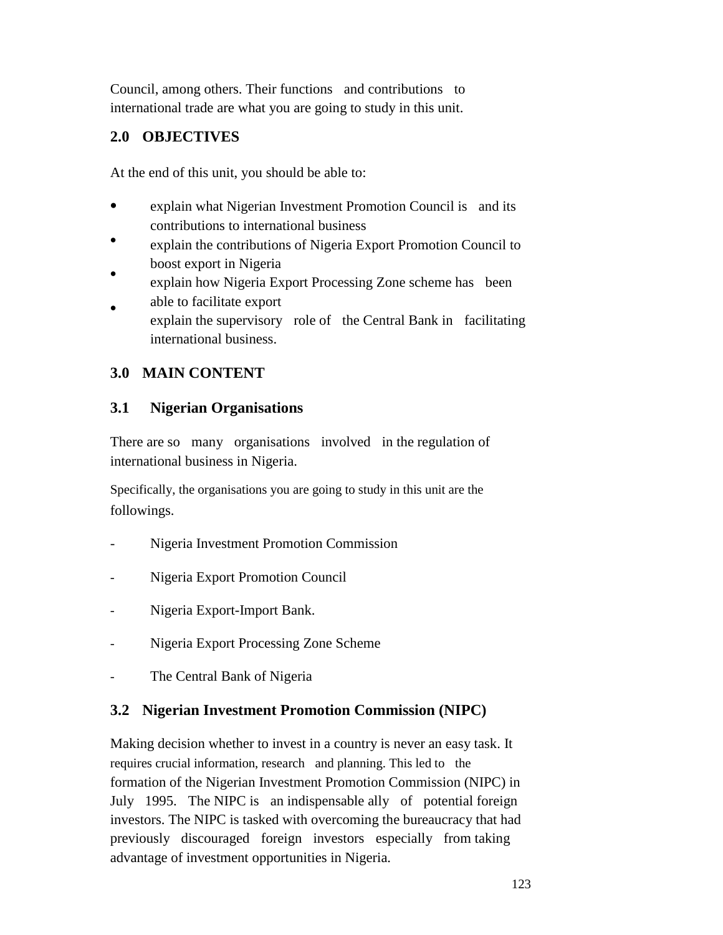Council, among others. Their functions and contributions to international trade are what you are going to study in this unit.

# **2.0 OBJECTIVES**

At the end of this unit, you should be able to:

- $\bullet$ explain what Nigerian Investment Promotion Council is and its contributions to international business
- $\bullet$ explain the contributions of Nigeria Export Promotion Council to boost export in Nigeria
- $\bullet$ explain how Nigeria Export Processing Zone scheme has been able to facilitate export
- $\bullet$ explain the supervisory role of the Central Bank in facilitating international business.

# **3.0 MAIN CONTENT**

# **3.1 Nigerian Organisations**

There are so many organisations involved in the regulation of international business in Nigeria.

Specifically, the organisations you are going to study in this unit are the followings.

- Nigeria Investment Promotion Commission
- Nigeria Export Promotion Council
- Nigeria Export-Import Bank.
- Nigeria Export Processing Zone Scheme
- The Central Bank of Nigeria

# **3.2 Nigerian Investment Promotion Commission (NIPC)**

Making decision whether to invest in a country is never an easy task. It requires crucial information, research and planning. This led to the formation of the Nigerian Investment Promotion Commission (NIPC) in July 1995. The NIPC is an indispensable ally of potential foreign investors. The NIPC is tasked with overcoming the bureaucracy that had previously discouraged foreign investors especially from taking advantage of investment opportunities in Nigeria.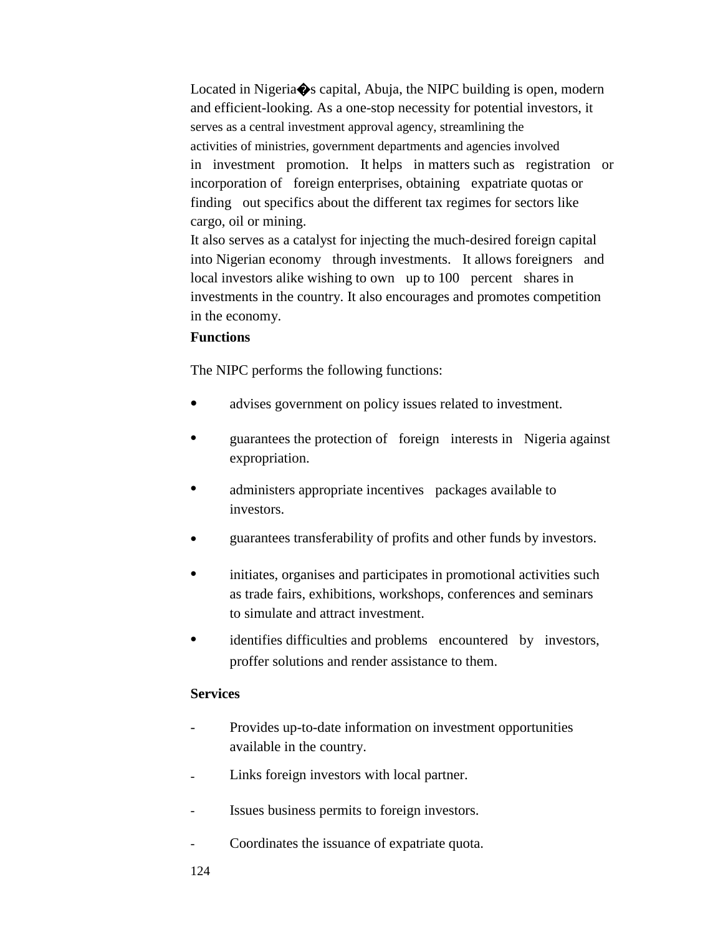Located in Nigeria  $\bullet$ s capital, Abuja, the NIPC building is open, modern and efficient-looking. As a one-stop necessity for potential investors, it serves as a central investment approval agency, streamlining the activities of ministries, government departments and agencies involved in investment promotion. It helps in matters such as registration or incorporation of foreign enterprises, obtaining expatriate quotas or finding out specifics about the different tax regimes for sectors like cargo, oil or mining.

It also serves as a catalyst for injecting the much-desired foreign capital into Nigerian economy through investments. It allows foreigners and local investors alike wishing to own up to 100 percent shares in investments in the country. It also encourages and promotes competition in the economy.

#### **Functions**

The NIPC performs the following functions:

- $\bullet$ advises government on policy issues related to investment.
- $\bullet$ guarantees the protection of foreign interests in Nigeria against expropriation.
- $\bullet$ administers appropriate incentives packages available to investors.
- $\bullet$ guarantees transferability of profits and other funds by investors.
- $\bullet$ initiates, organises and participates in promotional activities such as trade fairs, exhibitions, workshops, conferences and seminars to simulate and attract investment.
- $\bullet$ identifies difficulties and problems encountered by investors, proffer solutions and render assistance to them.

#### **Services**

- Provides up-to-date information on investment opportunities available in the country.
- Links foreign investors with local partner.
- Issues business permits to foreign investors.
- Coordinates the issuance of expatriate quota.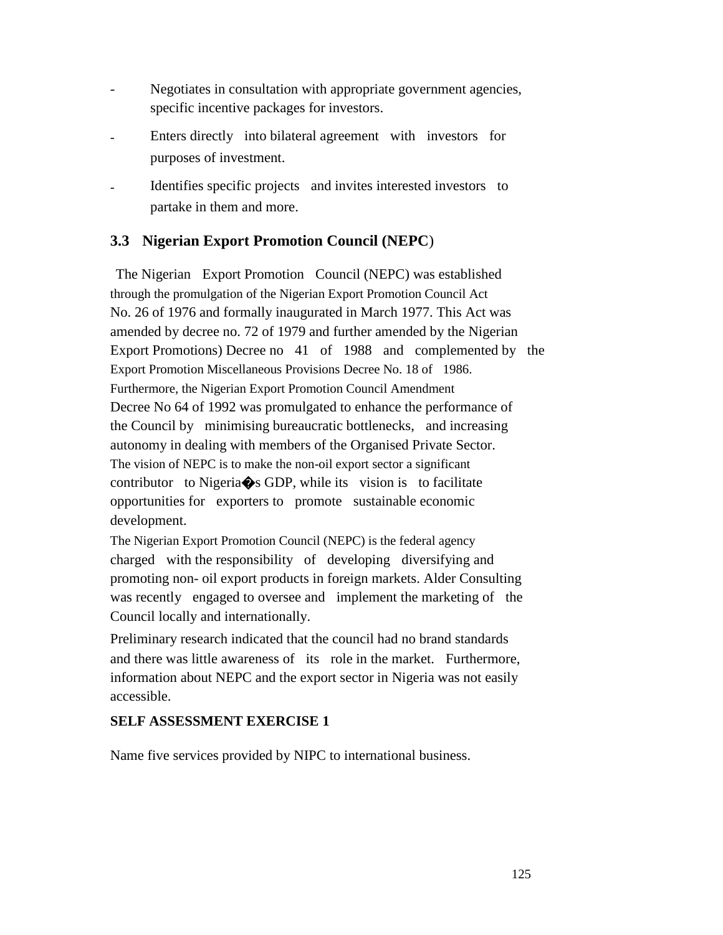- Negotiates in consultation with appropriate government agencies, specific incentive packages for investors.
- Enters directly into bilateral agreement with investors for purposes of investment.
- Identifies specific projects and invites interested investors to partake in them and more.

# **3.3 Nigerian Export Promotion Council (NEPC**)

The Nigerian Export Promotion Council (NEPC) was established through the promulgation of the Nigerian Export Promotion Council Act No. 26 of 1976 and formally inaugurated in March 1977. This Act was amended by decree no. 72 of 1979 and further amended by the Nigerian Export Promotions) Decree no 41 of 1988 and complemented by the Export Promotion Miscellaneous Provisions Decree No. 18 of 1986. Furthermore, the Nigerian Export Promotion Council Amendment Decree No 64 of 1992 was promulgated to enhance the performance of the Council by minimising bureaucratic bottlenecks, and increasing autonomy in dealing with members of the Organised Private Sector. The vision of NEPC is to make the non-oil export sector a significant contributor to Nigeria SGDP, while its vision is to facilitate opportunities for exporters to promote sustainable economic development.

The Nigerian Export Promotion Council (NEPC) is the federal agency charged with the responsibility of developing diversifying and promoting non- oil export products in foreign markets. Alder Consulting was recently engaged to oversee and implement the marketing of the Council locally and internationally.

Preliminary research indicated that the council had no brand standards and there was little awareness of its role in the market. Furthermore, information about NEPC and the export sector in Nigeria was not easily accessible.

#### **SELF ASSESSMENT EXERCISE 1**

Name five services provided by NIPC to international business.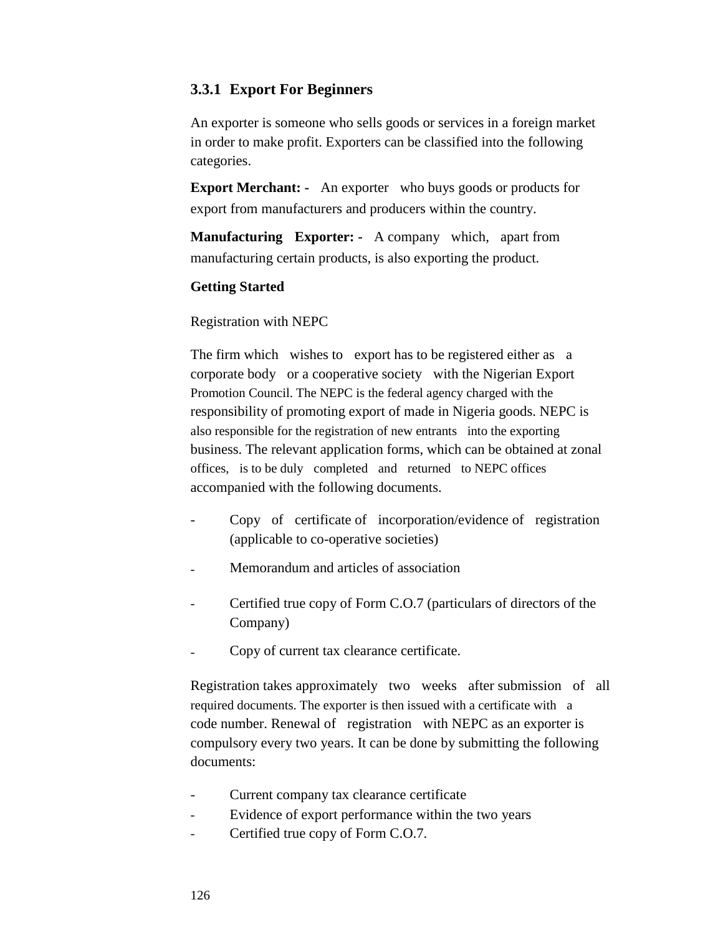## **3.3.1 Export For Beginners**

An exporter is someone who sells goods or services in a foreign market in order to make profit. Exporters can be classified into the following categories.

**Export Merchant:** - An exporter who buys goods or products for export from manufacturers and producers within the country.

**Manufacturing Exporter:** - A company which, apart from manufacturing certain products, is also exporting the product.

#### **Getting Started**

#### Registration with NEPC

The firm which wishes to export has to be registered either as a corporate body or a cooperative society with the Nigerian Export Promotion Council. The NEPC is the federal agency charged with the responsibility of promoting export of made in Nigeria goods. NEPC is also responsible for the registration of new entrants into the exporting business. The relevant application forms, which can be obtained at zonal offices, is to be duly completed and returned to NEPC offices accompanied with the following documents.

- Copy of certificate of incorporation/evidence of registration (applicable to co-operative societies)
- Memorandum and articles of association
- Certified true copy of Form C.O.7 (particulars of directors of the Company)
- Copy of current tax clearance certificate.

Registration takes approximately two weeks after submission of all required documents. The exporter is then issued with a certificate with a code number. Renewal of registration with NEPC as an exporter is compulsory every two years. It can be done by submitting the following documents:

- Current company tax clearance certificate
- Evidence of export performance within the two years
- Certified true copy of Form C.O.7.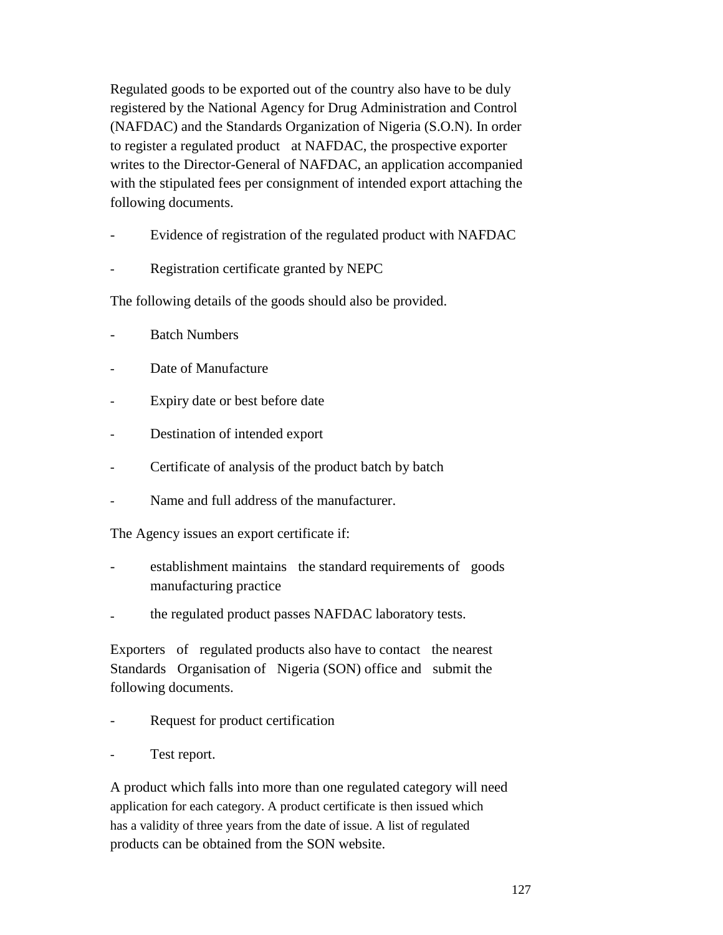Regulated goods to be exported out of the country also have to be duly registered by the National Agency for Drug Administration and Control (NAFDAC) and the Standards Organization of Nigeria (S.O.N). In order to register a regulated product at NAFDAC, the prospective exporter writes to the Director-General of NAFDAC, an application accompanied with the stipulated fees per consignment of intended export attaching the following documents.

- Evidence of registration of the regulated product with NAFDAC
- Registration certificate granted by NEPC

The following details of the goods should also be provided.

- Batch Numbers
- Date of Manufacture
- Expiry date or best before date
- Destination of intended export
- Certificate of analysis of the product batch by batch
- Name and full address of the manufacturer.

The Agency issues an export certificate if:

- establishment maintains the standard requirements of goods manufacturing practice
- the regulated product passes NAFDAC laboratory tests.

Exporters of regulated products also have to contact the nearest Standards Organisation of Nigeria (SON) office and submit the following documents.

- Request for product certification
- Test report.

A product which falls into more than one regulated category will need application for each category. A product certificate is then issued which has a validity of three years from the date of issue. A list of regulated products can be obtained from the SON website.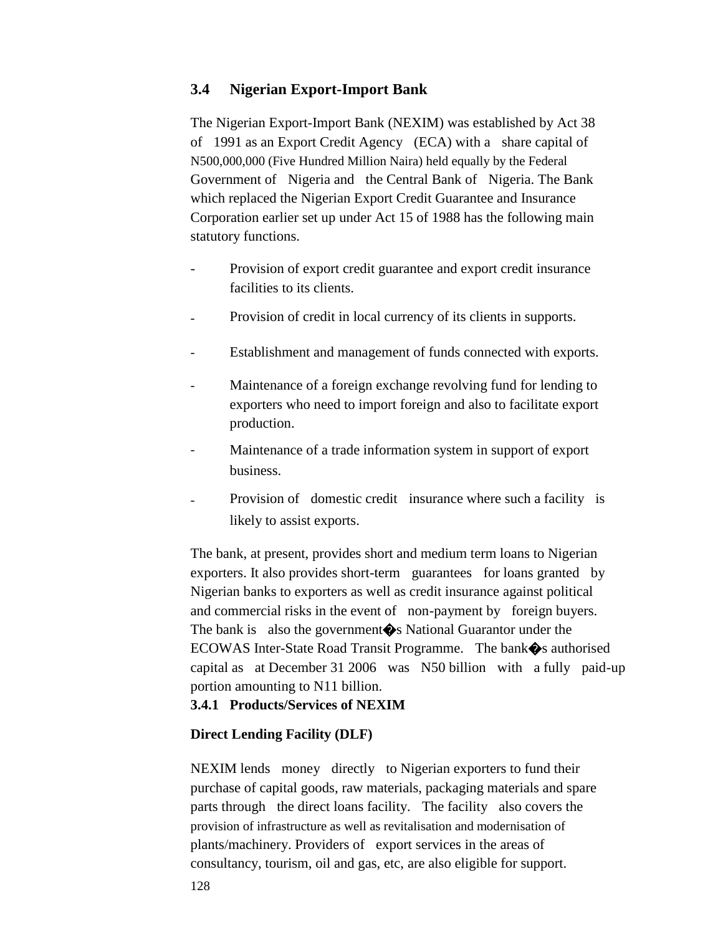## **3.4 Nigerian Export-Import Bank**

The Nigerian Export-Import Bank (NEXIM) was established by Act 38 of 1991 as an Export Credit Agency (ECA) with a share capital of N500,000,000 (Five Hundred Million Naira) held equally by the Federal Government of Nigeria and the Central Bank of Nigeria. The Bank which replaced the Nigerian Export Credit Guarantee and Insurance Corporation earlier set up under Act 15 of 1988 has the following main statutory functions.

- Provision of export credit guarantee and export credit insurance facilities to its clients.
- Provision of credit in local currency of its clients in supports.
- Establishment and management of funds connected with exports.
- Maintenance of a foreign exchange revolving fund for lending to exporters who need to import foreign and also to facilitate export production.
- Maintenance of a trade information system in support of export business.
- Provision of domestic credit insurance where such a facility is likely to assist exports.

The bank, at present, provides short and medium term loans to Nigerian exporters. It also provides short-term guarantees for loans granted by Nigerian banks to exporters as well as credit insurance against political and commercial risks in the event of non-payment by foreign buyers. The bank is also the government $\clubsuit$ s National Guarantor under the ECOWAS Inter-State Road Transit Programme. The bank�s authorised capital as at December 31 2006 was N50 billion with a fully paid-up portion amounting to N11 billion.

#### **3.4.1 Products/Services of NEXIM**

#### **Direct Lending Facility (DLF)**

NEXIM lends money directly to Nigerian exporters to fund their purchase of capital goods, raw materials, packaging materials and spare parts through the direct loans facility. The facility also covers the provision of infrastructure as well as revitalisation and modernisation of plants/machinery. Providers of export services in the areas of consultancy, tourism, oil and gas, etc, are also eligible for support.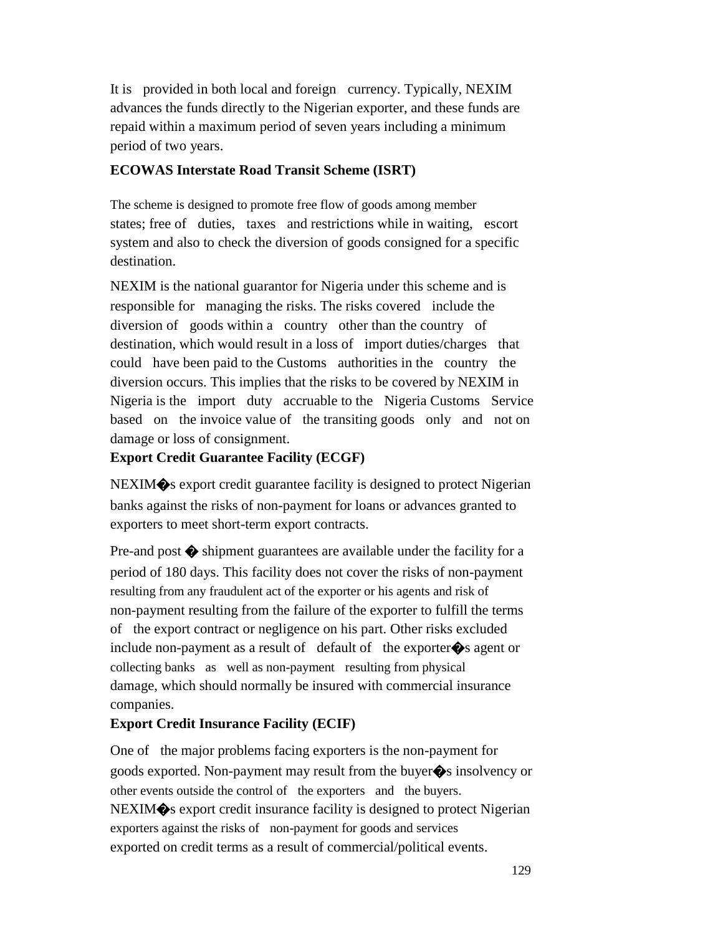It is provided in both local and foreign currency. Typically, NEXIM advances the funds directly to the Nigerian exporter, and these funds are repaid within a maximum period of seven years including a minimum period of two years.

#### **ECOWAS Interstate Road Transit Scheme (ISRT)**

The scheme is designed to promote free flow of goods among member states; free of duties, taxes and restrictions while in waiting, escort system and also to check the diversion of goods consigned for a specific destination.

NEXIM is the national guarantor for Nigeria under this scheme and is responsible for managing the risks. The risks covered include the diversion of goods within a country other than the country of destination, which would result in a loss of import duties/charges that could have been paid to the Customs authorities in the country the diversion occurs. This implies that the risks to be covered by NEXIM in Nigeria is the import duty accruable to the Nigeria Customs Service based on the invoice value of the transiting goods only and not on damage or loss of consignment.

## **Export Credit Guarantee Facility (ECGF)**

NEXIM<sup>2</sup> export credit guarantee facility is designed to protect Nigerian banks against the risks of non-payment for loans or advances granted to exporters to meet short-term export contracts.

Pre-and post � shipment guarantees are available under the facility for a period of 180 days. This facility does not cover the risks of non-payment resulting from any fraudulent act of the exporter or his agents and risk of non-payment resulting from the failure of the exporter to fulfill the terms of the export contract or negligence on his part. Other risks excluded include non-payment as a result of default of the exporter  $\diamond$  agent or collecting banks as well as non-payment resulting from physical damage, which should normally be insured with commercial insurance companies.

## **Export Credit Insurance Facility (ECIF)**

One of the major problems facing exporters is the non-payment for goods exported. Non-payment may result from the buyer�s insolvency or other events outside the control of the exporters and the buyers.  $NEXIM$  $\diamondsuit$  export credit insurance facility is designed to protect Nigerian exporters against the risks of non-payment for goods and services exported on credit terms as a result of commercial/political events.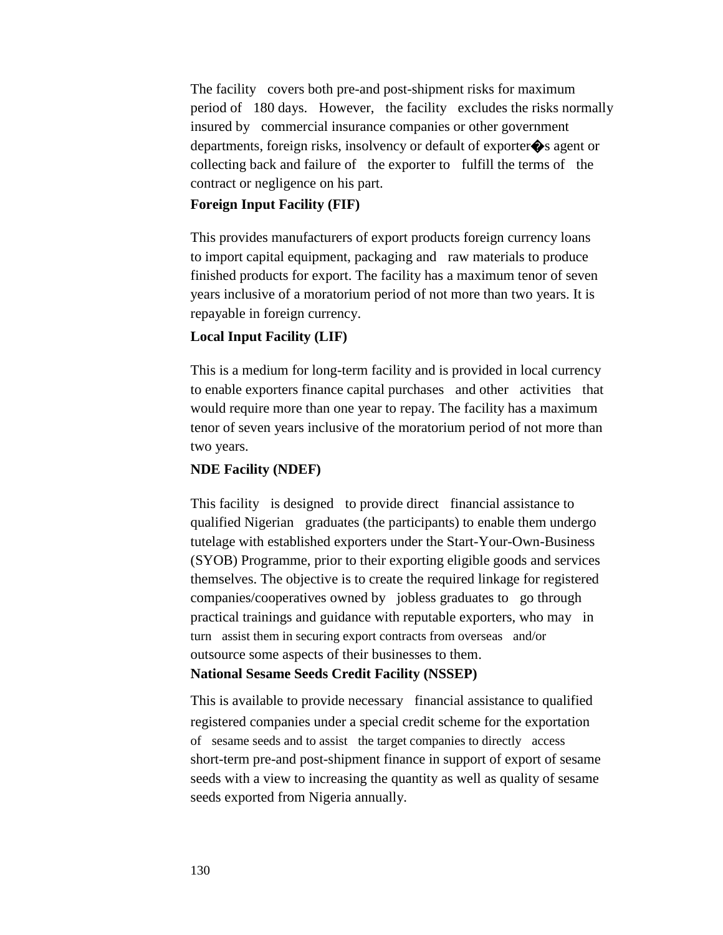The facility covers both pre-and post-shipment risks for maximum period of 180 days. However, the facility excludes the risks normally insured by commercial insurance companies or other government departments, foreign risks, insolvency or default of exporter�s agent or collecting back and failure of the exporter to fulfill the terms of the contract or negligence on his part.

#### **Foreign Input Facility (FIF)**

This provides manufacturers of export products foreign currency loans to import capital equipment, packaging and raw materials to produce finished products for export. The facility has a maximum tenor of seven years inclusive of a moratorium period of not more than two years. It is repayable in foreign currency.

#### **Local Input Facility (LIF)**

This is a medium for long-term facility and is provided in local currency to enable exporters finance capital purchases and other activities that would require more than one year to repay. The facility has a maximum tenor of seven years inclusive of the moratorium period of not more than two years.

#### **NDE Facility (NDEF)**

This facility is designed to provide direct financial assistance to qualified Nigerian graduates (the participants) to enable them undergo tutelage with established exporters under the Start-Your-Own-Business (SYOB) Programme, prior to their exporting eligible goods and services themselves. The objective is to create the required linkage for registered companies/cooperatives owned by jobless graduates to go through practical trainings and guidance with reputable exporters, who may in turn assist them in securing export contracts from overseas and/or outsource some aspects of their businesses to them. **National Sesame Seeds Credit Facility (NSSEP)** 

This is available to provide necessary financial assistance to qualified registered companies under a special credit scheme for the exportation of sesame seeds and to assist the target companies to directly access short-term pre-and post-shipment finance in support of export of sesame seeds with a view to increasing the quantity as well as quality of sesame seeds exported from Nigeria annually.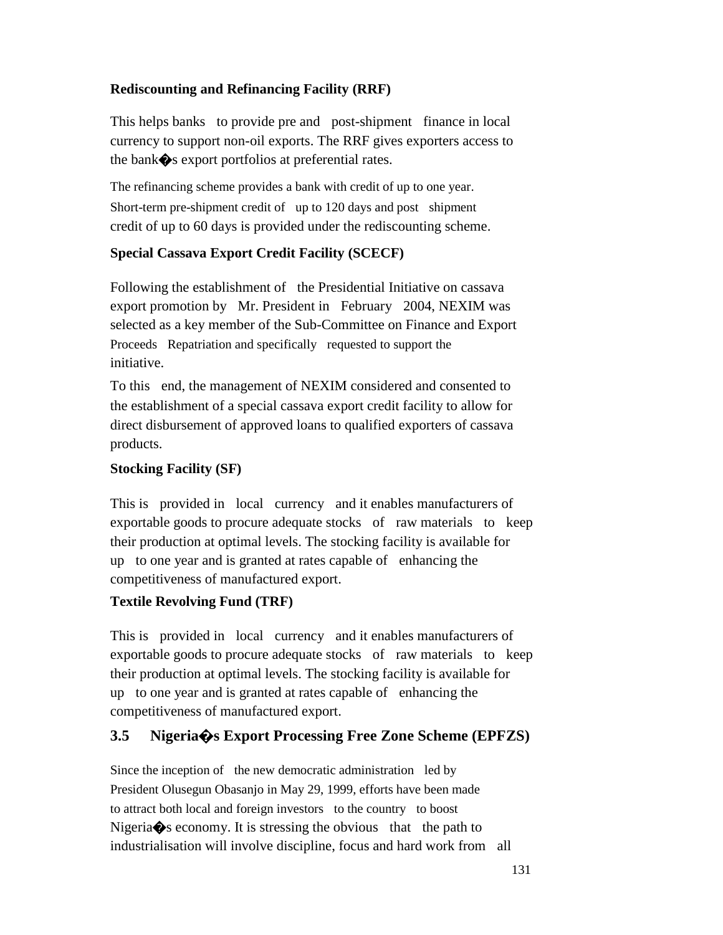# **Rediscounting and Refinancing Facility (RRF)**

This helps banks to provide pre and post-shipment finance in local currency to support non-oil exports. The RRF gives exporters access to the bank�s export portfolios at preferential rates.

The refinancing scheme provides a bank with credit of up to one year. Short-term pre-shipment credit of up to 120 days and post shipment credit of up to 60 days is provided under the rediscounting scheme.

## **Special Cassava Export Credit Facility (SCECF)**

Following the establishment of the Presidential Initiative on cassava export promotion by Mr. President in February 2004, NEXIM was selected as a key member of the Sub-Committee on Finance and Export Proceeds Repatriation and specifically requested to support the initiative.

To this end, the management of NEXIM considered and consented to the establishment of a special cassava export credit facility to allow for direct disbursement of approved loans to qualified exporters of cassava products.

### **Stocking Facility (SF)**

This is provided in local currency and it enables manufacturers of exportable goods to procure adequate stocks of raw materials to keep their production at optimal levels. The stocking facility is available for up to one year and is granted at rates capable of enhancing the competitiveness of manufactured export.

### **Textile Revolving Fund (TRF)**

This is provided in local currency and it enables manufacturers of exportable goods to procure adequate stocks of raw materials to keep their production at optimal levels. The stocking facility is available for up to one year and is granted at rates capable of enhancing the competitiveness of manufactured export.

# **3.5 Nigeria�s Export Processing Free Zone Scheme (EPFZS)**

Since the inception of the new democratic administration led by President Olusegun Obasanjo in May 29, 1999, efforts have been made to attract both local and foreign investors to the country to boost Nigeria $\diamondsuit$  economy. It is stressing the obvious that the path to industrialisation will involve discipline, focus and hard work from all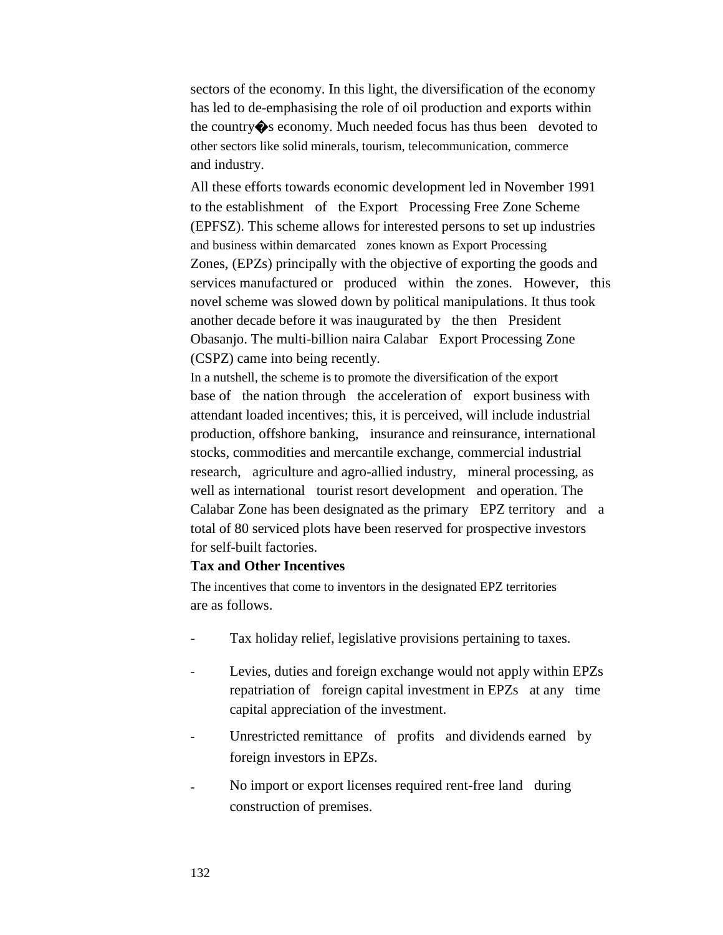sectors of the economy. In this light, the diversification of the economy has led to de-emphasising the role of oil production and exports within the country�s economy. Much needed focus has thus been devoted to other sectors like solid minerals, tourism, telecommunication, commerce and industry.

All these efforts towards economic development led in November 1991 to the establishment of the Export Processing Free Zone Scheme (EPFSZ). This scheme allows for interested persons to set up industries and business within demarcated zones known as Export Processing Zones, (EPZs) principally with the objective of exporting the goods and services manufactured or produced within the zones. However, this novel scheme was slowed down by political manipulations. It thus took another decade before it was inaugurated by the then President Obasanjo. The multi-billion naira Calabar Export Processing Zone (CSPZ) came into being recently.

In a nutshell, the scheme is to promote the diversification of the export base of the nation through the acceleration of export business with attendant loaded incentives; this, it is perceived, will include industrial production, offshore banking, insurance and reinsurance, international stocks, commodities and mercantile exchange, commercial industrial research, agriculture and agro-allied industry, mineral processing, as well as international tourist resort development and operation. The Calabar Zone has been designated as the primary EPZ territory and a total of 80 serviced plots have been reserved for prospective investors for self-built factories.

### **Tax and Other Incentives**

The incentives that come to inventors in the designated EPZ territories are as follows.

- Tax holiday relief, legislative provisions pertaining to taxes.
- Levies, duties and foreign exchange would not apply within EPZs repatriation of foreign capital investment in EPZs at any time capital appreciation of the investment.
- Unrestricted remittance of profits and dividends earned by foreign investors in EPZs.
- No import or export licenses required rent-free land during construction of premises.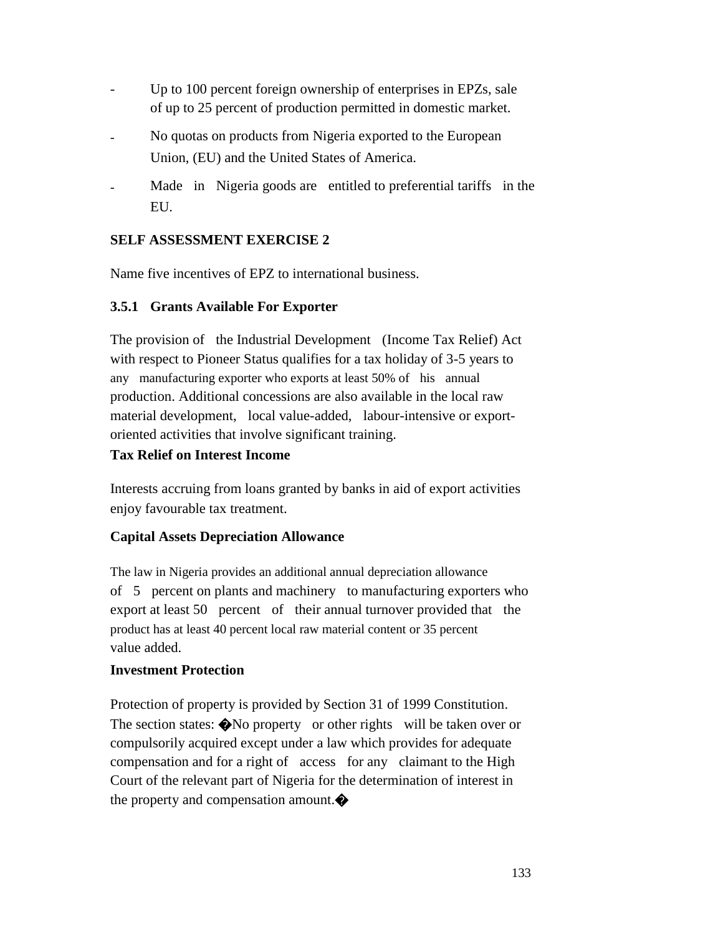- Up to 100 percent foreign ownership of enterprises in EPZs, sale of up to 25 percent of production permitted in domestic market.
- No quotas on products from Nigeria exported to the European Union, (EU) and the United States of America.
- Made in Nigeria goods are entitled to preferential tariffs in the EU.

# **SELF ASSESSMENT EXERCISE 2**

Name five incentives of EPZ to international business.

# **3.5.1 Grants Available For Exporter**

The provision of the Industrial Development (Income Tax Relief) Act with respect to Pioneer Status qualifies for a tax holiday of 3-5 years to any manufacturing exporter who exports at least 50% of his annual production. Additional concessions are also available in the local raw material development, local value-added, labour-intensive or exportoriented activities that involve significant training.

# **Tax Relief on Interest Income**

Interests accruing from loans granted by banks in aid of export activities enjoy favourable tax treatment.

## **Capital Assets Depreciation Allowance**

The law in Nigeria provides an additional annual depreciation allowance of 5 percent on plants and machinery to manufacturing exporters who export at least 50 percent of their annual turnover provided that the product has at least 40 percent local raw material content or 35 percent value added.

## **Investment Protection**

Protection of property is provided by Section 31 of 1999 Constitution. The section states:  $\bigcirc$ No property or other rights will be taken over or compulsorily acquired except under a law which provides for adequate compensation and for a right of access for any claimant to the High Court of the relevant part of Nigeria for the determination of interest in the property and compensation amount.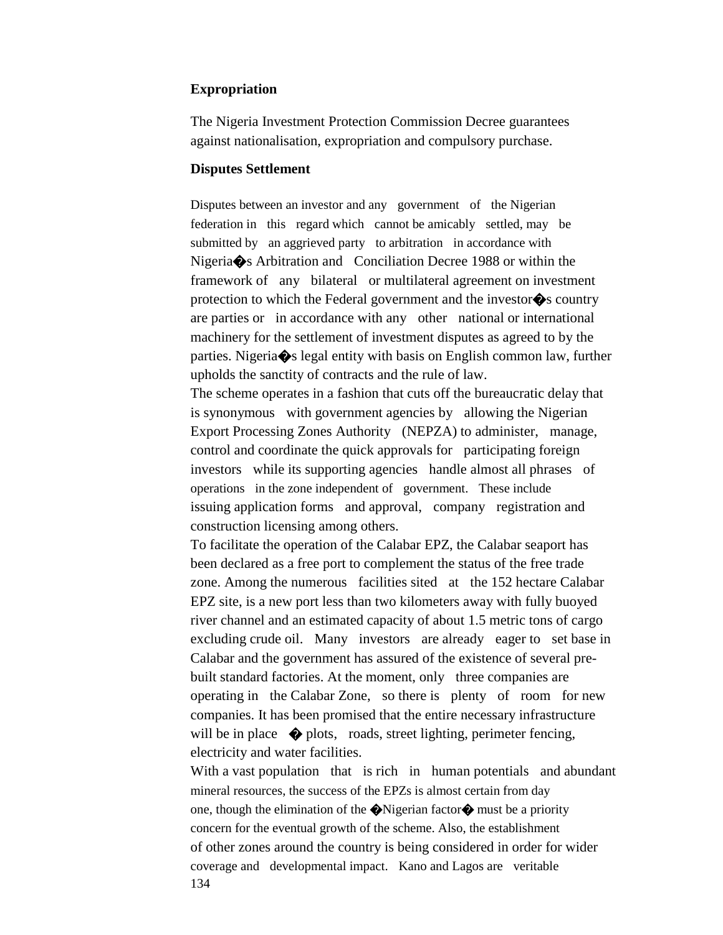#### **Expropriation**

The Nigeria Investment Protection Commission Decree guarantees against nationalisation, expropriation and compulsory purchase.

#### **Disputes Settlement**

Disputes between an investor and any government of the Nigerian federation in this regard which cannot be amicably settled, may be submitted by an aggrieved party to arbitration in accordance with Nigeria�s Arbitration and Conciliation Decree 1988 or within the framework of any bilateral or multilateral agreement on investment protection to which the Federal government and the investor  $\diamondsuit$  s country are parties or in accordance with any other national or international machinery for the settlement of investment disputes as agreed to by the parties. Nigeria�s legal entity with basis on English common law, further upholds the sanctity of contracts and the rule of law.

The scheme operates in a fashion that cuts off the bureaucratic delay that is synonymous with government agencies by allowing the Nigerian Export Processing Zones Authority (NEPZA) to administer, manage, control and coordinate the quick approvals for participating foreign investors while its supporting agencies handle almost all phrases of operations in the zone independent of government. These include issuing application forms and approval, company registration and construction licensing among others.

To facilitate the operation of the Calabar EPZ, the Calabar seaport has been declared as a free port to complement the status of the free trade zone. Among the numerous facilities sited at the 152 hectare Calabar EPZ site, is a new port less than two kilometers away with fully buoyed river channel and an estimated capacity of about 1.5 metric tons of cargo excluding crude oil. Many investors are already eager to set base in Calabar and the government has assured of the existence of several prebuilt standard factories. At the moment, only three companies are operating in the Calabar Zone, so there is plenty of room for new companies. It has been promised that the entire necessary infrastructure will be in place  $\bullet$  plots, roads, street lighting, perimeter fencing, electricity and water facilities.

With a vast population that is rich in human potentials and abundant mineral resources, the success of the EPZs is almost certain from day one, though the elimination of the  $\bigcirc$ Nigerian factor $\bigcirc$  must be a priority concern for the eventual growth of the scheme. Also, the establishment of other zones around the country is being considered in order for wider coverage and developmental impact. Kano and Lagos are veritable 134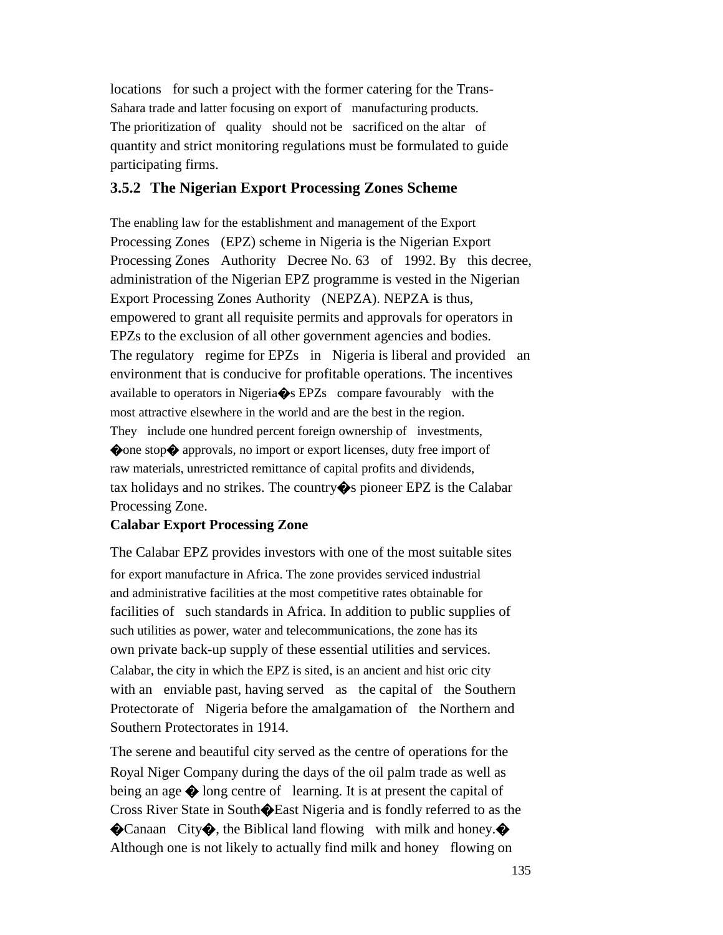locations for such a project with the former catering for the Trans-Sahara trade and latter focusing on export of manufacturing products. The prioritization of quality should not be sacrificed on the altar of quantity and strict monitoring regulations must be formulated to guide participating firms.

### **3.5.2 The Nigerian Export Processing Zones Scheme**

The enabling law for the establishment and management of the Export Processing Zones (EPZ) scheme in Nigeria is the Nigerian Export Processing Zones Authority Decree No. 63 of 1992. By this decree, administration of the Nigerian EPZ programme is vested in the Nigerian Export Processing Zones Authority (NEPZA). NEPZA is thus, empowered to grant all requisite permits and approvals for operators in EPZs to the exclusion of all other government agencies and bodies. The regulatory regime for EPZs in Nigeria is liberal and provided an environment that is conducive for profitable operations. The incentives available to operators in Nigeria�s EPZs compare favourably with the most attractive elsewhere in the world and are the best in the region. They include one hundred percent foreign ownership of investments, �one stop� approvals, no import or export licenses, duty free import of raw materials, unrestricted remittance of capital profits and dividends, tax holidays and no strikes. The country�s pioneer EPZ is the Calabar Processing Zone.

### **Calabar Export Processing Zone**

The Calabar EPZ provides investors with one of the most suitable sites for export manufacture in Africa. The zone provides serviced industrial and administrative facilities at the most competitive rates obtainable for facilities of such standards in Africa. In addition to public supplies of such utilities as power, water and telecommunications, the zone has its own private back-up supply of these essential utilities and services. Calabar, the city in which the EPZ is sited, is an ancient and hist oric city with an enviable past, having served as the capital of the Southern Protectorate of Nigeria before the amalgamation of the Northern and Southern Protectorates in 1914.

The serene and beautiful city served as the centre of operations for the Royal Niger Company during the days of the oil palm trade as well as being an age  $\bigcirc$  long centre of learning. It is at present the capital of Cross River State in South�East Nigeria and is fondly referred to as the  $\bigcirc$ Canaan City $\bigcirc$ , the Biblical land flowing with milk and honey.  $\bigcirc$ Although one is not likely to actually find milk and honey flowing on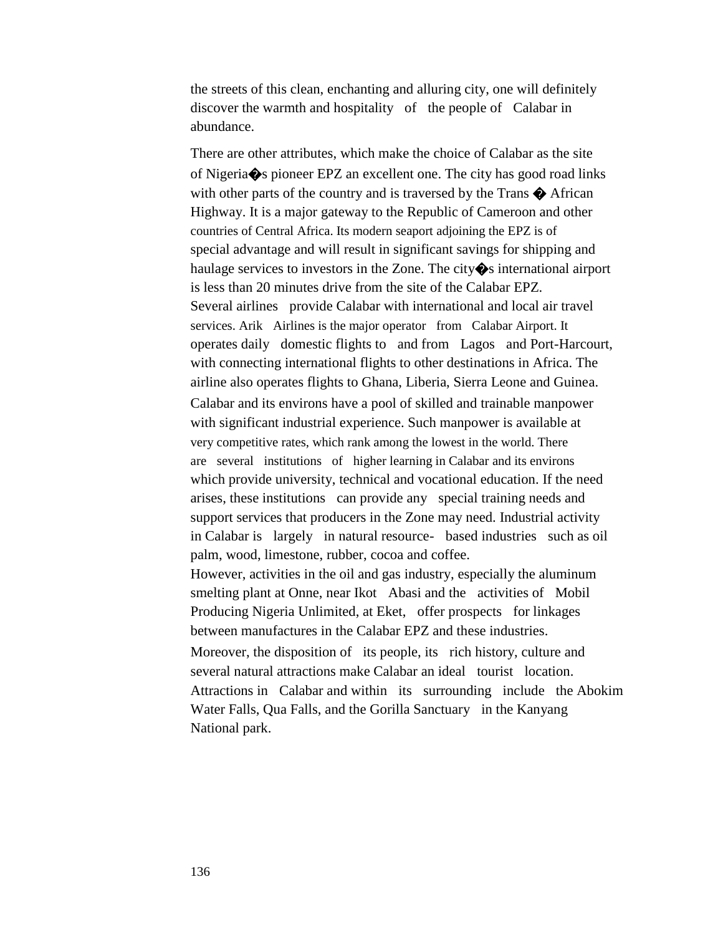the streets of this clean, enchanting and alluring city, one will definitely discover the warmth and hospitality of the people of Calabar in abundance.

There are other attributes, which make the choice of Calabar as the site of Nigeria�s pioneer EPZ an excellent one. The city has good road links with other parts of the country and is traversed by the Trans  $\bigcirc$  African Highway. It is a major gateway to the Republic of Cameroon and other countries of Central Africa. Its modern seaport adjoining the EPZ is of special advantage and will result in significant savings for shipping and haulage services to investors in the Zone. The city $\hat{\mathbf{\diamond}}$ s international airport is less than 20 minutes drive from the site of the Calabar EPZ. Several airlines provide Calabar with international and local air travel services. Arik Airlines is the major operator from Calabar Airport. It operates daily domestic flights to and from Lagos and Port-Harcourt, with connecting international flights to other destinations in Africa. The airline also operates flights to Ghana, Liberia, Sierra Leone and Guinea. Calabar and its environs have a pool of skilled and trainable manpower with significant industrial experience. Such manpower is available at very competitive rates, which rank among the lowest in the world. There are several institutions of higher learning in Calabar and its environs which provide university, technical and vocational education. If the need arises, these institutions can provide any special training needs and support services that producers in the Zone may need. Industrial activity in Calabar is largely in natural resource- based industries such as oil palm, wood, limestone, rubber, cocoa and coffee. However, activities in the oil and gas industry, especially the aluminum smelting plant at Onne, near Ikot Abasi and the activities of Mobil Producing Nigeria Unlimited, at Eket, offer prospects for linkages

between manufactures in the Calabar EPZ and these industries.

Moreover, the disposition of its people, its rich history, culture and several natural attractions make Calabar an ideal tourist location. Attractions in Calabar and within its surrounding include the Abokim Water Falls, Qua Falls, and the Gorilla Sanctuary in the Kanyang National park.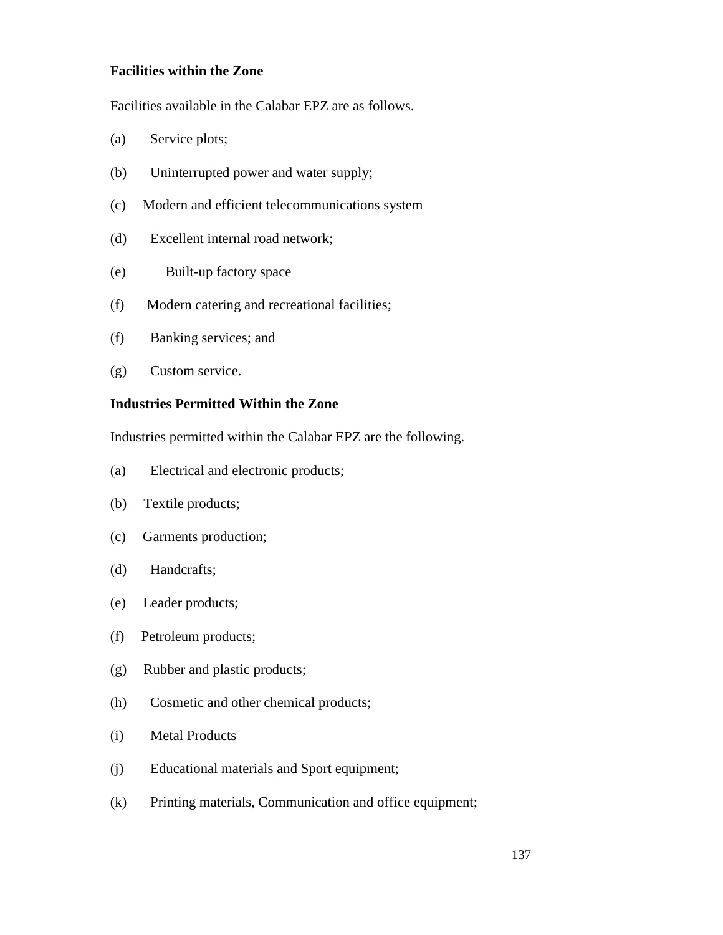### **Facilities within the Zone**

Facilities available in the Calabar EPZ are as follows.

- (a) Service plots;
- (b) Uninterrupted power and water supply;
- (c) Modern and efficient telecommunications system
- (d) Excellent internal road network;
- (e) Built-up factory space
- (f) Modern catering and recreational facilities;
- (f) Banking services; and
- (g) Custom service.

### **Industries Permitted Within the Zone**

Industries permitted within the Calabar EPZ are the following.

- (a) Electrical and electronic products;
- (b) Textile products;
- (c) Garments production;
- (d) Handcrafts;
- (e) Leader products;
- (f) Petroleum products;
- (g) Rubber and plastic products;
- (h) Cosmetic and other chemical products;
- (i) Metal Products
- (j) Educational materials and Sport equipment;
- (k) Printing materials, Communication and office equipment;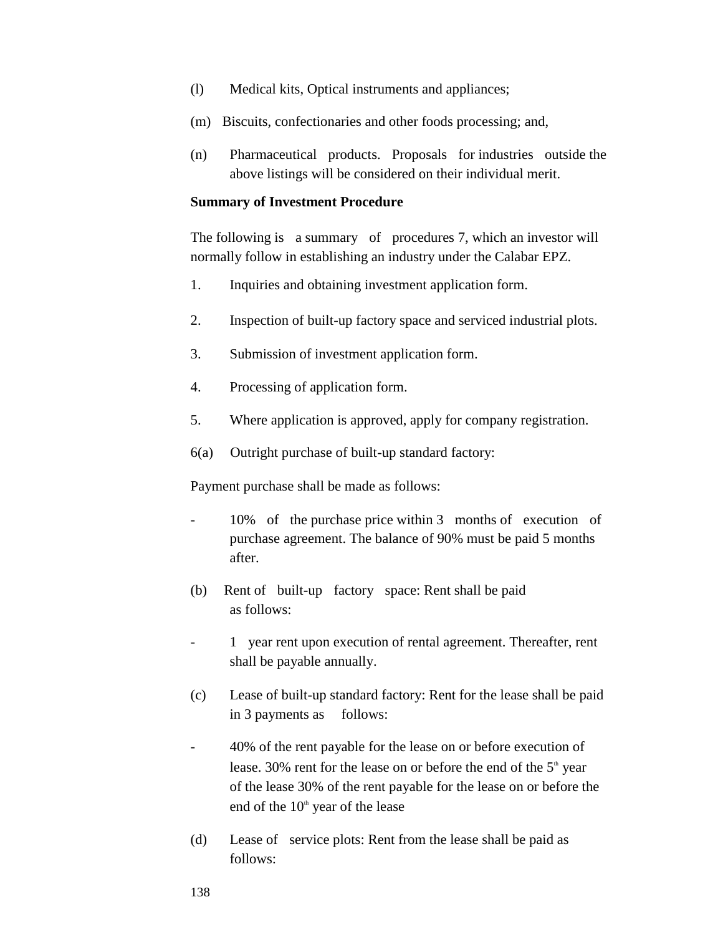- (l) Medical kits, Optical instruments and appliances;
- (m) Biscuits, confectionaries and other foods processing; and,
- (n) Pharmaceutical products. Proposals for industries outside the above listings will be considered on their individual merit.

#### **Summary of Investment Procedure**

The following is a summary of procedures 7, which an investor will normally follow in establishing an industry under the Calabar EPZ.

- 1. Inquiries and obtaining investment application form.
- 2. Inspection of built-up factory space and serviced industrial plots.
- 3. Submission of investment application form.
- 4. Processing of application form.
- 5. Where application is approved, apply for company registration.
- 6(a) Outright purchase of built-up standard factory:

Payment purchase shall be made as follows:

- 10% of the purchase price within 3 months of execution of purchase agreement. The balance of 90% must be paid 5 months after.
- (b) Rent of built-up factory space: Rent shall be paid as follows:
- 1 year rent upon execution of rental agreement. Thereafter, rent shall be payable annually.
- (c) Lease of built-up standard factory: Rent for the lease shall be paid in 3 payments as follows:
- 40% of the rent payable for the lease on or before execution of lease. 30% rent for the lease on or before the end of the  $5<sup>th</sup>$  year of the lease 30% of the rent payable for the lease on or before the end of the  $10<sup>th</sup>$  year of the lease
- (d) Lease of service plots: Rent from the lease shall be paid as follows: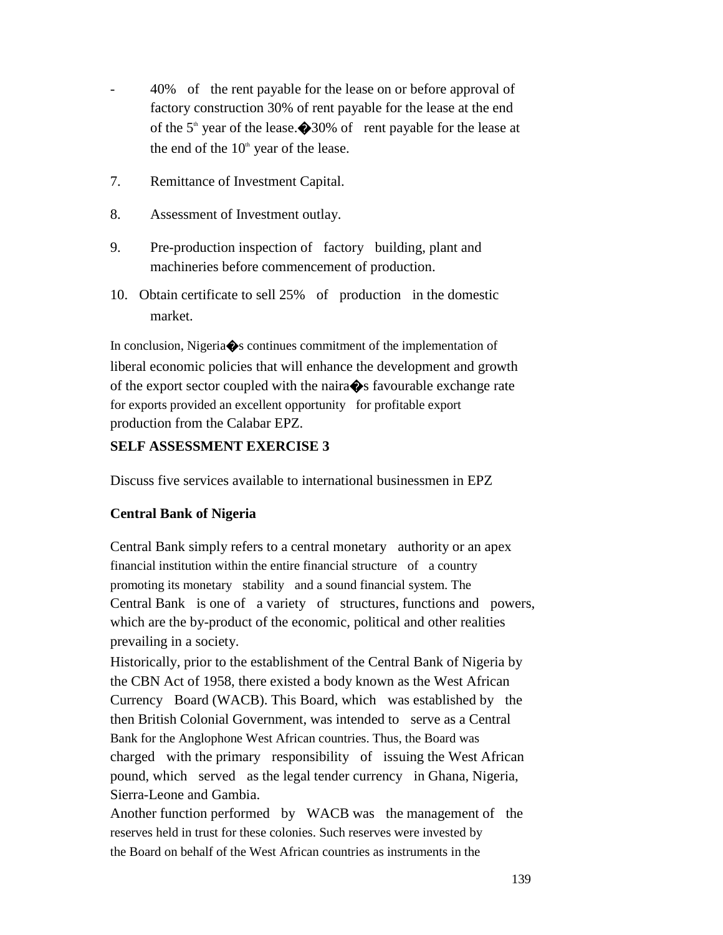- 40% of the rent payable for the lease on or before approval of factory construction 30% of rent payable for the lease at the end of the  $5<sup>th</sup>$  year of the lease.  $\bigcirc$  30% of rent payable for the lease at the end of the  $10<sup>th</sup>$  year of the lease.
- 7. Remittance of Investment Capital.
- 8. Assessment of Investment outlay.
- 9. Pre-production inspection of factory building, plant and machineries before commencement of production.
- 10. Obtain certificate to sell 25% of production in the domestic market.

In conclusion, Nigeria�s continues commitment of the implementation of liberal economic policies that will enhance the development and growth of the export sector coupled with the naira�s favourable exchange rate for exports provided an excellent opportunity for profitable export production from the Calabar EPZ.

## **SELF ASSESSMENT EXERCISE 3**

Discuss five services available to international businessmen in EPZ

## **Central Bank of Nigeria**

Central Bank simply refers to a central monetary authority or an apex financial institution within the entire financial structure of a country promoting its monetary stability and a sound financial system. The Central Bank is one of a variety of structures, functions and powers, which are the by-product of the economic, political and other realities prevailing in a society.

Historically, prior to the establishment of the Central Bank of Nigeria by the CBN Act of 1958, there existed a body known as the West African Currency Board (WACB). This Board, which was established by the then British Colonial Government, was intended to serve as a Central Bank for the Anglophone West African countries. Thus, the Board was charged with the primary responsibility of issuing the West African pound, which served as the legal tender currency in Ghana, Nigeria, Sierra-Leone and Gambia.

Another function performed by WACB was the management of the reserves held in trust for these colonies. Such reserves were invested by the Board on behalf of the West African countries as instruments in the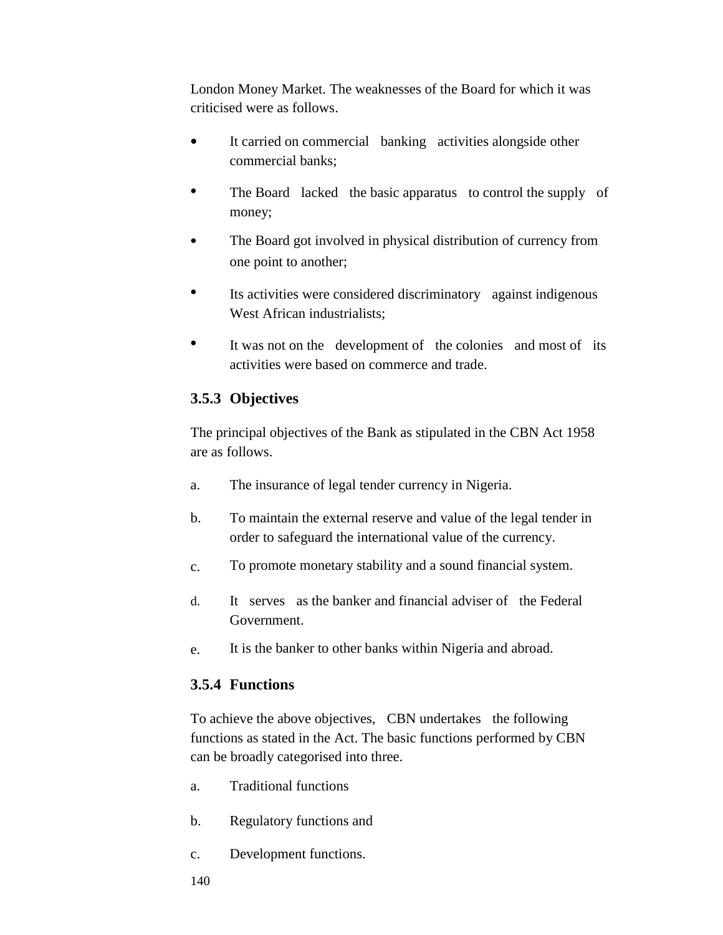London Money Market. The weaknesses of the Board for which it was criticised were as follows.

- $\bullet$ It carried on commercial banking activities alongside other commercial banks;
- $\bullet$ The Board lacked the basic apparatus to control the supply of money;
- $\bullet$ The Board got involved in physical distribution of currency from one point to another;
- $\bullet$ Its activities were considered discriminatory against indigenous West African industrialists:
- $\bullet$ It was not on the development of the colonies and most of its activities were based on commerce and trade.

# **3.5.3 Objectives**

The principal objectives of the Bank as stipulated in the CBN Act 1958 are as follows.

- a. The insurance of legal tender currency in Nigeria.
- b. To maintain the external reserve and value of the legal tender in order to safeguard the international value of the currency.
- c. To promote monetary stability and a sound financial system.
- d. It serves as the banker and financial adviser of the Federal Government.
- e. It is the banker to other banks within Nigeria and abroad.

# **3.5.4 Functions**

To achieve the above objectives, CBN undertakes the following functions as stated in the Act. The basic functions performed by CBN can be broadly categorised into three.

- a. Traditional functions
- b. Regulatory functions and
- c. Development functions.
- 140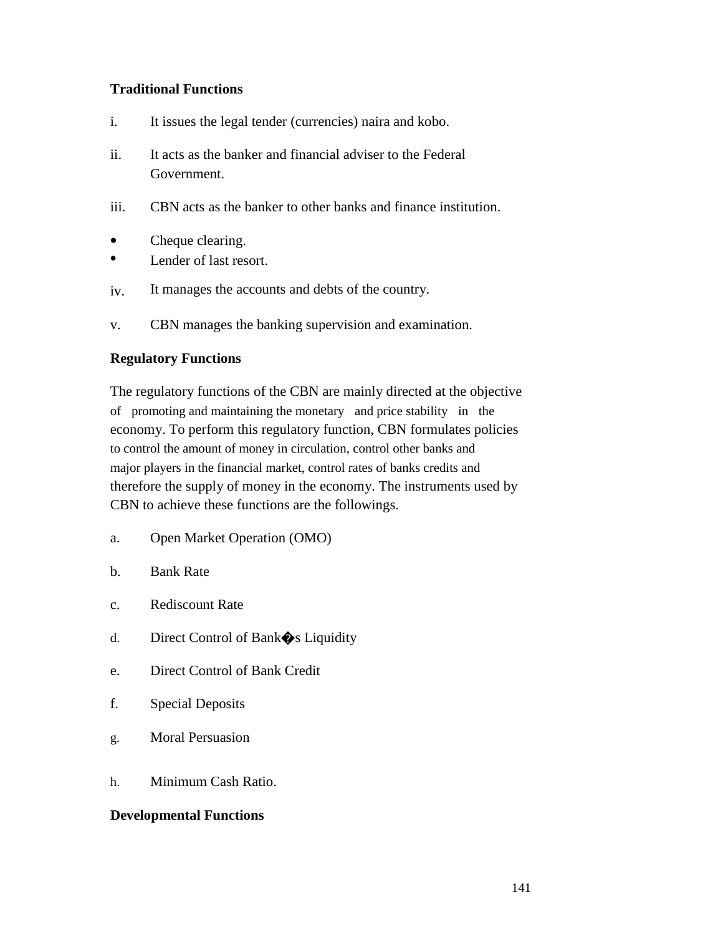### **Traditional Functions**

- i. It issues the legal tender (currencies) naira and kobo.
- ii. It acts as the banker and financial adviser to the Federal Government.
- iii. CBN acts as the banker to other banks and finance institution.
- $\bullet$ Cheque clearing.
- $\bullet$ Lender of last resort.
- iv. It manages the accounts and debts of the country.
- v. CBN manages the banking supervision and examination.

### **Regulatory Functions**

The regulatory functions of the CBN are mainly directed at the objective of promoting and maintaining the monetary and price stability in the economy. To perform this regulatory function, CBN formulates policies to control the amount of money in circulation, control other banks and major players in the financial market, control rates of banks credits and therefore the supply of money in the economy. The instruments used by CBN to achieve these functions are the followings.

- a. Open Market Operation (OMO)
- b. Bank Rate
- c. Rediscount Rate
- d. Direct Control of Bank $\diamond$ s Liquidity
- e. Direct Control of Bank Credit
- f. Special Deposits
- g. Moral Persuasion
- h. Minimum Cash Ratio.

### **Developmental Functions**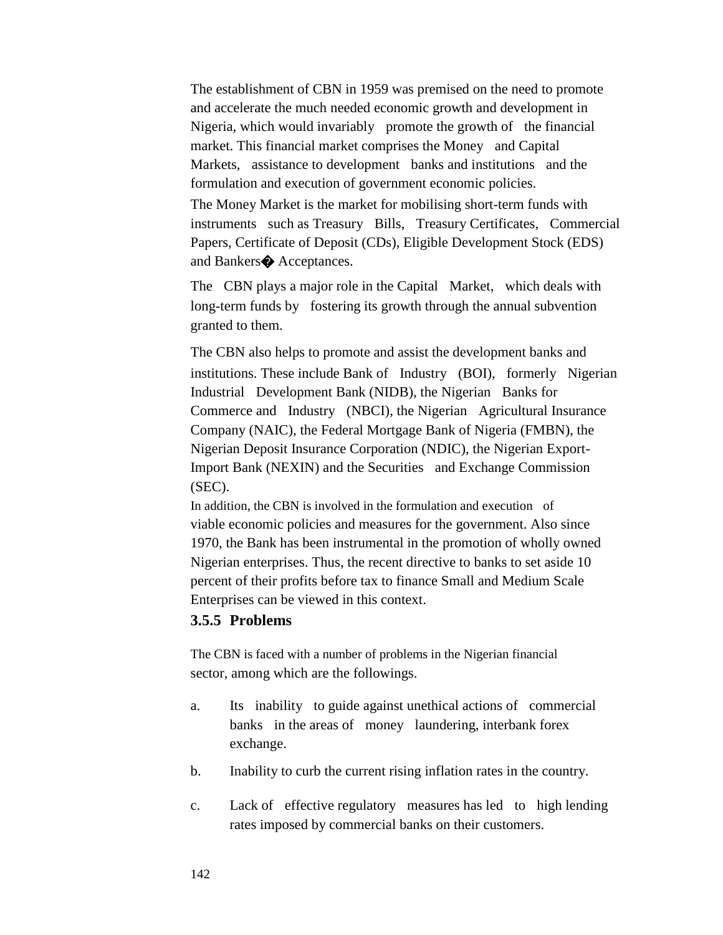The establishment of CBN in 1959 was premised on the need to promote and accelerate the much needed economic growth and development in Nigeria, which would invariably promote the growth of the financial market. This financial market comprises the Money and Capital Markets, assistance to development banks and institutions and the formulation and execution of government economic policies. The Money Market is the market for mobilising short-term funds with instruments such as Treasury Bills, Treasury Certificates, Commercial Papers, Certificate of Deposit (CDs), Eligible Development Stock (EDS) and Bankers $\bigcirc$  Acceptances.

The CBN plays a major role in the Capital Market, which deals with long-term funds by fostering its growth through the annual subvention granted to them.

The CBN also helps to promote and assist the development banks and institutions. These include Bank of Industry (BOI), formerly Nigerian Industrial Development Bank (NIDB), the Nigerian Banks for Commerce and Industry (NBCI), the Nigerian Agricultural Insurance Company (NAIC), the Federal Mortgage Bank of Nigeria (FMBN), the Nigerian Deposit Insurance Corporation (NDIC), the Nigerian Export-Import Bank (NEXIN) and the Securities and Exchange Commission (SEC).

In addition, the CBN is involved in the formulation and execution of viable economic policies and measures for the government. Also since 1970, the Bank has been instrumental in the promotion of wholly owned Nigerian enterprises. Thus, the recent directive to banks to set aside 10 percent of their profits before tax to finance Small and Medium Scale Enterprises can be viewed in this context.

### **3.5.5 Problems**

The CBN is faced with a number of problems in the Nigerian financial sector, among which are the followings.

- a. Its inability to guide against unethical actions of commercial banks in the areas of money laundering, interbank forex exchange.
- b. Inability to curb the current rising inflation rates in the country.
- c. Lack of effective regulatory measures has led to high lending rates imposed by commercial banks on their customers.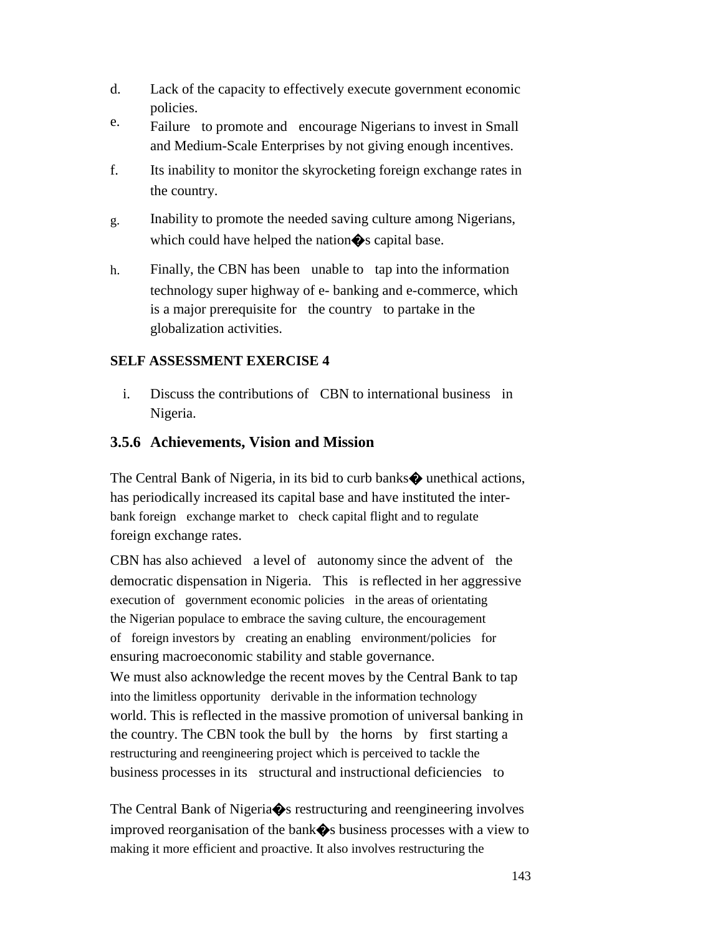- d. Lack of the capacity to effectively execute government economic policies.
- e. Failure to promote and encourage Nigerians to invest in Small and Medium-Scale Enterprises by not giving enough incentives.
- f. Its inability to monitor the skyrocketing foreign exchange rates in the country.
- g. Inability to promote the needed saving culture among Nigerians, which could have helped the nation  $\diamond$ s capital base.
- h. Finally, the CBN has been unable to tap into the information technology super highway of e- banking and e-commerce, which is a major prerequisite for the country to partake in the globalization activities.

## **SELF ASSESSMENT EXERCISE 4**

i. Discuss the contributions of CBN to international business in Nigeria.

## **3.5.6 Achievements, Vision and Mission**

The Central Bank of Nigeria, in its bid to curb banks  $\bigcirc$  unethical actions, has periodically increased its capital base and have instituted the interbank foreign exchange market to check capital flight and to regulate foreign exchange rates.

CBN has also achieved a level of autonomy since the advent of the democratic dispensation in Nigeria. This is reflected in her aggressive execution of government economic policies in the areas of orientating the Nigerian populace to embrace the saving culture, the encouragement of foreign investors by creating an enabling environment/policies for ensuring macroeconomic stability and stable governance.

We must also acknowledge the recent moves by the Central Bank to tap into the limitless opportunity derivable in the information technology world. This is reflected in the massive promotion of universal banking in the country. The CBN took the bull by the horns by first starting a restructuring and reengineering project which is perceived to tackle the business processes in its structural and instructional deficiencies to

The Central Bank of Nigeria  $\bullet$  s restructuring and reengineering involves improved reorganisation of the bank�s business processes with a view to making it more efficient and proactive. It also involves restructuring the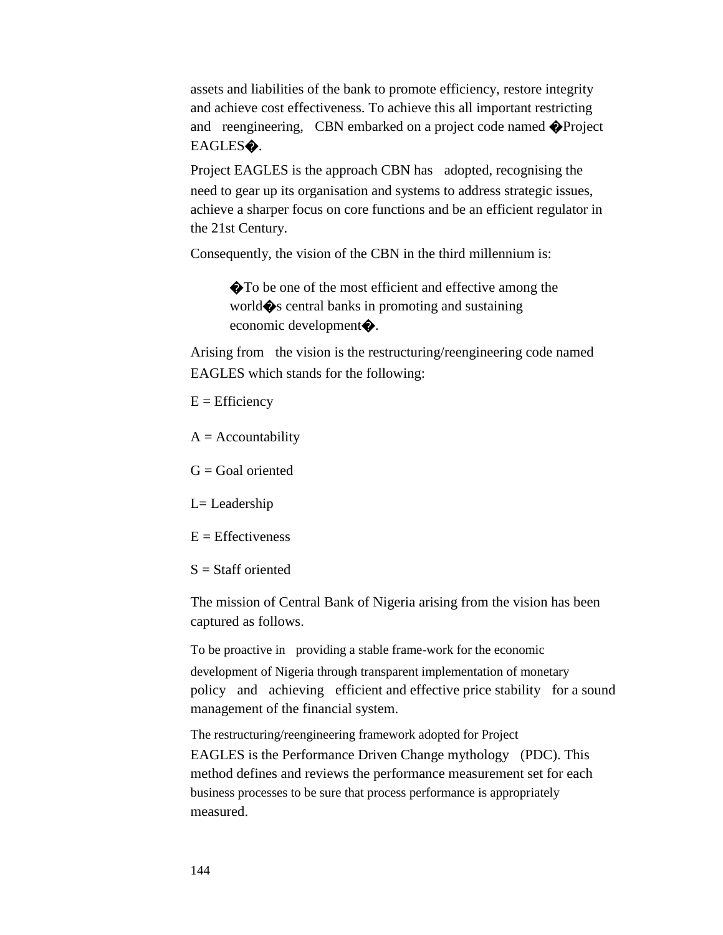assets and liabilities of the bank to promote efficiency, restore integrity and achieve cost effectiveness. To achieve this all important restricting and reengineering, CBN embarked on a project code named  $\bigcirc$ Project EAGLES�.

Project EAGLES is the approach CBN has adopted, recognising the need to gear up its organisation and systems to address strategic issues, achieve a sharper focus on core functions and be an efficient regulator in the 21st Century.

Consequently, the vision of the CBN in the third millennium is:

 $\bigcirc$ To be one of the most efficient and effective among the world�s central banks in promoting and sustaining economic development�.

Arising from the vision is the restructuring/reengineering code named EAGLES which stands for the following:

 $E =$  Efficiency

 $A =$  Accountability

 $G =$  Goal oriented

L= Leadership

 $E =$  Effectiveness

 $S =$ Staff oriented

The mission of Central Bank of Nigeria arising from the vision has been captured as follows.

To be proactive in providing a stable frame-work for the economic development of Nigeria through transparent implementation of monetary policy and achieving efficient and effective price stability for a sound management of the financial system.

The restructuring/reengineering framework adopted for Project EAGLES is the Performance Driven Change mythology (PDC). This method defines and reviews the performance measurement set for each business processes to be sure that process performance is appropriately measured.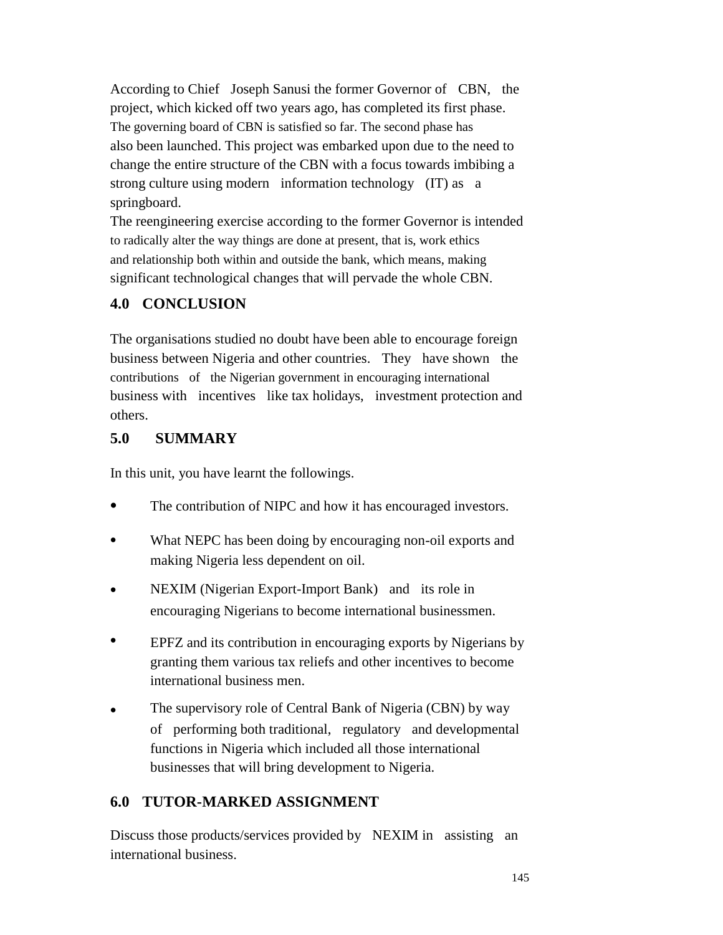According to Chief Joseph Sanusi the former Governor of CBN, the project, which kicked off two years ago, has completed its first phase. The governing board of CBN is satisfied so far. The second phase has also been launched. This project was embarked upon due to the need to change the entire structure of the CBN with a focus towards imbibing a strong culture using modern information technology (IT) as a springboard.

The reengineering exercise according to the former Governor is intended to radically alter the way things are done at present, that is, work ethics and relationship both within and outside the bank, which means, making significant technological changes that will pervade the whole CBN.

# **4.0 CONCLUSION**

The organisations studied no doubt have been able to encourage foreign business between Nigeria and other countries. They have shown the contributions of the Nigerian government in encouraging international business with incentives like tax holidays, investment protection and others.

# **5.0 SUMMARY**

In this unit, you have learnt the followings.

- $\bullet$ The contribution of NIPC and how it has encouraged investors.
- $\bullet$ What NEPC has been doing by encouraging non-oil exports and making Nigeria less dependent on oil.
- $\bullet$ NEXIM (Nigerian Export-Import Bank) and its role in encouraging Nigerians to become international businessmen.
- $\bullet$ EPFZ and its contribution in encouraging exports by Nigerians by granting them various tax reliefs and other incentives to become international business men.
- $\bullet$ The supervisory role of Central Bank of Nigeria (CBN) by way of performing both traditional, regulatory and developmental functions in Nigeria which included all those international businesses that will bring development to Nigeria.

# **6.0 TUTOR-MARKED ASSIGNMENT**

Discuss those products/services provided by NEXIM in assisting an international business.